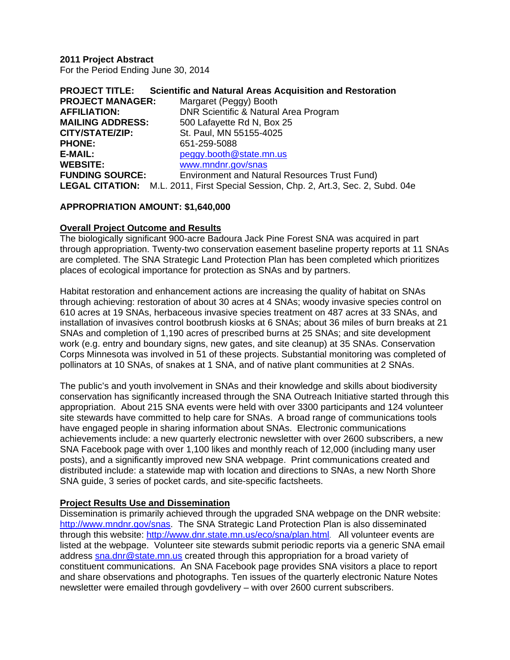**2011 Project Abstract** For the Period Ending June 30, 2014

| <b>PROJECT TITLE:</b>   | <b>Scientific and Natural Areas Acquisition and Restoration</b>                           |
|-------------------------|-------------------------------------------------------------------------------------------|
| <b>PROJECT MANAGER:</b> | Margaret (Peggy) Booth                                                                    |
| <b>AFFILIATION:</b>     | DNR Scientific & Natural Area Program                                                     |
| <b>MAILING ADDRESS:</b> | 500 Lafayette Rd N, Box 25                                                                |
| CITY/STATE/ZIP:         | St. Paul, MN 55155-4025                                                                   |
| <b>PHONE:</b>           | 651-259-5088                                                                              |
| E-MAIL:                 | peggy.booth@state.mn.us                                                                   |
| <b>WEBSITE:</b>         | www.mndnr.gov/snas                                                                        |
| <b>FUNDING SOURCE:</b>  | Environment and Natural Resources Trust Fund)                                             |
|                         | <b>LEGAL CITATION:</b> M.L. 2011, First Special Session, Chp. 2, Art.3, Sec. 2, Subd. 04e |

#### **APPROPRIATION AMOUNT: \$1,640,000**

#### **Overall Project Outcome and Results**

The biologically significant 900-acre Badoura Jack Pine Forest SNA was acquired in part through appropriation. Twenty-two conservation easement baseline property reports at 11 SNAs are completed. The SNA Strategic Land Protection Plan has been completed which prioritizes places of ecological importance for protection as SNAs and by partners.

Habitat restoration and enhancement actions are increasing the quality of habitat on SNAs through achieving: restoration of about 30 acres at 4 SNAs; woody invasive species control on 610 acres at 19 SNAs, herbaceous invasive species treatment on 487 acres at 33 SNAs, and installation of invasives control bootbrush kiosks at 6 SNAs; about 36 miles of burn breaks at 21 SNAs and completion of 1,190 acres of prescribed burns at 25 SNAs; and site development work (e.g. entry and boundary signs, new gates, and site cleanup) at 35 SNAs. Conservation Corps Minnesota was involved in 51 of these projects. Substantial monitoring was completed of pollinators at 10 SNAs, of snakes at 1 SNA, and of native plant communities at 2 SNAs.

The public's and youth involvement in SNAs and their knowledge and skills about biodiversity conservation has significantly increased through the SNA Outreach Initiative started through this appropriation. About 215 SNA events were held with over 3300 participants and 124 volunteer site stewards have committed to help care for SNAs. A broad range of communications tools have engaged people in sharing information about SNAs. Electronic communications achievements include: a new quarterly electronic newsletter with over 2600 subscribers, a new SNA Facebook page with over 1,100 likes and monthly reach of 12,000 (including many user posts), and a significantly improved new SNA webpage. Print communications created and distributed include: a statewide map with location and directions to SNAs, a new North Shore SNA guide, 3 series of pocket cards, and site-specific factsheets.

#### **Project Results Use and Dissemination**

Dissemination is primarily achieved through the upgraded SNA webpage on the DNR website: http://www.mndnr.gov/snas. The SNA Strategic Land Protection Plan is also disseminated through this website: http://www.dnr.state.mn.us/eco/sna/plan.html. All volunteer events are listed at the webpage. Volunteer site stewards submit periodic reports via a generic SNA email address sna.dnr@state.mn.us created through this appropriation for a broad variety of constituent communications. An SNA Facebook page provides SNA visitors a place to report and share observations and photographs. Ten issues of the quarterly electronic Nature Notes newsletter were emailed through govdelivery – with over 2600 current subscribers.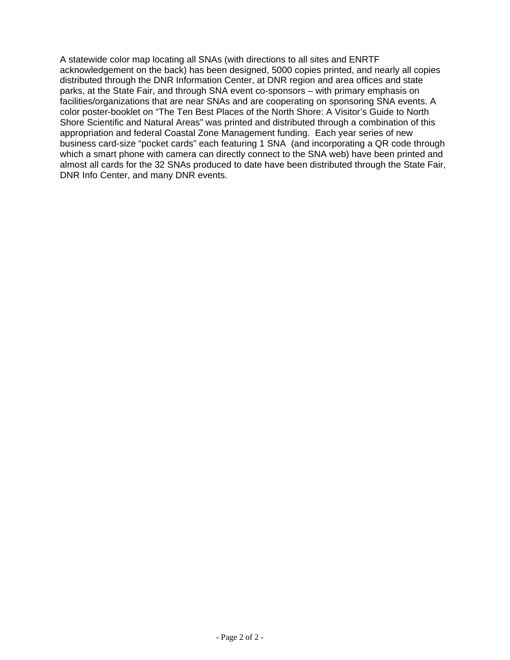A statewide color map locating all SNAs (with directions to all sites and ENRTF acknowledgement on the back) has been designed, 5000 copies printed, and nearly all copies distributed through the DNR Information Center, at DNR region and area offices and state parks, at the State Fair, and through SNA event co-sponsors – with primary emphasis on facilities/organizations that are near SNAs and are cooperating on sponsoring SNA events. A color poster-booklet on "The Ten Best Places of the North Shore: A Visitor's Guide to North Shore Scientific and Natural Areas" was printed and distributed through a combination of this appropriation and federal Coastal Zone Management funding. Each year series of new business card-size "pocket cards" each featuring 1 SNA (and incorporating a QR code through which a smart phone with camera can directly connect to the SNA web) have been printed and almost all cards for the 32 SNAs produced to date have been distributed through the State Fair, DNR Info Center, and many DNR events.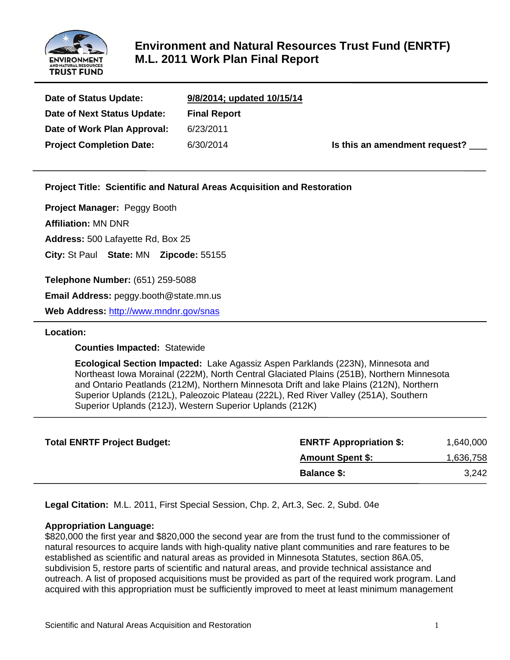

# **Environment and Natural Resources Trust Fund (ENRTF) M.L. 2011 Work Plan Final Report**

| Date of Status Update:          | 9/8/2014; updated 10/15/14 |                                      |
|---------------------------------|----------------------------|--------------------------------------|
| Date of Next Status Update:     | <b>Final Report</b>        |                                      |
| Date of Work Plan Approval:     | 6/23/2011                  |                                      |
| <b>Project Completion Date:</b> | 6/30/2014                  | Is this an amendment request? $\_\_$ |

**Project Title: Scientific and Natural Areas Acquisition and Restoration**

**Project Manager:** Peggy Booth

**Affiliation:** MN DNR

**Address:** 500 Lafayette Rd, Box 25

**City:** St Paul **State:** MN **Zipcode:** 55155

**Telephone Number:** (651) 259-5088

**Email Address:** peggy.booth@state.mn.us

**Web Address:** http://www.mndnr.gov/snas

#### **Location:**

 **Counties Impacted:** Statewide

 **Ecological Section Impacted:** Lake Agassiz Aspen Parklands (223N), Minnesota and Northeast Iowa Morainal (222M), North Central Glaciated Plains (251B), Northern Minnesota and Ontario Peatlands (212M), Northern Minnesota Drift and lake Plains (212N), Northern Superior Uplands (212L), Paleozoic Plateau (222L), Red River Valley (251A), Southern Superior Uplands (212J), Western Superior Uplands (212K)

| <b>Total ENRTF Project Budget:</b> | <b>ENRTF Appropriation \$:</b> | 1,640,000 |
|------------------------------------|--------------------------------|-----------|
|                                    | <b>Amount Spent \$:</b>        | 1,636,758 |
|                                    | <b>Balance \$:</b>             | 3,242     |

**Legal Citation:** M.L. 2011, First Special Session, Chp. 2, Art.3, Sec. 2, Subd. 04e

#### **Appropriation Language:**

\$820,000 the first year and \$820,000 the second year are from the trust fund to the commissioner of natural resources to acquire lands with high-quality native plant communities and rare features to be established as scientific and natural areas as provided in Minnesota Statutes, section 86A.05, subdivision 5, restore parts of scientific and natural areas, and provide technical assistance and outreach. A list of proposed acquisitions must be provided as part of the required work program. Land acquired with this appropriation must be sufficiently improved to meet at least minimum management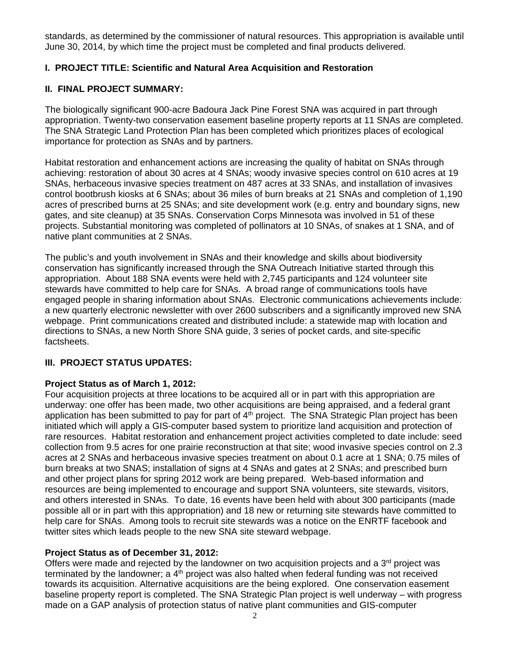standards, as determined by the commissioner of natural resources. This appropriation is available until June 30, 2014, by which time the project must be completed and final products delivered.

## **I. PROJECT TITLE: Scientific and Natural Area Acquisition and Restoration**

#### **II. FINAL PROJECT SUMMARY:**

The biologically significant 900-acre Badoura Jack Pine Forest SNA was acquired in part through appropriation. Twenty-two conservation easement baseline property reports at 11 SNAs are completed. The SNA Strategic Land Protection Plan has been completed which prioritizes places of ecological importance for protection as SNAs and by partners.

Habitat restoration and enhancement actions are increasing the quality of habitat on SNAs through achieving: restoration of about 30 acres at 4 SNAs; woody invasive species control on 610 acres at 19 SNAs, herbaceous invasive species treatment on 487 acres at 33 SNAs, and installation of invasives control bootbrush kiosks at 6 SNAs; about 36 miles of burn breaks at 21 SNAs and completion of 1,190 acres of prescribed burns at 25 SNAs; and site development work (e.g. entry and boundary signs, new gates, and site cleanup) at 35 SNAs. Conservation Corps Minnesota was involved in 51 of these projects. Substantial monitoring was completed of pollinators at 10 SNAs, of snakes at 1 SNA, and of native plant communities at 2 SNAs.

The public's and youth involvement in SNAs and their knowledge and skills about biodiversity conservation has significantly increased through the SNA Outreach Initiative started through this appropriation. About 188 SNA events were held with 2,745 participants and 124 volunteer site stewards have committed to help care for SNAs. A broad range of communications tools have engaged people in sharing information about SNAs. Electronic communications achievements include: a new quarterly electronic newsletter with over 2600 subscribers and a significantly improved new SNA webpage. Print communications created and distributed include: a statewide map with location and directions to SNAs, a new North Shore SNA guide, 3 series of pocket cards, and site-specific factsheets.

#### **III. PROJECT STATUS UPDATES:**

#### **Project Status as of March 1, 2012:**

Four acquisition projects at three locations to be acquired all or in part with this appropriation are underway: one offer has been made, two other acquisitions are being appraised, and a federal grant application has been submitted to pay for part of  $4<sup>th</sup>$  project. The SNA Strategic Plan project has been initiated which will apply a GIS-computer based system to prioritize land acquisition and protection of rare resources. Habitat restoration and enhancement project activities completed to date include: seed collection from 9.5 acres for one prairie reconstruction at that site; wood invasive species control on 2.3 acres at 2 SNAs and herbaceous invasive species treatment on about 0.1 acre at 1 SNA; 0.75 miles of burn breaks at two SNAS; installation of signs at 4 SNAs and gates at 2 SNAs; and prescribed burn and other project plans for spring 2012 work are being prepared. Web-based information and resources are being implemented to encourage and support SNA volunteers, site stewards, visitors, and others interested in SNAs. To date, 16 events have been held with about 300 participants (made possible all or in part with this appropriation) and 18 new or returning site stewards have committed to help care for SNAs. Among tools to recruit site stewards was a notice on the ENRTF facebook and twitter sites which leads people to the new SNA site steward webpage.

#### **Project Status as of December 31, 2012:**

Offers were made and rejected by the landowner on two acquisition projects and a  $3<sup>rd</sup>$  project was terminated by the landowner; a  $4<sup>th</sup>$  project was also halted when federal funding was not received towards its acquisition. Alternative acquisitions are the being explored. One conservation easement baseline property report is completed. The SNA Strategic Plan project is well underway – with progress made on a GAP analysis of protection status of native plant communities and GIS-computer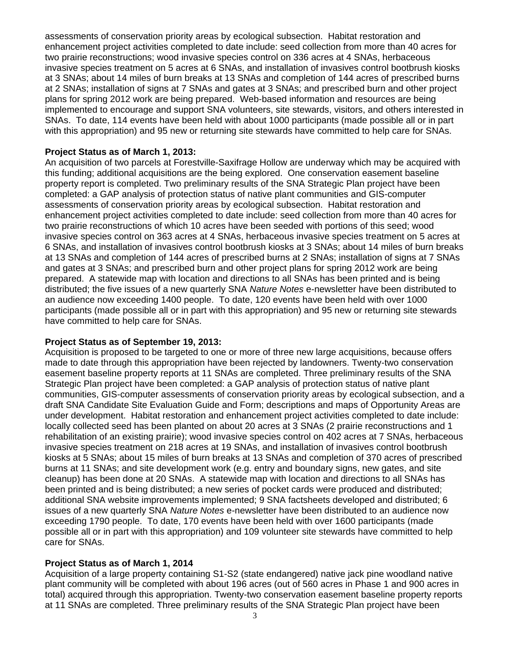assessments of conservation priority areas by ecological subsection. Habitat restoration and enhancement project activities completed to date include: seed collection from more than 40 acres for two prairie reconstructions; wood invasive species control on 336 acres at 4 SNAs, herbaceous invasive species treatment on 5 acres at 6 SNAs, and installation of invasives control bootbrush kiosks at 3 SNAs; about 14 miles of burn breaks at 13 SNAs and completion of 144 acres of prescribed burns at 2 SNAs; installation of signs at 7 SNAs and gates at 3 SNAs; and prescribed burn and other project plans for spring 2012 work are being prepared. Web-based information and resources are being implemented to encourage and support SNA volunteers, site stewards, visitors, and others interested in SNAs. To date, 114 events have been held with about 1000 participants (made possible all or in part with this appropriation) and 95 new or returning site stewards have committed to help care for SNAs.

#### **Project Status as of March 1, 2013:**

An acquisition of two parcels at Forestville-Saxifrage Hollow are underway which may be acquired with this funding; additional acquisitions are the being explored. One conservation easement baseline property report is completed. Two preliminary results of the SNA Strategic Plan project have been completed: a GAP analysis of protection status of native plant communities and GIS-computer assessments of conservation priority areas by ecological subsection. Habitat restoration and enhancement project activities completed to date include: seed collection from more than 40 acres for two prairie reconstructions of which 10 acres have been seeded with portions of this seed; wood invasive species control on 363 acres at 4 SNAs, herbaceous invasive species treatment on 5 acres at 6 SNAs, and installation of invasives control bootbrush kiosks at 3 SNAs; about 14 miles of burn breaks at 13 SNAs and completion of 144 acres of prescribed burns at 2 SNAs; installation of signs at 7 SNAs and gates at 3 SNAs; and prescribed burn and other project plans for spring 2012 work are being prepared. A statewide map with location and directions to all SNAs has been printed and is being distributed; the five issues of a new quarterly SNA *Nature Notes* e-newsletter have been distributed to an audience now exceeding 1400 people. To date, 120 events have been held with over 1000 participants (made possible all or in part with this appropriation) and 95 new or returning site stewards have committed to help care for SNAs.

#### **Project Status as of September 19, 2013:**

Acquisition is proposed to be targeted to one or more of three new large acquisitions, because offers made to date through this appropriation have been rejected by landowners. Twenty-two conservation easement baseline property reports at 11 SNAs are completed. Three preliminary results of the SNA Strategic Plan project have been completed: a GAP analysis of protection status of native plant communities, GIS-computer assessments of conservation priority areas by ecological subsection, and a draft SNA Candidate Site Evaluation Guide and Form; descriptions and maps of Opportunity Areas are under development. Habitat restoration and enhancement project activities completed to date include: locally collected seed has been planted on about 20 acres at 3 SNAs (2 prairie reconstructions and 1 rehabilitation of an existing prairie); wood invasive species control on 402 acres at 7 SNAs, herbaceous invasive species treatment on 218 acres at 19 SNAs, and installation of invasives control bootbrush kiosks at 5 SNAs; about 15 miles of burn breaks at 13 SNAs and completion of 370 acres of prescribed burns at 11 SNAs; and site development work (e.g. entry and boundary signs, new gates, and site cleanup) has been done at 20 SNAs. A statewide map with location and directions to all SNAs has been printed and is being distributed; a new series of pocket cards were produced and distributed; additional SNA website improvements implemented; 9 SNA factsheets developed and distributed; 6 issues of a new quarterly SNA *Nature Notes* e-newsletter have been distributed to an audience now exceeding 1790 people. To date, 170 events have been held with over 1600 participants (made possible all or in part with this appropriation) and 109 volunteer site stewards have committed to help care for SNAs.

#### **Project Status as of March 1, 2014**

Acquisition of a large property containing S1-S2 (state endangered) native jack pine woodland native plant community will be completed with about 196 acres (out of 560 acres in Phase 1 and 900 acres in total) acquired through this appropriation. Twenty-two conservation easement baseline property reports at 11 SNAs are completed. Three preliminary results of the SNA Strategic Plan project have been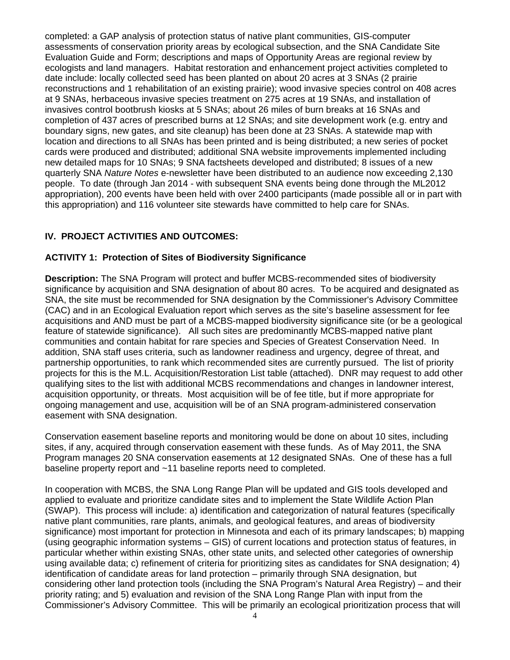completed: a GAP analysis of protection status of native plant communities, GIS-computer assessments of conservation priority areas by ecological subsection, and the SNA Candidate Site Evaluation Guide and Form; descriptions and maps of Opportunity Areas are regional review by ecologists and land managers. Habitat restoration and enhancement project activities completed to date include: locally collected seed has been planted on about 20 acres at 3 SNAs (2 prairie reconstructions and 1 rehabilitation of an existing prairie); wood invasive species control on 408 acres at 9 SNAs, herbaceous invasive species treatment on 275 acres at 19 SNAs, and installation of invasives control bootbrush kiosks at 5 SNAs; about 26 miles of burn breaks at 16 SNAs and completion of 437 acres of prescribed burns at 12 SNAs; and site development work (e.g. entry and boundary signs, new gates, and site cleanup) has been done at 23 SNAs. A statewide map with location and directions to all SNAs has been printed and is being distributed; a new series of pocket cards were produced and distributed; additional SNA website improvements implemented including new detailed maps for 10 SNAs; 9 SNA factsheets developed and distributed; 8 issues of a new quarterly SNA *Nature Notes* e-newsletter have been distributed to an audience now exceeding 2,130 people. To date (through Jan 2014 - with subsequent SNA events being done through the ML2012 appropriation), 200 events have been held with over 2400 participants (made possible all or in part with this appropriation) and 116 volunteer site stewards have committed to help care for SNAs.

# **IV. PROJECT ACTIVITIES AND OUTCOMES:**

# **ACTIVITY 1: Protection of Sites of Biodiversity Significance**

**Description:** The SNA Program will protect and buffer MCBS-recommended sites of biodiversity significance by acquisition and SNA designation of about 80 acres. To be acquired and designated as SNA, the site must be recommended for SNA designation by the Commissioner's Advisory Committee (CAC) and in an Ecological Evaluation report which serves as the site's baseline assessment for fee acquisitions and AND must be part of a MCBS-mapped biodiversity significance site (or be a geological feature of statewide significance). All such sites are predominantly MCBS-mapped native plant communities and contain habitat for rare species and Species of Greatest Conservation Need. In addition, SNA staff uses criteria, such as landowner readiness and urgency, degree of threat, and partnership opportunities, to rank which recommended sites are currently pursued. The list of priority projects for this is the M.L. Acquisition/Restoration List table (attached). DNR may request to add other qualifying sites to the list with additional MCBS recommendations and changes in landowner interest, acquisition opportunity, or threats. Most acquisition will be of fee title, but if more appropriate for ongoing management and use, acquisition will be of an SNA program-administered conservation easement with SNA designation.

Conservation easement baseline reports and monitoring would be done on about 10 sites, including sites, if any, acquired through conservation easement with these funds. As of May 2011, the SNA Program manages 20 SNA conservation easements at 12 designated SNAs. One of these has a full baseline property report and ~11 baseline reports need to completed.

In cooperation with MCBS, the SNA Long Range Plan will be updated and GIS tools developed and applied to evaluate and prioritize candidate sites and to implement the State Wildlife Action Plan (SWAP). This process will include: a) identification and categorization of natural features (specifically native plant communities, rare plants, animals, and geological features, and areas of biodiversity significance) most important for protection in Minnesota and each of its primary landscapes; b) mapping (using geographic information systems – GIS) of current locations and protection status of features, in particular whether within existing SNAs, other state units, and selected other categories of ownership using available data; c) refinement of criteria for prioritizing sites as candidates for SNA designation; 4) identification of candidate areas for land protection – primarily through SNA designation, but considering other land protection tools (including the SNA Program's Natural Area Registry) – and their priority rating; and 5) evaluation and revision of the SNA Long Range Plan with input from the Commissioner's Advisory Committee. This will be primarily an ecological prioritization process that will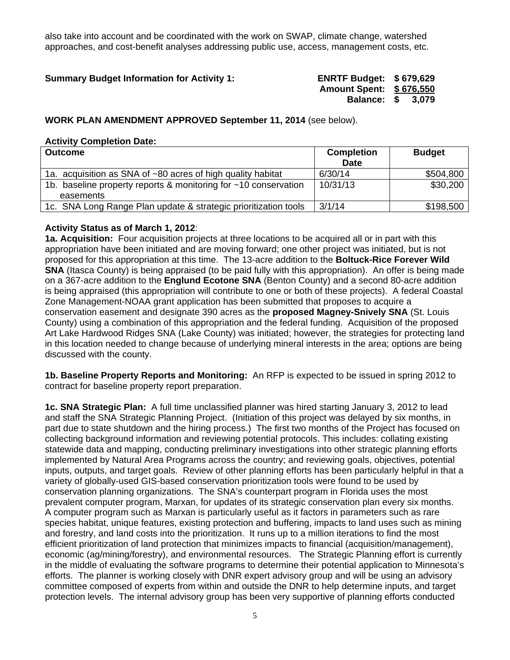also take into account and be coordinated with the work on SWAP, climate change, watershed approaches, and cost-benefit analyses addressing public use, access, management costs, etc.

## **Summary Budget Information for Activity 1: ENRTF Budget: \$ 679,629**

**Amount Spent: \$ 676,550 Balance: \$ 3,079** 

## **WORK PLAN AMENDMENT APPROVED September 11, 2014** (see below).

#### **Activity Completion Date:**

| <b>Outcome</b>                                                               | <b>Completion</b><br><b>Date</b> | <b>Budget</b> |
|------------------------------------------------------------------------------|----------------------------------|---------------|
| 1a. acquisition as SNA of ~80 acres of high quality habitat                  | 6/30/14                          | \$504,800     |
| 1b. baseline property reports & monitoring for ~10 conservation<br>easements | 10/31/13                         | \$30,200      |
| 1c. SNA Long Range Plan update & strategic prioritization tools              | 3/1/14                           | \$198,500     |

#### **Activity Status as of March 1, 2012**:

**1a. Acquisition:** Four acquisition projects at three locations to be acquired all or in part with this appropriation have been initiated and are moving forward; one other project was initiated, but is not proposed for this appropriation at this time. The 13-acre addition to the **Boltuck-Rice Forever Wild SNA** (Itasca County) is being appraised (to be paid fully with this appropriation). An offer is being made on a 367-acre addition to the **Englund Ecotone SNA** (Benton County) and a second 80-acre addition is being appraised (this appropriation will contribute to one or both of these projects). A federal Coastal Zone Management-NOAA grant application has been submitted that proposes to acquire a conservation easement and designate 390 acres as the **proposed Magney-Snively SNA** (St. Louis County) using a combination of this appropriation and the federal funding. Acquisition of the proposed Art Lake Hardwood Ridges SNA (Lake County) was initiated; however, the strategies for protecting land in this location needed to change because of underlying mineral interests in the area; options are being discussed with the county.

**1b. Baseline Property Reports and Monitoring:** An RFP is expected to be issued in spring 2012 to contract for baseline property report preparation.

**1c. SNA Strategic Plan:** A full time unclassified planner was hired starting January 3, 2012 to lead and staff the SNA Strategic Planning Project. (Initiation of this project was delayed by six months, in part due to state shutdown and the hiring process.) The first two months of the Project has focused on collecting background information and reviewing potential protocols. This includes: collating existing statewide data and mapping, conducting preliminary investigations into other strategic planning efforts implemented by Natural Area Programs across the country; and reviewing goals, objectives, potential inputs, outputs, and target goals. Review of other planning efforts has been particularly helpful in that a variety of globally-used GIS-based conservation prioritization tools were found to be used by conservation planning organizations. The SNA's counterpart program in Florida uses the most prevalent computer program, Marxan, for updates of its strategic conservation plan every six months. A computer program such as Marxan is particularly useful as it factors in parameters such as rare species habitat, unique features, existing protection and buffering, impacts to land uses such as mining and forestry, and land costs into the prioritization. It runs up to a million iterations to find the most efficient prioritization of land protection that minimizes impacts to financial (acquisition/management), economic (ag/mining/forestry), and environmental resources. The Strategic Planning effort is currently in the middle of evaluating the software programs to determine their potential application to Minnesota's efforts. The planner is working closely with DNR expert advisory group and will be using an advisory committee composed of experts from within and outside the DNR to help determine inputs, and target protection levels. The internal advisory group has been very supportive of planning efforts conducted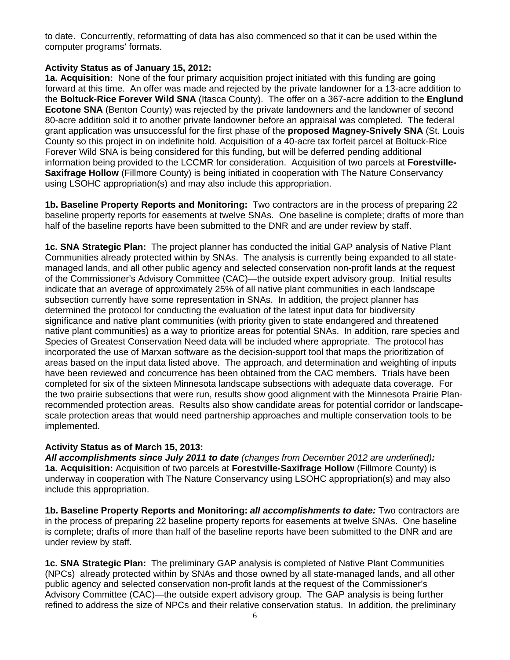to date. Concurrently, reformatting of data has also commenced so that it can be used within the computer programs' formats.

### **Activity Status as of January 15, 2012:**

**1a. Acquisition:** None of the four primary acquisition project initiated with this funding are going forward at this time. An offer was made and rejected by the private landowner for a 13-acre addition to the **Boltuck-Rice Forever Wild SNA** (Itasca County). The offer on a 367-acre addition to the **Englund Ecotone SNA** (Benton County) was rejected by the private landowners and the landowner of second 80-acre addition sold it to another private landowner before an appraisal was completed. The federal grant application was unsuccessful for the first phase of the **proposed Magney-Snively SNA** (St. Louis County so this project in on indefinite hold. Acquisition of a 40-acre tax forfeit parcel at Boltuck-Rice Forever Wild SNA is being considered for this funding, but will be deferred pending additional information being provided to the LCCMR for consideration. Acquisition of two parcels at **Forestville-Saxifrage Hollow** (Fillmore County) is being initiated in cooperation with The Nature Conservancy using LSOHC appropriation(s) and may also include this appropriation.

**1b. Baseline Property Reports and Monitoring:** Two contractors are in the process of preparing 22 baseline property reports for easements at twelve SNAs. One baseline is complete; drafts of more than half of the baseline reports have been submitted to the DNR and are under review by staff.

**1c. SNA Strategic Plan:** The project planner has conducted the initial GAP analysis of Native Plant Communities already protected within by SNAs. The analysis is currently being expanded to all statemanaged lands, and all other public agency and selected conservation non-profit lands at the request of the Commissioner's Advisory Committee (CAC)—the outside expert advisory group. Initial results indicate that an average of approximately 25% of all native plant communities in each landscape subsection currently have some representation in SNAs. In addition, the project planner has determined the protocol for conducting the evaluation of the latest input data for biodiversity significance and native plant communities (with priority given to state endangered and threatened native plant communities) as a way to prioritize areas for potential SNAs. In addition, rare species and Species of Greatest Conservation Need data will be included where appropriate. The protocol has incorporated the use of Marxan software as the decision-support tool that maps the prioritization of areas based on the input data listed above. The approach, and determination and weighting of inputs have been reviewed and concurrence has been obtained from the CAC members. Trials have been completed for six of the sixteen Minnesota landscape subsections with adequate data coverage. For the two prairie subsections that were run, results show good alignment with the Minnesota Prairie Planrecommended protection areas. Results also show candidate areas for potential corridor or landscapescale protection areas that would need partnership approaches and multiple conservation tools to be implemented.

# **Activity Status as of March 15, 2013:**

*All accomplishments since July 2011 to date (changes from December 2012 are underlined):*  **1a. Acquisition:** Acquisition of two parcels at **Forestville-Saxifrage Hollow** (Fillmore County) is underway in cooperation with The Nature Conservancy using LSOHC appropriation(s) and may also include this appropriation.

**1b. Baseline Property Reports and Monitoring:** *all accomplishments to date:* Two contractors are in the process of preparing 22 baseline property reports for easements at twelve SNAs. One baseline is complete; drafts of more than half of the baseline reports have been submitted to the DNR and are under review by staff.

**1c. SNA Strategic Plan:** The preliminary GAP analysis is completed of Native Plant Communities (NPCs) already protected within by SNAs and those owned by all state-managed lands, and all other public agency and selected conservation non-profit lands at the request of the Commissioner's Advisory Committee (CAC)—the outside expert advisory group. The GAP analysis is being further refined to address the size of NPCs and their relative conservation status. In addition, the preliminary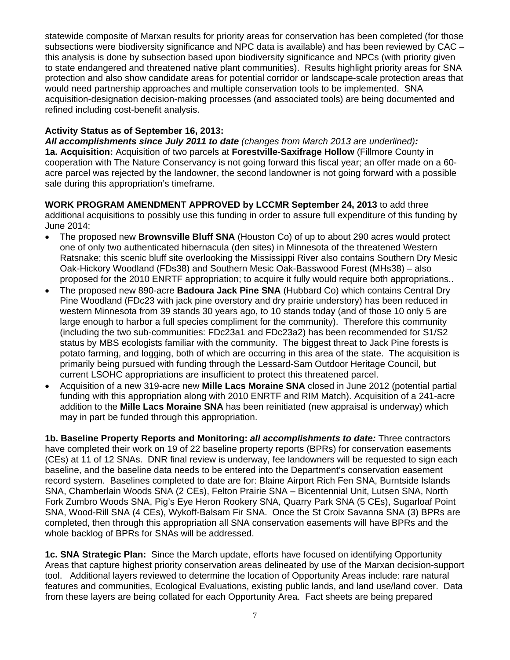statewide composite of Marxan results for priority areas for conservation has been completed (for those subsections were biodiversity significance and NPC data is available) and has been reviewed by CAC – this analysis is done by subsection based upon biodiversity significance and NPCs (with priority given to state endangered and threatened native plant communities). Results highlight priority areas for SNA protection and also show candidate areas for potential corridor or landscape-scale protection areas that would need partnership approaches and multiple conservation tools to be implemented. SNA acquisition-designation decision-making processes (and associated tools) are being documented and refined including cost-benefit analysis.

## **Activity Status as of September 16, 2013:**

*All accomplishments since July 2011 to date (changes from March 2013 are underlined):*  **1a. Acquisition:** Acquisition of two parcels at **Forestville-Saxifrage Hollow** (Fillmore County in cooperation with The Nature Conservancy is not going forward this fiscal year; an offer made on a 60 acre parcel was rejected by the landowner, the second landowner is not going forward with a possible sale during this appropriation's timeframe.

**WORK PROGRAM AMENDMENT APPROVED by LCCMR September 24, 2013** to add three additional acquisitions to possibly use this funding in order to assure full expenditure of this funding by June 2014:

- The proposed new **Brownsville Bluff SNA** (Houston Co) of up to about 290 acres would protect one of only two authenticated hibernacula (den sites) in Minnesota of the threatened Western Ratsnake; this scenic bluff site overlooking the Mississippi River also contains Southern Dry Mesic Oak-Hickory Woodland (FDs38) and Southern Mesic Oak-Basswood Forest (MHs38) – also proposed for the 2010 ENRTF appropriation; to acquire it fully would require both appropriations..
- The proposed new 890-acre **Badoura Jack Pine SNA** (Hubbard Co) which contains Central Dry Pine Woodland (FDc23 with jack pine overstory and dry prairie understory) has been reduced in western Minnesota from 39 stands 30 years ago, to 10 stands today (and of those 10 only 5 are large enough to harbor a full species compliment for the community). Therefore this community (including the two sub-communities: FDc23a1 and FDc23a2) has been recommended for S1/S2 status by MBS ecologists familiar with the community. The biggest threat to Jack Pine forests is potato farming, and logging, both of which are occurring in this area of the state. The acquisition is primarily being pursued with funding through the Lessard-Sam Outdoor Heritage Council, but current LSOHC appropriations are insufficient to protect this threatened parcel.
- Acquisition of a new 319-acre new **Mille Lacs Moraine SNA** closed in June 2012 (potential partial funding with this appropriation along with 2010 ENRTF and RIM Match). Acquisition of a 241-acre addition to the **Mille Lacs Moraine SNA** has been reinitiated (new appraisal is underway) which may in part be funded through this appropriation.

**1b. Baseline Property Reports and Monitoring:** *all accomplishments to date:* Three contractors have completed their work on 19 of 22 baseline property reports (BPRs) for conservation easements (CEs) at 11 of 12 SNAs. DNR final review is underway, fee landowners will be requested to sign each baseline, and the baseline data needs to be entered into the Department's conservation easement record system. Baselines completed to date are for: Blaine Airport Rich Fen SNA, Burntside Islands SNA, Chamberlain Woods SNA (2 CEs), Felton Prairie SNA – Bicentennial Unit, Lutsen SNA, North Fork Zumbro Woods SNA, Pig's Eye Heron Rookery SNA, Quarry Park SNA (5 CEs), Sugarloaf Point SNA, Wood-Rill SNA (4 CEs), Wykoff-Balsam Fir SNA. Once the St Croix Savanna SNA (3) BPRs are completed, then through this appropriation all SNA conservation easements will have BPRs and the whole backlog of BPRs for SNAs will be addressed.

**1c. SNA Strategic Plan:** Since the March update, efforts have focused on identifying Opportunity Areas that capture highest priority conservation areas delineated by use of the Marxan decision-support tool. Additional layers reviewed to determine the location of Opportunity Areas include: rare natural features and communities, Ecological Evaluations, existing public lands, and land use/land cover. Data from these layers are being collated for each Opportunity Area. Fact sheets are being prepared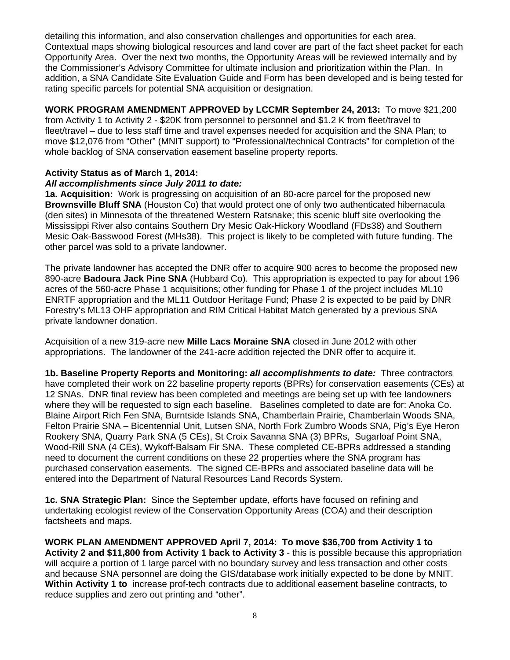detailing this information, and also conservation challenges and opportunities for each area. Contextual maps showing biological resources and land cover are part of the fact sheet packet for each Opportunity Area. Over the next two months, the Opportunity Areas will be reviewed internally and by the Commissioner's Advisory Committee for ultimate inclusion and prioritization within the Plan. In addition, a SNA Candidate Site Evaluation Guide and Form has been developed and is being tested for rating specific parcels for potential SNA acquisition or designation.

**WORK PROGRAM AMENDMENT APPROVED by LCCMR September 24, 2013:** To move \$21,200 from Activity 1 to Activity 2 - \$20K from personnel to personnel and \$1.2 K from fleet/travel to fleet/travel – due to less staff time and travel expenses needed for acquisition and the SNA Plan; to move \$12,076 from "Other" (MNIT support) to "Professional/technical Contracts" for completion of the whole backlog of SNA conservation easement baseline property reports.

#### **Activity Status as of March 1, 2014:**

## *All accomplishments since July 2011 to date:*

**1a. Acquisition:** Work is progressing on acquisition of an 80-acre parcel for the proposed new **Brownsville Bluff SNA** (Houston Co) that would protect one of only two authenticated hibernacula (den sites) in Minnesota of the threatened Western Ratsnake; this scenic bluff site overlooking the Mississippi River also contains Southern Dry Mesic Oak-Hickory Woodland (FDs38) and Southern Mesic Oak-Basswood Forest (MHs38). This project is likely to be completed with future funding. The other parcel was sold to a private landowner.

The private landowner has accepted the DNR offer to acquire 900 acres to become the proposed new 890-acre **Badoura Jack Pine SNA** (Hubbard Co). This appropriation is expected to pay for about 196 acres of the 560-acre Phase 1 acquisitions; other funding for Phase 1 of the project includes ML10 ENRTF appropriation and the ML11 Outdoor Heritage Fund; Phase 2 is expected to be paid by DNR Forestry's ML13 OHF appropriation and RIM Critical Habitat Match generated by a previous SNA private landowner donation.

Acquisition of a new 319-acre new **Mille Lacs Moraine SNA** closed in June 2012 with other appropriations. The landowner of the 241-acre addition rejected the DNR offer to acquire it.

**1b. Baseline Property Reports and Monitoring:** *all accomplishments to date:* Three contractors have completed their work on 22 baseline property reports (BPRs) for conservation easements (CEs) at 12 SNAs. DNR final review has been completed and meetings are being set up with fee landowners where they will be requested to sign each baseline. Baselines completed to date are for: Anoka Co. Blaine Airport Rich Fen SNA, Burntside Islands SNA, Chamberlain Prairie, Chamberlain Woods SNA, Felton Prairie SNA – Bicentennial Unit, Lutsen SNA, North Fork Zumbro Woods SNA, Pig's Eye Heron Rookery SNA, Quarry Park SNA (5 CEs), St Croix Savanna SNA (3) BPRs, Sugarloaf Point SNA, Wood-Rill SNA (4 CEs), Wykoff-Balsam Fir SNA. These completed CE-BPRs addressed a standing need to document the current conditions on these 22 properties where the SNA program has purchased conservation easements. The signed CE-BPRs and associated baseline data will be entered into the Department of Natural Resources Land Records System.

**1c. SNA Strategic Plan:** Since the September update, efforts have focused on refining and undertaking ecologist review of the Conservation Opportunity Areas (COA) and their description factsheets and maps.

**WORK PLAN AMENDMENT APPROVED April 7, 2014: To move \$36,700 from Activity 1 to Activity 2 and \$11,800 from Activity 1 back to Activity 3** - this is possible because this appropriation will acquire a portion of 1 large parcel with no boundary survey and less transaction and other costs and because SNA personnel are doing the GIS/database work initially expected to be done by MNIT. **Within Activity 1 to** increase prof-tech contracts due to additional easement baseline contracts, to reduce supplies and zero out printing and "other".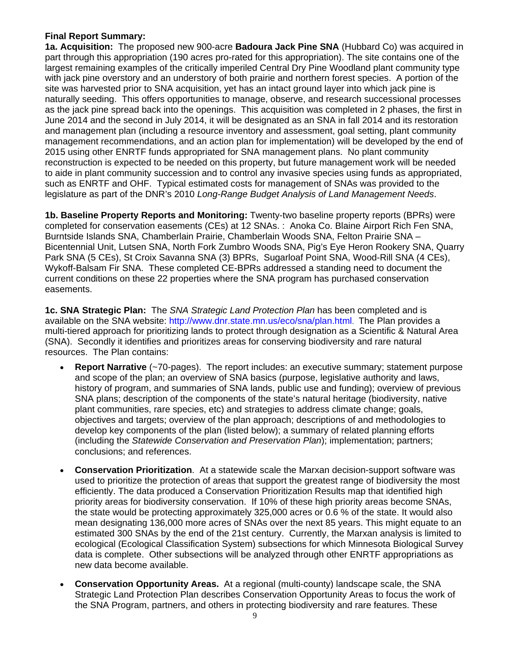## **Final Report Summary:**

**1a. Acquisition:** The proposed new 900-acre **Badoura Jack Pine SNA** (Hubbard Co) was acquired in part through this appropriation (190 acres pro-rated for this appropriation). The site contains one of the largest remaining examples of the critically imperiled Central Dry Pine Woodland plant community type with jack pine overstory and an understory of both prairie and northern forest species. A portion of the site was harvested prior to SNA acquisition, yet has an intact ground layer into which jack pine is naturally seeding. This offers opportunities to manage, observe, and research successional processes as the jack pine spread back into the openings. This acquisition was completed in 2 phases, the first in June 2014 and the second in July 2014, it will be designated as an SNA in fall 2014 and its restoration and management plan (including a resource inventory and assessment, goal setting, plant community management recommendations, and an action plan for implementation) will be developed by the end of 2015 using other ENRTF funds appropriated for SNA management plans. No plant community reconstruction is expected to be needed on this property, but future management work will be needed to aide in plant community succession and to control any invasive species using funds as appropriated, such as ENRTF and OHF. Typical estimated costs for management of SNAs was provided to the legislature as part of the DNR's 2010 *Long-Range Budget Analysis of Land Management Needs*.

**1b. Baseline Property Reports and Monitoring:** Twenty-two baseline property reports (BPRs) were completed for conservation easements (CEs) at 12 SNAs. : Anoka Co. Blaine Airport Rich Fen SNA, Burntside Islands SNA, Chamberlain Prairie, Chamberlain Woods SNA, Felton Prairie SNA – Bicentennial Unit, Lutsen SNA, North Fork Zumbro Woods SNA, Pig's Eye Heron Rookery SNA, Quarry Park SNA (5 CEs), St Croix Savanna SNA (3) BPRs, Sugarloaf Point SNA, Wood-Rill SNA (4 CEs), Wykoff-Balsam Fir SNA. These completed CE-BPRs addressed a standing need to document the current conditions on these 22 properties where the SNA program has purchased conservation easements.

**1c. SNA Strategic Plan:** The *SNA Strategic Land Protection Plan* has been completed and is available on the SNA website: http://www.dnr.state.mn.us/eco/sna/plan.html. The Plan provides a multi-tiered approach for prioritizing lands to protect through designation as a Scientific & Natural Area (SNA). Secondly it identifies and prioritizes areas for conserving biodiversity and rare natural resources. The Plan contains:

- **Report Narrative** (~70-pages). The report includes: an executive summary; statement purpose and scope of the plan; an overview of SNA basics (purpose, legislative authority and laws, history of program, and summaries of SNA lands, public use and funding); overview of previous SNA plans; description of the components of the state's natural heritage (biodiversity, native plant communities, rare species, etc) and strategies to address climate change; goals, objectives and targets; overview of the plan approach; descriptions of and methodologies to develop key components of the plan (listed below); a summary of related planning efforts (including the *Statewide Conservation and Preservation Plan*); implementation; partners; conclusions; and references.
- **Conservation Prioritization**. At a statewide scale the Marxan decision-support software was used to prioritize the protection of areas that support the greatest range of biodiversity the most efficiently. The data produced a Conservation Prioritization Results map that identified high priority areas for biodiversity conservation. If 10% of these high priority areas become SNAs, the state would be protecting approximately 325,000 acres or 0.6 % of the state. It would also mean designating 136,000 more acres of SNAs over the next 85 years. This might equate to an estimated 300 SNAs by the end of the 21st century. Currently, the Marxan analysis is limited to ecological (Ecological Classification System) subsections for which Minnesota Biological Survey data is complete. Other subsections will be analyzed through other ENRTF appropriations as new data become available.
- **Conservation Opportunity Areas.** At a regional (multi-county) landscape scale, the SNA Strategic Land Protection Plan describes Conservation Opportunity Areas to focus the work of the SNA Program, partners, and others in protecting biodiversity and rare features. These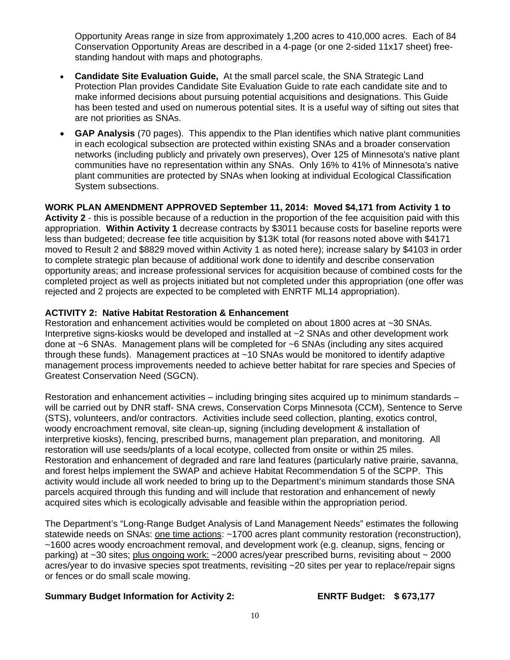Opportunity Areas range in size from approximately 1,200 acres to 410,000 acres. Each of 84 Conservation Opportunity Areas are described in a 4-page (or one 2-sided 11x17 sheet) freestanding handout with maps and photographs.

- **Candidate Site Evaluation Guide,** At the small parcel scale, the SNA Strategic Land Protection Plan provides Candidate Site Evaluation Guide to rate each candidate site and to make informed decisions about pursuing potential acquisitions and designations. This Guide has been tested and used on numerous potential sites. It is a useful way of sifting out sites that are not priorities as SNAs.
- **GAP Analysis** (70 pages). This appendix to the Plan identifies which native plant communities in each ecological subsection are protected within existing SNAs and a broader conservation networks (including publicly and privately own preserves), Over 125 of Minnesota's native plant communities have no representation within any SNAs. Only 16% to 41% of Minnesota's native plant communities are protected by SNAs when looking at individual Ecological Classification System subsections.

**WORK PLAN AMENDMENT APPROVED September 11, 2014: Moved \$4,171 from Activity 1 to Activity 2** - this is possible because of a reduction in the proportion of the fee acquisition paid with this appropriation. **Within Activity 1** decrease contracts by \$3011 because costs for baseline reports were less than budgeted; decrease fee title acquisition by \$13K total (for reasons noted above with \$4171 moved to Result 2 and \$8829 moved within Activity 1 as noted here); increase salary by \$4103 in order to complete strategic plan because of additional work done to identify and describe conservation opportunity areas; and increase professional services for acquisition because of combined costs for the completed project as well as projects initiated but not completed under this appropriation (one offer was rejected and 2 projects are expected to be completed with ENRTF ML14 appropriation).

## **ACTIVITY 2: Native Habitat Restoration & Enhancement**

Restoration and enhancement activities would be completed on about 1800 acres at ~30 SNAs. Interpretive signs-kiosks would be developed and installed at ~2 SNAs and other development work done at ~6 SNAs. Management plans will be completed for ~6 SNAs (including any sites acquired through these funds). Management practices at ~10 SNAs would be monitored to identify adaptive management process improvements needed to achieve better habitat for rare species and Species of Greatest Conservation Need (SGCN).

Restoration and enhancement activities – including bringing sites acquired up to minimum standards – will be carried out by DNR staff- SNA crews, Conservation Corps Minnesota (CCM), Sentence to Serve (STS), volunteers, and/or contractors. Activities include seed collection, planting, exotics control, woody encroachment removal, site clean-up, signing (including development & installation of interpretive kiosks), fencing, prescribed burns, management plan preparation, and monitoring. All restoration will use seeds/plants of a local ecotype, collected from onsite or within 25 miles. Restoration and enhancement of degraded and rare land features (particularly native prairie, savanna, and forest helps implement the SWAP and achieve Habitat Recommendation 5 of the SCPP. This activity would include all work needed to bring up to the Department's minimum standards those SNA parcels acquired through this funding and will include that restoration and enhancement of newly acquired sites which is ecologically advisable and feasible within the appropriation period.

The Department's "Long-Range Budget Analysis of Land Management Needs" estimates the following statewide needs on SNAs: one time actions: ~1700 acres plant community restoration (reconstruction), ~1600 acres woody encroachment removal, and development work (e.g. cleanup, signs, fencing or parking) at ~30 sites; plus ongoing work: ~2000 acres/year prescribed burns, revisiting about ~ 2000 acres/year to do invasive species spot treatments, revisiting ~20 sites per year to replace/repair signs or fences or do small scale mowing.

#### **Summary Budget Information for Activity 2: ENRTF Budget: \$ 673,177**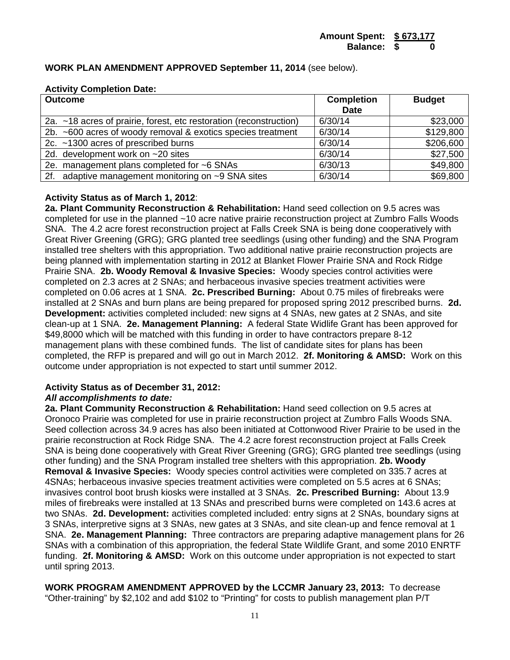#### **WORK PLAN AMENDMENT APPROVED September 11, 2014** (see below).

#### **Activity Completion Date:**

| <b>Outcome</b>                                                     | <b>Completion</b><br><b>Date</b> | <b>Budget</b> |
|--------------------------------------------------------------------|----------------------------------|---------------|
| 2a. ~18 acres of prairie, forest, etc restoration (reconstruction) | 6/30/14                          | \$23,000      |
| 2b. ~600 acres of woody removal & exotics species treatment        | 6/30/14                          | \$129,800     |
| 2c. ~1300 acres of prescribed burns                                | 6/30/14                          | \$206,600     |
| 2d. development work on $\sim$ 20 sites                            | 6/30/14                          | \$27,500      |
| 2e. management plans completed for ~6 SNAs                         | 6/30/13                          | \$49,800      |
| 2f. adaptive management monitoring on ~9 SNA sites                 | 6/30/14                          | \$69,800      |

#### **Activity Status as of March 1, 2012**:

**2a. Plant Community Reconstruction & Rehabilitation:** Hand seed collection on 9.5 acres was completed for use in the planned ~10 acre native prairie reconstruction project at Zumbro Falls Woods SNA. The 4.2 acre forest reconstruction project at Falls Creek SNA is being done cooperatively with Great River Greening (GRG); GRG planted tree seedlings (using other funding) and the SNA Program installed tree shelters with this appropriation. Two additional native prairie reconstruction projects are being planned with implementation starting in 2012 at Blanket Flower Prairie SNA and Rock Ridge Prairie SNA. **2b. Woody Removal & Invasive Species:** Woody species control activities were completed on 2.3 acres at 2 SNAs; and herbaceous invasive species treatment activities were completed on 0.06 acres at 1 SNA. **2c. Prescribed Burning:** About 0.75 miles of firebreaks were installed at 2 SNAs and burn plans are being prepared for proposed spring 2012 prescribed burns. **2d. Development:** activities completed included: new signs at 4 SNAs, new gates at 2 SNAs, and site clean-up at 1 SNA. **2e. Management Planning:** A federal State Widlife Grant has been approved for \$49,8000 which will be matched with this funding in order to have contractors prepare 8-12 management plans with these combined funds. The list of candidate sites for plans has been completed, the RFP is prepared and will go out in March 2012. **2f. Monitoring & AMSD:** Work on this outcome under appropriation is not expected to start until summer 2012.

#### **Activity Status as of December 31, 2012:**

#### *All accomplishments to date:*

**2a. Plant Community Reconstruction & Rehabilitation:** Hand seed collection on 9.5 acres at Oronoco Prairie was completed for use in prairie reconstruction project at Zumbro Falls Woods SNA. Seed collection across 34.9 acres has also been initiated at Cottonwood River Prairie to be used in the prairie reconstruction at Rock Ridge SNA. The 4.2 acre forest reconstruction project at Falls Creek SNA is being done cooperatively with Great River Greening (GRG); GRG planted tree seedlings (using other funding) and the SNA Program installed tree shelters with this appropriation. **2b. Woody Removal & Invasive Species:** Woody species control activities were completed on 335.7 acres at 4SNAs; herbaceous invasive species treatment activities were completed on 5.5 acres at 6 SNAs; invasives control boot brush kiosks were installed at 3 SNAs. **2c. Prescribed Burning:** About 13.9 miles of firebreaks were installed at 13 SNAs and prescribed burns were completed on 143.6 acres at two SNAs. **2d. Development:** activities completed included: entry signs at 2 SNAs, boundary signs at 3 SNAs, interpretive signs at 3 SNAs, new gates at 3 SNAs, and site clean-up and fence removal at 1 SNA. **2e. Management Planning:** Three contractors are preparing adaptive management plans for 26 SNAs with a combination of this appropriation, the federal State Wildlife Grant, and some 2010 ENRTF funding. **2f. Monitoring & AMSD:** Work on this outcome under appropriation is not expected to start until spring 2013.

**WORK PROGRAM AMENDMENT APPROVED by the LCCMR January 23, 2013:** To decrease "Other-training" by \$2,102 and add \$102 to "Printing" for costs to publish management plan P/T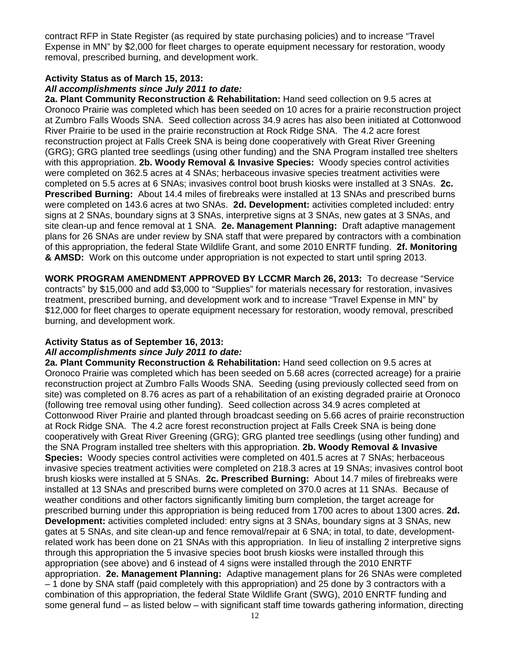contract RFP in State Register (as required by state purchasing policies) and to increase "Travel Expense in MN" by \$2,000 for fleet charges to operate equipment necessary for restoration, woody removal, prescribed burning, and development work.

#### **Activity Status as of March 15, 2013:**

#### *All accomplishments since July 2011 to date:*

**2a. Plant Community Reconstruction & Rehabilitation:** Hand seed collection on 9.5 acres at Oronoco Prairie was completed which has been seeded on 10 acres for a prairie reconstruction project at Zumbro Falls Woods SNA. Seed collection across 34.9 acres has also been initiated at Cottonwood River Prairie to be used in the prairie reconstruction at Rock Ridge SNA. The 4.2 acre forest reconstruction project at Falls Creek SNA is being done cooperatively with Great River Greening (GRG); GRG planted tree seedlings (using other funding) and the SNA Program installed tree shelters with this appropriation. **2b. Woody Removal & Invasive Species:** Woody species control activities were completed on 362.5 acres at 4 SNAs; herbaceous invasive species treatment activities were completed on 5.5 acres at 6 SNAs; invasives control boot brush kiosks were installed at 3 SNAs. **2c. Prescribed Burning:** About 14.4 miles of firebreaks were installed at 13 SNAs and prescribed burns were completed on 143.6 acres at two SNAs. **2d. Development:** activities completed included: entry signs at 2 SNAs, boundary signs at 3 SNAs, interpretive signs at 3 SNAs, new gates at 3 SNAs, and site clean-up and fence removal at 1 SNA. **2e. Management Planning:** Draft adaptive management plans for 26 SNAs are under review by SNA staff that were prepared by contractors with a combination of this appropriation, the federal State Wildlife Grant, and some 2010 ENRTF funding. **2f. Monitoring & AMSD:** Work on this outcome under appropriation is not expected to start until spring 2013.

**WORK PROGRAM AMENDMENT APPROVED BY LCCMR March 26, 2013:** To decrease "Service contracts" by \$15,000 and add \$3,000 to "Supplies" for materials necessary for restoration, invasives treatment, prescribed burning, and development work and to increase "Travel Expense in MN" by \$12,000 for fleet charges to operate equipment necessary for restoration, woody removal, prescribed burning, and development work.

# **Activity Status as of September 16, 2013:**

#### *All accomplishments since July 2011 to date:*

**2a. Plant Community Reconstruction & Rehabilitation:** Hand seed collection on 9.5 acres at Oronoco Prairie was completed which has been seeded on 5.68 acres (corrected acreage) for a prairie reconstruction project at Zumbro Falls Woods SNA. Seeding (using previously collected seed from on site) was completed on 8.76 acres as part of a rehabilitation of an existing degraded prairie at Oronoco (following tree removal using other funding). Seed collection across 34.9 acres completed at Cottonwood River Prairie and planted through broadcast seeding on 5.66 acres of prairie reconstruction at Rock Ridge SNA. The 4.2 acre forest reconstruction project at Falls Creek SNA is being done cooperatively with Great River Greening (GRG); GRG planted tree seedlings (using other funding) and the SNA Program installed tree shelters with this appropriation. **2b. Woody Removal & Invasive Species:** Woody species control activities were completed on 401.5 acres at 7 SNAs; herbaceous invasive species treatment activities were completed on 218.3 acres at 19 SNAs; invasives control boot brush kiosks were installed at 5 SNAs. **2c. Prescribed Burning:** About 14.7 miles of firebreaks were installed at 13 SNAs and prescribed burns were completed on 370.0 acres at 11 SNAs. Because of weather conditions and other factors significantly limiting burn completion, the target acreage for prescribed burning under this appropriation is being reduced from 1700 acres to about 1300 acres. **2d. Development:** activities completed included: entry signs at 3 SNAs, boundary signs at 3 SNAs, new gates at 5 SNAs, and site clean-up and fence removal/repair at 6 SNA; in total, to date, developmentrelated work has been done on 21 SNAs with this appropriation. In lieu of installing 2 interpretive signs through this appropriation the 5 invasive species boot brush kiosks were installed through this appropriation (see above) and 6 instead of 4 signs were installed through the 2010 ENRTF appropriation. **2e. Management Planning:** Adaptive management plans for 26 SNAs were completed – 1 done by SNA staff (paid completely with this appropriation) and 25 done by 3 contractors with a combination of this appropriation, the federal State Wildlife Grant (SWG), 2010 ENRTF funding and some general fund – as listed below – with significant staff time towards gathering information, directing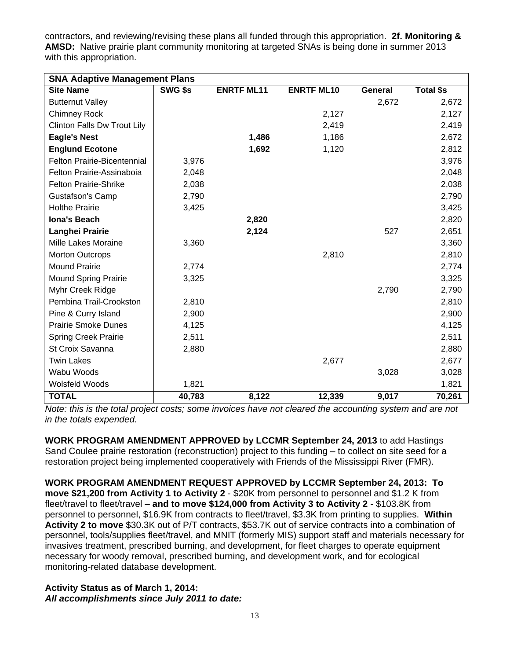contractors, and reviewing/revising these plans all funded through this appropriation. **2f. Monitoring & AMSD:** Native prairie plant community monitoring at targeted SNAs is being done in summer 2013 with this appropriation.

| <b>SNA Adaptive Management Plans</b> |         |                   |                   |         |                  |  |  |
|--------------------------------------|---------|-------------------|-------------------|---------|------------------|--|--|
| <b>Site Name</b>                     | SWG \$s | <b>ENRTF ML11</b> | <b>ENRTF ML10</b> | General | <b>Total \$s</b> |  |  |
| <b>Butternut Valley</b>              |         |                   |                   | 2,672   | 2,672            |  |  |
| <b>Chimney Rock</b>                  |         |                   | 2,127             |         | 2,127            |  |  |
| Clinton Falls Dw Trout Lily          |         |                   | 2,419             |         | 2,419            |  |  |
| <b>Eagle's Nest</b>                  |         | 1,486             | 1,186             |         | 2,672            |  |  |
| <b>Englund Ecotone</b>               |         | 1,692             | 1,120             |         | 2,812            |  |  |
| Felton Prairie-Bicentennial          | 3,976   |                   |                   |         | 3,976            |  |  |
| Felton Prairie-Assinaboia            | 2,048   |                   |                   |         | 2,048            |  |  |
| <b>Felton Prairie-Shrike</b>         | 2,038   |                   |                   |         | 2,038            |  |  |
| Gustafson's Camp                     | 2,790   |                   |                   |         | 2,790            |  |  |
| <b>Holthe Prairie</b>                | 3,425   |                   |                   |         | 3,425            |  |  |
| <b>Iona's Beach</b>                  |         | 2,820             |                   |         | 2,820            |  |  |
| Langhei Prairie                      |         | 2,124             |                   | 527     | 2,651            |  |  |
| Mille Lakes Moraine                  | 3,360   |                   |                   |         | 3,360            |  |  |
| <b>Morton Outcrops</b>               |         |                   | 2,810             |         | 2,810            |  |  |
| <b>Mound Prairie</b>                 | 2,774   |                   |                   |         | 2,774            |  |  |
| <b>Mound Spring Prairie</b>          | 3,325   |                   |                   |         | 3,325            |  |  |
| Myhr Creek Ridge                     |         |                   |                   | 2,790   | 2,790            |  |  |
| Pembina Trail-Crookston              | 2,810   |                   |                   |         | 2,810            |  |  |
| Pine & Curry Island                  | 2,900   |                   |                   |         | 2,900            |  |  |
| <b>Prairie Smoke Dunes</b>           | 4,125   |                   |                   |         | 4,125            |  |  |
| <b>Spring Creek Prairie</b>          | 2,511   |                   |                   |         | 2,511            |  |  |
| St Croix Savanna                     | 2,880   |                   |                   |         | 2,880            |  |  |
| <b>Twin Lakes</b>                    |         |                   | 2,677             |         | 2,677            |  |  |
| Wabu Woods                           |         |                   |                   | 3,028   | 3,028            |  |  |
| Wolsfeld Woods                       | 1,821   |                   |                   |         | 1,821            |  |  |
| <b>TOTAL</b>                         | 40,783  | 8,122             | 12,339            | 9,017   | 70,261           |  |  |

*Note: this is the total project costs; some invoices have not cleared the accounting system and are not in the totals expended.* 

**WORK PROGRAM AMENDMENT APPROVED by LCCMR September 24, 2013** to add Hastings Sand Coulee prairie restoration (reconstruction) project to this funding – to collect on site seed for a restoration project being implemented cooperatively with Friends of the Mississippi River (FMR).

**WORK PROGRAM AMENDMENT REQUEST APPROVED by LCCMR September 24, 2013: To move \$21,200 from Activity 1 to Activity 2** - \$20K from personnel to personnel and \$1.2 K from fleet/travel to fleet/travel – **and to move \$124,000 from Activity 3 to Activity 2** - \$103.8K from personnel to personnel, \$16.9K from contracts to fleet/travel, \$3.3K from printing to supplies. **Within Activity 2 to move** \$30.3K out of P/T contracts, \$53.7K out of service contracts into a combination of personnel, tools/supplies fleet/travel, and MNIT (formerly MIS) support staff and materials necessary for invasives treatment, prescribed burning, and development, for fleet charges to operate equipment necessary for woody removal, prescribed burning, and development work, and for ecological monitoring-related database development.

## **Activity Status as of March 1, 2014:**  *All accomplishments since July 2011 to date:*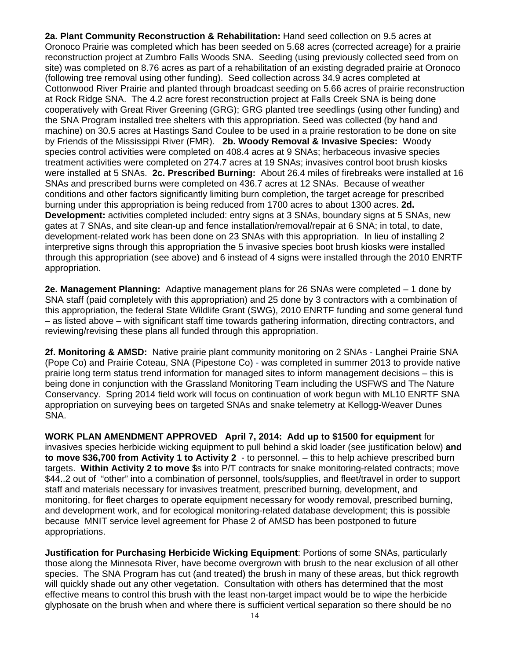**2a. Plant Community Reconstruction & Rehabilitation:** Hand seed collection on 9.5 acres at Oronoco Prairie was completed which has been seeded on 5.68 acres (corrected acreage) for a prairie reconstruction project at Zumbro Falls Woods SNA. Seeding (using previously collected seed from on site) was completed on 8.76 acres as part of a rehabilitation of an existing degraded prairie at Oronoco (following tree removal using other funding). Seed collection across 34.9 acres completed at Cottonwood River Prairie and planted through broadcast seeding on 5.66 acres of prairie reconstruction at Rock Ridge SNA. The 4.2 acre forest reconstruction project at Falls Creek SNA is being done cooperatively with Great River Greening (GRG); GRG planted tree seedlings (using other funding) and the SNA Program installed tree shelters with this appropriation. Seed was collected (by hand and machine) on 30.5 acres at Hastings Sand Coulee to be used in a prairie restoration to be done on site by Friends of the Mississippi River (FMR). **2b. Woody Removal & Invasive Species:** Woody species control activities were completed on 408.4 acres at 9 SNAs; herbaceous invasive species treatment activities were completed on 274.7 acres at 19 SNAs; invasives control boot brush kiosks were installed at 5 SNAs. **2c. Prescribed Burning:** About 26.4 miles of firebreaks were installed at 16 SNAs and prescribed burns were completed on 436.7 acres at 12 SNAs. Because of weather conditions and other factors significantly limiting burn completion, the target acreage for prescribed burning under this appropriation is being reduced from 1700 acres to about 1300 acres. **2d. Development:** activities completed included: entry signs at 3 SNAs, boundary signs at 5 SNAs, new gates at 7 SNAs, and site clean-up and fence installation/removal/repair at 6 SNA; in total, to date, development-related work has been done on 23 SNAs with this appropriation. In lieu of installing 2 interpretive signs through this appropriation the 5 invasive species boot brush kiosks were installed through this appropriation (see above) and 6 instead of 4 signs were installed through the 2010 ENRTF appropriation.

**2e. Management Planning:** Adaptive management plans for 26 SNAs were completed – 1 done by SNA staff (paid completely with this appropriation) and 25 done by 3 contractors with a combination of this appropriation, the federal State Wildlife Grant (SWG), 2010 ENRTF funding and some general fund – as listed above – with significant staff time towards gathering information, directing contractors, and reviewing/revising these plans all funded through this appropriation.

**2f. Monitoring & AMSD:** Native prairie plant community monitoring on 2 SNAs - Langhei Prairie SNA (Pope Co) and Prairie Coteau, SNA (Pipestone Co) - was completed in summer 2013 to provide native prairie long term status trend information for managed sites to inform management decisions – this is being done in conjunction with the Grassland Monitoring Team including the USFWS and The Nature Conservancy. Spring 2014 field work will focus on continuation of work begun with ML10 ENRTF SNA appropriation on surveying bees on targeted SNAs and snake telemetry at Kellogg-Weaver Dunes SNA.

**WORK PLAN AMENDMENT APPROVED April 7, 2014: Add up to \$1500 for equipment** for invasives species herbicide wicking equipment to pull behind a skid loader (see justification below) **and to move \$36,700 from Activity 1 to Activity 2** - to personnel. – this to help achieve prescribed burn targets. **Within Activity 2 to move** \$s into P/T contracts for snake monitoring-related contracts; move \$44..2 out of "other" into a combination of personnel, tools/supplies, and fleet/travel in order to support staff and materials necessary for invasives treatment, prescribed burning, development, and monitoring, for fleet charges to operate equipment necessary for woody removal, prescribed burning, and development work, and for ecological monitoring-related database development; this is possible because MNIT service level agreement for Phase 2 of AMSD has been postponed to future appropriations.

**Justification for Purchasing Herbicide Wicking Equipment**: Portions of some SNAs, particularly those along the Minnesota River, have become overgrown with brush to the near exclusion of all other species. The SNA Program has cut (and treated) the brush in many of these areas, but thick regrowth will quickly shade out any other vegetation. Consultation with others has determined that the most effective means to control this brush with the least non-target impact would be to wipe the herbicide glyphosate on the brush when and where there is sufficient vertical separation so there should be no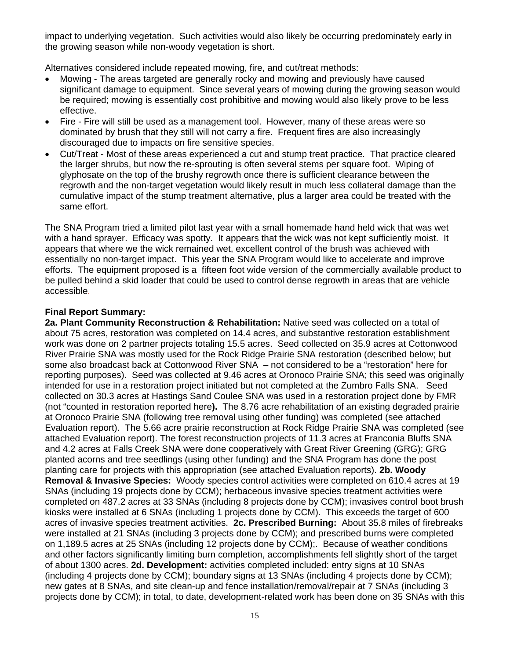impact to underlying vegetation. Such activities would also likely be occurring predominately early in the growing season while non-woody vegetation is short.

Alternatives considered include repeated mowing, fire, and cut/treat methods:

- Mowing The areas targeted are generally rocky and mowing and previously have caused significant damage to equipment. Since several years of mowing during the growing season would be required; mowing is essentially cost prohibitive and mowing would also likely prove to be less effective.
- Fire Fire will still be used as a management tool. However, many of these areas were so dominated by brush that they still will not carry a fire. Frequent fires are also increasingly discouraged due to impacts on fire sensitive species.
- Cut/Treat Most of these areas experienced a cut and stump treat practice. That practice cleared the larger shrubs, but now the re-sprouting is often several stems per square foot. Wiping of glyphosate on the top of the brushy regrowth once there is sufficient clearance between the regrowth and the non-target vegetation would likely result in much less collateral damage than the cumulative impact of the stump treatment alternative, plus a larger area could be treated with the same effort.

The SNA Program tried a limited pilot last year with a small homemade hand held wick that was wet with a hand sprayer. Efficacy was spotty. It appears that the wick was not kept sufficiently moist. It appears that where we the wick remained wet, excellent control of the brush was achieved with essentially no non-target impact. This year the SNA Program would like to accelerate and improve efforts. The equipment proposed is a fifteen foot wide version of the commercially available product to be pulled behind a skid loader that could be used to control dense regrowth in areas that are vehicle accessible.

## **Final Report Summary:**

**2a. Plant Community Reconstruction & Rehabilitation:** Native seed was collected on a total of about 75 acres, restoration was completed on 14.4 acres, and substantive restoration establishment work was done on 2 partner projects totaling 15.5 acres. Seed collected on 35.9 acres at Cottonwood River Prairie SNA was mostly used for the Rock Ridge Prairie SNA restoration (described below; but some also broadcast back at Cottonwood River SNA – not considered to be a "restoration" here for reporting purposes). Seed was collected at 9.46 acres at Oronoco Prairie SNA; this seed was originally intended for use in a restoration project initiated but not completed at the Zumbro Falls SNA. Seed collected on 30.3 acres at Hastings Sand Coulee SNA was used in a restoration project done by FMR (not "counted in restoration reported here**).** The 8.76 acre rehabilitation of an existing degraded prairie at Oronoco Prairie SNA (following tree removal using other funding) was completed (see attached Evaluation report). The 5.66 acre prairie reconstruction at Rock Ridge Prairie SNA was completed (see attached Evaluation report). The forest reconstruction projects of 11.3 acres at Franconia Bluffs SNA and 4.2 acres at Falls Creek SNA were done cooperatively with Great River Greening (GRG); GRG planted acorns and tree seedlings (using other funding) and the SNA Program has done the post planting care for projects with this appropriation (see attached Evaluation reports). **2b. Woody Removal & Invasive Species:** Woody species control activities were completed on 610.4 acres at 19 SNAs (including 19 projects done by CCM); herbaceous invasive species treatment activities were completed on 487.2 acres at 33 SNAs (including 8 projects done by CCM); invasives control boot brush kiosks were installed at 6 SNAs (including 1 projects done by CCM). This exceeds the target of 600 acres of invasive species treatment activities. **2c. Prescribed Burning:** About 35.8 miles of firebreaks were installed at 21 SNAs (including 3 projects done by CCM); and prescribed burns were completed on 1,189.5 acres at 25 SNAs (including 12 projects done by CCM);. Because of weather conditions and other factors significantly limiting burn completion, accomplishments fell slightly short of the target of about 1300 acres. **2d. Development:** activities completed included: entry signs at 10 SNAs (including 4 projects done by CCM); boundary signs at 13 SNAs (including 4 projects done by CCM); new gates at 8 SNAs, and site clean-up and fence installation/removal/repair at 7 SNAs (including 3 projects done by CCM); in total, to date, development-related work has been done on 35 SNAs with this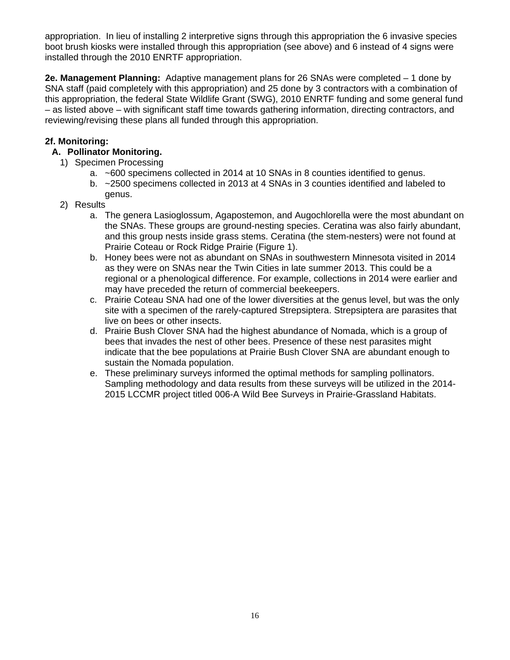appropriation. In lieu of installing 2 interpretive signs through this appropriation the 6 invasive species boot brush kiosks were installed through this appropriation (see above) and 6 instead of 4 signs were installed through the 2010 ENRTF appropriation.

**2e. Management Planning:** Adaptive management plans for 26 SNAs were completed – 1 done by SNA staff (paid completely with this appropriation) and 25 done by 3 contractors with a combination of this appropriation, the federal State Wildlife Grant (SWG), 2010 ENRTF funding and some general fund – as listed above – with significant staff time towards gathering information, directing contractors, and reviewing/revising these plans all funded through this appropriation.

## **2f. Monitoring:**

## **A. Pollinator Monitoring.**

- 1) Specimen Processing
	- a. ~600 specimens collected in 2014 at 10 SNAs in 8 counties identified to genus.
	- b. ~2500 specimens collected in 2013 at 4 SNAs in 3 counties identified and labeled to genus.
- 2) Results
	- a. The genera Lasioglossum, Agapostemon, and Augochlorella were the most abundant on the SNAs. These groups are ground-nesting species. Ceratina was also fairly abundant, and this group nests inside grass stems. Ceratina (the stem-nesters) were not found at Prairie Coteau or Rock Ridge Prairie (Figure 1).
	- b. Honey bees were not as abundant on SNAs in southwestern Minnesota visited in 2014 as they were on SNAs near the Twin Cities in late summer 2013. This could be a regional or a phenological difference. For example, collections in 2014 were earlier and may have preceded the return of commercial beekeepers.
	- c. Prairie Coteau SNA had one of the lower diversities at the genus level, but was the only site with a specimen of the rarely-captured Strepsiptera. Strepsiptera are parasites that live on bees or other insects.
	- d. Prairie Bush Clover SNA had the highest abundance of Nomada, which is a group of bees that invades the nest of other bees. Presence of these nest parasites might indicate that the bee populations at Prairie Bush Clover SNA are abundant enough to sustain the Nomada population.
	- e. These preliminary surveys informed the optimal methods for sampling pollinators. Sampling methodology and data results from these surveys will be utilized in the 2014- 2015 LCCMR project titled 006-A Wild Bee Surveys in Prairie-Grassland Habitats.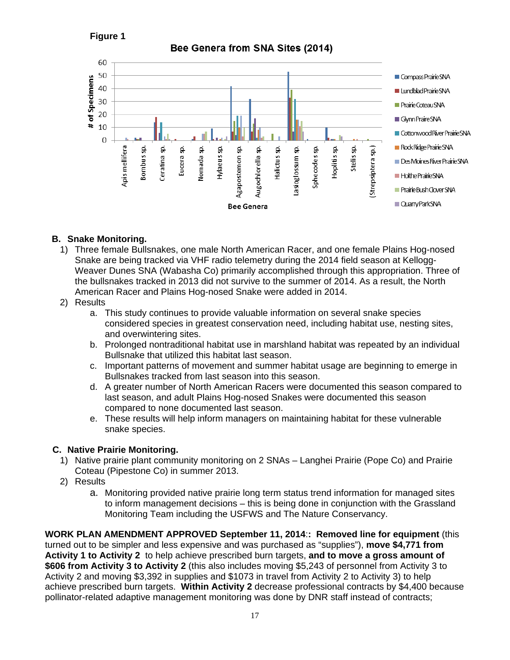# **Figure 1**





## **B. Snake Monitoring.**

- 1) Three female Bullsnakes, one male North American Racer, and one female Plains Hog-nosed Snake are being tracked via VHF radio telemetry during the 2014 field season at Kellogg-Weaver Dunes SNA (Wabasha Co) primarily accomplished through this appropriation. Three of the bullsnakes tracked in 2013 did not survive to the summer of 2014. As a result, the North American Racer and Plains Hog-nosed Snake were added in 2014.
- 2) Results
	- a. This study continues to provide valuable information on several snake species considered species in greatest conservation need, including habitat use, nesting sites, and overwintering sites.
	- b. Prolonged nontraditional habitat use in marshland habitat was repeated by an individual Bullsnake that utilized this habitat last season.
	- c. Important patterns of movement and summer habitat usage are beginning to emerge in Bullsnakes tracked from last season into this season.
	- d. A greater number of North American Racers were documented this season compared to last season, and adult Plains Hog-nosed Snakes were documented this season compared to none documented last season.
	- e. These results will help inform managers on maintaining habitat for these vulnerable snake species.

#### **C. Native Prairie Monitoring.**

- 1) Native prairie plant community monitoring on 2 SNAs Langhei Prairie (Pope Co) and Prairie Coteau (Pipestone Co) in summer 2013.
- 2) Results
	- a. Monitoring provided native prairie long term status trend information for managed sites to inform management decisions – this is being done in conjunction with the Grassland Monitoring Team including the USFWS and The Nature Conservancy.

**WORK PLAN AMENDMENT APPROVED September 11, 2014**:**: Removed line for equipment** (this turned out to be simpler and less expensive and was purchased as "supplies"), **move \$4,771 from Activity 1 to Activity 2** to help achieve prescribed burn targets, **and to move a gross amount of \$606 from Activity 3 to Activity 2** (this also includes moving \$5,243 of personnel from Activity 3 to Activity 2 and moving \$3,392 in supplies and \$1073 in travel from Activity 2 to Activity 3) to help achieve prescribed burn targets. **Within Activity 2** decrease professional contracts by \$4,400 because pollinator-related adaptive management monitoring was done by DNR staff instead of contracts;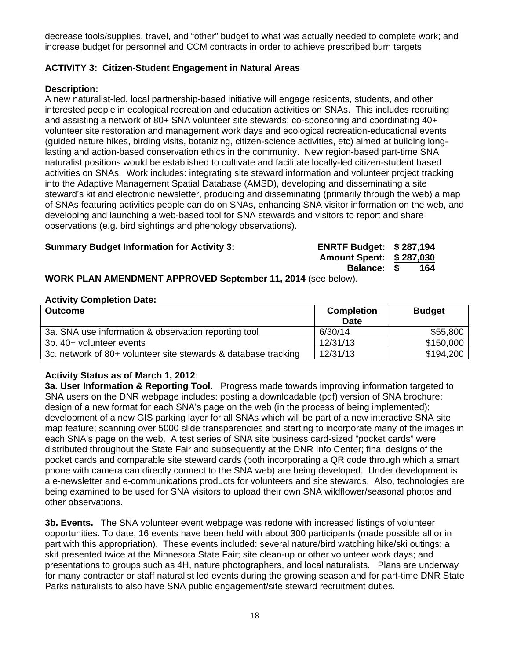decrease tools/supplies, travel, and "other" budget to what was actually needed to complete work; and increase budget for personnel and CCM contracts in order to achieve prescribed burn targets

# **ACTIVITY 3: Citizen-Student Engagement in Natural Areas**

#### **Description:**

A new naturalist-led, local partnership-based initiative will engage residents, students, and other interested people in ecological recreation and education activities on SNAs. This includes recruiting and assisting a network of 80+ SNA volunteer site stewards; co-sponsoring and coordinating 40+ volunteer site restoration and management work days and ecological recreation-educational events (guided nature hikes, birding visits, botanizing, citizen-science activities, etc) aimed at building longlasting and action-based conservation ethics in the community. New region-based part-time SNA naturalist positions would be established to cultivate and facilitate locally-led citizen-student based activities on SNAs. Work includes: integrating site steward information and volunteer project tracking into the Adaptive Management Spatial Database (AMSD), developing and disseminating a site steward's kit and electronic newsletter, producing and disseminating (primarily through the web) a map of SNAs featuring activities people can do on SNAs, enhancing SNA visitor information on the web, and developing and launching a web-based tool for SNA stewards and visitors to report and share observations (e.g. bird sightings and phenology observations).

#### **Summary Budget Information for Activity 3: ENRTF Budget: \$ 287,194**

**Amount Spent: \$ 287,030** 

**Balance: \$ 164** 

#### **WORK PLAN AMENDMENT APPROVED September 11, 2014** (see below).

#### **Activity Completion Date:**

| <b>Outcome</b>                                                 | <b>Completion</b><br><b>Date</b> | <b>Budget</b> |
|----------------------------------------------------------------|----------------------------------|---------------|
| 3a. SNA use information & observation reporting tool           | 6/30/14                          | \$55,800      |
| 3b. 40+ volunteer events                                       | 12/31/13                         | \$150,000     |
| 3c. network of 80+ volunteer site stewards & database tracking | 12/31/13                         | \$194,200     |

#### **Activity Status as of March 1, 2012**:

**3a. User Information & Reporting Tool.** Progress made towards improving information targeted to SNA users on the DNR webpage includes: posting a downloadable (pdf) version of SNA brochure; design of a new format for each SNA's page on the web (in the process of being implemented); development of a new GIS parking layer for all SNAs which will be part of a new interactive SNA site map feature; scanning over 5000 slide transparencies and starting to incorporate many of the images in each SNA's page on the web. A test series of SNA site business card-sized "pocket cards" were distributed throughout the State Fair and subsequently at the DNR Info Center; final designs of the pocket cards and comparable site steward cards (both incorporating a QR code through which a smart phone with camera can directly connect to the SNA web) are being developed. Under development is a e-newsletter and e-communications products for volunteers and site stewards. Also, technologies are being examined to be used for SNA visitors to upload their own SNA wildflower/seasonal photos and other observations.

**3b. Events.** The SNA volunteer event webpage was redone with increased listings of volunteer opportunities. To date, 16 events have been held with about 300 participants (made possible all or in part with this appropriation). These events included: several nature/bird watching hike/ski outings; a skit presented twice at the Minnesota State Fair; site clean-up or other volunteer work days; and presentations to groups such as 4H, nature photographers, and local naturalists. Plans are underway for many contractor or staff naturalist led events during the growing season and for part-time DNR State Parks naturalists to also have SNA public engagement/site steward recruitment duties.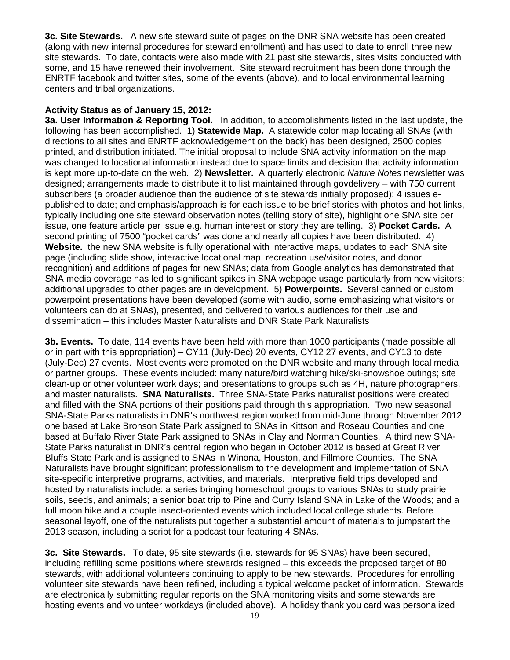**3c. Site Stewards.** A new site steward suite of pages on the DNR SNA website has been created (along with new internal procedures for steward enrollment) and has used to date to enroll three new site stewards. To date, contacts were also made with 21 past site stewards, sites visits conducted with some, and 15 have renewed their involvement. Site steward recruitment has been done through the ENRTF facebook and twitter sites, some of the events (above), and to local environmental learning centers and tribal organizations.

#### **Activity Status as of January 15, 2012:**

**3a. User Information & Reporting Tool.** In addition, to accomplishments listed in the last update, the following has been accomplished. 1) **Statewide Map.** A statewide color map locating all SNAs (with directions to all sites and ENRTF acknowledgement on the back) has been designed, 2500 copies printed, and distribution initiated. The initial proposal to include SNA activity information on the map was changed to locational information instead due to space limits and decision that activity information is kept more up-to-date on the web. 2) **Newsletter.** A quarterly electronic *Nature Notes* newsletter was designed; arrangements made to distribute it to list maintained through govdelivery – with 750 current subscribers (a broader audience than the audience of site stewards initially proposed); 4 issues epublished to date; and emphasis/approach is for each issue to be brief stories with photos and hot links, typically including one site steward observation notes (telling story of site), highlight one SNA site per issue, one feature article per issue e.g. human interest or story they are telling. 3) **Pocket Cards.** A second printing of 7500 "pocket cards" was done and nearly all copies have been distributed. 4) **Website.** the new SNA website is fully operational with interactive maps, updates to each SNA site page (including slide show, interactive locational map, recreation use/visitor notes, and donor recognition) and additions of pages for new SNAs; data from Google analytics has demonstrated that SNA media coverage has led to significant spikes in SNA webpage usage particularly from new visitors; additional upgrades to other pages are in development. 5) **Powerpoints.** Several canned or custom powerpoint presentations have been developed (some with audio, some emphasizing what visitors or volunteers can do at SNAs), presented, and delivered to various audiences for their use and dissemination – this includes Master Naturalists and DNR State Park Naturalists

**3b. Events.** To date, 114 events have been held with more than 1000 participants (made possible all or in part with this appropriation) – CY11 (July-Dec) 20 events, CY12 27 events, and CY13 to date (July-Dec) 27 events. Most events were promoted on the DNR website and many through local media or partner groups. These events included: many nature/bird watching hike/ski-snowshoe outings; site clean-up or other volunteer work days; and presentations to groups such as 4H, nature photographers, and master naturalists. **SNA Naturalists.** Three SNA-State Parks naturalist positions were created and filled with the SNA portions of their positions paid through this appropriation. Two new seasonal SNA-State Parks naturalists in DNR's northwest region worked from mid-June through November 2012: one based at Lake Bronson State Park assigned to SNAs in Kittson and Roseau Counties and one based at Buffalo River State Park assigned to SNAs in Clay and Norman Counties. A third new SNA-State Parks naturalist in DNR's central region who began in October 2012 is based at Great River Bluffs State Park and is assigned to SNAs in Winona, Houston, and Fillmore Counties. The SNA Naturalists have brought significant professionalism to the development and implementation of SNA site-specific interpretive programs, activities, and materials. Interpretive field trips developed and hosted by naturalists include: a series bringing homeschool groups to various SNAs to study prairie soils, seeds, and animals; a senior boat trip to Pine and Curry Island SNA in Lake of the Woods; and a full moon hike and a couple insect-oriented events which included local college students. Before seasonal layoff, one of the naturalists put together a substantial amount of materials to jumpstart the 2013 season, including a script for a podcast tour featuring 4 SNAs.

**3c. Site Stewards.** To date, 95 site stewards (i.e. stewards for 95 SNAs) have been secured, including refilling some positions where stewards resigned – this exceeds the proposed target of 80 stewards, with additional volunteers continuing to apply to be new stewards. Procedures for enrolling volunteer site stewards have been refined, including a typical welcome packet of information. Stewards are electronically submitting regular reports on the SNA monitoring visits and some stewards are hosting events and volunteer workdays (included above). A holiday thank you card was personalized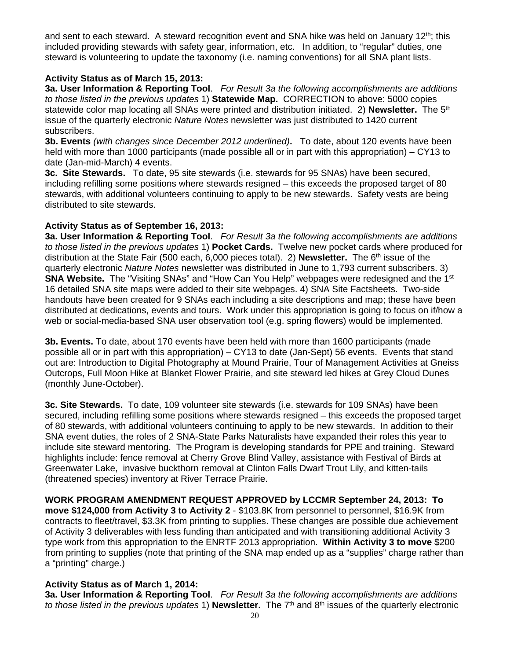and sent to each steward. A steward recognition event and SNA hike was held on January 12<sup>th</sup>; this included providing stewards with safety gear, information, etc. In addition, to "regular" duties, one steward is volunteering to update the taxonomy (i.e. naming conventions) for all SNA plant lists.

## **Activity Status as of March 15, 2013:**

**3a. User Information & Reporting Tool**. *For Result 3a the following accomplishments are additions to those listed in the previous updates* 1) **Statewide Map.** CORRECTION to above: 5000 copies statewide color map locating all SNAs were printed and distribution initiated. 2) **Newsletter.** The 5<sup>th</sup> issue of the quarterly electronic *Nature Notes* newsletter was just distributed to 1420 current subscribers.

**3b. Events** *(with changes since December 2012 underlined)***.** To date, about 120 events have been held with more than 1000 participants (made possible all or in part with this appropriation) – CY13 to date (Jan-mid-March) 4 events.

**3c. Site Stewards.** To date, 95 site stewards (i.e. stewards for 95 SNAs) have been secured, including refilling some positions where stewards resigned – this exceeds the proposed target of 80 stewards, with additional volunteers continuing to apply to be new stewards. Safety vests are being distributed to site stewards.

#### **Activity Status as of September 16, 2013:**

**3a. User Information & Reporting Tool**. *For Result 3a the following accomplishments are additions to those listed in the previous updates* 1) **Pocket Cards.** Twelve new pocket cards where produced for distribution at the State Fair (500 each, 6,000 pieces total). 2) **Newsletter.** The 6<sup>th</sup> issue of the quarterly electronic *Nature Notes* newsletter was distributed in June to 1,793 current subscribers. 3) **SNA Website.** The "Visiting SNAs" and "How Can You Help" webpages were redesigned and the 1<sup>st</sup> 16 detailed SNA site maps were added to their site webpages. 4) SNA Site Factsheets. Two-side handouts have been created for 9 SNAs each including a site descriptions and map; these have been distributed at dedications, events and tours. Work under this appropriation is going to focus on if/how a web or social-media-based SNA user observation tool (e.g. spring flowers) would be implemented.

**3b. Events.** To date, about 170 events have been held with more than 1600 participants (made possible all or in part with this appropriation) – CY13 to date (Jan-Sept) 56 events. Events that stand out are: Introduction to Digital Photography at Mound Prairie, Tour of Management Activities at Gneiss Outcrops, Full Moon Hike at Blanket Flower Prairie, and site steward led hikes at Grey Cloud Dunes (monthly June-October).

**3c. Site Stewards.** To date, 109 volunteer site stewards (i.e. stewards for 109 SNAs) have been secured, including refilling some positions where stewards resigned – this exceeds the proposed target of 80 stewards, with additional volunteers continuing to apply to be new stewards. In addition to their SNA event duties, the roles of 2 SNA-State Parks Naturalists have expanded their roles this year to include site steward mentoring. The Program is developing standards for PPE and training. Steward highlights include: fence removal at Cherry Grove Blind Valley, assistance with Festival of Birds at Greenwater Lake, invasive buckthorn removal at Clinton Falls Dwarf Trout Lily, and kitten-tails (threatened species) inventory at River Terrace Prairie.

**WORK PROGRAM AMENDMENT REQUEST APPROVED by LCCMR September 24, 2013: To move \$124,000 from Activity 3 to Activity 2** - \$103.8K from personnel to personnel, \$16.9K from contracts to fleet/travel, \$3.3K from printing to supplies. These changes are possible due achievement of Activity 3 deliverables with less funding than anticipated and with transitioning additional Activity 3 type work from this appropriation to the ENRTF 2013 appropriation. **Within Activity 3 to move** \$200 from printing to supplies (note that printing of the SNA map ended up as a "supplies" charge rather than a "printing" charge.)

# **Activity Status as of March 1, 2014:**

**3a. User Information & Reporting Tool**. *For Result 3a the following accomplishments are additions to those listed in the previous updates* 1) **Newsletter.** The 7th and 8th issues of the quarterly electronic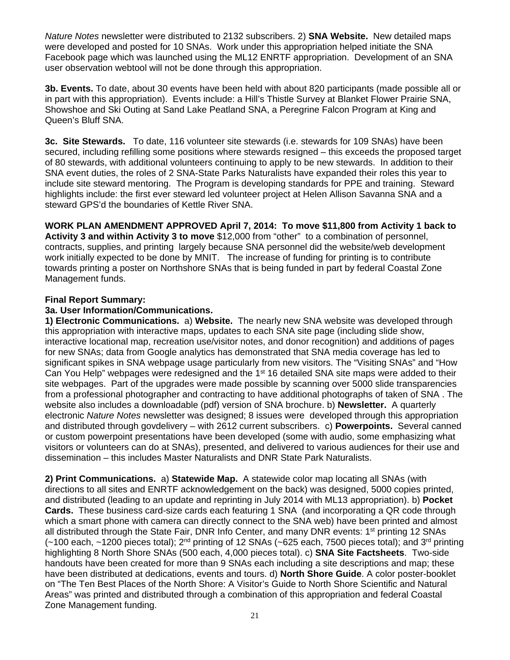*Nature Notes* newsletter were distributed to 2132 subscribers. 2) **SNA Website.** New detailed maps were developed and posted for 10 SNAs. Work under this appropriation helped initiate the SNA Facebook page which was launched using the ML12 ENRTF appropriation. Development of an SNA user observation webtool will not be done through this appropriation.

**3b. Events.** To date, about 30 events have been held with about 820 participants (made possible all or in part with this appropriation). Events include: a Hill's Thistle Survey at Blanket Flower Prairie SNA, Showshoe and Ski Outing at Sand Lake Peatland SNA, a Peregrine Falcon Program at King and Queen's Bluff SNA.

**3c. Site Stewards.** To date, 116 volunteer site stewards (i.e. stewards for 109 SNAs) have been secured, including refilling some positions where stewards resigned – this exceeds the proposed target of 80 stewards, with additional volunteers continuing to apply to be new stewards. In addition to their SNA event duties, the roles of 2 SNA-State Parks Naturalists have expanded their roles this year to include site steward mentoring. The Program is developing standards for PPE and training. Steward highlights include: the first ever steward led volunteer project at Helen Allison Savanna SNA and a steward GPS'd the boundaries of Kettle River SNA.

**WORK PLAN AMENDMENT APPROVED April 7, 2014: To move \$11,800 from Activity 1 back to Activity 3 and within Activity 3 to move** \$12,000 from "other" to a combination of personnel, contracts, supplies, and printing largely because SNA personnel did the website/web development work initially expected to be done by MNIT. The increase of funding for printing is to contribute towards printing a poster on Northshore SNAs that is being funded in part by federal Coastal Zone Management funds.

#### **Final Report Summary:**

#### **3a. User Information/Communications.**

**1) Electronic Communications.** a) **Website.** The nearly new SNA website was developed through this appropriation with interactive maps, updates to each SNA site page (including slide show, interactive locational map, recreation use/visitor notes, and donor recognition) and additions of pages for new SNAs; data from Google analytics has demonstrated that SNA media coverage has led to significant spikes in SNA webpage usage particularly from new visitors. The "Visiting SNAs" and "How Can You Help" webpages were redesigned and the 1<sup>st</sup> 16 detailed SNA site maps were added to their site webpages. Part of the upgrades were made possible by scanning over 5000 slide transparencies from a professional photographer and contracting to have additional photographs of taken of SNA . The website also includes a downloadable (pdf) version of SNA brochure. b) **Newsletter.** A quarterly electronic *Nature Notes* newsletter was designed; 8 issues were developed through this appropriation and distributed through govdelivery – with 2612 current subscribers. c) **Powerpoints.** Several canned or custom powerpoint presentations have been developed (some with audio, some emphasizing what visitors or volunteers can do at SNAs), presented, and delivered to various audiences for their use and dissemination – this includes Master Naturalists and DNR State Park Naturalists.

**2) Print Communications.** a) **Statewide Map.** A statewide color map locating all SNAs (with directions to all sites and ENRTF acknowledgement on the back) was designed, 5000 copies printed, and distributed (leading to an update and reprinting in July 2014 with ML13 appropriation). b) **Pocket Cards.** These business card-size cards each featuring 1 SNA (and incorporating a QR code through which a smart phone with camera can directly connect to the SNA web) have been printed and almost all distributed through the State Fair, DNR Info Center, and many DNR events: 1<sup>st</sup> printing 12 SNAs  $(-100 \text{ each}, -1200 \text{ pieces total})$ ;  $2^{\text{nd}}$  printing of 12 SNAs (~625 each, 7500 pieces total); and 3<sup>rd</sup> printing highlighting 8 North Shore SNAs (500 each, 4,000 pieces total). c) **SNA Site Factsheets**. Two-side handouts have been created for more than 9 SNAs each including a site descriptions and map; these have been distributed at dedications, events and tours. d) **North Shore Guide**. A color poster-booklet on "The Ten Best Places of the North Shore: A Visitor's Guide to North Shore Scientific and Natural Areas" was printed and distributed through a combination of this appropriation and federal Coastal Zone Management funding.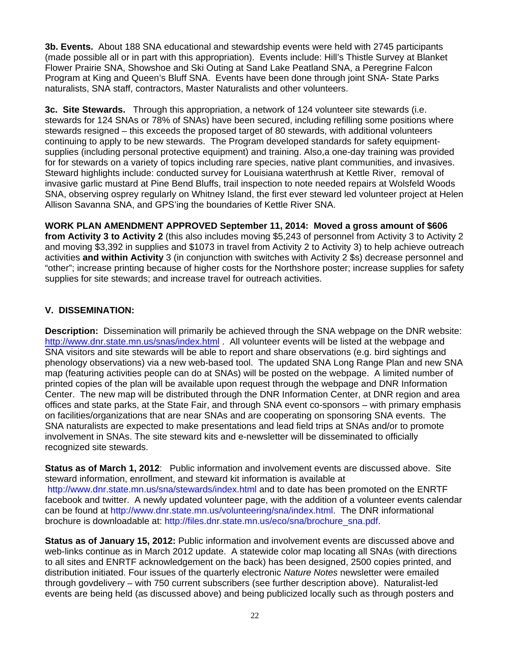**3b. Events.** About 188 SNA educational and stewardship events were held with 2745 participants (made possible all or in part with this appropriation). Events include: Hill's Thistle Survey at Blanket Flower Prairie SNA, Showshoe and Ski Outing at Sand Lake Peatland SNA, a Peregrine Falcon Program at King and Queen's Bluff SNA. Events have been done through joint SNA- State Parks naturalists, SNA staff, contractors, Master Naturalists and other volunteers.

**3c. Site Stewards.** Through this appropriation, a network of 124 volunteer site stewards (i.e. stewards for 124 SNAs or 78% of SNAs) have been secured, including refilling some positions where stewards resigned – this exceeds the proposed target of 80 stewards, with additional volunteers continuing to apply to be new stewards. The Program developed standards for safety equipmentsupplies (including personal protective equipment) and training. Also,a one-day training was provided for for stewards on a variety of topics including rare species, native plant communities, and invasives. Steward highlights include: conducted survey for Louisiana waterthrush at Kettle River, removal of invasive garlic mustard at Pine Bend Bluffs, trail inspection to note needed repairs at Wolsfeld Woods SNA, observing osprey regularly on Whitney Island, the first ever steward led volunteer project at Helen Allison Savanna SNA, and GPS'ing the boundaries of Kettle River SNA.

**WORK PLAN AMENDMENT APPROVED September 11, 2014: Moved a gross amount of \$606 from Activity 3 to Activity 2** (this also includes moving \$5,243 of personnel from Activity 3 to Activity 2 and moving \$3,392 in supplies and \$1073 in travel from Activity 2 to Activity 3) to help achieve outreach activities **and within Activity** 3 (in conjunction with switches with Activity 2 \$s) decrease personnel and "other"; increase printing because of higher costs for the Northshore poster; increase supplies for safety supplies for site stewards; and increase travel for outreach activities.

# **V. DISSEMINATION:**

**Description:** Dissemination will primarily be achieved through the SNA webpage on the DNR website: http://www.dnr.state.mn.us/snas/index.html . All volunteer events will be listed at the webpage and SNA visitors and site stewards will be able to report and share observations (e.g. bird sightings and phenology observations) via a new web-based tool. The updated SNA Long Range Plan and new SNA map (featuring activities people can do at SNAs) will be posted on the webpage. A limited number of printed copies of the plan will be available upon request through the webpage and DNR Information Center. The new map will be distributed through the DNR Information Center, at DNR region and area offices and state parks, at the State Fair, and through SNA event co-sponsors – with primary emphasis on facilities/organizations that are near SNAs and are cooperating on sponsoring SNA events. The SNA naturalists are expected to make presentations and lead field trips at SNAs and/or to promote involvement in SNAs. The site steward kits and e-newsletter will be disseminated to officially recognized site stewards.

**Status as of March 1, 2012**: Public information and involvement events are discussed above. Site steward information, enrollment, and steward kit information is available at http://www.dnr.state.mn.us/sna/stewards/index.html and to date has been promoted on the ENRTF facebook and twitter. A newly updated volunteer page, with the addition of a volunteer events calendar can be found at http://www.dnr.state.mn.us/volunteering/sna/index.html. The DNR informational brochure is downloadable at: http://files.dnr.state.mn.us/eco/sna/brochure\_sna.pdf.

**Status as of January 15, 2012:** Public information and involvement events are discussed above and web-links continue as in March 2012 update. A statewide color map locating all SNAs (with directions to all sites and ENRTF acknowledgement on the back) has been designed, 2500 copies printed, and distribution initiated. Four issues of the quarterly electronic *Nature Notes* newsletter were emailed through govdelivery – with 750 current subscribers (see further description above). Naturalist-led events are being held (as discussed above) and being publicized locally such as through posters and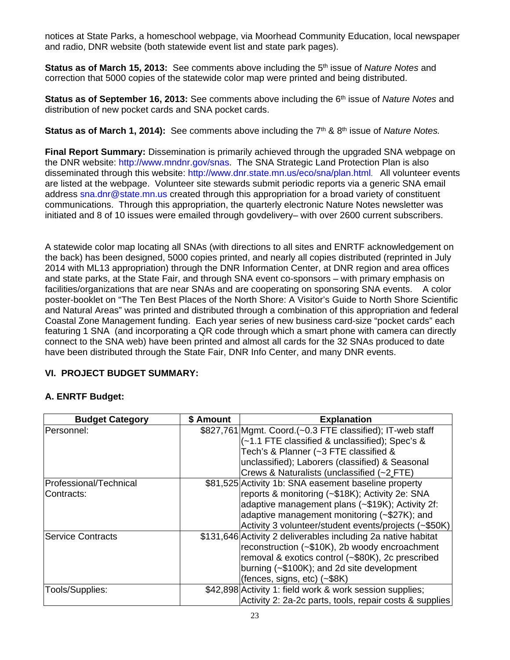notices at State Parks, a homeschool webpage, via Moorhead Community Education, local newspaper and radio, DNR website (both statewide event list and state park pages).

**Status as of March 15, 2013:** See comments above including the 5th issue of *Nature Notes* and correction that 5000 copies of the statewide color map were printed and being distributed.

**Status as of September 16, 2013:** See comments above including the 6<sup>th</sup> issue of *Nature Notes* and distribution of new pocket cards and SNA pocket cards.

**Status as of March 1, 2014):** See comments above including the 7<sup>th</sup> & 8<sup>th</sup> issue of *Nature Notes.* 

**Final Report Summary:** Dissemination is primarily achieved through the upgraded SNA webpage on the DNR website: http://www.mndnr.gov/snas. The SNA Strategic Land Protection Plan is also disseminated through this website: http://www.dnr.state.mn.us/eco/sna/plan.html. All volunteer events are listed at the webpage. Volunteer site stewards submit periodic reports via a generic SNA email address sna.dnr@state.mn.us created through this appropriation for a broad variety of constituent communications. Through this appropriation, the quarterly electronic Nature Notes newsletter was initiated and 8 of 10 issues were emailed through govdelivery– with over 2600 current subscribers.

A statewide color map locating all SNAs (with directions to all sites and ENRTF acknowledgement on the back) has been designed, 5000 copies printed, and nearly all copies distributed (reprinted in July 2014 with ML13 appropriation) through the DNR Information Center, at DNR region and area offices and state parks, at the State Fair, and through SNA event co-sponsors – with primary emphasis on facilities/organizations that are near SNAs and are cooperating on sponsoring SNA events. A color poster-booklet on "The Ten Best Places of the North Shore: A Visitor's Guide to North Shore Scientific and Natural Areas" was printed and distributed through a combination of this appropriation and federal Coastal Zone Management funding. Each year series of new business card-size "pocket cards" each featuring 1 SNA (and incorporating a QR code through which a smart phone with camera can directly connect to the SNA web) have been printed and almost all cards for the 32 SNAs produced to date have been distributed through the State Fair, DNR Info Center, and many DNR events.

# **VI. PROJECT BUDGET SUMMARY:**

# **A. ENRTF Budget:**

| <b>Budget Category</b>   | \$ Amount | <b>Explanation</b>                                            |
|--------------------------|-----------|---------------------------------------------------------------|
| Personnel:               |           | \$827,761 Mgmt. Coord. (~0.3 FTE classified); IT-web staff    |
|                          |           | (~1.1 FTE classified & unclassified); Spec's &                |
|                          |           | Tech's & Planner (~3 FTE classified &                         |
|                          |           | unclassified); Laborers (classified) & Seasonal               |
|                          |           | Crews & Naturalists (unclassified (~2 FTE)                    |
| Professional/Technical   |           | \$81,525 Activity 1b: SNA easement baseline property          |
| Contracts:               |           | reports & monitoring (~\$18K); Activity 2e: SNA               |
|                          |           | adaptive management plans (~\$19K); Activity 2f:              |
|                          |           | adaptive management monitoring (~\$27K); and                  |
|                          |           | Activity 3 volunteer/student events/projects (~\$50K)         |
| <b>Service Contracts</b> |           | \$131,646 Activity 2 deliverables including 2a native habitat |
|                          |           | reconstruction (~\$10K), 2b woody encroachment                |
|                          |           | removal & exotics control (~\$80K), 2c prescribed             |
|                          |           | burning (~\$100K); and 2d site development                    |
|                          |           | (fences, signs, etc) (~\$8K)                                  |
| Tools/Supplies:          |           | \$42,898 Activity 1: field work & work session supplies;      |
|                          |           | Activity 2: 2a-2c parts, tools, repair costs & supplies       |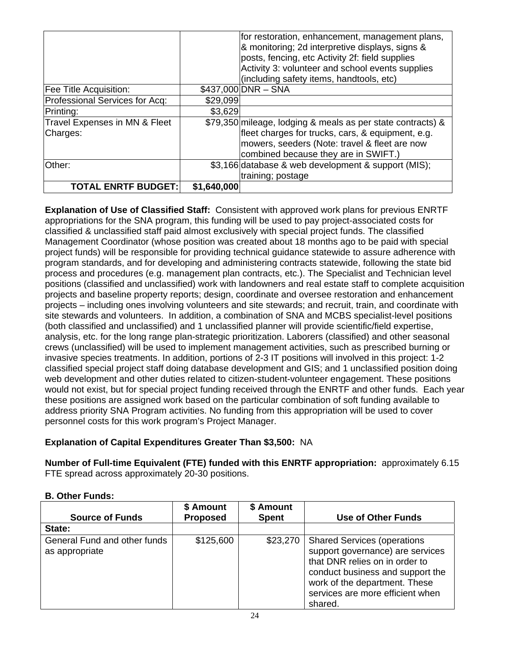|                                |             | for restoration, enhancement, management plans,<br>& monitoring; 2d interpretive displays, signs &<br>posts, fencing, etc Activity 2f: field supplies<br>Activity 3: volunteer and school events supplies |
|--------------------------------|-------------|-----------------------------------------------------------------------------------------------------------------------------------------------------------------------------------------------------------|
|                                |             | (including safety items, handtools, etc)                                                                                                                                                                  |
| Fee Title Acquisition:         |             | $$437,000 DNR - SNA$                                                                                                                                                                                      |
| Professional Services for Acq: | \$29,099    |                                                                                                                                                                                                           |
| Printing:                      | \$3,629     |                                                                                                                                                                                                           |
| Travel Expenses in MN & Fleet  |             | \$79,350 mileage, lodging & meals as per state contracts) &                                                                                                                                               |
| Charges:                       |             | fleet charges for trucks, cars, & equipment, e.g.                                                                                                                                                         |
|                                |             | mowers, seeders (Note: travel & fleet are now                                                                                                                                                             |
|                                |             | combined because they are in SWIFT.)                                                                                                                                                                      |
| Other:                         |             | \$3,166 database & web development & support (MIS);                                                                                                                                                       |
|                                |             | training; postage                                                                                                                                                                                         |
| <b>TOTAL ENRTF BUDGET:</b>     | \$1,640,000 |                                                                                                                                                                                                           |

**Explanation of Use of Classified Staff:** Consistent with approved work plans for previous ENRTF appropriations for the SNA program, this funding will be used to pay project-associated costs for classified & unclassified staff paid almost exclusively with special project funds. The classified Management Coordinator (whose position was created about 18 months ago to be paid with special project funds) will be responsible for providing technical guidance statewide to assure adherence with program standards, and for developing and administering contracts statewide, following the state bid process and procedures (e.g. management plan contracts, etc.). The Specialist and Technician level positions (classified and unclassified) work with landowners and real estate staff to complete acquisition projects and baseline property reports; design, coordinate and oversee restoration and enhancement projects – including ones involving volunteers and site stewards; and recruit, train, and coordinate with site stewards and volunteers. In addition, a combination of SNA and MCBS specialist-level positions (both classified and unclassified) and 1 unclassified planner will provide scientific/field expertise, analysis, etc. for the long range plan-strategic prioritization. Laborers (classified) and other seasonal crews (unclassified) will be used to implement management activities, such as prescribed burning or invasive species treatments. In addition, portions of 2-3 IT positions will involved in this project: 1-2 classified special project staff doing database development and GIS; and 1 unclassified position doing web development and other duties related to citizen-student-volunteer engagement. These positions would not exist, but for special project funding received through the ENRTF and other funds. Each year these positions are assigned work based on the particular combination of soft funding available to address priority SNA Program activities. No funding from this appropriation will be used to cover personnel costs for this work program's Project Manager.

# **Explanation of Capital Expenditures Greater Than \$3,500:** NA

**Number of Full-time Equivalent (FTE) funded with this ENRTF appropriation:** approximately 6.15 FTE spread across approximately 20-30 positions.

#### **B. Other Funds:**

|                                                | \$ Amount       | \$ Amount    |                                                                                                                                                                                                                              |
|------------------------------------------------|-----------------|--------------|------------------------------------------------------------------------------------------------------------------------------------------------------------------------------------------------------------------------------|
| <b>Source of Funds</b>                         | <b>Proposed</b> | <b>Spent</b> | Use of Other Funds                                                                                                                                                                                                           |
| State:                                         |                 |              |                                                                                                                                                                                                                              |
| General Fund and other funds<br>as appropriate | \$125,600       | \$23,270     | <b>Shared Services (operations</b><br>support governance) are services<br>that DNR relies on in order to<br>conduct business and support the<br>work of the department. These<br>services are more efficient when<br>shared. |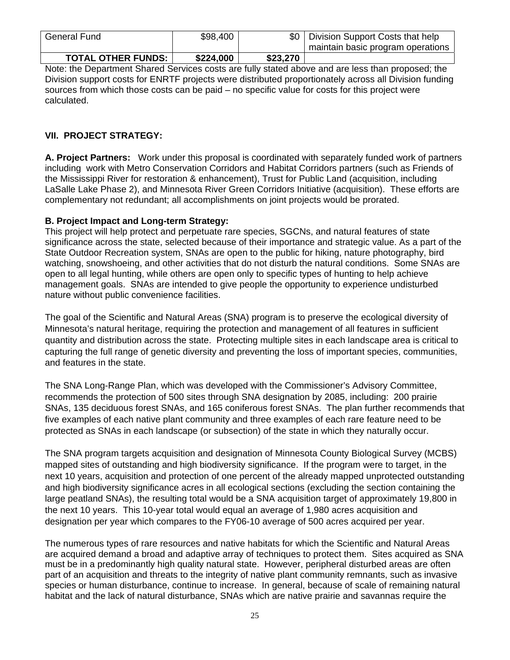| General Fund                | \$98,400  |          | Division Support Costs that help<br>maintain basic program operations |
|-----------------------------|-----------|----------|-----------------------------------------------------------------------|
| <b>TOTAL OTHER FUNDS: 1</b> | \$224,000 | \$23,270 |                                                                       |

Note: the Department Shared Services costs are fully stated above and are less than proposed; the Division support costs for ENRTF projects were distributed proportionately across all Division funding sources from which those costs can be paid – no specific value for costs for this project were calculated.

## **VII. PROJECT STRATEGY:**

**A. Project Partners:** Work under this proposal is coordinated with separately funded work of partners including work with Metro Conservation Corridors and Habitat Corridors partners (such as Friends of the Mississippi River for restoration & enhancement), Trust for Public Land (acquisition, including LaSalle Lake Phase 2), and Minnesota River Green Corridors Initiative (acquisition). These efforts are complementary not redundant; all accomplishments on joint projects would be prorated.

#### **B. Project Impact and Long-term Strategy:**

This project will help protect and perpetuate rare species, SGCNs, and natural features of state significance across the state, selected because of their importance and strategic value. As a part of the State Outdoor Recreation system, SNAs are open to the public for hiking, nature photography, bird watching, snowshoeing, and other activities that do not disturb the natural conditions. Some SNAs are open to all legal hunting, while others are open only to specific types of hunting to help achieve management goals. SNAs are intended to give people the opportunity to experience undisturbed nature without public convenience facilities.

The goal of the Scientific and Natural Areas (SNA) program is to preserve the ecological diversity of Minnesota's natural heritage, requiring the protection and management of all features in sufficient quantity and distribution across the state. Protecting multiple sites in each landscape area is critical to capturing the full range of genetic diversity and preventing the loss of important species, communities, and features in the state.

The SNA Long-Range Plan, which was developed with the Commissioner's Advisory Committee, recommends the protection of 500 sites through SNA designation by 2085, including: 200 prairie SNAs, 135 deciduous forest SNAs, and 165 coniferous forest SNAs. The plan further recommends that five examples of each native plant community and three examples of each rare feature need to be protected as SNAs in each landscape (or subsection) of the state in which they naturally occur.

The SNA program targets acquisition and designation of Minnesota County Biological Survey (MCBS) mapped sites of outstanding and high biodiversity significance. If the program were to target, in the next 10 years, acquisition and protection of one percent of the already mapped unprotected outstanding and high biodiversity significance acres in all ecological sections (excluding the section containing the large peatland SNAs), the resulting total would be a SNA acquisition target of approximately 19,800 in the next 10 years. This 10-year total would equal an average of 1,980 acres acquisition and designation per year which compares to the FY06-10 average of 500 acres acquired per year.

The numerous types of rare resources and native habitats for which the Scientific and Natural Areas are acquired demand a broad and adaptive array of techniques to protect them. Sites acquired as SNA must be in a predominantly high quality natural state. However, peripheral disturbed areas are often part of an acquisition and threats to the integrity of native plant community remnants, such as invasive species or human disturbance, continue to increase. In general, because of scale of remaining natural habitat and the lack of natural disturbance, SNAs which are native prairie and savannas require the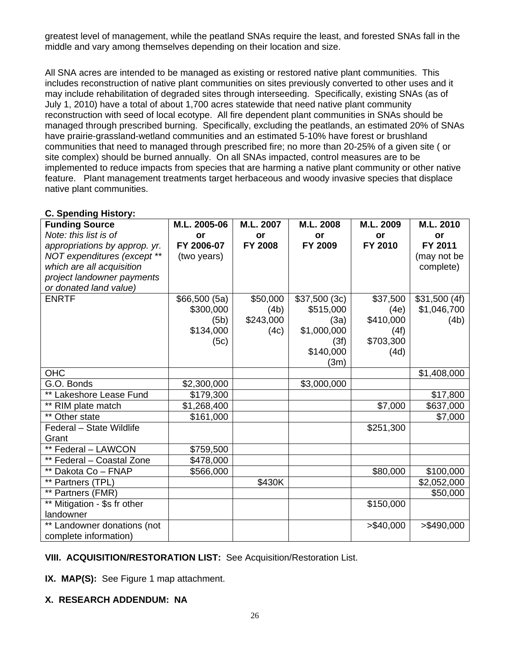greatest level of management, while the peatland SNAs require the least, and forested SNAs fall in the middle and vary among themselves depending on their location and size.

All SNA acres are intended to be managed as existing or restored native plant communities. This includes reconstruction of native plant communities on sites previously converted to other uses and it may include rehabilitation of degraded sites through interseeding. Specifically, existing SNAs (as of July 1, 2010) have a total of about 1,700 acres statewide that need native plant community reconstruction with seed of local ecotype. All fire dependent plant communities in SNAs should be managed through prescribed burning. Specifically, excluding the peatlands, an estimated 20% of SNAs have prairie-grassland-wetland communities and an estimated 5-10% have forest or brushland communities that need to managed through prescribed fire; no more than 20-25% of a given site ( or site complex) should be burned annually. On all SNAs impacted, control measures are to be implemented to reduce impacts from species that are harming a native plant community or other native feature. Plant management treatments target herbaceous and woody invasive species that displace native plant communities.

| o. openunig motory.           |              |                |              |            |              |
|-------------------------------|--------------|----------------|--------------|------------|--------------|
| <b>Funding Source</b>         | M.L. 2005-06 | M.L. 2007      | M.L. 2008    | M.L. 2009  | M.L. 2010    |
| Note: this list is of         | or           | or             | or           | or         | <b>or</b>    |
| appropriations by approp. yr. | FY 2006-07   | <b>FY 2008</b> | FY 2009      | FY 2010    | FY 2011      |
| NOT expenditures (except **   | (two years)  |                |              |            | (may not be  |
| which are all acquisition     |              |                |              |            | complete)    |
| project landowner payments    |              |                |              |            |              |
| or donated land value)        |              |                |              |            |              |
| <b>ENRTF</b>                  | \$66,500(5a) | \$50,000       | \$37,500(3c) | \$37,500   | \$31,500(4f) |
|                               | \$300,000    | (4b)           | \$515,000    | (4e)       | \$1,046,700  |
|                               | (5b)         | \$243,000      | (3a)         | \$410,000  | (4b)         |
|                               | \$134,000    | (4c)           | \$1,000,000  | (4f)       |              |
|                               | (5c)         |                | (3f)         | \$703,300  |              |
|                               |              |                | \$140,000    | (4d)       |              |
|                               |              |                | (3m)         |            |              |
| <b>OHC</b>                    |              |                |              |            | \$1,408,000  |
| G.O. Bonds                    | \$2,300,000  |                | \$3,000,000  |            |              |
| ** Lakeshore Lease Fund       | \$179,300    |                |              |            | \$17,800     |
| ** RIM plate match            | \$1,268,400  |                |              | \$7,000    | \$637,000    |
| ** Other state                | \$161,000    |                |              |            | \$7,000      |
| Federal - State Wildlife      |              |                |              | \$251,300  |              |
| Grant                         |              |                |              |            |              |
| ** Federal - LAWCON           | \$759,500    |                |              |            |              |
| ** Federal - Coastal Zone     | \$478,000    |                |              |            |              |
| ** Dakota Co - FNAP           | \$566,000    |                |              | \$80,000   | \$100,000    |
| ** Partners (TPL)             |              | \$430K         |              |            | \$2,052,000  |
| ** Partners (FMR)             |              |                |              |            | \$50,000     |
| ** Mitigation - \$s fr other  |              |                |              | \$150,000  |              |
| landowner                     |              |                |              |            |              |
| ** Landowner donations (not   |              |                |              | > \$40,000 | > \$490,000  |
| complete information)         |              |                |              |            |              |

## **C. Spending History:**

#### **VIII. ACQUISITION/RESTORATION LIST:** See Acquisition/Restoration List.

**IX. MAP(S):** See Figure 1 map attachment.

#### **X. RESEARCH ADDENDUM: NA**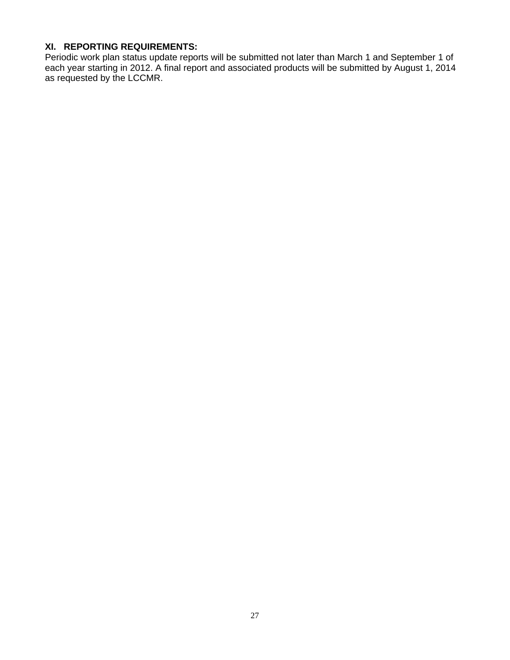# **XI. REPORTING REQUIREMENTS:**

Periodic work plan status update reports will be submitted not later than March 1 and September 1 of each year starting in 2012. A final report and associated products will be submitted by August 1, 2014 as requested by the LCCMR.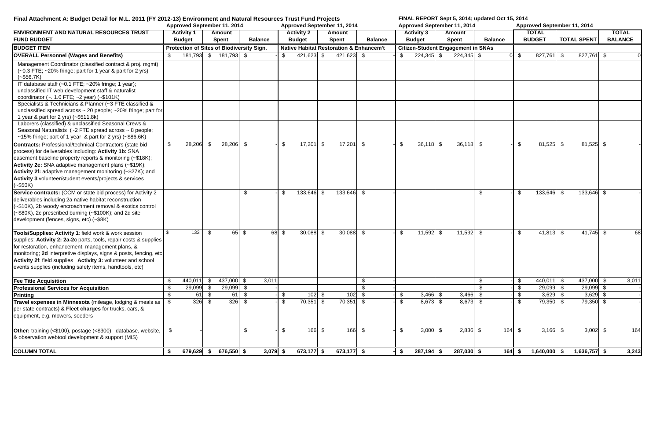| Final Attachment A: Budget Detail for M.L. 2011 (FY 2012-13) Environment and Natural Resources Trust Fund Projects                                                                                                                                                                                                                                                                 |               |                                                  |                    |                               |                |            |                           |                                    |                               |                                                    |               |                                    | FINAL REPORT Sept 5, 3014; updated Oct 15, 2014 |                |          |               |                               |     |                         |                                |
|------------------------------------------------------------------------------------------------------------------------------------------------------------------------------------------------------------------------------------------------------------------------------------------------------------------------------------------------------------------------------------|---------------|--------------------------------------------------|--------------------|-------------------------------|----------------|------------|---------------------------|------------------------------------|-------------------------------|----------------------------------------------------|---------------|------------------------------------|-------------------------------------------------|----------------|----------|---------------|-------------------------------|-----|-------------------------|--------------------------------|
|                                                                                                                                                                                                                                                                                                                                                                                    |               | Approved September 11, 2014                      |                    |                               |                |            |                           |                                    | Approved September 11, 2014   |                                                    |               |                                    | Approved September 11, 2014                     |                |          |               | Approved September 11, 2014   |     |                         |                                |
| <b>ENVIRONMENT AND NATURAL RESOURCES TRUST</b><br><b>FUND BUDGET</b>                                                                                                                                                                                                                                                                                                               |               | <b>Activity 1</b><br><b>Budget</b>               |                    | <b>Amount</b><br><b>Spent</b> | <b>Balance</b> |            |                           | <b>Activity 2</b><br><b>Budget</b> | <b>Amount</b><br><b>Spent</b> | <b>Balance</b>                                     |               | <b>Activity 3</b><br><b>Budget</b> | Amount<br><b>Spent</b>                          | <b>Balance</b> |          |               | <b>TOTAL</b><br><b>BUDGET</b> |     | <b>TOTAL SPENT</b>      | <b>TOTAL</b><br><b>BALANCE</b> |
| <b>BUDGET ITEM</b>                                                                                                                                                                                                                                                                                                                                                                 |               | <b>Protection of Sites of Biodiversity Sign.</b> |                    |                               |                |            |                           |                                    |                               | <b>Native Habitat Restoration &amp; Enhancem't</b> |               |                                    | <b>Citizen-Student Engagement in SNAs</b>       |                |          |               |                               |     |                         |                                |
| <b>OVERALL Personnel (Wages and Benefits)</b>                                                                                                                                                                                                                                                                                                                                      | -S            | 181,793 \$ 181,793 \$                            |                    |                               |                |            | \$                        | $421,623$ \$                       | $421,623$ \$                  |                                                    | S.            | $224,345$ \$                       | $224,345$ \$                                    |                |          | \$            | 827,761                       | -\$ | $\overline{827,761}$ \$ |                                |
| Management Coordinator (classified contract & proj. mgmt)<br>$(-0.3$ FTE; $-20\%$ fringe; part for 1 year & part for 2 yrs)<br>$(-$56.7K)$                                                                                                                                                                                                                                         |               |                                                  |                    |                               |                |            |                           |                                    |                               |                                                    |               |                                    |                                                 |                |          |               |                               |     |                         |                                |
| IT database staff (~0.1 FTE; ~20% fringe; 1 year);<br>unclassified IT web development staff & naturalist<br>coordinator ( $\sim$ . 1.0 FTE; $\sim$ 2 year) ( $\sim$ \$101K)                                                                                                                                                                                                        |               |                                                  |                    |                               |                |            |                           |                                    |                               |                                                    |               |                                    |                                                 |                |          |               |                               |     |                         |                                |
| Specialists & Technicians & Planner (~3 FTE classified &<br>unclassified spread across $\sim$ 20 people; $\sim$ 20% fringe; part for<br>1 year & part for 2 yrs) (~\$511.8k)                                                                                                                                                                                                       |               |                                                  |                    |                               |                |            |                           |                                    |                               |                                                    |               |                                    |                                                 |                |          |               |                               |     |                         |                                |
| Laborers (classified) & unclassified Seasonal Crews &<br>Seasonal Naturalists (~2 FTE spread across ~ 8 people;<br>~15% fringe; part of 1 year & part for 2 yrs) (~\$86.6K)                                                                                                                                                                                                        |               |                                                  |                    |                               |                |            |                           |                                    |                               |                                                    |               |                                    |                                                 |                |          |               |                               |     |                         |                                |
| <b>Contracts: Professional/technical Contractors (state bid</b><br>process) for deliverables including: Activity 1b: SNA<br>easement baseline property reports & monitoring (~\$18K);<br>Activity 2e: SNA adaptive management plans (~\$19K);<br>Activity 2f: adaptive management monitoring (~\$27K); and<br>Activity 3 volunteer/student events/projects & services<br>$(-$50K)$ | \$            | 28,206                                           | - \$               | 28,206                        | - \$           |            | \$                        | $17,201$ \$                        | $17,201$ \$                   |                                                    | -\$           | $36,118$ \$                        | $36,118$ \$                                     |                |          | \$            | $81,525$ \$                   |     | $81,525$ \$             |                                |
| Service contracts: (CCM or state bid process) for Activity 2<br>deliverables including 2a native habitat reconstruction<br>(~\$10K), 2b woody encroachment removal & exotics control<br>(~\$80K), 2c prescribed burning (~\$100K); and 2d site<br>development (fences, signs, etc) (~\$8K)                                                                                         |               |                                                  |                    |                               | - \$           |            | \$                        | 133,646 \$                         | 133,646 \$                    |                                                    |               |                                    |                                                 | \$             |          | -S            | 133,646 \$                    |     | $133,646$ \$            |                                |
| Tools/Supplies: Activity 1: field work & work session<br>supplies; Activity 2: 2a-2c parts, tools, repair costs & supplies<br>for restoration, enhancement, management plans, &<br>monitoring; 2d interpretive displays, signs & posts, fencing, etc<br>Activity 2f: field supplies Activity 3: volunteer and school<br>events supplies (including safety items, handtools, etc)   |               | 133                                              | - \$               |                               | $65 \quad$ \$  |            | $\overline{68}$ \$        | $30,088$ \$                        | $30,088$ \$                   |                                                    | \$            | $11,592$ \$                        | $11,592$ \$                                     |                |          | \$            | $41,813$ \$                   |     | $41,745$ \$             | 68                             |
| <b>Fee Title Acquisition</b>                                                                                                                                                                                                                                                                                                                                                       | -\$           | 440,011                                          | II SI              | 437,000 \$                    |                | 3,011      |                           |                                    |                               | -S                                                 |               |                                    |                                                 | \$             |          | \$            | $440,011$ \$                  |     | 437,000 \$              | 3,011                          |
| <b>Professional Services for Acquisition</b>                                                                                                                                                                                                                                                                                                                                       | $\sqrt[6]{3}$ | $29,099$ \$                                      |                    | $29,099$ \$                   |                |            |                           |                                    |                               | -\$                                                |               |                                    |                                                 | $\mathfrak{L}$ |          | $\sqrt[6]{3}$ | $29,099$ \$                   |     | $29,099$ \$             |                                |
| <b>Printing</b>                                                                                                                                                                                                                                                                                                                                                                    | \$            |                                                  | $\overline{61}$ \$ | 61                            | \$             |            | \$                        | $102 \ $ \$                        | $102 \quad$ \$                |                                                    | \$            | $3,466$ \$                         | $3,466$ \$                                      |                |          | \$            | $3,629$ \$                    |     | $3,629$ \$              |                                |
| Travel expenses in Minnesota (mileage, lodging & meals as  <br>per state contracts) & Fleet charges for trucks, cars, &<br>equipment, e.g. mowers, seeders                                                                                                                                                                                                                         | - S           | $326$ \$                                         |                    | 326                           | \$             |            | $\boldsymbol{\mathsf{S}}$ | $70,351$ \$                        | $70,351$ \$                   |                                                    | $\sqrt[6]{3}$ | $8,673$ \$                         | $8,673$ \$                                      |                |          | $\sqrt[6]{3}$ | 79,350 \$                     |     | 79,350 \$               |                                |
| <b>Other:</b> training (<\$100), postage (<\$300), database, website,<br>& observation webtool development & support (MIS)                                                                                                                                                                                                                                                         | \$            |                                                  |                    |                               | \$             |            | \$                        | 166 \$                             | $166$ \$                      |                                                    | \$            | $3,000$ \$                         | $2,836$ \$                                      |                | 164 \$   |               | $3,166$ \$                    |     | $3,002$ \$              | 164                            |
| <b>COLUMN TOTAL</b>                                                                                                                                                                                                                                                                                                                                                                | \$            | $679,629$ \$                                     |                    | $676,550$ \$                  |                | $3,079$ \$ |                           | $673,177$ \$                       | $673,177$ \$                  |                                                    | $-1$ \$       | $287,194$ \$                       | $287,030$ \$                                    |                | $164$ \$ |               | $1,640,000$ \$                |     | $1,636,757$ \$          | 3,243                          |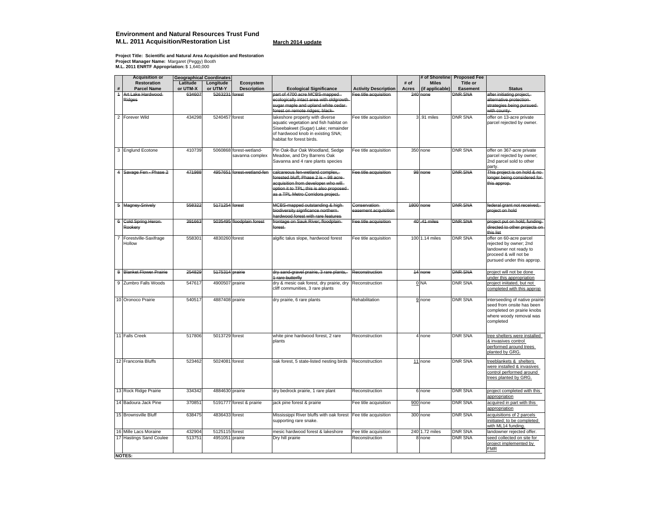#### **Environment and Natural Resources Trust Fund M.L. 2011 Acquisition/Restoration List March 2014 update**

Project Title: Scientific and Natural Area Acquisition and Restoration<br>Project Manager Name: Margaret (Peggy) Booth<br>M.L. 2011 ENRTF Appropriation: \$ 1,640,000

|                | Acquisition or                      |          | <b>Geographical Coordinates</b> |                                            |                                                                                                                                                                                                    |                                      |       |                   | # of Shoreline Proposed Fee |                                                                                                                                    |
|----------------|-------------------------------------|----------|---------------------------------|--------------------------------------------|----------------------------------------------------------------------------------------------------------------------------------------------------------------------------------------------------|--------------------------------------|-------|-------------------|-----------------------------|------------------------------------------------------------------------------------------------------------------------------------|
|                | Restoration                         | Latitude | Longitude                       | Ecosystem                                  |                                                                                                                                                                                                    |                                      | # of  | <b>Miles</b>      | <b>Title or</b>             |                                                                                                                                    |
| #              | <b>Parcel Name</b>                  | or UTM-X | or UTM-Y                        | <b>Description</b>                         | <b>Ecological Significance</b>                                                                                                                                                                     | <b>Activity Description</b>          | Acres | (if applicable)   | <b>Easement</b>             | <b>Status</b>                                                                                                                      |
| $\overline{a}$ | Art Lake Hardwood-<br><b>Ridges</b> | 634607   | 5263231 forest                  |                                            | part of 4700 acre MCBS-mapped<br>ecologically intact area with oldgrowth<br>sugar maple and upland white cedar-<br>forest on remote ridges; black-                                                 | Fee title acquisition                |       | 240 none          | <b>DNR SNA</b>              | after initiating project,<br>alternative protection-<br>strategies being pursued-<br>with county                                   |
|                | 2 Forever Wild                      | 434298   | 5240457 forest                  |                                            | lakeshore property with diverse<br>aquatic vegetation and fish habitat on<br>Siseebakwet (Sugar) Lake; remainder<br>of hardwood knob in existing SNA;<br>habitat for forest birds.                 | Fee title acquisition                |       | 3.91 miles        | <b>DNR SNA</b>              | offer on 13-acre private<br>parcel rejected by owner.                                                                              |
|                | 3 Englund Ecotone                   | 410739   |                                 | 5060868 forest-wetland-<br>savanna complex | Pin Oak-Bur Oak Woodland, Sedge<br>Meadow, and Dry Barrens Oak<br>Savanna and 4 rare plants species                                                                                                | Fee title acquisition                |       | 350 none          | <b>DNR SNA</b>              | offer on 367-acre private<br>parcel rejected by owner;<br>2nd parcel sold to other<br>party.                                       |
|                | 4 Savage Fen - Phase 2              | 471988   |                                 | 4957651 forest-wetland-fen-                | calcareous fen-wetland complex,-<br>forested bluff; Phase 2 is ~ 98 acre-<br>acquisition from developer who will-<br>option it to TPL; this is also proposed-<br>as a TPL Metro Corridors project. | Fee title acquisition                |       | 98 none           | <b>DNR SNA</b>              | This project is on hold & no-<br>longer being considered for<br>this approp.                                                       |
|                | 5 Magney-Snively                    | 558322   | 5171254 forest                  |                                            | MCBS-mapped outstanding & high-<br>biodiversity signficance northern-<br>hardwood forest with rare features-                                                                                       | Conservation<br>easement acquisition |       | <b>1800</b> none  | <b>DNR SNA</b>              | federal grant not received;-<br>project on hold                                                                                    |
|                | 6 Gold Spring Heron-<br>Rookery     | 391663   |                                 | 5035495 floodplain forest                  | frontage on Sauk River; floodplain-<br>forest                                                                                                                                                      | Fee title acquisition                |       | 40.41 miles       | <b>DNR SNA</b>              | project put on hold; funding-<br>directed to other projects on<br>this list                                                        |
|                | Forestville-Saxifrage<br>Hollow     | 558301   | 4830260 forest                  |                                            | algific talus slope, hardwood forest                                                                                                                                                               | Fee title acquisition                |       | 100 1.14 miles    | <b>DNR SNA</b>              | offer on 60-acre parcel<br>rejected by owner; 2nd<br>landowner not ready to<br>proceed & will not be<br>pursued under this approp. |
|                | 8 Blanket Flower Prairie            | 254829   | <b>5175314</b> prairie          |                                            | dry sand-gravel prairie, 3 rare plants,<br>1 rare butterfly                                                                                                                                        | Reconstruction                       |       | 14 none           | <b>DNR SNA</b>              | project will not be done<br>under this appropriation                                                                               |
| 9              | Zumbro Falls Woods                  | 547617   | 4900507 prairie                 |                                            | dry & mesic oak forest, dry prairie, dry<br>cliff communities, 3 rare plants                                                                                                                       | Reconstruction                       |       | $0$ <sub>NA</sub> | <b>DNR SNA</b>              | project iniitated, but not<br>completed with this approp                                                                           |
|                | 10 Oronoco Prairie                  | 540517   | 4887408 prairie                 |                                            | dry prairie, 6 rare plants                                                                                                                                                                         | Rehabilitation                       |       | 9 none            | <b>DNR SNA</b>              | interseeding of native prairie<br>seed from onsite has been<br>completed on prairie knobs<br>where woody removal was<br>completed  |
|                | 11 Falls Creek                      | 517806   | 5013729 forest                  |                                            | white pine hardwood forest, 2 rare<br>plants                                                                                                                                                       | Reconstruction                       |       | 4 none            | <b>DNR SNA</b>              | tree shelters were installed<br>& invasives control<br>performed around trees<br>planted by GRG.                                   |
|                | 12 Franconia Bluffs                 | 523462   | 5024081 forest                  |                                            | oak forest, 5 state-listed nesting birds                                                                                                                                                           | Reconstruction                       |       | 11 none           | <b>DNR SNA</b>              | treeblankets & shelters<br>were installed & invasives<br>control performed around<br>trees planted by GRG.                         |
|                | 13 Rock Ridge Prairie               | 334342   | 4884630 prairie                 |                                            | dry bedrock prairie, 1 rare plant                                                                                                                                                                  | Reconstruction                       |       | 6 none            | <b>DNR SNA</b>              | project completed with this<br>appropriation                                                                                       |
|                | 14 Badoura Jack Pine                | 370851   |                                 | 5191777 forest & prairie                   | jack pine forest & prairie                                                                                                                                                                         | Fee title acquisition                |       | 900 none          | <b>DNR SNA</b>              | acquired in part with this<br>appropriation                                                                                        |
|                | 15 Brownsville Bluff                | 638475   | 4836433 forest                  |                                            | Mississippi River bluffs with oak forest<br>supporting rare snake.                                                                                                                                 | Fee title acquisition                |       | 300 none          | <b>DNR SNA</b>              | acquisitions of 2 parcels<br>iniitiated; to be completed<br>with ML14 fundina.                                                     |
|                | 16 Mille Lacs Moraine               | 432904   | 5125115 forest                  |                                            | mesic hardwood forest & lakeshore                                                                                                                                                                  | Fee title acquisition                |       | 240 1.72 miles    | <b>DNR SNA</b>              | landowner rejected offer.                                                                                                          |
|                | 17 Hastings Sand Coulee             | 513751   | 4951051                         | prairie                                    | Dry hill prairie                                                                                                                                                                                   | Reconstruction                       | 8     | none              | <b>DNR SNA</b>              | seed collected on site for<br>project implemented by<br><b>FMR</b>                                                                 |
|                | <b>NOTES:</b>                       |          |                                 |                                            |                                                                                                                                                                                                    |                                      |       |                   |                             |                                                                                                                                    |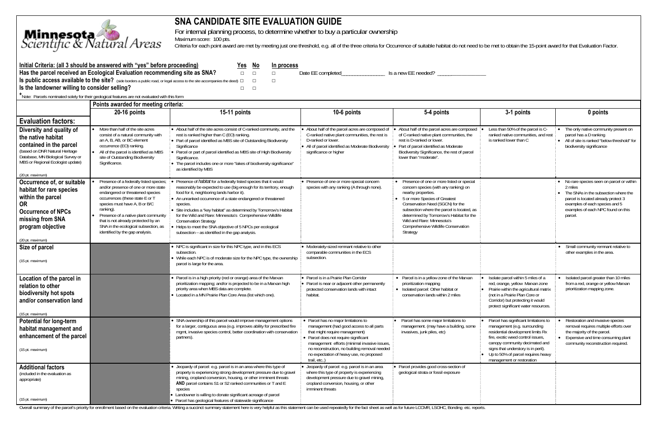

# **SNA CANDIDATE SITE EVALUATION GUIDE**

For internal planning process, to determine whether to buy a particular ownership

Maximum score: 100 pts.

Criteria for each point award are met by meeting just one threshold, e.g. all of the three criteria for Occurrence of suitable habitat do not need to be met to obtain the 15-point award for that Evaluation Factor.

| Initial Criteria: (all 3 should be answered with "yes" before proceeding)                                                           |  | Yes No | In process |                   |                     |
|-------------------------------------------------------------------------------------------------------------------------------------|--|--------|------------|-------------------|---------------------|
| Has the parcel received an Ecological Evaluation recommending site as SNA?                                                          |  | $\Box$ |            | Date EE completed | Is a new EE needed? |
| <b>S</b> public access available to the site? (side borders a public road, or legal access to the site accompanies the deed) $\Box$ |  |        |            |                   |                     |
| I is the landowner willing to consider selling?                                                                                     |  |        |            |                   |                     |
| Note: Parcels nominated solely for their geological features are not evaluated with this form                                       |  |        |            |                   |                     |
| Points awarded for meeting criteria:                                                                                                |  |        |            |                   |                     |

|                                                                                                                                                                                                           | Points awarded for meeting criteria:                                                                                                                                                                                                                                                                                                                           |                                                                                                                                                                                                                                                                                                                                                                                                                                                                                                                                                            |                                                                                                                                                                                                                                                                                                                         |                                                                                                                                                                                                                                                                                                                                                            |                                                                                                                                                                                                                                                                                             |                                                                                                                                                                                                                         |  |  |
|-----------------------------------------------------------------------------------------------------------------------------------------------------------------------------------------------------------|----------------------------------------------------------------------------------------------------------------------------------------------------------------------------------------------------------------------------------------------------------------------------------------------------------------------------------------------------------------|------------------------------------------------------------------------------------------------------------------------------------------------------------------------------------------------------------------------------------------------------------------------------------------------------------------------------------------------------------------------------------------------------------------------------------------------------------------------------------------------------------------------------------------------------------|-------------------------------------------------------------------------------------------------------------------------------------------------------------------------------------------------------------------------------------------------------------------------------------------------------------------------|------------------------------------------------------------------------------------------------------------------------------------------------------------------------------------------------------------------------------------------------------------------------------------------------------------------------------------------------------------|---------------------------------------------------------------------------------------------------------------------------------------------------------------------------------------------------------------------------------------------------------------------------------------------|-------------------------------------------------------------------------------------------------------------------------------------------------------------------------------------------------------------------------|--|--|
|                                                                                                                                                                                                           | 20-16 points                                                                                                                                                                                                                                                                                                                                                   | 15-11 points                                                                                                                                                                                                                                                                                                                                                                                                                                                                                                                                               | 10-6 points                                                                                                                                                                                                                                                                                                             | 5-4 points                                                                                                                                                                                                                                                                                                                                                 | 3-1 points                                                                                                                                                                                                                                                                                  | 0 points                                                                                                                                                                                                                |  |  |
| <b>Evaluation factors:</b>                                                                                                                                                                                |                                                                                                                                                                                                                                                                                                                                                                |                                                                                                                                                                                                                                                                                                                                                                                                                                                                                                                                                            |                                                                                                                                                                                                                                                                                                                         |                                                                                                                                                                                                                                                                                                                                                            |                                                                                                                                                                                                                                                                                             |                                                                                                                                                                                                                         |  |  |
| Diversity and quality of<br>the native habitat<br>contained in the parcel<br>(based on DNR Natural Heritage<br>Database, MN Biological Survey or<br>MBS or Regional Ecologist update)<br>(20 pt. maximum) | More than half of the site acres<br>consist of a natural community with<br>an A, B, AB, or BC element<br>occurrence (EO) ranking.<br>All of the parcel is identified as MBS<br>site of Outstanding Biodiversity<br>Significance.                                                                                                                               | • About half of the site acres consist of C-ranked community, and the<br>rest is ranked higher than C (EO) ranking.<br>• Part of parcel identified as MBS site of Outstanding Biodiversity<br>Significance<br>Parcel or part of parcel identified as MBS site of High Biodiversity<br>Significance.<br>The parcel includes one or more "lakes of biodiversity significance"<br>as identified by MBS                                                                                                                                                        | About half of the parcel acres are composed of<br>C-ranked native plant communities, the rest is<br>D-ranked or lower.<br>All of parcel identified as Moderate Biodiversity<br>significance or higher                                                                                                                   | About half of the parcel acres are composed<br>of C-ranked native plant communities, the<br>rest is D-ranked or lower.<br>Part of parcel identified as Moderate<br>Biodiversity Significance, the rest of parcel<br>lower than "moderate".                                                                                                                 | Less than 50% of the parcel is C-<br>ranked native communities, and rest<br>is ranked lower than C                                                                                                                                                                                          | The only native community present on<br>parcel has a D ranking<br>• All of site is ranked "below threshold" for<br>biodiversity significance                                                                            |  |  |
| Occurrence of, or suitable<br>habitat for rare species<br>within the parcel<br><b>OR</b><br><b>Occurrence of NPCs</b><br>missing from SNA<br>program objective<br>(20 pt. maximum)                        | Presence of a federally listed species;<br>and/or presence of one or more state<br>endangered or threatened species<br>occurrences (these state E or T<br>species must have A, B or B/C<br>ranking).<br>Presence of a native plant community<br>that is not already protected by an<br>SNA in the ecological subsection, as<br>identified by the gap analysis. | Presence of <i>habitat</i> for a federally listed species that it would<br>reasonably be expected to use (big enough for its territory, enough<br>food for it, neighboring lands harbor it).<br>• An unranked occurrence of a state endangered or threatened<br>species<br>• Site includes a "key habitat" as determined by Tomorrow's Habitat<br>for the Wild and Rare: Minnesota's Comprehensive Wildlife<br><b>Conservation Strategy</b><br>Helps to meet the SNA objective of 5 NPCs per ecological<br>subsection - as identified in the gap analysis. | Presence of one or more special concern<br>species with any ranking (A through none).                                                                                                                                                                                                                                   | Presence of one or more listed or special<br>concern species (with any ranking) on<br>nearby properties.<br>• 5 or more Species of Greatest<br>Conservation Need (SGCN) for the<br>subsection where the parcel is located, as<br>determined by Tomorrow's Habitat for the<br>Wild and Rare: Minnesota's<br>Comprehensive Wildlife Conservation<br>Strategy |                                                                                                                                                                                                                                                                                             | • No rare species seen on parcel or within<br>2 miles<br>The SNAs in the subsection where the<br>parcel is located already protect 3<br>examples of each species and 5<br>examples of each NPC found on this<br>parcel. |  |  |
| Size of parcel                                                                                                                                                                                            |                                                                                                                                                                                                                                                                                                                                                                | • NPC is significant in size for this NPC type, and in this ECS                                                                                                                                                                                                                                                                                                                                                                                                                                                                                            | • Moderately-sized remnant relative to other                                                                                                                                                                                                                                                                            |                                                                                                                                                                                                                                                                                                                                                            |                                                                                                                                                                                                                                                                                             | • Small community remnant relative to                                                                                                                                                                                   |  |  |
| (15 pt. maximum)                                                                                                                                                                                          |                                                                                                                                                                                                                                                                                                                                                                | subsection.<br>• While each NPC is of moderate size for the NPC type, the ownership<br>parcel is large for the area.                                                                                                                                                                                                                                                                                                                                                                                                                                       | comparable communities in the ECS<br>subsection.                                                                                                                                                                                                                                                                        |                                                                                                                                                                                                                                                                                                                                                            |                                                                                                                                                                                                                                                                                             | other examples in the area.                                                                                                                                                                                             |  |  |
| Location of the parcel in<br>relation to other<br>biodiversity hot spots<br>and/or conservation land<br>(15 pt. maximum)                                                                                  |                                                                                                                                                                                                                                                                                                                                                                | • Parcel is in a high priority (red or orange) area of the Marxan<br>prioritization mapping; and/or is projected to be in a Marxan high<br>priority area when MBS data are complete.<br>• Located in a MN Prairie Plan Core Area (list which one).                                                                                                                                                                                                                                                                                                         | Parcel is in a Prairie Plan Corridor<br>Parcel is near or adjacent other permanently<br>protected conservation lands with intact<br>habitat.                                                                                                                                                                            | • Parcel is in a yellow zone of the Marxan<br>prioritization mapping<br>• Isolated parcel: Other habitat or<br>conservation lands within 2 miles                                                                                                                                                                                                           | Isolate parcel within 5 miles of a<br>red, orange, yellow Marxan zone<br>Prairie within the agricultural matrix<br>(not in a Prairie Plan Core or<br>Corridor) but protecting it would<br>protect significant water resources.                                                              | Isolated parcel greater than 10 miles<br>from a red, orange or yellow Marxan<br>prioritization mapping zone.                                                                                                            |  |  |
| <b>Potential for long-term</b><br>habitat management and<br>enhancement of the parcel<br>$(15 \text{ pt. maximum})$                                                                                       |                                                                                                                                                                                                                                                                                                                                                                | SNA ownership of this parcel would improve management options<br>for a larger, contiguous area (e.g. improves ability for prescribed fire<br>mqmt, invasive species control, better coordination with conservation<br>partners).                                                                                                                                                                                                                                                                                                                           | • Parcel has no major limitations to<br>management (had good access to all parts<br>that might require management)<br>• Parcel does not require significant<br>management efforts (minimal invasive issues,<br>no reconstruction, no building removal needed<br>no expectation of heavy use, no proposed<br>trail, etc) | Parcel has some major limitations to<br>management. (may have a building, some<br>invasives, junk piles, etc)                                                                                                                                                                                                                                              | Parcel has significant limitations to<br>management (e.g. surrounding<br>residential development limits Rx<br>fire, exotic weed control issues,<br>canopy community decimated and<br>signs that understory is in peril).<br>Up to 50% of parcel requires heavy<br>management or restoration | Restoration and invasive species<br>removal requires multiple efforts over<br>the majority of the parcel.<br>Expensive and time consuming plant<br>community reconstruction required.                                   |  |  |
| <b>Additional factors</b><br>(included in the evaluation as<br>appropriate)<br>(15 pt. maximum)                                                                                                           |                                                                                                                                                                                                                                                                                                                                                                | • Jeopardy of parcel: e.g. parcel is in an area where this type of<br>property is experiencing strong development pressure due to gravel<br>mining, cropland conversion, housing, or other imminent threats<br>AND parcel contains S1 or S2 ranked communities or T and E<br>species<br>• Landowner is willing to donate significant acreage of parcel<br>• Parcel has geological features of statewide significance                                                                                                                                       | Jeopardy of parcel: e.g. parcel is in an area<br>where this type of property is experiencing<br>development pressure due to gravel mining,<br>cropland conversion, housing, or other<br>imminent threats                                                                                                                | Parcel provides good cross-section of<br>geological strata or fossil exposure                                                                                                                                                                                                                                                                              |                                                                                                                                                                                                                                                                                             |                                                                                                                                                                                                                         |  |  |

Overall summary of the parcel's priority for enrollment based on the evaluation criteria. Writing a succinct summary statement here is very helpful as this statement can be used repeatedly for the fact sheet as well as for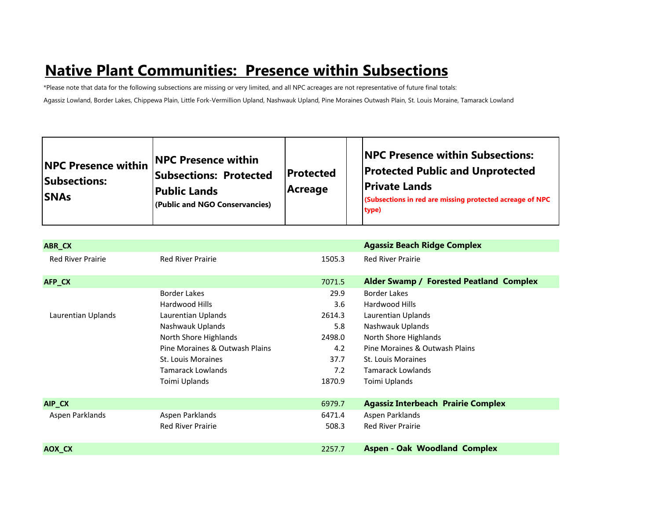# **Native Plant Communities: Presence within Subsections**

\*Please note that data for the following subsections are missing or very limited, and all NPC acreages are not representative of future final totals: Agassiz Lowland, Border Lakes, Chippewa Plain, Little Fork-Vermillion Upland, Nashwauk Upland, Pine Moraines Outwash Plain, St. Louis Moraine, Tamarack Lowland

| <b>NPC Presence within</b><br><b>Subsections:</b><br><b>SNAs</b> | <b>NPC Presence within</b><br><b>Subsections: Protected</b><br><b>Public Lands</b><br>(Public and NGO Conservancies) | <b>Protected</b><br>Acreage | <b>NPC Presence within Subsections:</b><br><b>Protected Public and Unprotected</b><br><b>Private Lands</b><br><b>(Subsections in red are missing protected acreage of NPC</b><br>type) |
|------------------------------------------------------------------|----------------------------------------------------------------------------------------------------------------------|-----------------------------|----------------------------------------------------------------------------------------------------------------------------------------------------------------------------------------|
|------------------------------------------------------------------|----------------------------------------------------------------------------------------------------------------------|-----------------------------|----------------------------------------------------------------------------------------------------------------------------------------------------------------------------------------|

| ABR_CX                   |                                |        | <b>Agassiz Beach Ridge Complex</b>        |
|--------------------------|--------------------------------|--------|-------------------------------------------|
| <b>Red River Prairie</b> | <b>Red River Prairie</b>       | 1505.3 | <b>Red River Prairie</b>                  |
| AFP_CX                   |                                | 7071.5 | Alder Swamp / Forested Peatland Complex   |
|                          | <b>Border Lakes</b>            | 29.9   | <b>Border Lakes</b>                       |
|                          | Hardwood Hills                 | 3.6    | Hardwood Hills                            |
| Laurentian Uplands       | Laurentian Uplands             | 2614.3 | Laurentian Uplands                        |
|                          | Nashwauk Uplands               | 5.8    | Nashwauk Uplands                          |
|                          | North Shore Highlands          | 2498.0 | North Shore Highlands                     |
|                          | Pine Moraines & Outwash Plains | 4.2    | Pine Moraines & Outwash Plains            |
|                          | St. Louis Moraines             | 37.7   | St. Louis Moraines                        |
|                          | Tamarack Lowlands              | 7.2    | <b>Tamarack Lowlands</b>                  |
|                          | Toimi Uplands                  | 1870.9 | Toimi Uplands                             |
|                          |                                |        |                                           |
| AIP_CX                   |                                | 6979.7 | <b>Agassiz Interbeach Prairie Complex</b> |
| Aspen Parklands          | Aspen Parklands                | 6471.4 | Aspen Parklands                           |
|                          | <b>Red River Prairie</b>       | 508.3  | <b>Red River Prairie</b>                  |
|                          |                                |        |                                           |
| AOX_CX                   |                                | 2257.7 | <b>Aspen - Oak Woodland Complex</b>       |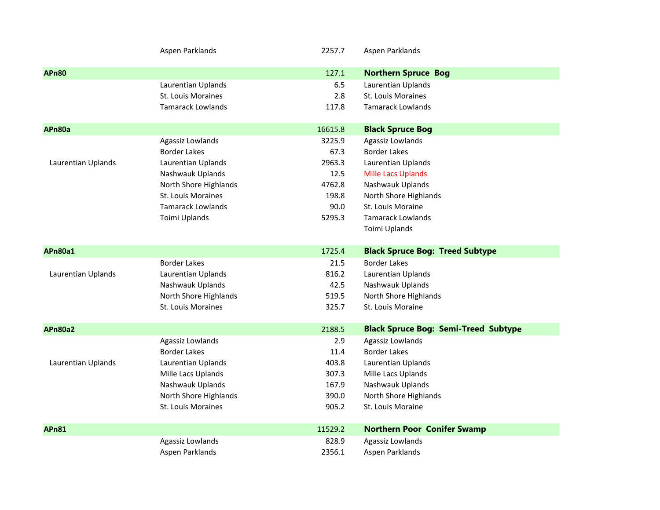|                    | Aspen Parklands           | 2257.7  | Aspen Parklands                             |
|--------------------|---------------------------|---------|---------------------------------------------|
| <b>APn80</b>       |                           | 127.1   | <b>Northern Spruce Bog</b>                  |
|                    | Laurentian Uplands        | 6.5     | Laurentian Uplands                          |
|                    | St. Louis Moraines        | 2.8     | St. Louis Moraines                          |
|                    | <b>Tamarack Lowlands</b>  | 117.8   | <b>Tamarack Lowlands</b>                    |
| APn80a             |                           | 16615.8 | <b>Black Spruce Bog</b>                     |
|                    | Agassiz Lowlands          | 3225.9  | Agassiz Lowlands                            |
|                    | <b>Border Lakes</b>       | 67.3    | <b>Border Lakes</b>                         |
| Laurentian Uplands | Laurentian Uplands        | 2963.3  | Laurentian Uplands                          |
|                    | Nashwauk Uplands          | 12.5    | Mille Lacs Uplands                          |
|                    | North Shore Highlands     | 4762.8  | Nashwauk Uplands                            |
|                    | <b>St. Louis Moraines</b> | 198.8   | North Shore Highlands                       |
|                    | <b>Tamarack Lowlands</b>  | 90.0    | St. Louis Moraine                           |
|                    | Toimi Uplands             | 5295.3  | <b>Tamarack Lowlands</b>                    |
|                    |                           |         | Toimi Uplands                               |
| APn80a1            |                           | 1725.4  | <b>Black Spruce Bog: Treed Subtype</b>      |
|                    | <b>Border Lakes</b>       | 21.5    | <b>Border Lakes</b>                         |
| Laurentian Uplands | Laurentian Uplands        | 816.2   | Laurentian Uplands                          |
|                    | Nashwauk Uplands          | 42.5    | Nashwauk Uplands                            |
|                    | North Shore Highlands     | 519.5   | North Shore Highlands                       |
|                    | St. Louis Moraines        | 325.7   | St. Louis Moraine                           |
| <b>APn80a2</b>     |                           | 2188.5  | <b>Black Spruce Bog: Semi-Treed Subtype</b> |
|                    | Agassiz Lowlands          | 2.9     | Agassiz Lowlands                            |
|                    | <b>Border Lakes</b>       | 11.4    | <b>Border Lakes</b>                         |
| Laurentian Uplands | Laurentian Uplands        | 403.8   | Laurentian Uplands                          |
|                    | Mille Lacs Uplands        | 307.3   | Mille Lacs Uplands                          |
|                    | Nashwauk Uplands          | 167.9   | Nashwauk Uplands                            |
|                    | North Shore Highlands     | 390.0   | North Shore Highlands                       |
|                    | St. Louis Moraines        | 905.2   | St. Louis Moraine                           |
| <b>APn81</b>       |                           | 11529.2 | <b>Northern Poor Conifer Swamp</b>          |
|                    | Agassiz Lowlands          | 828.9   | Agassiz Lowlands                            |
|                    | Aspen Parklands           | 2356.1  | Aspen Parklands                             |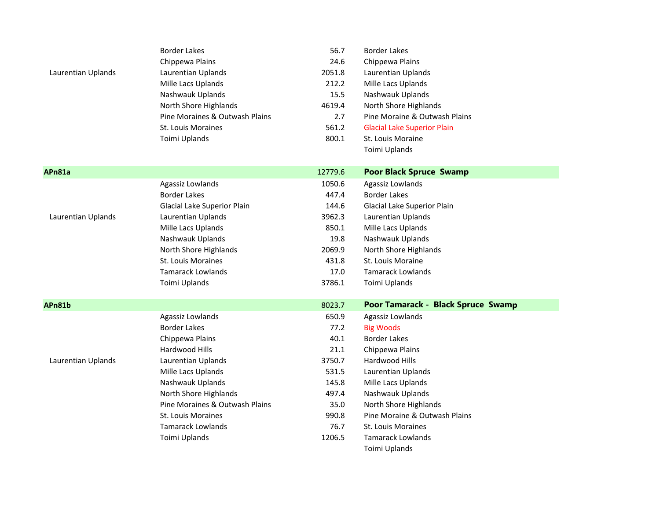|                    | <b>Border Lakes</b>            | 56.7    | <b>Border Lakes</b>                |
|--------------------|--------------------------------|---------|------------------------------------|
|                    | Chippewa Plains                | 24.6    | Chippewa Plains                    |
| Laurentian Uplands | Laurentian Uplands             | 2051.8  | Laurentian Uplands                 |
|                    | Mille Lacs Uplands             | 212.2   | Mille Lacs Uplands                 |
|                    | Nashwauk Uplands               | 15.5    | Nashwauk Uplands                   |
|                    | North Shore Highlands          | 4619.4  | North Shore Highlands              |
|                    | Pine Moraines & Outwash Plains | 2.7     | Pine Moraine & Outwash Plains      |
|                    | <b>St. Louis Moraines</b>      | 561.2   | <b>Glacial Lake Superior Plain</b> |
|                    | Toimi Uplands                  | 800.1   | St. Louis Moraine                  |
|                    |                                |         | Toimi Uplands                      |
| APn81a             |                                | 12779.6 | <b>Poor Black Spruce Swamp</b>     |
|                    | Agassiz Lowlands               | 1050.6  | Agassiz Lowlands                   |
|                    | <b>Border Lakes</b>            | 447.4   | <b>Border Lakes</b>                |
|                    | Glacial Lake Superior Plain    | 144.6   | Glacial Lake Superior Plain        |
| Laurentian Uplands | Laurentian Uplands             | 3962.3  | Laurentian Uplands                 |
|                    | Mille Lacs Uplands             | 850.1   | Mille Lacs Uplands                 |
|                    | Nashwauk Uplands               | 19.8    | Nashwauk Uplands                   |
|                    | North Shore Highlands          | 2069.9  | North Shore Highlands              |
|                    | <b>St. Louis Moraines</b>      | 431.8   | St. Louis Moraine                  |
|                    | <b>Tamarack Lowlands</b>       | 17.0    | <b>Tamarack Lowlands</b>           |
|                    | Toimi Uplands                  | 3786.1  | Toimi Uplands                      |
| APn81b             |                                | 8023.7  | Poor Tamarack - Black Spruce Swamp |
|                    | Agassiz Lowlands               | 650.9   | Agassiz Lowlands                   |
|                    | <b>Border Lakes</b>            | 77.2    | <b>Big Woods</b>                   |
|                    | Chippewa Plains                | 40.1    | <b>Border Lakes</b>                |
|                    | <b>Hardwood Hills</b>          | 21.1    | Chippewa Plains                    |
| Laurentian Uplands | Laurentian Uplands             | 3750.7  | Hardwood Hills                     |
|                    | Mille Lacs Uplands             | 531.5   | Laurentian Uplands                 |
|                    | Nashwauk Uplands               | 145.8   | Mille Lacs Uplands                 |
|                    | North Shore Highlands          | 497.4   | Nashwauk Uplands                   |
|                    | Pine Moraines & Outwash Plains | 35.0    | North Shore Highlands              |
|                    | <b>St. Louis Moraines</b>      | 990.8   | Pine Moraine & Outwash Plains      |
|                    | <b>Tamarack Lowlands</b>       | 76.7    | <b>St. Louis Moraines</b>          |
|                    | Toimi Uplands                  | 1206.5  | <b>Tamarack Lowlands</b>           |
|                    |                                |         | Toimi Uplands                      |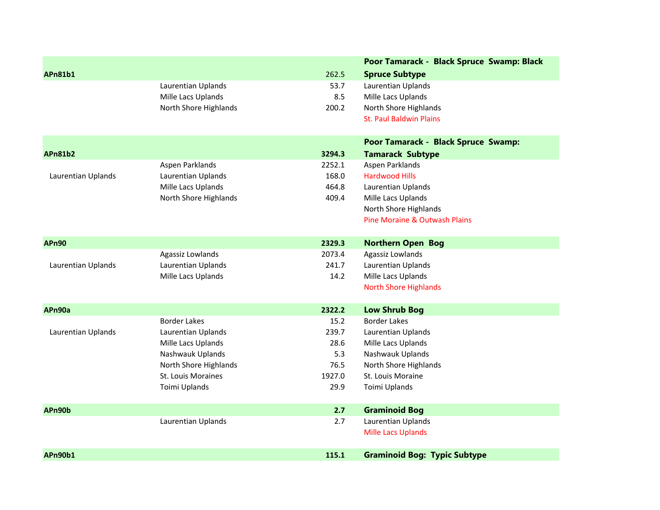|                    |                           |        | Poor Tamarack - Black Spruce Swamp: Black |
|--------------------|---------------------------|--------|-------------------------------------------|
| <b>APn81b1</b>     |                           | 262.5  | <b>Spruce Subtype</b>                     |
|                    | Laurentian Uplands        | 53.7   | Laurentian Uplands                        |
|                    | Mille Lacs Uplands        | 8.5    | Mille Lacs Uplands                        |
|                    | North Shore Highlands     | 200.2  | North Shore Highlands                     |
|                    |                           |        | <b>St. Paul Baldwin Plains</b>            |
|                    |                           |        | Poor Tamarack - Black Spruce Swamp:       |
| <b>APn81b2</b>     |                           | 3294.3 | <b>Tamarack Subtype</b>                   |
|                    | Aspen Parklands           | 2252.1 | Aspen Parklands                           |
| Laurentian Uplands | Laurentian Uplands        | 168.0  | <b>Hardwood Hills</b>                     |
|                    | Mille Lacs Uplands        | 464.8  | Laurentian Uplands                        |
|                    | North Shore Highlands     | 409.4  | Mille Lacs Uplands                        |
|                    |                           |        | North Shore Highlands                     |
|                    |                           |        | Pine Moraine & Outwash Plains             |
| <b>APn90</b>       |                           | 2329.3 | <b>Northern Open Bog</b>                  |
|                    | Agassiz Lowlands          | 2073.4 | Agassiz Lowlands                          |
| Laurentian Uplands | Laurentian Uplands        | 241.7  | Laurentian Uplands                        |
|                    | Mille Lacs Uplands        | 14.2   | Mille Lacs Uplands                        |
|                    |                           |        | <b>North Shore Highlands</b>              |
| APn90a             |                           | 2322.2 | <b>Low Shrub Bog</b>                      |
|                    | <b>Border Lakes</b>       | 15.2   | <b>Border Lakes</b>                       |
| Laurentian Uplands | Laurentian Uplands        | 239.7  | Laurentian Uplands                        |
|                    | Mille Lacs Uplands        | 28.6   | Mille Lacs Uplands                        |
|                    | Nashwauk Uplands          | 5.3    | Nashwauk Uplands                          |
|                    | North Shore Highlands     | 76.5   | North Shore Highlands                     |
|                    | <b>St. Louis Moraines</b> | 1927.0 | St. Louis Moraine                         |
|                    | Toimi Uplands             | 29.9   | Toimi Uplands                             |
| APn90b             |                           | 2.7    | <b>Graminoid Bog</b>                      |
|                    | Laurentian Uplands        | 2.7    | Laurentian Uplands                        |
|                    |                           |        | <b>Mille Lacs Uplands</b>                 |
| APn90b1            |                           | 115.1  | <b>Graminoid Bog: Typic Subtype</b>       |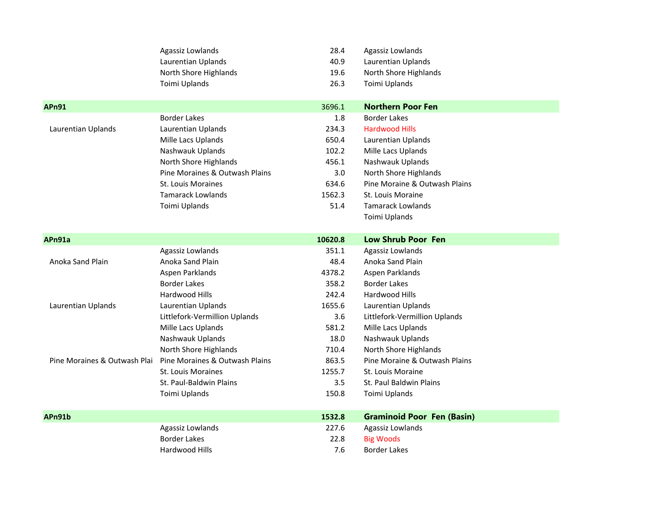|                              | Agassiz Lowlands               | 28.4    | Agassiz Lowlands                  |
|------------------------------|--------------------------------|---------|-----------------------------------|
|                              | Laurentian Uplands             | 40.9    | Laurentian Uplands                |
|                              | North Shore Highlands          | 19.6    | North Shore Highlands             |
|                              | Toimi Uplands                  | 26.3    | Toimi Uplands                     |
|                              |                                |         |                                   |
| <b>APn91</b>                 |                                | 3696.1  | <b>Northern Poor Fen</b>          |
|                              | <b>Border Lakes</b>            | 1.8     | <b>Border Lakes</b>               |
| Laurentian Uplands           | Laurentian Uplands             | 234.3   | <b>Hardwood Hills</b>             |
|                              | Mille Lacs Uplands             | 650.4   | Laurentian Uplands                |
|                              | Nashwauk Uplands               | 102.2   | Mille Lacs Uplands                |
|                              | North Shore Highlands          | 456.1   | Nashwauk Uplands                  |
|                              | Pine Moraines & Outwash Plains | 3.0     | North Shore Highlands             |
|                              | St. Louis Moraines             | 634.6   | Pine Moraine & Outwash Plains     |
|                              | <b>Tamarack Lowlands</b>       | 1562.3  | St. Louis Moraine                 |
|                              | Toimi Uplands                  | 51.4    | <b>Tamarack Lowlands</b>          |
|                              |                                |         | Toimi Uplands                     |
| APn91a                       |                                | 10620.8 | <b>Low Shrub Poor Fen</b>         |
|                              | Agassiz Lowlands               | 351.1   | Agassiz Lowlands                  |
| Anoka Sand Plain             | Anoka Sand Plain               | 48.4    | Anoka Sand Plain                  |
|                              | Aspen Parklands                | 4378.2  | Aspen Parklands                   |
|                              | <b>Border Lakes</b>            | 358.2   | <b>Border Lakes</b>               |
|                              | Hardwood Hills                 | 242.4   | Hardwood Hills                    |
| Laurentian Uplands           | Laurentian Uplands             | 1655.6  | Laurentian Uplands                |
|                              | Littlefork-Vermillion Uplands  | 3.6     | Littlefork-Vermillion Uplands     |
|                              | Mille Lacs Uplands             | 581.2   | Mille Lacs Uplands                |
|                              | Nashwauk Uplands               | 18.0    | Nashwauk Uplands                  |
|                              | North Shore Highlands          | 710.4   | North Shore Highlands             |
| Pine Moraines & Outwash Plai | Pine Moraines & Outwash Plains | 863.5   | Pine Moraine & Outwash Plains     |
|                              | St. Louis Moraines             | 1255.7  | St. Louis Moraine                 |
|                              | St. Paul-Baldwin Plains        | 3.5     | St. Paul Baldwin Plains           |
|                              | Toimi Uplands                  | 150.8   | Toimi Uplands                     |
| APn91b                       |                                | 1532.8  | <b>Graminoid Poor Fen (Basin)</b> |
|                              | Agassiz Lowlands               | 227.6   | Agassiz Lowlands                  |
|                              | <b>Border Lakes</b>            | 22.8    | <b>Big Woods</b>                  |
|                              |                                |         |                                   |
|                              | Hardwood Hills                 | 7.6     | <b>Border Lakes</b>               |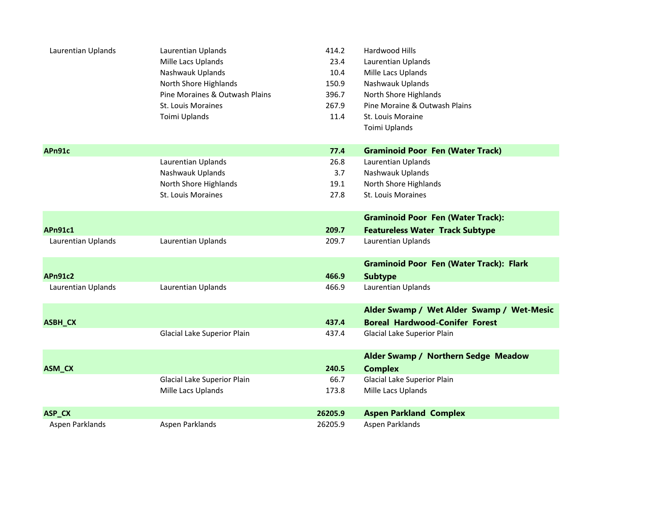| Laurentian Uplands | Laurentian Uplands             | 414.2   | Hardwood Hills                                 |
|--------------------|--------------------------------|---------|------------------------------------------------|
|                    | Mille Lacs Uplands             | 23.4    | Laurentian Uplands                             |
|                    | Nashwauk Uplands               | 10.4    | Mille Lacs Uplands                             |
|                    | North Shore Highlands          | 150.9   | Nashwauk Uplands                               |
|                    | Pine Moraines & Outwash Plains | 396.7   | North Shore Highlands                          |
|                    | St. Louis Moraines             | 267.9   | Pine Moraine & Outwash Plains                  |
|                    | Toimi Uplands                  | 11.4    | St. Louis Moraine                              |
|                    |                                |         | Toimi Uplands                                  |
| APn91c             |                                | 77.4    | <b>Graminoid Poor Fen (Water Track)</b>        |
|                    | Laurentian Uplands             | 26.8    | Laurentian Uplands                             |
|                    | Nashwauk Uplands               | 3.7     | Nashwauk Uplands                               |
|                    | North Shore Highlands          | 19.1    | North Shore Highlands                          |
|                    | St. Louis Moraines             | 27.8    | St. Louis Moraines                             |
|                    |                                |         | <b>Graminoid Poor Fen (Water Track):</b>       |
| <b>APn91c1</b>     |                                | 209.7   | <b>Featureless Water Track Subtype</b>         |
| Laurentian Uplands | Laurentian Uplands             | 209.7   | Laurentian Uplands                             |
|                    |                                |         | <b>Graminoid Poor Fen (Water Track): Flark</b> |
| <b>APn91c2</b>     |                                | 466.9   | <b>Subtype</b>                                 |
| Laurentian Uplands | Laurentian Uplands             | 466.9   | Laurentian Uplands                             |
|                    |                                |         | Alder Swamp / Wet Alder Swamp / Wet-Mesic      |
| ASBH_CX            |                                | 437.4   | <b>Boreal Hardwood-Conifer Forest</b>          |
|                    | Glacial Lake Superior Plain    | 437.4   | Glacial Lake Superior Plain                    |
|                    |                                |         | Alder Swamp / Northern Sedge Meadow            |
| ASM_CX             |                                | 240.5   | <b>Complex</b>                                 |
|                    | Glacial Lake Superior Plain    | 66.7    | Glacial Lake Superior Plain                    |
|                    | Mille Lacs Uplands             | 173.8   | Mille Lacs Uplands                             |
| ASP_CX             |                                | 26205.9 | <b>Aspen Parkland Complex</b>                  |
| Aspen Parklands    | Aspen Parklands                | 26205.9 | Aspen Parklands                                |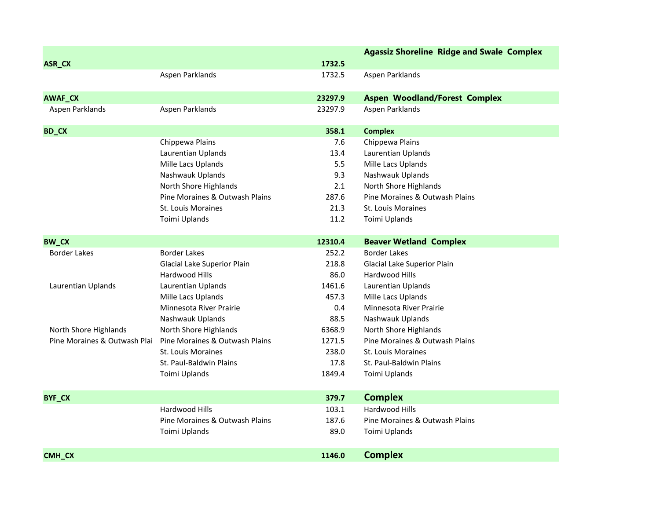|                              |                                |         | <b>Agassiz Shoreline Ridge and Swale Complex</b> |
|------------------------------|--------------------------------|---------|--------------------------------------------------|
| ASR_CX                       |                                | 1732.5  |                                                  |
|                              | Aspen Parklands                | 1732.5  | Aspen Parklands                                  |
|                              |                                |         |                                                  |
| AWAF_CX                      |                                | 23297.9 | <b>Aspen Woodland/Forest Complex</b>             |
| Aspen Parklands              | Aspen Parklands                | 23297.9 | Aspen Parklands                                  |
| <b>BD_CX</b>                 |                                | 358.1   | <b>Complex</b>                                   |
|                              | Chippewa Plains                | 7.6     | Chippewa Plains                                  |
|                              | Laurentian Uplands             | 13.4    | Laurentian Uplands                               |
|                              | Mille Lacs Uplands             | 5.5     | Mille Lacs Uplands                               |
|                              | Nashwauk Uplands               | 9.3     | Nashwauk Uplands                                 |
|                              | North Shore Highlands          | 2.1     | North Shore Highlands                            |
|                              | Pine Moraines & Outwash Plains | 287.6   | Pine Moraines & Outwash Plains                   |
|                              | <b>St. Louis Moraines</b>      | 21.3    | St. Louis Moraines                               |
|                              | Toimi Uplands                  | 11.2    | Toimi Uplands                                    |
| <b>BW_CX</b>                 |                                | 12310.4 | <b>Beaver Wetland Complex</b>                    |
| <b>Border Lakes</b>          | <b>Border Lakes</b>            | 252.2   | <b>Border Lakes</b>                              |
|                              | Glacial Lake Superior Plain    | 218.8   | Glacial Lake Superior Plain                      |
|                              | <b>Hardwood Hills</b>          | 86.0    | Hardwood Hills                                   |
| Laurentian Uplands           | Laurentian Uplands             | 1461.6  | Laurentian Uplands                               |
|                              | Mille Lacs Uplands             | 457.3   | Mille Lacs Uplands                               |
|                              | <b>Minnesota River Prairie</b> | 0.4     | Minnesota River Prairie                          |
|                              | Nashwauk Uplands               | 88.5    | Nashwauk Uplands                                 |
| North Shore Highlands        | North Shore Highlands          | 6368.9  | North Shore Highlands                            |
| Pine Moraines & Outwash Plai | Pine Moraines & Outwash Plains | 1271.5  | Pine Moraines & Outwash Plains                   |
|                              | <b>St. Louis Moraines</b>      | 238.0   | <b>St. Louis Moraines</b>                        |
|                              | St. Paul-Baldwin Plains        | 17.8    | St. Paul-Baldwin Plains                          |
|                              | Toimi Uplands                  | 1849.4  | Toimi Uplands                                    |
| <b>BYF_CX</b>                |                                | 379.7   | <b>Complex</b>                                   |
|                              | Hardwood Hills                 | 103.1   | Hardwood Hills                                   |
|                              | Pine Moraines & Outwash Plains | 187.6   | Pine Moraines & Outwash Plains                   |
|                              | Toimi Uplands                  | 89.0    | Toimi Uplands                                    |
|                              |                                |         |                                                  |
| <b>CMH CX</b>                |                                | 1146.0  | <b>Complex</b>                                   |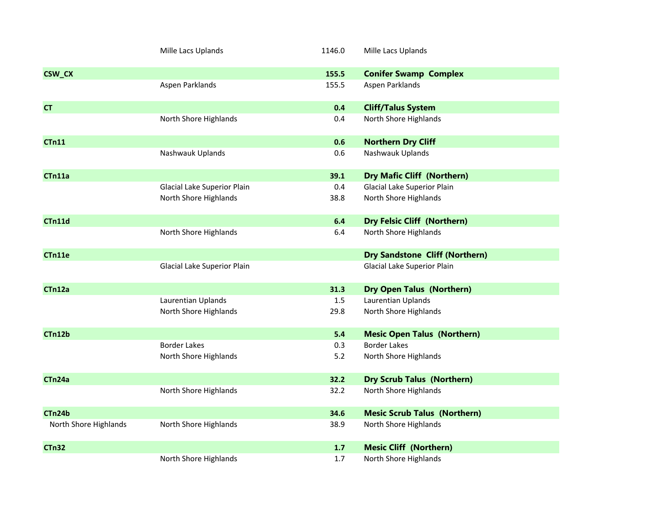|                       | Mille Lacs Uplands          | 1146.0 | Mille Lacs Uplands                    |
|-----------------------|-----------------------------|--------|---------------------------------------|
| <b>CSW_CX</b>         |                             | 155.5  | <b>Conifer Swamp Complex</b>          |
|                       | Aspen Parklands             | 155.5  | Aspen Parklands                       |
| <b>CT</b>             |                             | 0.4    | <b>Cliff/Talus System</b>             |
|                       | North Shore Highlands       | 0.4    | North Shore Highlands                 |
| <b>CTn11</b>          |                             | 0.6    | <b>Northern Dry Cliff</b>             |
|                       | Nashwauk Uplands            | 0.6    | Nashwauk Uplands                      |
| CTn11a                |                             | 39.1   | <b>Dry Mafic Cliff (Northern)</b>     |
|                       | Glacial Lake Superior Plain | 0.4    | Glacial Lake Superior Plain           |
|                       | North Shore Highlands       | 38.8   | North Shore Highlands                 |
| CTn11d                |                             | 6.4    | <b>Dry Felsic Cliff (Northern)</b>    |
|                       | North Shore Highlands       | 6.4    | North Shore Highlands                 |
| CTn11e                |                             |        | <b>Dry Sandstone Cliff (Northern)</b> |
|                       | Glacial Lake Superior Plain |        | Glacial Lake Superior Plain           |
| CTn12a                |                             | 31.3   | <b>Dry Open Talus (Northern)</b>      |
|                       | Laurentian Uplands          | 1.5    | Laurentian Uplands                    |
|                       | North Shore Highlands       | 29.8   | North Shore Highlands                 |
| CTn12b                |                             | 5.4    | <b>Mesic Open Talus (Northern)</b>    |
|                       | <b>Border Lakes</b>         | 0.3    | <b>Border Lakes</b>                   |
|                       | North Shore Highlands       | 5.2    | North Shore Highlands                 |
| CTn24a                |                             | 32.2   | <b>Dry Scrub Talus (Northern)</b>     |
|                       | North Shore Highlands       | 32.2   | North Shore Highlands                 |
| CTn24b                |                             | 34.6   | <b>Mesic Scrub Talus (Northern)</b>   |
| North Shore Highlands | North Shore Highlands       | 38.9   | North Shore Highlands                 |
| <b>CTn32</b>          |                             | 1.7    | <b>Mesic Cliff (Northern)</b>         |
|                       | North Shore Highlands       | 1.7    | North Shore Highlands                 |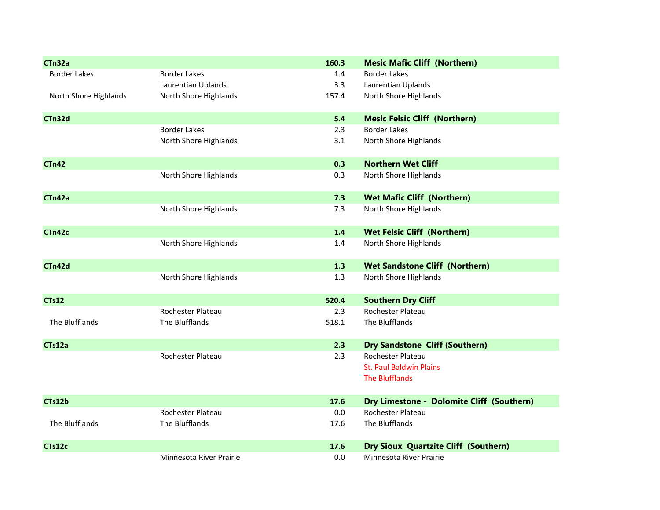| CTn32a                |                         | 160.3 | <b>Mesic Mafic Cliff (Northern)</b>         |
|-----------------------|-------------------------|-------|---------------------------------------------|
| <b>Border Lakes</b>   | <b>Border Lakes</b>     | 1.4   | <b>Border Lakes</b>                         |
|                       | Laurentian Uplands      | 3.3   | Laurentian Uplands                          |
| North Shore Highlands | North Shore Highlands   | 157.4 | North Shore Highlands                       |
| CTn32d                |                         | 5.4   | <b>Mesic Felsic Cliff (Northern)</b>        |
|                       | <b>Border Lakes</b>     | 2.3   | <b>Border Lakes</b>                         |
|                       | North Shore Highlands   | 3.1   | North Shore Highlands                       |
| <b>CTn42</b>          |                         | 0.3   | <b>Northern Wet Cliff</b>                   |
|                       | North Shore Highlands   | 0.3   | North Shore Highlands                       |
| CTn42a                |                         | 7.3   | <b>Wet Mafic Cliff (Northern)</b>           |
|                       | North Shore Highlands   | 7.3   | North Shore Highlands                       |
| CTn42c                |                         | $1.4$ | <b>Wet Felsic Cliff (Northern)</b>          |
|                       | North Shore Highlands   | 1.4   | North Shore Highlands                       |
| CTn42d                |                         | 1.3   | <b>Wet Sandstone Cliff (Northern)</b>       |
|                       | North Shore Highlands   | 1.3   | North Shore Highlands                       |
| <b>CTs12</b>          |                         | 520.4 | <b>Southern Dry Cliff</b>                   |
|                       | Rochester Plateau       | 2.3   | Rochester Plateau                           |
| The Blufflands        | The Blufflands          | 518.1 | The Blufflands                              |
| CTs12a                |                         | 2.3   | <b>Dry Sandstone Cliff (Southern)</b>       |
|                       | Rochester Plateau       | 2.3   | Rochester Plateau                           |
|                       |                         |       | <b>St. Paul Baldwin Plains</b>              |
|                       |                         |       | <b>The Blufflands</b>                       |
| CTs12b                |                         | 17.6  | Dry Limestone - Dolomite Cliff (Southern)   |
|                       | Rochester Plateau       | 0.0   | Rochester Plateau                           |
| The Blufflands        | The Blufflands          | 17.6  | The Blufflands                              |
| CTs12c                |                         | 17.6  | <b>Dry Sioux Quartzite Cliff (Southern)</b> |
|                       | Minnesota River Prairie | 0.0   | Minnesota River Prairie                     |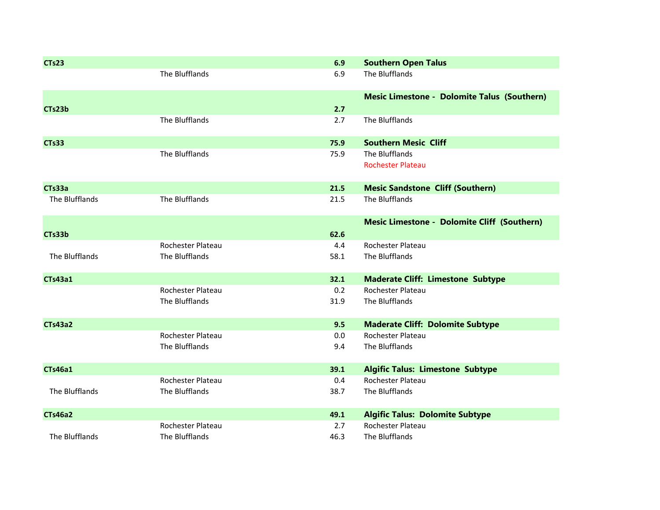| <b>CTs23</b>   |                   | 6.9  | <b>Southern Open Talus</b>                         |
|----------------|-------------------|------|----------------------------------------------------|
|                | The Blufflands    | 6.9  | The Blufflands                                     |
|                |                   |      | <b>Mesic Limestone - Dolomite Talus (Southern)</b> |
| CTs23b         |                   | 2.7  |                                                    |
|                | The Blufflands    | 2.7  | The Blufflands                                     |
| <b>CTs33</b>   |                   | 75.9 | <b>Southern Mesic Cliff</b>                        |
|                | The Blufflands    | 75.9 | The Blufflands                                     |
|                |                   |      | <b>Rochester Plateau</b>                           |
| CTs33a         |                   | 21.5 | <b>Mesic Sandstone Cliff (Southern)</b>            |
| The Blufflands | The Blufflands    | 21.5 | The Blufflands                                     |
|                |                   |      | <b>Mesic Limestone - Dolomite Cliff (Southern)</b> |
| CTs33b         |                   | 62.6 |                                                    |
|                | Rochester Plateau | 4.4  | <b>Rochester Plateau</b>                           |
| The Blufflands | The Blufflands    | 58.1 | The Blufflands                                     |
| <b>CTs43a1</b> |                   | 32.1 | <b>Maderate Cliff: Limestone Subtype</b>           |
|                | Rochester Plateau | 0.2  | Rochester Plateau                                  |
|                | The Blufflands    | 31.9 | The Blufflands                                     |
| <b>CTs43a2</b> |                   | 9.5  | <b>Maderate Cliff: Dolomite Subtype</b>            |
|                | Rochester Plateau | 0.0  | Rochester Plateau                                  |
|                | The Blufflands    | 9.4  | The Blufflands                                     |
| <b>CTs46a1</b> |                   | 39.1 | <b>Algific Talus: Limestone Subtype</b>            |
|                | Rochester Plateau | 0.4  | Rochester Plateau                                  |
| The Blufflands | The Blufflands    | 38.7 | The Blufflands                                     |
| <b>CTs46a2</b> |                   | 49.1 | <b>Algific Talus: Dolomite Subtype</b>             |
|                | Rochester Plateau | 2.7  | Rochester Plateau                                  |
| The Blufflands | The Blufflands    | 46.3 | The Blufflands                                     |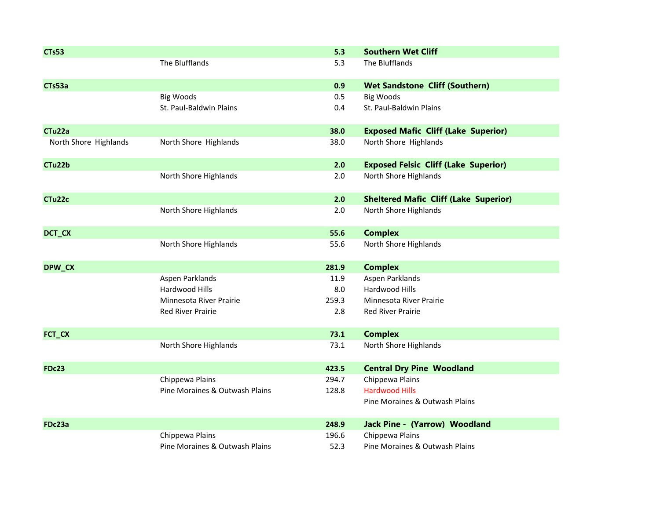| <b>CTs53</b>          |                                | 5.3   | <b>Southern Wet Cliff</b>                    |
|-----------------------|--------------------------------|-------|----------------------------------------------|
|                       | The Blufflands                 | 5.3   | The Blufflands                               |
| CTs53a                |                                | 0.9   | <b>Wet Sandstone Cliff (Southern)</b>        |
|                       | <b>Big Woods</b>               | 0.5   | <b>Big Woods</b>                             |
|                       | St. Paul-Baldwin Plains        | 0.4   | St. Paul-Baldwin Plains                      |
| CTu <sub>22a</sub>    |                                | 38.0  | <b>Exposed Mafic Cliff (Lake Superior)</b>   |
| North Shore Highlands | North Shore Highlands          | 38.0  | North Shore Highlands                        |
| CTu22b                |                                | 2.0   | <b>Exposed Felsic Cliff (Lake Superior)</b>  |
|                       | North Shore Highlands          | 2.0   | North Shore Highlands                        |
| CTu22c                |                                | 2.0   | <b>Sheltered Mafic Cliff (Lake Superior)</b> |
|                       | North Shore Highlands          | 2.0   | North Shore Highlands                        |
| DCT_CX                |                                | 55.6  | <b>Complex</b>                               |
|                       | North Shore Highlands          | 55.6  | North Shore Highlands                        |
| DPW_CX                |                                | 281.9 | <b>Complex</b>                               |
|                       | Aspen Parklands                | 11.9  | Aspen Parklands                              |
|                       | Hardwood Hills                 | 8.0   | Hardwood Hills                               |
|                       | Minnesota River Prairie        | 259.3 | Minnesota River Prairie                      |
|                       | <b>Red River Prairie</b>       | 2.8   | Red River Prairie                            |
| FCT_CX                |                                | 73.1  | <b>Complex</b>                               |
|                       | North Shore Highlands          | 73.1  | North Shore Highlands                        |
| <b>FDc23</b>          |                                | 423.5 | <b>Central Dry Pine Woodland</b>             |
|                       | Chippewa Plains                | 294.7 | Chippewa Plains                              |
|                       | Pine Moraines & Outwash Plains | 128.8 | <b>Hardwood Hills</b>                        |
|                       |                                |       | Pine Moraines & Outwash Plains               |
| FDc23a                |                                | 248.9 | <b>Jack Pine - (Yarrow) Woodland</b>         |
|                       | Chippewa Plains                | 196.6 | Chippewa Plains                              |
|                       | Pine Moraines & Outwash Plains | 52.3  | Pine Moraines & Outwash Plains               |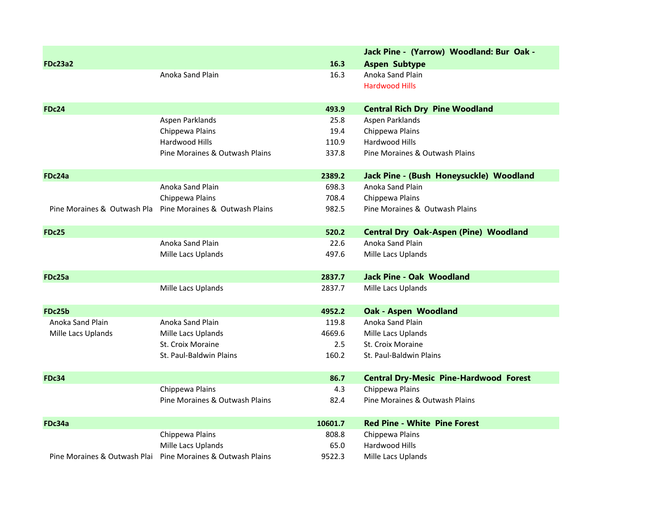|                             |                                                             |         | Jack Pine - (Yarrow) Woodland: Bur Oak -      |
|-----------------------------|-------------------------------------------------------------|---------|-----------------------------------------------|
| <b>FDc23a2</b>              |                                                             | 16.3    | <b>Aspen Subtype</b>                          |
|                             | Anoka Sand Plain                                            | 16.3    | Anoka Sand Plain                              |
|                             |                                                             |         | <b>Hardwood Hills</b>                         |
|                             |                                                             |         |                                               |
| <b>FDc24</b>                |                                                             | 493.9   | <b>Central Rich Dry Pine Woodland</b>         |
|                             | Aspen Parklands                                             | 25.8    | Aspen Parklands                               |
|                             | Chippewa Plains                                             | 19.4    | Chippewa Plains                               |
|                             | Hardwood Hills                                              | 110.9   | Hardwood Hills                                |
|                             | Pine Moraines & Outwash Plains                              | 337.8   | Pine Moraines & Outwash Plains                |
| FDc24a                      |                                                             | 2389.2  | Jack Pine - (Bush Honeysuckle) Woodland       |
|                             | Anoka Sand Plain                                            | 698.3   | Anoka Sand Plain                              |
|                             | Chippewa Plains                                             | 708.4   | Chippewa Plains                               |
| Pine Moraines & Outwash Pla | Pine Moraines & Outwash Plains                              | 982.5   | Pine Moraines & Outwash Plains                |
| <b>FDc25</b>                |                                                             | 520.2   | <b>Central Dry Oak-Aspen (Pine) Woodland</b>  |
|                             | Anoka Sand Plain                                            | 22.6    | Anoka Sand Plain                              |
|                             | Mille Lacs Uplands                                          | 497.6   | Mille Lacs Uplands                            |
| FDc25a                      |                                                             | 2837.7  | <b>Jack Pine - Oak Woodland</b>               |
|                             | Mille Lacs Uplands                                          | 2837.7  | Mille Lacs Uplands                            |
| FDc25b                      |                                                             | 4952.2  | <b>Oak - Aspen Woodland</b>                   |
| Anoka Sand Plain            | Anoka Sand Plain                                            | 119.8   | Anoka Sand Plain                              |
| Mille Lacs Uplands          | Mille Lacs Uplands                                          | 4669.6  | Mille Lacs Uplands                            |
|                             | <b>St. Croix Moraine</b>                                    | 2.5     | St. Croix Moraine                             |
|                             | St. Paul-Baldwin Plains                                     | 160.2   | St. Paul-Baldwin Plains                       |
| <b>FDc34</b>                |                                                             | 86.7    | <b>Central Dry-Mesic Pine-Hardwood Forest</b> |
|                             | Chippewa Plains                                             | 4.3     | Chippewa Plains                               |
|                             | Pine Moraines & Outwash Plains                              | 82.4    | Pine Moraines & Outwash Plains                |
| FDc34a                      |                                                             | 10601.7 | <b>Red Pine - White Pine Forest</b>           |
|                             | Chippewa Plains                                             | 808.8   | Chippewa Plains                               |
|                             | Mille Lacs Uplands                                          | 65.0    | Hardwood Hills                                |
|                             | Pine Moraines & Outwash Plai Pine Moraines & Outwash Plains | 9522.3  | Mille Lacs Uplands                            |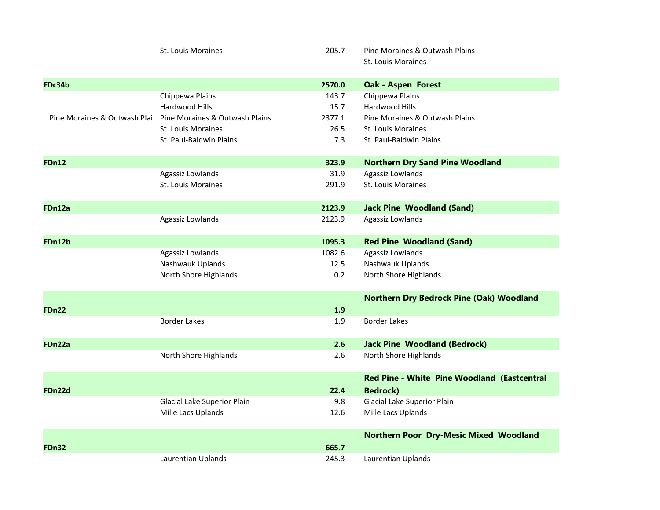|              | St. Louis Moraines                                          | 205.7  | Pine Moraines & Outwash Plains                  |
|--------------|-------------------------------------------------------------|--------|-------------------------------------------------|
|              |                                                             |        | St. Louis Moraines                              |
| FDc34b       |                                                             | 2570.0 | <b>Oak - Aspen Forest</b>                       |
|              | Chippewa Plains                                             | 143.7  | Chippewa Plains                                 |
|              | Hardwood Hills                                              | 15.7   | Hardwood Hills                                  |
|              | Pine Moraines & Outwash Plai Pine Moraines & Outwash Plains | 2377.1 | Pine Moraines & Outwash Plains                  |
|              | <b>St. Louis Moraines</b>                                   | 26.5   | St. Louis Moraines                              |
|              | St. Paul-Baldwin Plains                                     | 7.3    | St. Paul-Baldwin Plains                         |
| <b>FDn12</b> |                                                             | 323.9  | <b>Northern Dry Sand Pine Woodland</b>          |
|              | Agassiz Lowlands                                            | 31.9   | Agassiz Lowlands                                |
|              | <b>St. Louis Moraines</b>                                   | 291.9  | <b>St. Louis Moraines</b>                       |
| FDn12a       |                                                             | 2123.9 | <b>Jack Pine Woodland (Sand)</b>                |
|              | Agassiz Lowlands                                            | 2123.9 | Agassiz Lowlands                                |
| FDn12b       |                                                             | 1095.3 | <b>Red Pine Woodland (Sand)</b>                 |
|              | Agassiz Lowlands                                            | 1082.6 | Agassiz Lowlands                                |
|              | Nashwauk Uplands                                            | 12.5   | Nashwauk Uplands                                |
|              | North Shore Highlands                                       | 0.2    | North Shore Highlands                           |
|              |                                                             |        | <b>Northern Dry Bedrock Pine (Oak) Woodland</b> |
| <b>FDn22</b> |                                                             | 1.9    |                                                 |
|              | <b>Border Lakes</b>                                         | 1.9    | <b>Border Lakes</b>                             |
| FDn22a       |                                                             | 2.6    | <b>Jack Pine Woodland (Bedrock)</b>             |
|              | North Shore Highlands                                       | 2.6    | North Shore Highlands                           |
|              |                                                             |        | Red Pine - White Pine Woodland (Eastcentral     |
| FDn22d       |                                                             | 22.4   | <b>Bedrock)</b>                                 |
|              | Glacial Lake Superior Plain                                 | 9.8    | Glacial Lake Superior Plain                     |
|              | Mille Lacs Uplands                                          | 12.6   | Mille Lacs Uplands                              |
|              |                                                             |        | <b>Northern Poor Dry-Mesic Mixed Woodland</b>   |
| <b>FDn32</b> |                                                             | 665.7  |                                                 |
|              | Laurentian Uplands                                          | 245.3  | Laurentian Uplands                              |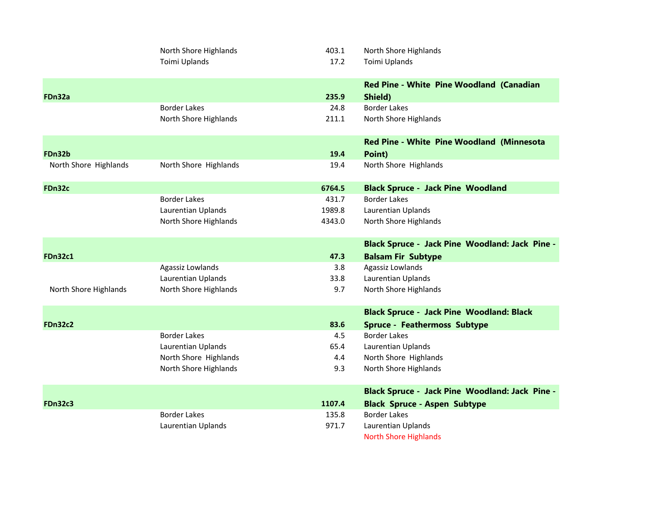|                       | North Shore Highlands | 403.1  | North Shore Highlands                                 |
|-----------------------|-----------------------|--------|-------------------------------------------------------|
|                       | Toimi Uplands         | 17.2   | Toimi Uplands                                         |
|                       |                       |        | <b>Red Pine - White Pine Woodland (Canadian</b>       |
| FDn32a                |                       | 235.9  | Shield)                                               |
|                       | <b>Border Lakes</b>   | 24.8   | <b>Border Lakes</b>                                   |
|                       | North Shore Highlands | 211.1  | North Shore Highlands                                 |
|                       |                       |        | <b>Red Pine - White Pine Woodland (Minnesota</b>      |
| FDn32b                |                       | 19.4   | Point)                                                |
| North Shore Highlands | North Shore Highlands | 19.4   | North Shore Highlands                                 |
| FDn32c                |                       | 6764.5 | <b>Black Spruce - Jack Pine Woodland</b>              |
|                       | <b>Border Lakes</b>   | 431.7  | <b>Border Lakes</b>                                   |
|                       | Laurentian Uplands    | 1989.8 | <b>Laurentian Uplands</b>                             |
|                       | North Shore Highlands | 4343.0 | North Shore Highlands                                 |
|                       |                       |        | <b>Black Spruce - Jack Pine Woodland: Jack Pine -</b> |
| <b>FDn32c1</b>        |                       | 47.3   | <b>Balsam Fir Subtype</b>                             |
|                       | Agassiz Lowlands      | 3.8    | Agassiz Lowlands                                      |
|                       | Laurentian Uplands    | 33.8   | Laurentian Uplands                                    |
| North Shore Highlands | North Shore Highlands | 9.7    | North Shore Highlands                                 |
|                       |                       |        | <b>Black Spruce - Jack Pine Woodland: Black</b>       |
| <b>FDn32c2</b>        |                       | 83.6   | <b>Spruce - Feathermoss Subtype</b>                   |
|                       | <b>Border Lakes</b>   | 4.5    | <b>Border Lakes</b>                                   |
|                       | Laurentian Uplands    | 65.4   | Laurentian Uplands                                    |
|                       | North Shore Highlands | 4.4    | North Shore Highlands                                 |
|                       | North Shore Highlands | 9.3    | North Shore Highlands                                 |
|                       |                       |        | <b>Black Spruce - Jack Pine Woodland: Jack Pine -</b> |
| <b>FDn32c3</b>        |                       | 1107.4 | <b>Black Spruce - Aspen Subtype</b>                   |
|                       | <b>Border Lakes</b>   | 135.8  | <b>Border Lakes</b>                                   |
|                       | Laurentian Uplands    | 971.7  | Laurentian Uplands                                    |
|                       |                       |        | <b>North Shore Highlands</b>                          |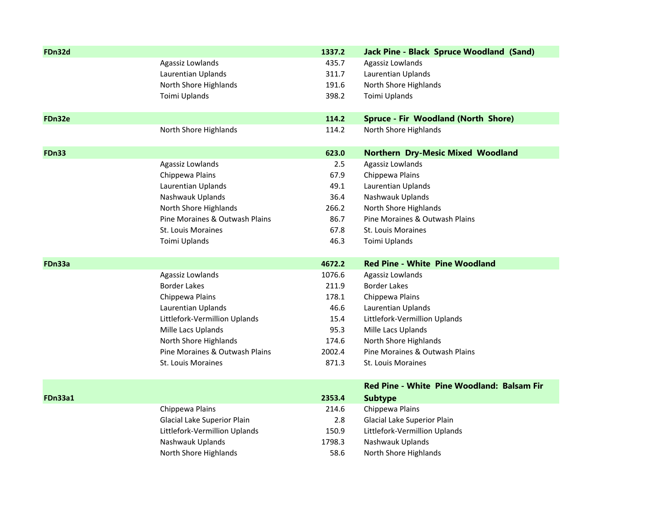| FDn32d         |                                           | 1337.2 | <b>Jack Pine - Black Spruce Woodland (Sand)</b> |
|----------------|-------------------------------------------|--------|-------------------------------------------------|
|                | Agassiz Lowlands                          | 435.7  | Agassiz Lowlands                                |
|                | Laurentian Uplands                        | 311.7  | Laurentian Uplands                              |
|                | North Shore Highlands                     | 191.6  | North Shore Highlands                           |
|                | Toimi Uplands                             | 398.2  | Toimi Uplands                                   |
| FDn32e         |                                           | 114.2  | Spruce - Fir Woodland (North Shore)             |
|                | North Shore Highlands                     | 114.2  | North Shore Highlands                           |
| <b>FDn33</b>   |                                           | 623.0  | <b>Northern Dry-Mesic Mixed Woodland</b>        |
|                | Agassiz Lowlands                          | 2.5    | Agassiz Lowlands                                |
|                | Chippewa Plains                           | 67.9   | Chippewa Plains                                 |
|                | Laurentian Uplands                        | 49.1   | Laurentian Uplands                              |
|                | Nashwauk Uplands                          | 36.4   | Nashwauk Uplands                                |
|                | North Shore Highlands                     | 266.2  | North Shore Highlands                           |
|                | Pine Moraines & Outwash Plains            | 86.7   | Pine Moraines & Outwash Plains                  |
|                | St. Louis Moraines                        | 67.8   | St. Louis Moraines                              |
|                | Toimi Uplands                             | 46.3   | Toimi Uplands                                   |
|                |                                           |        |                                                 |
| FDn33a         |                                           | 4672.2 | <b>Red Pine - White Pine Woodland</b>           |
|                |                                           | 1076.6 | Agassiz Lowlands                                |
|                | Agassiz Lowlands<br><b>Border Lakes</b>   | 211.9  | <b>Border Lakes</b>                             |
|                | Chippewa Plains                           | 178.1  | Chippewa Plains                                 |
|                | Laurentian Uplands                        | 46.6   | Laurentian Uplands                              |
|                | Littlefork-Vermillion Uplands             | 15.4   | Littlefork-Vermillion Uplands                   |
|                | Mille Lacs Uplands                        | 95.3   | Mille Lacs Uplands                              |
|                | North Shore Highlands                     | 174.6  | North Shore Highlands                           |
|                | Pine Moraines & Outwash Plains            | 2002.4 | Pine Moraines & Outwash Plains                  |
|                | St. Louis Moraines                        | 871.3  | St. Louis Moraines                              |
|                |                                           |        | Red Pine - White Pine Woodland: Balsam Fir      |
| <b>FDn33a1</b> |                                           | 2353.4 | <b>Subtype</b>                                  |
|                | Chippewa Plains                           | 214.6  | Chippewa Plains                                 |
|                | Glacial Lake Superior Plain               | 2.8    | Glacial Lake Superior Plain                     |
|                | Littlefork-Vermillion Uplands             | 150.9  | Littlefork-Vermillion Uplands                   |
|                | Nashwauk Uplands<br>North Shore Highlands | 1798.3 | Nashwauk Uplands<br>North Shore Highlands       |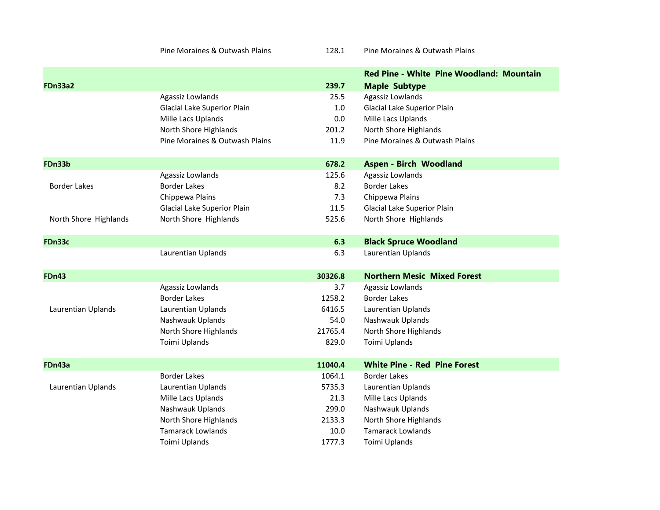Pine Moraines &

128.1 Pine Moraines & Outwash Plains

|                       |                                |         | <b>Red Pine - White Pine Woodland: Mountain</b> |
|-----------------------|--------------------------------|---------|-------------------------------------------------|
| <b>FDn33a2</b>        |                                | 239.7   | <b>Maple Subtype</b>                            |
|                       | Agassiz Lowlands               | 25.5    | Agassiz Lowlands                                |
|                       | Glacial Lake Superior Plain    | $1.0\,$ | Glacial Lake Superior Plain                     |
|                       | Mille Lacs Uplands             | 0.0     | Mille Lacs Uplands                              |
|                       | North Shore Highlands          | 201.2   | North Shore Highlands                           |
|                       | Pine Moraines & Outwash Plains | 11.9    | Pine Moraines & Outwash Plains                  |
| FDn33b                |                                | 678.2   | <b>Aspen - Birch Woodland</b>                   |
|                       | Agassiz Lowlands               | 125.6   | Agassiz Lowlands                                |
| <b>Border Lakes</b>   | <b>Border Lakes</b>            | 8.2     | <b>Border Lakes</b>                             |
|                       | Chippewa Plains                | 7.3     | Chippewa Plains                                 |
|                       | Glacial Lake Superior Plain    | 11.5    | Glacial Lake Superior Plain                     |
| North Shore Highlands | North Shore Highlands          | 525.6   | North Shore Highlands                           |
| FDn33c                |                                | 6.3     | <b>Black Spruce Woodland</b>                    |
|                       | Laurentian Uplands             | 6.3     | Laurentian Uplands                              |
| <b>FDn43</b>          |                                | 30326.8 | <b>Northern Mesic Mixed Forest</b>              |
|                       | Agassiz Lowlands               | 3.7     | Agassiz Lowlands                                |
|                       | Border Lakes                   | 1258.2  | <b>Border Lakes</b>                             |
| Laurentian Uplands    | Laurentian Uplands             | 6416.5  | Laurentian Uplands                              |
|                       | Nashwauk Uplands               | 54.0    | Nashwauk Uplands                                |
|                       | North Shore Highlands          | 21765.4 | North Shore Highlands                           |
|                       | Toimi Uplands                  | 829.0   | Toimi Uplands                                   |
| FDn43a                |                                | 11040.4 | <b>White Pine - Red Pine Forest</b>             |
|                       | <b>Border Lakes</b>            | 1064.1  | <b>Border Lakes</b>                             |
| Laurentian Uplands    | Laurentian Uplands             | 5735.3  | Laurentian Uplands                              |
|                       | Mille Lacs Uplands             | 21.3    | Mille Lacs Uplands                              |
|                       | Nashwauk Uplands               | 299.0   | Nashwauk Uplands                                |
|                       | North Shore Highlands          | 2133.3  | North Shore Highlands                           |
|                       | <b>Tamarack Lowlands</b>       | 10.0    | <b>Tamarack Lowlands</b>                        |
|                       | Toimi Uplands                  | 1777.3  | Toimi Uplands                                   |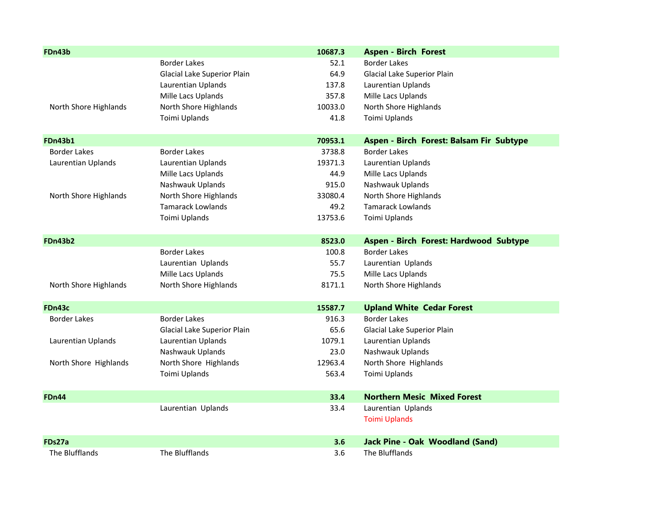| FDn43b                |                             | 10687.3 | <b>Aspen - Birch Forest</b>              |
|-----------------------|-----------------------------|---------|------------------------------------------|
|                       | <b>Border Lakes</b>         | 52.1    | <b>Border Lakes</b>                      |
|                       | Glacial Lake Superior Plain | 64.9    | Glacial Lake Superior Plain              |
|                       | Laurentian Uplands          | 137.8   | Laurentian Uplands                       |
|                       | Mille Lacs Uplands          | 357.8   | Mille Lacs Uplands                       |
| North Shore Highlands | North Shore Highlands       | 10033.0 | North Shore Highlands                    |
|                       | Toimi Uplands               | 41.8    | Toimi Uplands                            |
| <b>FDn43b1</b>        |                             | 70953.1 | Aspen - Birch Forest: Balsam Fir Subtype |
| <b>Border Lakes</b>   | <b>Border Lakes</b>         | 3738.8  | <b>Border Lakes</b>                      |
| Laurentian Uplands    | Laurentian Uplands          | 19371.3 | Laurentian Uplands                       |
|                       | Mille Lacs Uplands          | 44.9    | Mille Lacs Uplands                       |
|                       | Nashwauk Uplands            | 915.0   | Nashwauk Uplands                         |
| North Shore Highlands | North Shore Highlands       | 33080.4 | North Shore Highlands                    |
|                       | <b>Tamarack Lowlands</b>    | 49.2    | <b>Tamarack Lowlands</b>                 |
|                       | Toimi Uplands               | 13753.6 | Toimi Uplands                            |
|                       |                             |         |                                          |
| <b>FDn43b2</b>        |                             | 8523.0  | Aspen - Birch Forest: Hardwood Subtype   |
|                       | <b>Border Lakes</b>         | 100.8   | <b>Border Lakes</b>                      |
|                       | Laurentian Uplands          | 55.7    | Laurentian Uplands                       |
|                       | Mille Lacs Uplands          | 75.5    | Mille Lacs Uplands                       |
| North Shore Highlands | North Shore Highlands       | 8171.1  | North Shore Highlands                    |
|                       |                             |         |                                          |
| FDn43c                |                             | 15587.7 | <b>Upland White Cedar Forest</b>         |
| <b>Border Lakes</b>   | <b>Border Lakes</b>         | 916.3   | <b>Border Lakes</b>                      |
|                       | Glacial Lake Superior Plain | 65.6    | Glacial Lake Superior Plain              |
| Laurentian Uplands    | Laurentian Uplands          | 1079.1  | Laurentian Uplands                       |
|                       | Nashwauk Uplands            | 23.0    | Nashwauk Uplands                         |
| North Shore Highlands | North Shore Highlands       | 12963.4 | North Shore Highlands                    |
|                       | Toimi Uplands               | 563.4   | Toimi Uplands                            |
| <b>FDn44</b>          |                             | 33.4    | <b>Northern Mesic Mixed Forest</b>       |
|                       | Laurentian Uplands          | 33.4    | Laurentian Uplands                       |
|                       |                             |         | <b>Toimi Uplands</b>                     |
| FDs27a                |                             | 3.6     | <b>Jack Pine - Oak Woodland (Sand)</b>   |
| The Blufflands        | The Blufflands              | 3.6     | The Blufflands                           |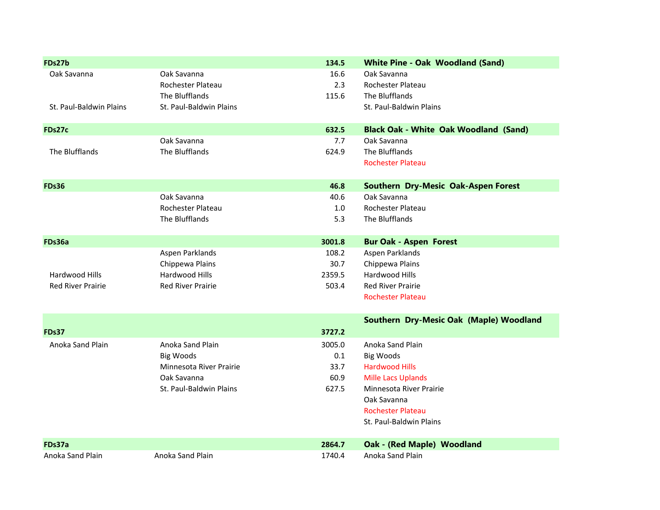| FDs27b                   |                          | 134.5  | <b>White Pine - Oak Woodland (Sand)</b>      |
|--------------------------|--------------------------|--------|----------------------------------------------|
| Oak Savanna              | Oak Savanna              | 16.6   | Oak Savanna                                  |
|                          | Rochester Plateau        | 2.3    | Rochester Plateau                            |
|                          | The Blufflands           | 115.6  | The Blufflands                               |
| St. Paul-Baldwin Plains  | St. Paul-Baldwin Plains  |        | St. Paul-Baldwin Plains                      |
|                          |                          |        |                                              |
| FDs27c                   |                          | 632.5  | <b>Black Oak - White Oak Woodland (Sand)</b> |
|                          | Oak Savanna              | 7.7    | Oak Savanna                                  |
| The Blufflands           | The Blufflands           | 624.9  | The Blufflands                               |
|                          |                          |        | <b>Rochester Plateau</b>                     |
|                          |                          |        |                                              |
| <b>FDs36</b>             |                          | 46.8   | Southern Dry-Mesic Oak-Aspen Forest          |
|                          | Oak Savanna              | 40.6   | Oak Savanna                                  |
|                          | Rochester Plateau        | 1.0    | Rochester Plateau                            |
|                          | The Blufflands           | 5.3    | The Blufflands                               |
|                          |                          |        |                                              |
| FDs36a                   |                          | 3001.8 | <b>Bur Oak - Aspen Forest</b>                |
|                          | Aspen Parklands          | 108.2  | Aspen Parklands                              |
|                          | Chippewa Plains          | 30.7   | Chippewa Plains                              |
| Hardwood Hills           | Hardwood Hills           | 2359.5 | Hardwood Hills                               |
| <b>Red River Prairie</b> | <b>Red River Prairie</b> | 503.4  | <b>Red River Prairie</b>                     |
|                          |                          |        | <b>Rochester Plateau</b>                     |
|                          |                          |        | Southern Dry-Mesic Oak (Maple) Woodland      |
| <b>FDs37</b>             |                          | 3727.2 |                                              |
| Anoka Sand Plain         | Anoka Sand Plain         | 3005.0 | Anoka Sand Plain                             |
|                          | <b>Big Woods</b>         | 0.1    | <b>Big Woods</b>                             |
|                          | Minnesota River Prairie  | 33.7   | <b>Hardwood Hills</b>                        |
|                          | Oak Savanna              | 60.9   | <b>Mille Lacs Uplands</b>                    |
|                          | St. Paul-Baldwin Plains  | 627.5  | Minnesota River Prairie                      |
|                          |                          |        | Oak Savanna                                  |
|                          |                          |        | <b>Rochester Plateau</b>                     |
|                          |                          |        | St. Paul-Baldwin Plains                      |
|                          |                          |        |                                              |
| FDs37a                   |                          | 2864.7 | Oak - (Red Maple) Woodland                   |
| Anoka Sand Plain         | Anoka Sand Plain         | 1740.4 | Anoka Sand Plain                             |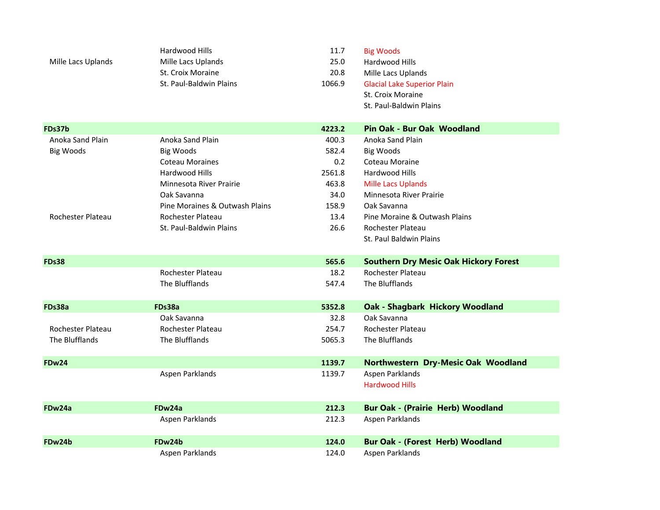|                    | Hardwood Hills                 | 11.7   | <b>Big Woods</b>                             |  |
|--------------------|--------------------------------|--------|----------------------------------------------|--|
| Mille Lacs Uplands | Mille Lacs Uplands             | 25.0   | Hardwood Hills                               |  |
|                    | St. Croix Moraine              | 20.8   | Mille Lacs Uplands                           |  |
|                    | St. Paul-Baldwin Plains        | 1066.9 | <b>Glacial Lake Superior Plain</b>           |  |
|                    |                                |        | St. Croix Moraine                            |  |
|                    |                                |        | St. Paul-Baldwin Plains                      |  |
|                    |                                |        |                                              |  |
| FDs37b             |                                | 4223.2 | Pin Oak - Bur Oak Woodland                   |  |
| Anoka Sand Plain   | Anoka Sand Plain               | 400.3  | Anoka Sand Plain                             |  |
| <b>Big Woods</b>   | <b>Big Woods</b>               | 582.4  | Big Woods                                    |  |
|                    | <b>Coteau Moraines</b>         | 0.2    | Coteau Moraine                               |  |
|                    | Hardwood Hills                 | 2561.8 | <b>Hardwood Hills</b>                        |  |
|                    | Minnesota River Prairie        | 463.8  | <b>Mille Lacs Uplands</b>                    |  |
|                    | Oak Savanna                    | 34.0   | Minnesota River Prairie                      |  |
|                    | Pine Moraines & Outwash Plains | 158.9  | Oak Savanna                                  |  |
| Rochester Plateau  | Rochester Plateau              | 13.4   | Pine Moraine & Outwash Plains                |  |
|                    | St. Paul-Baldwin Plains        | 26.6   | Rochester Plateau                            |  |
|                    |                                |        | St. Paul Baldwin Plains                      |  |
|                    |                                |        |                                              |  |
|                    |                                |        |                                              |  |
| <b>FDs38</b>       |                                | 565.6  | <b>Southern Dry Mesic Oak Hickory Forest</b> |  |
|                    | Rochester Plateau              | 18.2   | Rochester Plateau                            |  |
|                    | The Blufflands                 | 547.4  | The Blufflands                               |  |
|                    |                                |        |                                              |  |
| FDs38a             | FDs38a                         | 5352.8 | <b>Oak - Shagbark Hickory Woodland</b>       |  |
|                    | Oak Savanna                    | 32.8   | Oak Savanna                                  |  |
| Rochester Plateau  | Rochester Plateau              | 254.7  | Rochester Plateau                            |  |
| The Blufflands     | The Blufflands                 | 5065.3 | The Blufflands                               |  |
|                    |                                |        |                                              |  |
| <b>FDw24</b>       |                                | 1139.7 | Northwestern Dry-Mesic Oak Woodland          |  |
|                    | Aspen Parklands                | 1139.7 | Aspen Parklands                              |  |
|                    |                                |        | <b>Hardwood Hills</b>                        |  |
|                    |                                |        |                                              |  |
| FDw24a             | FDw24a                         | 212.3  | <b>Bur Oak - (Prairie Herb) Woodland</b>     |  |
|                    | Aspen Parklands                | 212.3  | Aspen Parklands                              |  |
|                    |                                |        |                                              |  |
| FDw24b             | FDw24b                         | 124.0  | <b>Bur Oak - (Forest Herb) Woodland</b>      |  |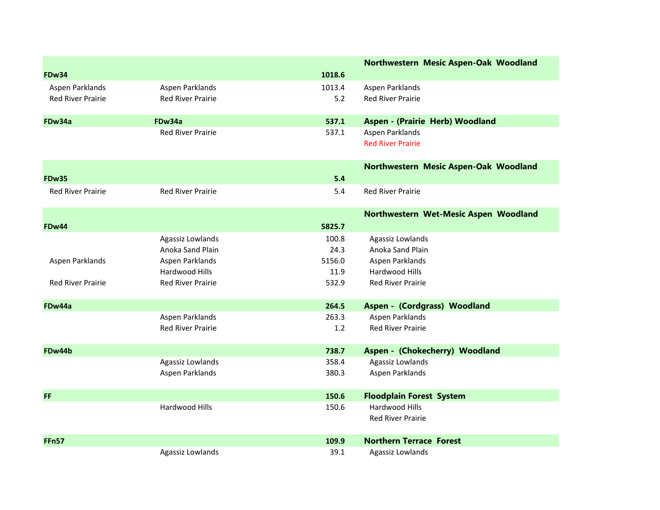|                          |                          |        | Northwestern Mesic Aspen-Oak Woodland |
|--------------------------|--------------------------|--------|---------------------------------------|
| <b>FDw34</b>             |                          | 1018.6 |                                       |
| Aspen Parklands          | Aspen Parklands          | 1013.4 | Aspen Parklands                       |
| <b>Red River Prairie</b> | <b>Red River Prairie</b> | 5.2    | <b>Red River Prairie</b>              |
|                          |                          |        |                                       |
| FDw34a                   | FDw34a                   | 537.1  | Aspen - (Prairie Herb) Woodland       |
|                          | <b>Red River Prairie</b> | 537.1  | Aspen Parklands                       |
|                          |                          |        | <b>Red River Prairie</b>              |
|                          |                          |        | Northwestern Mesic Aspen-Oak Woodland |
| <b>FDw35</b>             |                          | 5.4    |                                       |
| <b>Red River Prairie</b> | <b>Red River Prairie</b> | 5.4    | <b>Red River Prairie</b>              |
|                          |                          |        |                                       |
|                          |                          |        | Northwestern Wet-Mesic Aspen Woodland |
| FDw44                    |                          | 5825.7 |                                       |
|                          | Agassiz Lowlands         | 100.8  | Agassiz Lowlands                      |
|                          | Anoka Sand Plain         | 24.3   | Anoka Sand Plain                      |
| Aspen Parklands          | Aspen Parklands          | 5156.0 | Aspen Parklands                       |
|                          | Hardwood Hills           | 11.9   | Hardwood Hills                        |
| <b>Red River Prairie</b> | <b>Red River Prairie</b> | 532.9  | <b>Red River Prairie</b>              |
| FDw44a                   |                          | 264.5  | Aspen - (Cordgrass) Woodland          |
|                          | Aspen Parklands          | 263.3  | Aspen Parklands                       |
|                          | <b>Red River Prairie</b> | 1.2    | <b>Red River Prairie</b>              |
|                          |                          |        |                                       |
| FDw44b                   |                          | 738.7  | Aspen - (Chokecherry) Woodland        |
|                          | Agassiz Lowlands         | 358.4  | Agassiz Lowlands                      |
|                          | Aspen Parklands          | 380.3  | Aspen Parklands                       |
| <b>FF</b>                |                          | 150.6  | <b>Floodplain Forest System</b>       |
|                          | Hardwood Hills           | 150.6  | Hardwood Hills                        |
|                          |                          |        | <b>Red River Prairie</b>              |
|                          |                          |        |                                       |
| <b>FFn57</b>             |                          | 109.9  | <b>Northern Terrace Forest</b>        |
|                          | Agassiz Lowlands         | 39.1   | Agassiz Lowlands                      |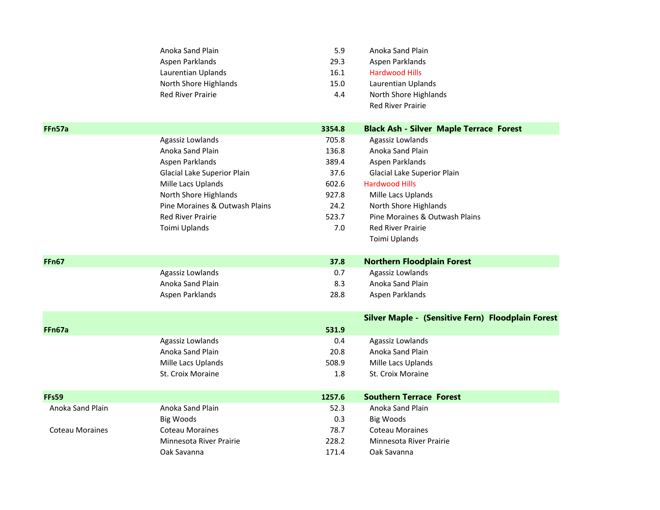| <b>Black Ash - Silver Maple Terrace Forest</b>    |
|---------------------------------------------------|
|                                                   |
|                                                   |
|                                                   |
|                                                   |
|                                                   |
|                                                   |
|                                                   |
|                                                   |
|                                                   |
|                                                   |
|                                                   |
|                                                   |
|                                                   |
|                                                   |
|                                                   |
|                                                   |
|                                                   |
| Silver Maple - (Sensitive Fern) Floodplain Forest |
|                                                   |
|                                                   |
|                                                   |
|                                                   |
|                                                   |
|                                                   |
|                                                   |
|                                                   |
|                                                   |
|                                                   |
|                                                   |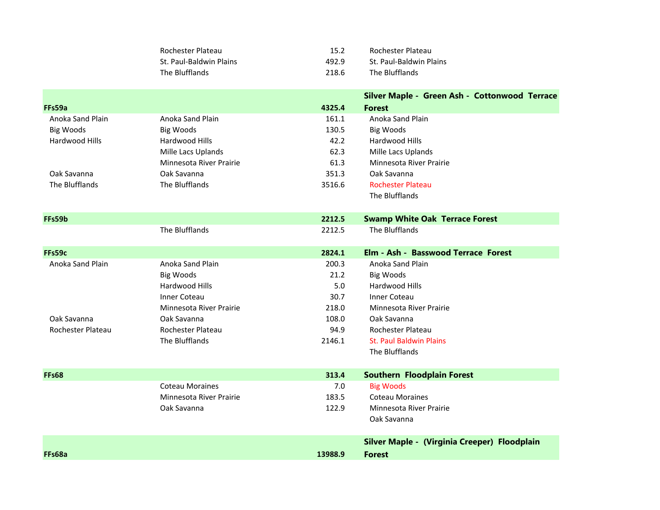| Rochester Plateau       | 15.2  | Rochester Plateau       |
|-------------------------|-------|-------------------------|
| St. Paul-Baldwin Plains | 492.9 | St. Paul-Baldwin Plains |
| The Blufflands          | 218.6 | The Blufflands          |

|                   |                         |         | Silver Maple - Green Ash - Cottonwood Terrace |
|-------------------|-------------------------|---------|-----------------------------------------------|
| FFs59a            |                         | 4325.4  | <b>Forest</b>                                 |
| Anoka Sand Plain  | Anoka Sand Plain        | 161.1   | Anoka Sand Plain                              |
| <b>Big Woods</b>  | <b>Big Woods</b>        | 130.5   | <b>Big Woods</b>                              |
| Hardwood Hills    | <b>Hardwood Hills</b>   | 42.2    | Hardwood Hills                                |
|                   | Mille Lacs Uplands      | 62.3    | Mille Lacs Uplands                            |
|                   | Minnesota River Prairie | 61.3    | Minnesota River Prairie                       |
| Oak Savanna       | Oak Savanna             | 351.3   | Oak Savanna                                   |
| The Blufflands    | The Blufflands          | 3516.6  | <b>Rochester Plateau</b>                      |
|                   |                         |         | The Blufflands                                |
| FFs59b            |                         | 2212.5  | <b>Swamp White Oak Terrace Forest</b>         |
|                   | The Blufflands          | 2212.5  | The Blufflands                                |
| FFs59c            |                         | 2824.1  | Elm - Ash - Basswood Terrace Forest           |
| Anoka Sand Plain  | Anoka Sand Plain        | 200.3   | Anoka Sand Plain                              |
|                   | <b>Big Woods</b>        | 21.2    | <b>Big Woods</b>                              |
|                   | Hardwood Hills          | 5.0     | Hardwood Hills                                |
|                   | <b>Inner Coteau</b>     | 30.7    | <b>Inner Coteau</b>                           |
|                   | Minnesota River Prairie | 218.0   | Minnesota River Prairie                       |
| Oak Savanna       | Oak Savanna             | 108.0   | Oak Savanna                                   |
| Rochester Plateau | Rochester Plateau       | 94.9    | Rochester Plateau                             |
|                   | The Blufflands          | 2146.1  | <b>St. Paul Baldwin Plains</b>                |
|                   |                         |         | The Blufflands                                |
| <b>FFs68</b>      |                         | 313.4   | <b>Southern Floodplain Forest</b>             |
|                   | <b>Coteau Moraines</b>  | 7.0     | <b>Big Woods</b>                              |
|                   | Minnesota River Prairie | 183.5   | <b>Coteau Moraines</b>                        |
|                   | Oak Savanna             | 122.9   | Minnesota River Prairie                       |
|                   |                         |         | Oak Savanna                                   |
|                   |                         |         | Silver Maple - (Virginia Creeper) Floodplain  |
| FFs68a            |                         | 13988.9 | <b>Forest</b>                                 |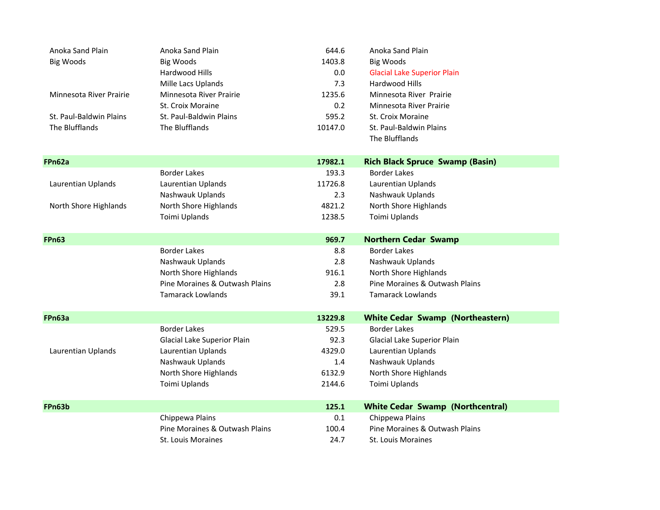| Anoka Sand Plain        | Anoka Sand Plain               | 644.6   | Anoka Sand Plain                        |
|-------------------------|--------------------------------|---------|-----------------------------------------|
| <b>Big Woods</b>        | Big Woods                      | 1403.8  | Big Woods                               |
|                         | Hardwood Hills                 | 0.0     | <b>Glacial Lake Superior Plain</b>      |
|                         | Mille Lacs Uplands             | 7.3     | Hardwood Hills                          |
| Minnesota River Prairie | Minnesota River Prairie        | 1235.6  | Minnesota River Prairie                 |
|                         | St. Croix Moraine              | 0.2     | Minnesota River Prairie                 |
| St. Paul-Baldwin Plains | St. Paul-Baldwin Plains        | 595.2   | St. Croix Moraine                       |
| The Blufflands          | The Blufflands                 | 10147.0 | St. Paul-Baldwin Plains                 |
|                         |                                |         | The Blufflands                          |
| FPn62a                  |                                | 17982.1 | <b>Rich Black Spruce Swamp (Basin)</b>  |
|                         | <b>Border Lakes</b>            | 193.3   | <b>Border Lakes</b>                     |
| Laurentian Uplands      | Laurentian Uplands             | 11726.8 | Laurentian Uplands                      |
|                         | Nashwauk Uplands               | 2.3     | Nashwauk Uplands                        |
| North Shore Highlands   | North Shore Highlands          | 4821.2  | North Shore Highlands                   |
|                         | Toimi Uplands                  | 1238.5  | Toimi Uplands                           |
| <b>FPn63</b>            |                                | 969.7   | <b>Northern Cedar Swamp</b>             |
|                         | <b>Border Lakes</b>            | 8.8     | <b>Border Lakes</b>                     |
|                         | Nashwauk Uplands               | 2.8     | Nashwauk Uplands                        |
|                         | North Shore Highlands          | 916.1   | North Shore Highlands                   |
|                         | Pine Moraines & Outwash Plains | 2.8     | Pine Moraines & Outwash Plains          |
|                         | <b>Tamarack Lowlands</b>       | 39.1    | <b>Tamarack Lowlands</b>                |
| FPn63a                  |                                | 13229.8 | <b>White Cedar Swamp (Northeastern)</b> |
|                         | <b>Border Lakes</b>            | 529.5   | <b>Border Lakes</b>                     |
|                         | Glacial Lake Superior Plain    | 92.3    | Glacial Lake Superior Plain             |
| Laurentian Uplands      | Laurentian Uplands             | 4329.0  | Laurentian Uplands                      |
|                         | Nashwauk Uplands               | 1.4     | Nashwauk Uplands                        |
|                         | North Shore Highlands          | 6132.9  | North Shore Highlands                   |
|                         | Toimi Uplands                  | 2144.6  | Toimi Uplands                           |
| FPn63b                  |                                | 125.1   | <b>White Cedar Swamp (Northcentral)</b> |
|                         | Chippewa Plains                | 0.1     | Chippewa Plains                         |
|                         | Pine Moraines & Outwash Plains | 100.4   | Pine Moraines & Outwash Plains          |
|                         |                                |         |                                         |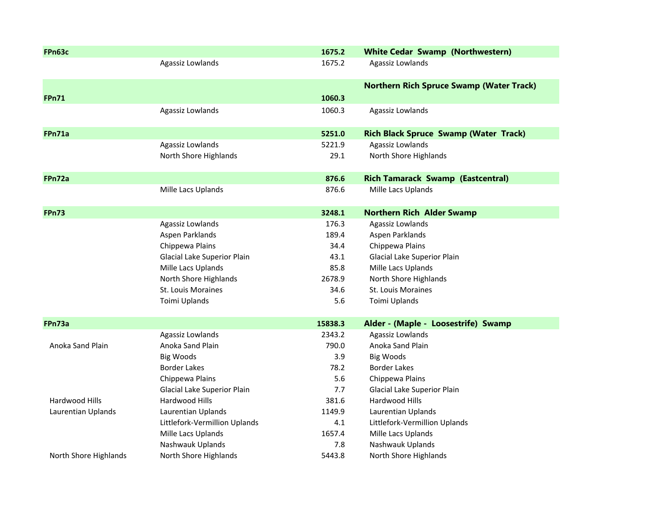| FPn63c                |                               | 1675.2  | <b>White Cedar Swamp (Northwestern)</b>         |
|-----------------------|-------------------------------|---------|-------------------------------------------------|
|                       | Agassiz Lowlands              | 1675.2  | Agassiz Lowlands                                |
|                       |                               |         | <b>Northern Rich Spruce Swamp (Water Track)</b> |
| <b>FPn71</b>          |                               | 1060.3  |                                                 |
|                       | Agassiz Lowlands              | 1060.3  | Agassiz Lowlands                                |
| FPn71a                |                               | 5251.0  | <b>Rich Black Spruce Swamp (Water Track)</b>    |
|                       | Agassiz Lowlands              | 5221.9  | Agassiz Lowlands                                |
|                       | North Shore Highlands         | 29.1    | North Shore Highlands                           |
| FPn72a                |                               | 876.6   | <b>Rich Tamarack Swamp (Eastcentral)</b>        |
|                       | Mille Lacs Uplands            | 876.6   | Mille Lacs Uplands                              |
| <b>FPn73</b>          |                               | 3248.1  | <b>Northern Rich Alder Swamp</b>                |
|                       | Agassiz Lowlands              | 176.3   | Agassiz Lowlands                                |
|                       | Aspen Parklands               | 189.4   | Aspen Parklands                                 |
|                       | Chippewa Plains               | 34.4    | Chippewa Plains                                 |
|                       | Glacial Lake Superior Plain   | 43.1    | Glacial Lake Superior Plain                     |
|                       | Mille Lacs Uplands            | 85.8    | Mille Lacs Uplands                              |
|                       | North Shore Highlands         | 2678.9  | North Shore Highlands                           |
|                       | <b>St. Louis Moraines</b>     | 34.6    | St. Louis Moraines                              |
|                       | Toimi Uplands                 | 5.6     | Toimi Uplands                                   |
| FPn73a                |                               | 15838.3 | Alder - (Maple - Loosestrife) Swamp             |
|                       | Agassiz Lowlands              | 2343.2  | Agassiz Lowlands                                |
| Anoka Sand Plain      | Anoka Sand Plain              | 790.0   | Anoka Sand Plain                                |
|                       | <b>Big Woods</b>              | 3.9     | <b>Big Woods</b>                                |
|                       | <b>Border Lakes</b>           | 78.2    | <b>Border Lakes</b>                             |
|                       | Chippewa Plains               | 5.6     | Chippewa Plains                                 |
|                       | Glacial Lake Superior Plain   | 7.7     | Glacial Lake Superior Plain                     |
| Hardwood Hills        | Hardwood Hills                | 381.6   | Hardwood Hills                                  |
| Laurentian Uplands    | Laurentian Uplands            | 1149.9  | Laurentian Uplands                              |
|                       | Littlefork-Vermillion Uplands | 4.1     | Littlefork-Vermillion Uplands                   |
|                       | Mille Lacs Uplands            | 1657.4  | Mille Lacs Uplands                              |
|                       | Nashwauk Uplands              | 7.8     | Nashwauk Uplands                                |
| North Shore Highlands | North Shore Highlands         | 5443.8  | North Shore Highlands                           |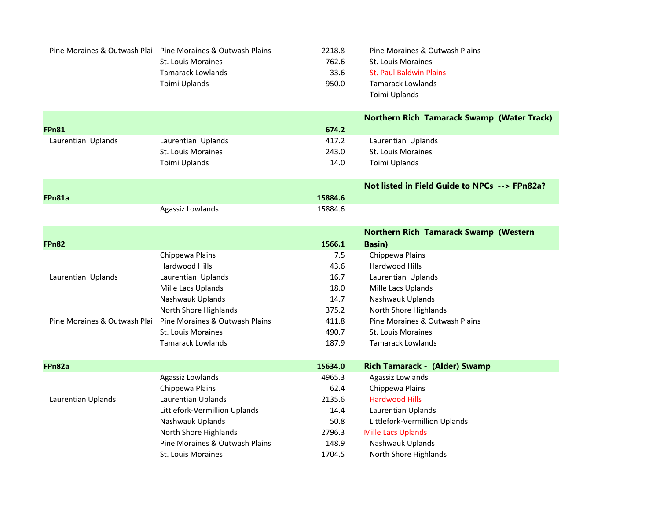|                              | Pine Moraines & Outwash Plai Pine Moraines & Outwash Plains | 2218.8  | Pine Moraines & Outwash Plains                    |
|------------------------------|-------------------------------------------------------------|---------|---------------------------------------------------|
|                              | St. Louis Moraines                                          | 762.6   | St. Louis Moraines                                |
|                              | <b>Tamarack Lowlands</b>                                    | 33.6    | <b>St. Paul Baldwin Plains</b>                    |
|                              | Toimi Uplands                                               | 950.0   | <b>Tamarack Lowlands</b>                          |
|                              |                                                             |         | Toimi Uplands                                     |
|                              |                                                             |         | <b>Northern Rich Tamarack Swamp (Water Track)</b> |
| <b>FPn81</b>                 |                                                             | 674.2   |                                                   |
| Laurentian Uplands           | Laurentian Uplands                                          | 417.2   | Laurentian Uplands                                |
|                              | <b>St. Louis Moraines</b>                                   | 243.0   | <b>St. Louis Moraines</b>                         |
|                              | Toimi Uplands                                               | 14.0    | Toimi Uplands                                     |
|                              |                                                             |         | Not listed in Field Guide to NPCs --> FPn82a?     |
| FPn81a                       |                                                             | 15884.6 |                                                   |
|                              | Agassiz Lowlands                                            | 15884.6 |                                                   |
|                              |                                                             |         | <b>Northern Rich Tamarack Swamp (Western</b>      |
| <b>FPn82</b>                 |                                                             | 1566.1  | <b>Basin</b> )                                    |
|                              | Chippewa Plains                                             | 7.5     | Chippewa Plains                                   |
|                              | Hardwood Hills                                              | 43.6    | Hardwood Hills                                    |
| Laurentian Uplands           | Laurentian Uplands                                          | 16.7    | Laurentian Uplands                                |
|                              | Mille Lacs Uplands                                          | 18.0    | Mille Lacs Uplands                                |
|                              | Nashwauk Uplands                                            | 14.7    | Nashwauk Uplands                                  |
|                              | North Shore Highlands                                       | 375.2   | North Shore Highlands                             |
| Pine Moraines & Outwash Plai | Pine Moraines & Outwash Plains                              | 411.8   | Pine Moraines & Outwash Plains                    |
|                              | St. Louis Moraines                                          | 490.7   | St. Louis Moraines                                |
|                              | <b>Tamarack Lowlands</b>                                    | 187.9   | <b>Tamarack Lowlands</b>                          |
| FPn82a                       |                                                             | 15634.0 | Rich Tamarack - (Alder) Swamp                     |
|                              | Agassiz Lowlands                                            | 4965.3  | Agassiz Lowlands                                  |
|                              | Chippewa Plains                                             | 62.4    | Chippewa Plains                                   |
| Laurentian Uplands           | Laurentian Uplands                                          | 2135.6  | <b>Hardwood Hills</b>                             |
|                              | Littlefork-Vermillion Uplands                               | 14.4    | Laurentian Uplands                                |
|                              | Nashwauk Uplands                                            | 50.8    | Littlefork-Vermillion Uplands                     |
|                              | North Shore Highlands                                       | 2796.3  | <b>Mille Lacs Uplands</b>                         |
|                              | Pine Moraines & Outwash Plains                              | 148.9   | Nashwauk Uplands                                  |
|                              | <b>St. Louis Moraines</b>                                   | 1704.5  | North Shore Highlands                             |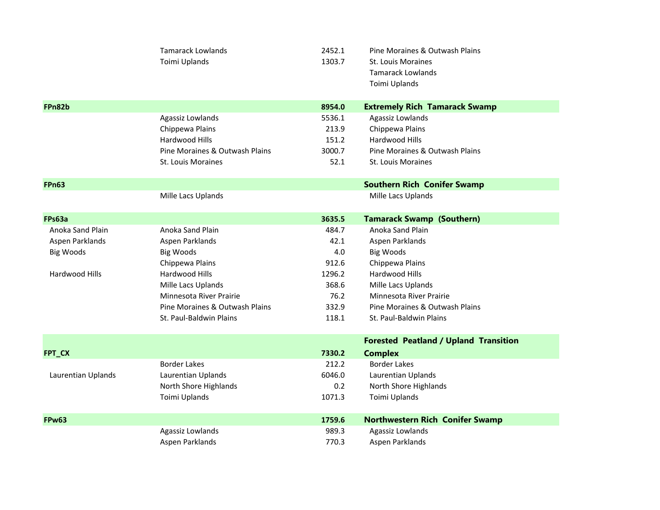|                    | <b>Tamarack Lowlands</b><br>Toimi Uplands | 2452.1<br>1303.7 | Pine Moraines & Outwash Plains<br>St. Louis Moraines<br><b>Tamarack Lowlands</b><br>Toimi Uplands |
|--------------------|-------------------------------------------|------------------|---------------------------------------------------------------------------------------------------|
| FPn82b             |                                           | 8954.0           | <b>Extremely Rich Tamarack Swamp</b>                                                              |
|                    | Agassiz Lowlands                          | 5536.1           | Agassiz Lowlands                                                                                  |
|                    | Chippewa Plains                           | 213.9            | Chippewa Plains                                                                                   |
|                    | Hardwood Hills                            | 151.2            | Hardwood Hills                                                                                    |
|                    | Pine Moraines & Outwash Plains            | 3000.7           | Pine Moraines & Outwash Plains                                                                    |
|                    | St. Louis Moraines                        | 52.1             | <b>St. Louis Moraines</b>                                                                         |
| <b>FPn63</b>       |                                           |                  | <b>Southern Rich Conifer Swamp</b>                                                                |
|                    | Mille Lacs Uplands                        |                  | Mille Lacs Uplands                                                                                |
| FPs63a             |                                           | 3635.5           | <b>Tamarack Swamp (Southern)</b>                                                                  |
| Anoka Sand Plain   | Anoka Sand Plain                          | 484.7            | Anoka Sand Plain                                                                                  |
| Aspen Parklands    | Aspen Parklands                           | 42.1             | Aspen Parklands                                                                                   |
| <b>Big Woods</b>   | <b>Big Woods</b>                          | 4.0              | <b>Big Woods</b>                                                                                  |
|                    | Chippewa Plains                           | 912.6            | Chippewa Plains                                                                                   |
| Hardwood Hills     | Hardwood Hills                            | 1296.2           | Hardwood Hills                                                                                    |
|                    | Mille Lacs Uplands                        | 368.6            | Mille Lacs Uplands                                                                                |
|                    | Minnesota River Prairie                   | 76.2             | Minnesota River Prairie                                                                           |
|                    | Pine Moraines & Outwash Plains            | 332.9            | Pine Moraines & Outwash Plains                                                                    |
|                    | St. Paul-Baldwin Plains                   | 118.1            | St. Paul-Baldwin Plains                                                                           |
|                    |                                           |                  | <b>Forested Peatland / Upland Transition</b>                                                      |
| FPT_CX             |                                           | 7330.2           | <b>Complex</b>                                                                                    |
|                    | <b>Border Lakes</b>                       | 212.2            | <b>Border Lakes</b>                                                                               |
| Laurentian Uplands | Laurentian Uplands                        | 6046.0           | Laurentian Uplands                                                                                |
|                    | North Shore Highlands                     | 0.2              | North Shore Highlands                                                                             |
|                    | Toimi Uplands                             | 1071.3           | Toimi Uplands                                                                                     |
| <b>FPw63</b>       |                                           | 1759.6           | <b>Northwestern Rich Conifer Swamp</b>                                                            |
|                    | Agassiz Lowlands                          | 989.3            | Agassiz Lowlands                                                                                  |
|                    | Aspen Parklands                           | 770.3            | Aspen Parklands                                                                                   |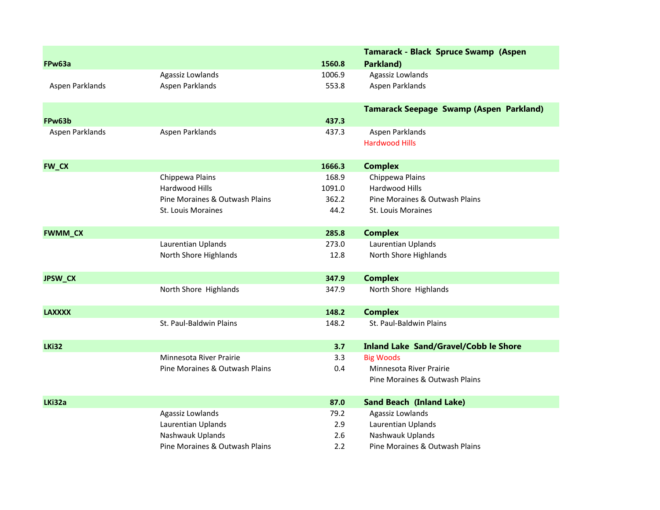|                 |                                |        | Tamarack - Black Spruce Swamp (Aspen           |
|-----------------|--------------------------------|--------|------------------------------------------------|
| FPw63a          |                                | 1560.8 | Parkland)                                      |
|                 | Agassiz Lowlands               | 1006.9 | Agassiz Lowlands                               |
| Aspen Parklands | Aspen Parklands                | 553.8  | Aspen Parklands                                |
|                 |                                |        | <b>Tamarack Seepage Swamp (Aspen Parkland)</b> |
| FPw63b          |                                | 437.3  |                                                |
| Aspen Parklands | Aspen Parklands                | 437.3  | Aspen Parklands                                |
|                 |                                |        | <b>Hardwood Hills</b>                          |
| <b>FW_CX</b>    |                                | 1666.3 | <b>Complex</b>                                 |
|                 | Chippewa Plains                | 168.9  | Chippewa Plains                                |
|                 | Hardwood Hills                 | 1091.0 | Hardwood Hills                                 |
|                 | Pine Moraines & Outwash Plains | 362.2  | Pine Moraines & Outwash Plains                 |
|                 | <b>St. Louis Moraines</b>      | 44.2   | <b>St. Louis Moraines</b>                      |
| <b>FWMM_CX</b>  |                                | 285.8  | <b>Complex</b>                                 |
|                 | Laurentian Uplands             | 273.0  | Laurentian Uplands                             |
|                 | North Shore Highlands          | 12.8   | North Shore Highlands                          |
| JPSW_CX         |                                | 347.9  | <b>Complex</b>                                 |
|                 | North Shore Highlands          | 347.9  | North Shore Highlands                          |
| <b>LAXXXX</b>   |                                | 148.2  | <b>Complex</b>                                 |
|                 | St. Paul-Baldwin Plains        | 148.2  | St. Paul-Baldwin Plains                        |
| <b>LKi32</b>    |                                | 3.7    | <b>Inland Lake Sand/Gravel/Cobb le Shore</b>   |
|                 | Minnesota River Prairie        | 3.3    | <b>Big Woods</b>                               |
|                 | Pine Moraines & Outwash Plains | 0.4    | Minnesota River Prairie                        |
|                 |                                |        | Pine Moraines & Outwash Plains                 |
| LKi32a          |                                | 87.0   | <b>Sand Beach (Inland Lake)</b>                |
|                 | Agassiz Lowlands               | 79.2   | Agassiz Lowlands                               |
|                 | Laurentian Uplands             | 2.9    | Laurentian Uplands                             |
|                 | Nashwauk Uplands               | 2.6    | Nashwauk Uplands                               |
|                 | Pine Moraines & Outwash Plains | 2.2    | Pine Moraines & Outwash Plains                 |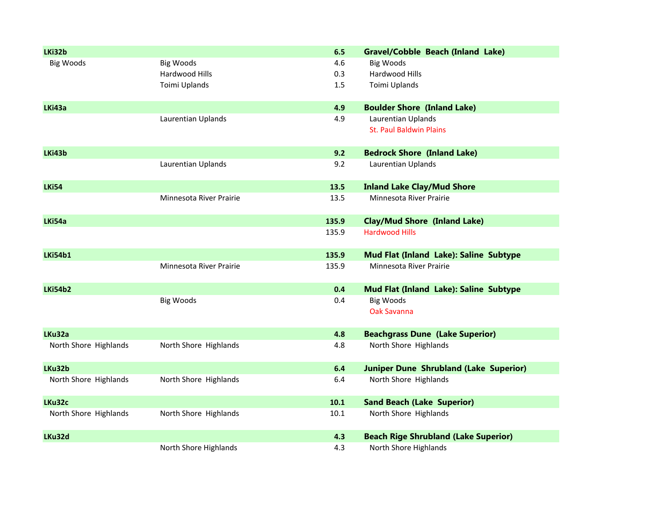| LKi32b                |                         | 6.5      | <b>Gravel/Cobble Beach (Inland Lake)</b>      |
|-----------------------|-------------------------|----------|-----------------------------------------------|
| <b>Big Woods</b>      | <b>Big Woods</b>        | 4.6      | <b>Big Woods</b>                              |
|                       | Hardwood Hills          | 0.3      | Hardwood Hills                                |
|                       | Toimi Uplands           | 1.5      | Toimi Uplands                                 |
| LKi43a                |                         | 4.9      | <b>Boulder Shore (Inland Lake)</b>            |
|                       | Laurentian Uplands      | 4.9      | Laurentian Uplands                            |
|                       |                         |          | <b>St. Paul Baldwin Plains</b>                |
| LKi43b                |                         | 9.2      | <b>Bedrock Shore (Inland Lake)</b>            |
|                       | Laurentian Uplands      | 9.2      | Laurentian Uplands                            |
| <b>LKi54</b>          |                         | 13.5     | <b>Inland Lake Clay/Mud Shore</b>             |
|                       | Minnesota River Prairie | 13.5     | Minnesota River Prairie                       |
| LKi54a                |                         | 135.9    | <b>Clay/Mud Shore (Inland Lake)</b>           |
|                       |                         | 135.9    | <b>Hardwood Hills</b>                         |
| <b>LKi54b1</b>        |                         | 135.9    | Mud Flat (Inland Lake): Saline Subtype        |
|                       | Minnesota River Prairie | 135.9    | Minnesota River Prairie                       |
| <b>LKi54b2</b>        |                         | 0.4      | Mud Flat (Inland Lake): Saline Subtype        |
|                       | <b>Big Woods</b>        | 0.4      | <b>Big Woods</b>                              |
|                       |                         |          | <b>Oak Savanna</b>                            |
| LKu32a                |                         | 4.8      | <b>Beachgrass Dune (Lake Superior)</b>        |
| North Shore Highlands | North Shore Highlands   | 4.8      | North Shore Highlands                         |
| LKu32b                |                         | 6.4      | <b>Juniper Dune Shrubland (Lake Superior)</b> |
| North Shore Highlands | North Shore Highlands   | 6.4      | North Shore Highlands                         |
| LKu32c                |                         | 10.1     | <b>Sand Beach (Lake Superior)</b>             |
| North Shore Highlands | North Shore Highlands   | $10.1\,$ | North Shore Highlands                         |
| LKu32d                |                         | 4.3      | <b>Beach Rige Shrubland (Lake Superior)</b>   |
|                       | North Shore Highlands   | 4.3      | North Shore Highlands                         |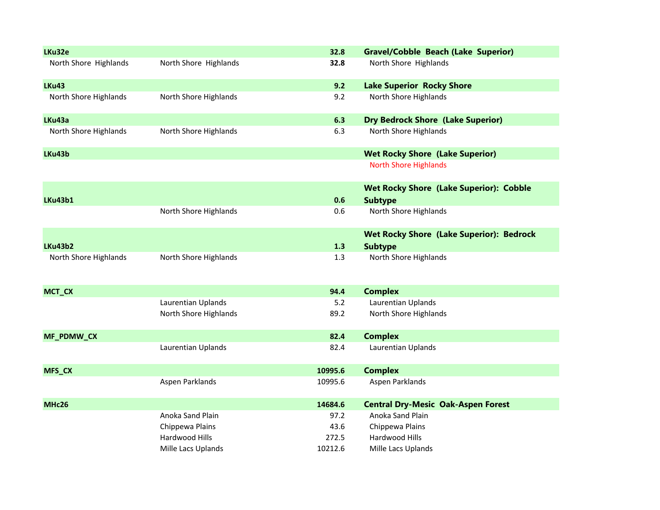| LKu32e                |                       | 32.8    | <b>Gravel/Cobble Beach (Lake Superior)</b>      |
|-----------------------|-----------------------|---------|-------------------------------------------------|
| North Shore Highlands | North Shore Highlands | 32.8    | North Shore Highlands                           |
| <b>LKu43</b>          |                       | 9.2     | <b>Lake Superior Rocky Shore</b>                |
| North Shore Highlands | North Shore Highlands | 9.2     | North Shore Highlands                           |
| LKu43a                |                       | 6.3     | <b>Dry Bedrock Shore (Lake Superior)</b>        |
| North Shore Highlands | North Shore Highlands | 6.3     | North Shore Highlands                           |
| LKu43b                |                       |         | <b>Wet Rocky Shore (Lake Superior)</b>          |
|                       |                       |         | <b>North Shore Highlands</b>                    |
|                       |                       |         | <b>Wet Rocky Shore (Lake Superior): Cobble</b>  |
| <b>LKu43b1</b>        |                       | 0.6     | <b>Subtype</b>                                  |
|                       | North Shore Highlands | 0.6     | North Shore Highlands                           |
|                       |                       |         | <b>Wet Rocky Shore (Lake Superior): Bedrock</b> |
| <b>LKu43b2</b>        |                       | 1.3     | <b>Subtype</b>                                  |
| North Shore Highlands | North Shore Highlands | 1.3     | North Shore Highlands                           |
| MCT_CX                |                       | 94.4    | <b>Complex</b>                                  |
|                       | Laurentian Uplands    | 5.2     | Laurentian Uplands                              |
|                       | North Shore Highlands | 89.2    | North Shore Highlands                           |
| MF_PDMW_CX            |                       | 82.4    | <b>Complex</b>                                  |
|                       | Laurentian Uplands    | 82.4    | Laurentian Uplands                              |
| MFS_CX                |                       | 10995.6 | <b>Complex</b>                                  |
|                       | Aspen Parklands       | 10995.6 | Aspen Parklands                                 |
| MHc26                 |                       | 14684.6 | <b>Central Dry-Mesic Oak-Aspen Forest</b>       |
|                       | Anoka Sand Plain      | 97.2    | Anoka Sand Plain                                |
|                       | Chippewa Plains       | 43.6    | Chippewa Plains                                 |
|                       | Hardwood Hills        | 272.5   | Hardwood Hills                                  |
|                       | Mille Lacs Uplands    | 10212.6 | Mille Lacs Uplands                              |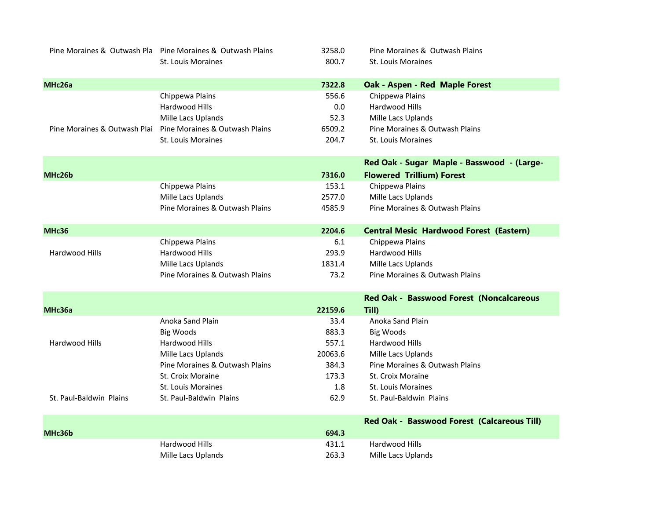|                              | Pine Moraines & Outwash Pla Pine Moraines & Outwash Plains | 3258.0  | Pine Moraines & Outwash Plains                 |
|------------------------------|------------------------------------------------------------|---------|------------------------------------------------|
|                              | <b>St. Louis Moraines</b>                                  | 800.7   | St. Louis Moraines                             |
|                              |                                                            |         |                                                |
| MHc26a                       |                                                            | 7322.8  | Oak - Aspen - Red Maple Forest                 |
|                              | Chippewa Plains                                            | 556.6   | Chippewa Plains                                |
|                              | Hardwood Hills                                             | 0.0     | Hardwood Hills                                 |
|                              | Mille Lacs Uplands                                         | 52.3    | Mille Lacs Uplands                             |
| Pine Moraines & Outwash Plai | Pine Moraines & Outwash Plains                             | 6509.2  | Pine Moraines & Outwash Plains                 |
|                              | St. Louis Moraines                                         | 204.7   | St. Louis Moraines                             |
|                              |                                                            |         | Red Oak - Sugar Maple - Basswood - (Large-     |
| MHc26b                       |                                                            | 7316.0  | <b>Flowered Trillium) Forest</b>               |
|                              | Chippewa Plains                                            | 153.1   | Chippewa Plains                                |
|                              | Mille Lacs Uplands                                         | 2577.0  | Mille Lacs Uplands                             |
|                              | Pine Moraines & Outwash Plains                             | 4585.9  | Pine Moraines & Outwash Plains                 |
|                              |                                                            |         |                                                |
| <b>MHc36</b>                 |                                                            | 2204.6  | <b>Central Mesic Hardwood Forest (Eastern)</b> |
|                              | Chippewa Plains                                            | 6.1     | Chippewa Plains                                |
| Hardwood Hills               | Hardwood Hills                                             | 293.9   | Hardwood Hills                                 |
|                              | Mille Lacs Uplands                                         | 1831.4  | Mille Lacs Uplands                             |
|                              | Pine Moraines & Outwash Plains                             | 73.2    | Pine Moraines & Outwash Plains                 |
|                              |                                                            |         | Red Oak - Basswood Forest (Noncalcareous       |
| MHc36a                       |                                                            | 22159.6 | Till)                                          |
|                              | Anoka Sand Plain                                           | 33.4    | Anoka Sand Plain                               |
|                              | <b>Big Woods</b>                                           | 883.3   | <b>Big Woods</b>                               |
| <b>Hardwood Hills</b>        | <b>Hardwood Hills</b>                                      | 557.1   | Hardwood Hills                                 |
|                              | Mille Lacs Uplands                                         | 20063.6 | Mille Lacs Uplands                             |
|                              | Pine Moraines & Outwash Plains                             | 384.3   | Pine Moraines & Outwash Plains                 |
|                              | St. Croix Moraine                                          | 173.3   | St. Croix Moraine                              |
|                              | <b>St. Louis Moraines</b>                                  | 1.8     | <b>St. Louis Moraines</b>                      |
| St. Paul-Baldwin Plains      | St. Paul-Baldwin Plains                                    | 62.9    | St. Paul-Baldwin Plains                        |
|                              |                                                            |         | Red Oak - Basswood Forest (Calcareous Till)    |
| MHc36b                       |                                                            | 694.3   |                                                |
|                              | Hardwood Hills                                             | 431.1   | Hardwood Hills                                 |
|                              | Mille Lacs Uplands                                         | 263.3   | Mille Lacs Uplands                             |
|                              |                                                            |         |                                                |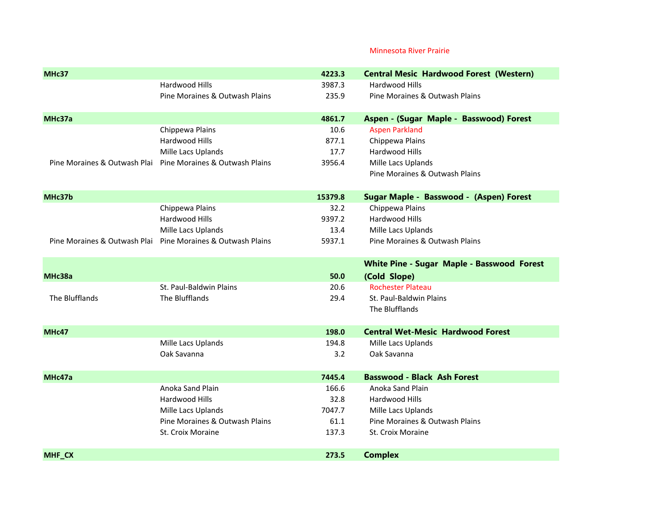## Minnesota River Prairie

| MHc37          |                                                             | 4223.3  | <b>Central Mesic Hardwood Forest (Western)</b>    |
|----------------|-------------------------------------------------------------|---------|---------------------------------------------------|
|                | Hardwood Hills                                              | 3987.3  | Hardwood Hills                                    |
|                | Pine Moraines & Outwash Plains                              | 235.9   | Pine Moraines & Outwash Plains                    |
|                |                                                             |         |                                                   |
| MHc37a         |                                                             | 4861.7  | Aspen - (Sugar Maple - Basswood) Forest           |
|                | Chippewa Plains                                             | 10.6    | <b>Aspen Parkland</b>                             |
|                | Hardwood Hills                                              | 877.1   | Chippewa Plains                                   |
|                | Mille Lacs Uplands                                          | 17.7    | Hardwood Hills                                    |
|                | Pine Moraines & Outwash Plai Pine Moraines & Outwash Plains | 3956.4  | Mille Lacs Uplands                                |
|                |                                                             |         | Pine Moraines & Outwash Plains                    |
| MHc37b         |                                                             | 15379.8 | Sugar Maple - Basswood - (Aspen) Forest           |
|                | Chippewa Plains                                             | 32.2    | Chippewa Plains                                   |
|                | Hardwood Hills                                              | 9397.2  | Hardwood Hills                                    |
|                | Mille Lacs Uplands                                          | 13.4    | Mille Lacs Uplands                                |
|                | Pine Moraines & Outwash Plai Pine Moraines & Outwash Plains | 5937.1  | Pine Moraines & Outwash Plains                    |
|                |                                                             |         |                                                   |
|                |                                                             |         | <b>White Pine - Sugar Maple - Basswood Forest</b> |
| MHc38a         |                                                             | 50.0    | (Cold Slope)                                      |
|                | St. Paul-Baldwin Plains                                     | 20.6    | <b>Rochester Plateau</b>                          |
| The Blufflands | The Blufflands                                              | 29.4    | St. Paul-Baldwin Plains                           |
|                |                                                             |         | The Blufflands                                    |
| MHc47          |                                                             | 198.0   | <b>Central Wet-Mesic Hardwood Forest</b>          |
|                | Mille Lacs Uplands                                          | 194.8   | Mille Lacs Uplands                                |
|                | Oak Savanna                                                 | 3.2     | Oak Savanna                                       |
|                |                                                             |         |                                                   |
| MHc47a         |                                                             | 7445.4  | <b>Basswood - Black Ash Forest</b>                |
|                | Anoka Sand Plain                                            | 166.6   | Anoka Sand Plain                                  |
|                | Hardwood Hills                                              | 32.8    | Hardwood Hills                                    |
|                | Mille Lacs Uplands                                          | 7047.7  | Mille Lacs Uplands                                |
|                | Pine Moraines & Outwash Plains                              | 61.1    | Pine Moraines & Outwash Plains                    |
|                | St. Croix Moraine                                           | 137.3   | St. Croix Moraine                                 |
| <b>MHF CX</b>  |                                                             | 273.5   | <b>Complex</b>                                    |
|                |                                                             |         |                                                   |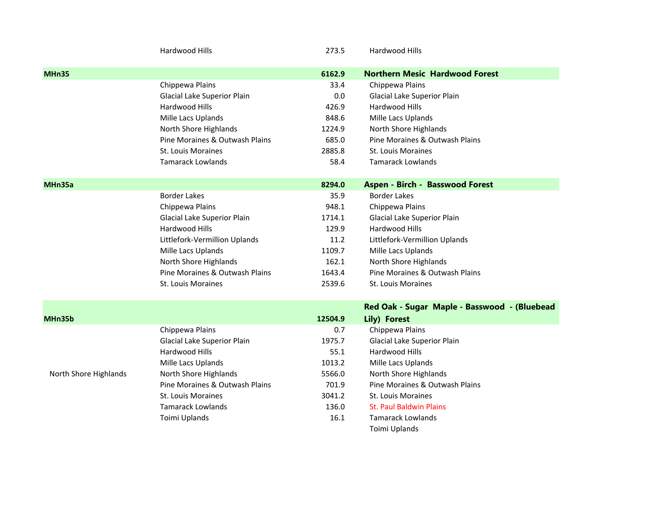|                       | Hardwood Hills                 | 273.5   | Hardwood Hills                               |
|-----------------------|--------------------------------|---------|----------------------------------------------|
| MHn35                 |                                | 6162.9  | <b>Northern Mesic Hardwood Forest</b>        |
|                       | Chippewa Plains                | 33.4    | Chippewa Plains                              |
|                       | Glacial Lake Superior Plain    | 0.0     | Glacial Lake Superior Plain                  |
|                       | Hardwood Hills                 | 426.9   | Hardwood Hills                               |
|                       | Mille Lacs Uplands             | 848.6   | Mille Lacs Uplands                           |
|                       | North Shore Highlands          | 1224.9  | North Shore Highlands                        |
|                       | Pine Moraines & Outwash Plains | 685.0   | Pine Moraines & Outwash Plains               |
|                       | St. Louis Moraines             | 2885.8  | St. Louis Moraines                           |
|                       | <b>Tamarack Lowlands</b>       | 58.4    | <b>Tamarack Lowlands</b>                     |
| MHn35a                |                                | 8294.0  | <b>Aspen - Birch - Basswood Forest</b>       |
|                       | <b>Border Lakes</b>            | 35.9    | <b>Border Lakes</b>                          |
|                       | Chippewa Plains                | 948.1   | Chippewa Plains                              |
|                       | Glacial Lake Superior Plain    | 1714.1  | Glacial Lake Superior Plain                  |
|                       | Hardwood Hills                 | 129.9   | Hardwood Hills                               |
|                       | Littlefork-Vermillion Uplands  | 11.2    | Littlefork-Vermillion Uplands                |
|                       | Mille Lacs Uplands             | 1109.7  | Mille Lacs Uplands                           |
|                       | North Shore Highlands          | 162.1   | North Shore Highlands                        |
|                       | Pine Moraines & Outwash Plains | 1643.4  | Pine Moraines & Outwash Plains               |
|                       | St. Louis Moraines             | 2539.6  | St. Louis Moraines                           |
|                       |                                |         | Red Oak - Sugar Maple - Basswood - (Bluebead |
| MHn35b                |                                | 12504.9 | Lily) Forest                                 |
|                       | Chippewa Plains                | 0.7     | Chippewa Plains                              |
|                       | Glacial Lake Superior Plain    | 1975.7  | Glacial Lake Superior Plain                  |
|                       | Hardwood Hills                 | 55.1    | Hardwood Hills                               |
|                       | Mille Lacs Uplands             | 1013.2  | Mille Lacs Uplands                           |
| North Shore Highlands | North Shore Highlands          | 5566.0  | North Shore Highlands                        |
|                       | Pine Moraines & Outwash Plains | 701.9   | Pine Moraines & Outwash Plains               |
|                       | St. Louis Moraines             | 3041.2  | St. Louis Moraines                           |
|                       | <b>Tamarack Lowlands</b>       | 136.0   | <b>St. Paul Baldwin Plains</b>               |
|                       | Toimi Uplands                  | 16.1    | <b>Tamarack Lowlands</b>                     |
|                       |                                |         | Toimi Uplands                                |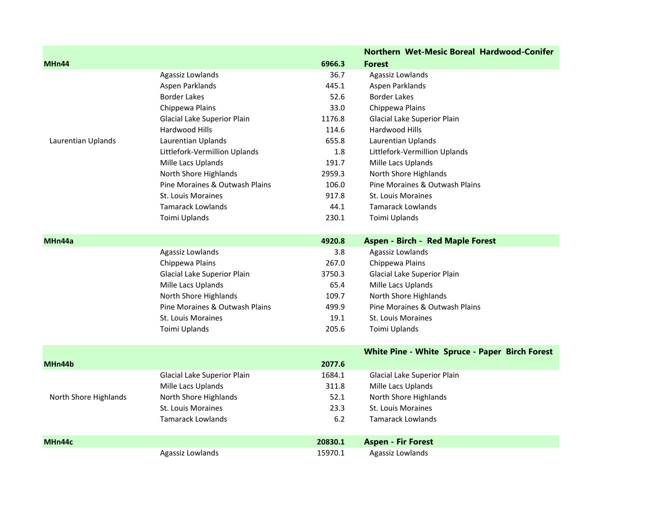|                       |                                |         | <b>Northern Wet-Mesic Boreal Hardwood-Conifer</b> |
|-----------------------|--------------------------------|---------|---------------------------------------------------|
| MHn44                 |                                | 6966.3  | <b>Forest</b>                                     |
|                       | Agassiz Lowlands               | 36.7    | Agassiz Lowlands                                  |
|                       | Aspen Parklands                | 445.1   | Aspen Parklands                                   |
|                       | <b>Border Lakes</b>            | 52.6    | <b>Border Lakes</b>                               |
|                       | Chippewa Plains                | 33.0    | Chippewa Plains                                   |
|                       | Glacial Lake Superior Plain    | 1176.8  | Glacial Lake Superior Plain                       |
|                       | Hardwood Hills                 | 114.6   | Hardwood Hills                                    |
| Laurentian Uplands    | Laurentian Uplands             | 655.8   | Laurentian Uplands                                |
|                       | Littlefork-Vermillion Uplands  | 1.8     | Littlefork-Vermillion Uplands                     |
|                       | Mille Lacs Uplands             | 191.7   | Mille Lacs Uplands                                |
|                       | North Shore Highlands          | 2959.3  | North Shore Highlands                             |
|                       | Pine Moraines & Outwash Plains | 106.0   | Pine Moraines & Outwash Plains                    |
|                       | St. Louis Moraines             | 917.8   | <b>St. Louis Moraines</b>                         |
|                       | <b>Tamarack Lowlands</b>       | 44.1    | <b>Tamarack Lowlands</b>                          |
|                       | Toimi Uplands                  | 230.1   | Toimi Uplands                                     |
| MHn44a                |                                | 4920.8  | <b>Aspen - Birch - Red Maple Forest</b>           |
|                       | Agassiz Lowlands               | 3.8     | Agassiz Lowlands                                  |
|                       | Chippewa Plains                | 267.0   | Chippewa Plains                                   |
|                       | Glacial Lake Superior Plain    | 3750.3  | Glacial Lake Superior Plain                       |
|                       | Mille Lacs Uplands             | 65.4    | Mille Lacs Uplands                                |
|                       | North Shore Highlands          | 109.7   | North Shore Highlands                             |
|                       | Pine Moraines & Outwash Plains | 499.9   | Pine Moraines & Outwash Plains                    |
|                       | St. Louis Moraines             | 19.1    | St. Louis Moraines                                |
|                       | Toimi Uplands                  | 205.6   | Toimi Uplands                                     |
|                       |                                |         | White Pine - White Spruce - Paper Birch Forest    |
| MHn44b                |                                | 2077.6  |                                                   |
|                       | Glacial Lake Superior Plain    | 1684.1  | Glacial Lake Superior Plain                       |
|                       | Mille Lacs Uplands             | 311.8   | Mille Lacs Uplands                                |
| North Shore Highlands | North Shore Highlands          | 52.1    | North Shore Highlands                             |
|                       | St. Louis Moraines             | 23.3    | <b>St. Louis Moraines</b>                         |
|                       | <b>Tamarack Lowlands</b>       | $6.2$   | <b>Tamarack Lowlands</b>                          |
| MHn44c                |                                | 20830.1 | <b>Aspen - Fir Forest</b>                         |
|                       | Agassiz Lowlands               | 15970.1 | Agassiz Lowlands                                  |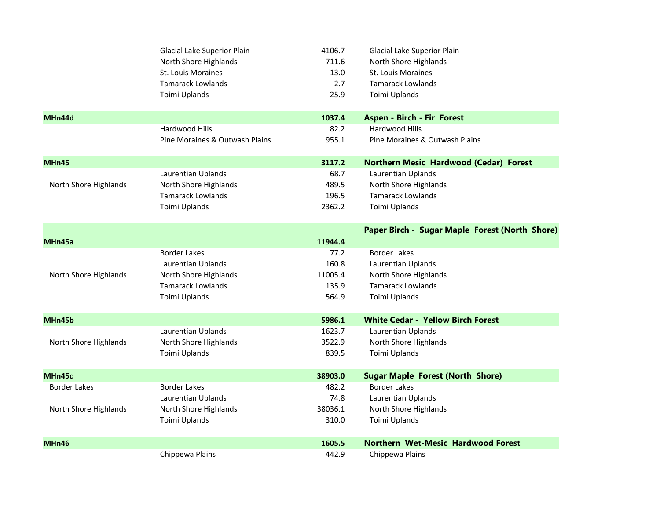|                       | Glacial Lake Superior Plain    | 4106.7  | Glacial Lake Superior Plain                    |
|-----------------------|--------------------------------|---------|------------------------------------------------|
|                       | North Shore Highlands          | 711.6   | North Shore Highlands                          |
|                       | St. Louis Moraines             | 13.0    | <b>St. Louis Moraines</b>                      |
|                       | <b>Tamarack Lowlands</b>       | 2.7     | <b>Tamarack Lowlands</b>                       |
|                       | Toimi Uplands                  | 25.9    | Toimi Uplands                                  |
| MHn44d                |                                | 1037.4  | Aspen - Birch - Fir Forest                     |
|                       | Hardwood Hills                 | 82.2    | Hardwood Hills                                 |
|                       | Pine Moraines & Outwash Plains | 955.1   | Pine Moraines & Outwash Plains                 |
| MHn45                 |                                | 3117.2  | <b>Northern Mesic Hardwood (Cedar) Forest</b>  |
|                       | Laurentian Uplands             | 68.7    | Laurentian Uplands                             |
| North Shore Highlands | North Shore Highlands          | 489.5   | North Shore Highlands                          |
|                       | <b>Tamarack Lowlands</b>       | 196.5   | <b>Tamarack Lowlands</b>                       |
|                       | Toimi Uplands                  | 2362.2  | Toimi Uplands                                  |
|                       |                                |         | Paper Birch - Sugar Maple Forest (North Shore) |
| MHn45a                |                                | 11944.4 |                                                |
|                       | <b>Border Lakes</b>            | 77.2    | <b>Border Lakes</b>                            |
|                       | Laurentian Uplands             | 160.8   | Laurentian Uplands                             |
| North Shore Highlands | North Shore Highlands          | 11005.4 | North Shore Highlands                          |
|                       | <b>Tamarack Lowlands</b>       | 135.9   | <b>Tamarack Lowlands</b>                       |
|                       | Toimi Uplands                  | 564.9   | Toimi Uplands                                  |
| MHn45b                |                                | 5986.1  | <b>White Cedar - Yellow Birch Forest</b>       |
|                       | Laurentian Uplands             | 1623.7  | Laurentian Uplands                             |
| North Shore Highlands | North Shore Highlands          | 3522.9  | North Shore Highlands                          |
|                       | Toimi Uplands                  | 839.5   | Toimi Uplands                                  |
| MHn45c                |                                | 38903.0 | <b>Sugar Maple Forest (North Shore)</b>        |
| <b>Border Lakes</b>   | <b>Border Lakes</b>            | 482.2   | <b>Border Lakes</b>                            |
|                       | Laurentian Uplands             | 74.8    | Laurentian Uplands                             |
| North Shore Highlands | North Shore Highlands          | 38036.1 | North Shore Highlands                          |
|                       | Toimi Uplands                  | 310.0   | Toimi Uplands                                  |
| MHn46                 |                                | 1605.5  | <b>Northern Wet-Mesic Hardwood Forest</b>      |
|                       | Chippewa Plains                | 442.9   | Chippewa Plains                                |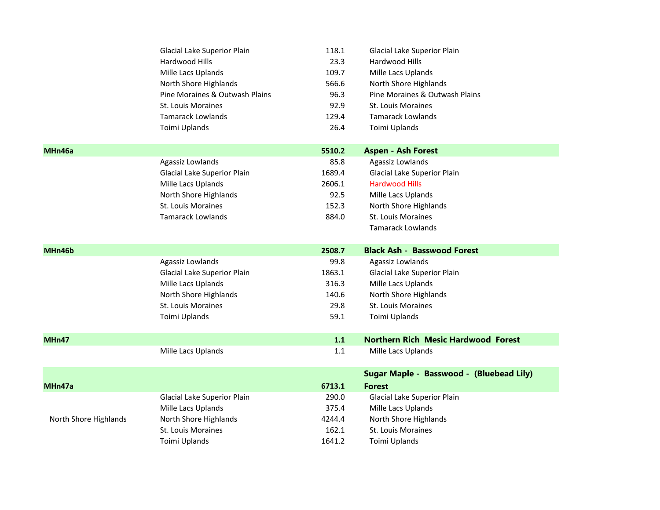|                       | Glacial Lake Superior Plain         | 118.1  | Glacial Lake Superior Plain                |
|-----------------------|-------------------------------------|--------|--------------------------------------------|
|                       | Hardwood Hills                      | 23.3   | Hardwood Hills                             |
|                       | Mille Lacs Uplands                  | 109.7  | Mille Lacs Uplands                         |
|                       | North Shore Highlands               | 566.6  | North Shore Highlands                      |
|                       | Pine Moraines & Outwash Plains      | 96.3   | Pine Moraines & Outwash Plains             |
|                       | <b>St. Louis Moraines</b>           | 92.9   | St. Louis Moraines                         |
|                       | <b>Tamarack Lowlands</b>            | 129.4  | <b>Tamarack Lowlands</b>                   |
|                       | Toimi Uplands                       | 26.4   | Toimi Uplands                              |
| MHn46a                |                                     | 5510.2 | <b>Aspen - Ash Forest</b>                  |
|                       | Agassiz Lowlands                    | 85.8   | Agassiz Lowlands                           |
|                       | Glacial Lake Superior Plain         | 1689.4 | Glacial Lake Superior Plain                |
|                       | Mille Lacs Uplands                  | 2606.1 | <b>Hardwood Hills</b>                      |
|                       | North Shore Highlands               | 92.5   | Mille Lacs Uplands                         |
|                       | St. Louis Moraines                  | 152.3  | North Shore Highlands                      |
|                       | <b>Tamarack Lowlands</b>            | 884.0  | St. Louis Moraines                         |
|                       |                                     |        | <b>Tamarack Lowlands</b>                   |
|                       |                                     |        |                                            |
| MHn46b                |                                     | 2508.7 | <b>Black Ash - Basswood Forest</b>         |
|                       | Agassiz Lowlands                    | 99.8   | Agassiz Lowlands                           |
|                       | Glacial Lake Superior Plain         | 1863.1 | Glacial Lake Superior Plain                |
|                       | Mille Lacs Uplands                  | 316.3  | Mille Lacs Uplands                         |
|                       | North Shore Highlands               | 140.6  | North Shore Highlands                      |
|                       | St. Louis Moraines                  | 29.8   | St. Louis Moraines                         |
|                       | Toimi Uplands                       | 59.1   | Toimi Uplands                              |
| MHn47                 |                                     | $1.1$  | <b>Northern Rich Mesic Hardwood Forest</b> |
|                       | Mille Lacs Uplands                  | 1.1    | Mille Lacs Uplands                         |
|                       |                                     |        | Sugar Maple - Basswood - (Bluebead Lily)   |
| MHn47a                |                                     | 6713.1 | <b>Forest</b>                              |
|                       | Glacial Lake Superior Plain         | 290.0  | Glacial Lake Superior Plain                |
|                       | Mille Lacs Uplands                  | 375.4  | Mille Lacs Uplands                         |
| North Shore Highlands | North Shore Highlands               | 4244.4 | North Shore Highlands                      |
|                       | St. Louis Moraines<br>Toimi Uplands | 162.1  | <b>St. Louis Moraines</b><br>Toimi Uplands |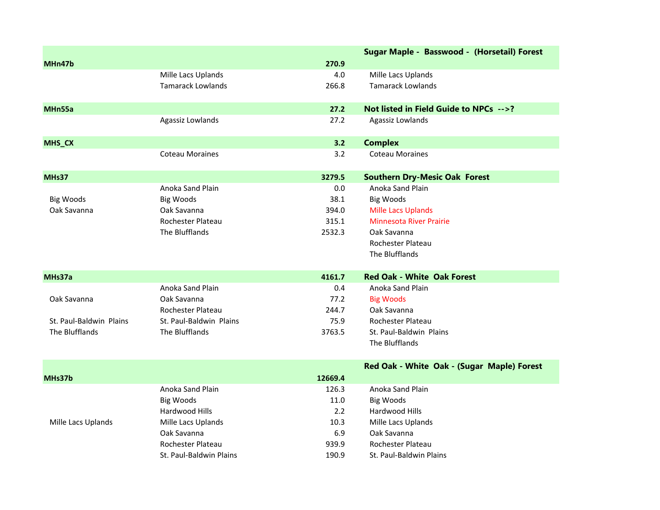|                         |                          |         | Sugar Maple - Basswood - (Horsetail) Forest |
|-------------------------|--------------------------|---------|---------------------------------------------|
| MHn47b                  |                          | 270.9   |                                             |
|                         | Mille Lacs Uplands       | 4.0     | Mille Lacs Uplands                          |
|                         | <b>Tamarack Lowlands</b> | 266.8   | <b>Tamarack Lowlands</b>                    |
| MHn55a                  |                          | 27.2    | Not listed in Field Guide to NPCs -->?      |
|                         | Agassiz Lowlands         | 27.2    | Agassiz Lowlands                            |
| MHS_CX                  |                          | 3.2     | <b>Complex</b>                              |
|                         | <b>Coteau Moraines</b>   | 3.2     | <b>Coteau Moraines</b>                      |
| MHs37                   |                          | 3279.5  | <b>Southern Dry-Mesic Oak Forest</b>        |
|                         | Anoka Sand Plain         | 0.0     | Anoka Sand Plain                            |
| <b>Big Woods</b>        | <b>Big Woods</b>         | 38.1    | <b>Big Woods</b>                            |
| Oak Savanna             | Oak Savanna              | 394.0   | <b>Mille Lacs Uplands</b>                   |
|                         | Rochester Plateau        | 315.1   | <b>Minnesota River Prairie</b>              |
|                         | The Blufflands           | 2532.3  | Oak Savanna                                 |
|                         |                          |         | Rochester Plateau                           |
|                         |                          |         | The Blufflands                              |
| MHs37a                  |                          | 4161.7  | <b>Red Oak - White Oak Forest</b>           |
|                         | Anoka Sand Plain         | 0.4     | Anoka Sand Plain                            |
| Oak Savanna             | Oak Savanna              | 77.2    | <b>Big Woods</b>                            |
|                         | Rochester Plateau        | 244.7   | Oak Savanna                                 |
| St. Paul-Baldwin Plains | St. Paul-Baldwin Plains  | 75.9    | Rochester Plateau                           |
| The Blufflands          | The Blufflands           | 3763.5  | St. Paul-Baldwin Plains                     |
|                         |                          |         | The Blufflands                              |
|                         |                          |         | Red Oak - White Oak - (Sugar Maple) Forest  |
| MHs37b                  |                          | 12669.4 |                                             |
|                         | Anoka Sand Plain         | 126.3   | Anoka Sand Plain                            |
|                         | <b>Big Woods</b>         | 11.0    | <b>Big Woods</b>                            |
|                         | Hardwood Hills           | 2.2     | Hardwood Hills                              |
| Mille Lacs Uplands      | Mille Lacs Uplands       | 10.3    | Mille Lacs Uplands                          |
|                         | Oak Savanna              | 6.9     | Oak Savanna                                 |
|                         | Rochester Plateau        | 939.9   | Rochester Plateau                           |
|                         | St. Paul-Baldwin Plains  | 190.9   | St. Paul-Baldwin Plains                     |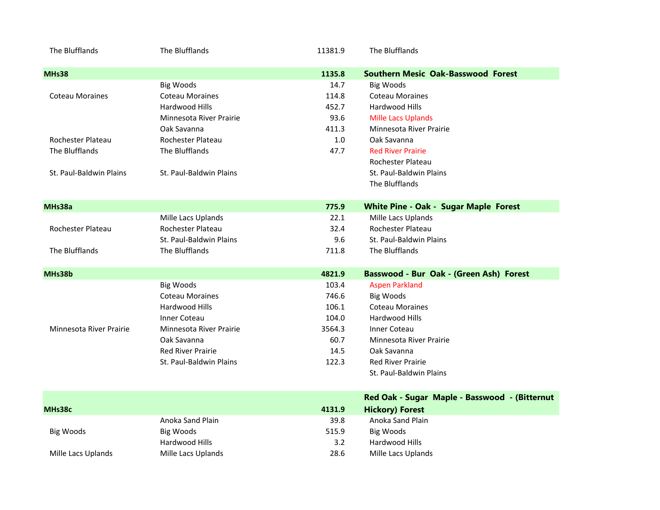| The Blufflands          | The Blufflands           | 11381.9 | The Blufflands                               |
|-------------------------|--------------------------|---------|----------------------------------------------|
| <b>MHs38</b>            |                          | 1135.8  | <b>Southern Mesic Oak-Basswood Forest</b>    |
|                         | <b>Big Woods</b>         | 14.7    | <b>Big Woods</b>                             |
| <b>Coteau Moraines</b>  | <b>Coteau Moraines</b>   | 114.8   | <b>Coteau Moraines</b>                       |
|                         | Hardwood Hills           | 452.7   | Hardwood Hills                               |
|                         | Minnesota River Prairie  | 93.6    | <b>Mille Lacs Uplands</b>                    |
|                         | Oak Savanna              | 411.3   | Minnesota River Prairie                      |
| Rochester Plateau       | Rochester Plateau        | 1.0     | Oak Savanna                                  |
| The Blufflands          | The Blufflands           | 47.7    | <b>Red River Prairie</b>                     |
|                         |                          |         | Rochester Plateau                            |
| St. Paul-Baldwin Plains | St. Paul-Baldwin Plains  |         | St. Paul-Baldwin Plains                      |
|                         |                          |         | The Blufflands                               |
|                         |                          |         |                                              |
| MHs38a                  |                          | 775.9   | <b>White Pine - Oak - Sugar Maple Forest</b> |
|                         | Mille Lacs Uplands       | 22.1    | Mille Lacs Uplands                           |
| Rochester Plateau       | Rochester Plateau        | 32.4    | Rochester Plateau                            |
|                         | St. Paul-Baldwin Plains  | 9.6     | St. Paul-Baldwin Plains                      |
| The Blufflands          | The Blufflands           | 711.8   | The Blufflands                               |
| MHs38b                  |                          | 4821.9  | Basswood - Bur Oak - (Green Ash) Forest      |
|                         | <b>Big Woods</b>         | 103.4   | <b>Aspen Parkland</b>                        |
|                         | <b>Coteau Moraines</b>   | 746.6   | <b>Big Woods</b>                             |
|                         | Hardwood Hills           | 106.1   | <b>Coteau Moraines</b>                       |
|                         | <b>Inner Coteau</b>      | 104.0   | Hardwood Hills                               |
| Minnesota River Prairie | Minnesota River Prairie  | 3564.3  | Inner Coteau                                 |
|                         | Oak Savanna              | 60.7    | Minnesota River Prairie                      |
|                         | <b>Red River Prairie</b> | 14.5    | Oak Savanna                                  |
|                         |                          |         |                                              |
|                         | St. Paul-Baldwin Plains  | 122.3   | <b>Red River Prairie</b>                     |
|                         |                          |         | St. Paul-Baldwin Plains                      |
|                         |                          |         |                                              |

|                    |                    |        | Red Oak - Sugar Maple - Basswood - (Bitternut |
|--------------------|--------------------|--------|-----------------------------------------------|
| MHs38c             |                    | 4131.9 | <b>Hickory) Forest</b>                        |
|                    | Anoka Sand Plain   | 39.8   | Anoka Sand Plain                              |
| Big Woods          | Big Woods          | 515.9  | Big Woods                                     |
|                    | Hardwood Hills     | 3.2    | Hardwood Hills                                |
| Mille Lacs Uplands | Mille Lacs Uplands | 28.6   | Mille Lacs Uplands                            |
|                    |                    |        |                                               |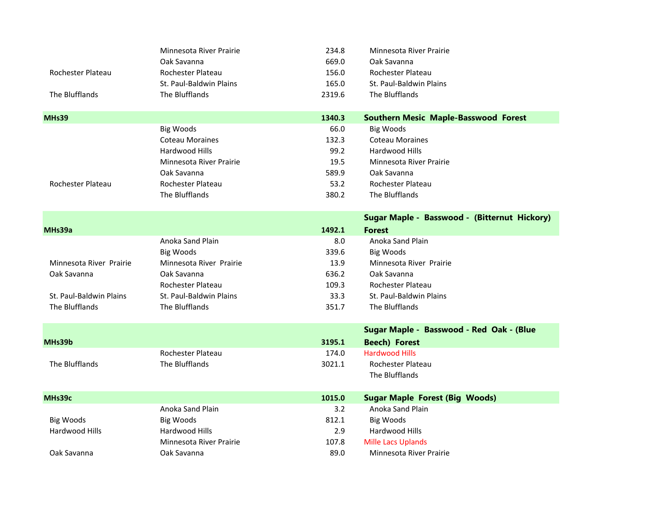|                         | Minnesota River Prairie | 234.8  | Minnesota River Prairie                      |
|-------------------------|-------------------------|--------|----------------------------------------------|
|                         | Oak Savanna             | 669.0  | Oak Savanna                                  |
| Rochester Plateau       | Rochester Plateau       | 156.0  | <b>Rochester Plateau</b>                     |
|                         | St. Paul-Baldwin Plains | 165.0  | St. Paul-Baldwin Plains                      |
| The Blufflands          | The Blufflands          | 2319.6 | The Blufflands                               |
|                         |                         |        |                                              |
| MHs39                   |                         | 1340.3 | <b>Southern Mesic Maple-Basswood Forest</b>  |
|                         | <b>Big Woods</b>        | 66.0   | <b>Big Woods</b>                             |
|                         | <b>Coteau Moraines</b>  | 132.3  | <b>Coteau Moraines</b>                       |
|                         | Hardwood Hills          | 99.2   | Hardwood Hills                               |
|                         | Minnesota River Prairie | 19.5   | Minnesota River Prairie                      |
|                         | Oak Savanna             | 589.9  | Oak Savanna                                  |
| Rochester Plateau       | Rochester Plateau       | 53.2   | <b>Rochester Plateau</b>                     |
|                         | The Blufflands          | 380.2  | The Blufflands                               |
|                         |                         |        | Sugar Maple - Basswood - (Bitternut Hickory) |
| MHs39a                  |                         | 1492.1 | <b>Forest</b>                                |
|                         | Anoka Sand Plain        | 8.0    | Anoka Sand Plain                             |
|                         | <b>Big Woods</b>        | 339.6  | <b>Big Woods</b>                             |
| Minnesota River Prairie | Minnesota River Prairie | 13.9   | Minnesota River Prairie                      |
| Oak Savanna             | Oak Savanna             | 636.2  | Oak Savanna                                  |
|                         | Rochester Plateau       | 109.3  | Rochester Plateau                            |
| St. Paul-Baldwin Plains | St. Paul-Baldwin Plains | 33.3   | St. Paul-Baldwin Plains                      |
| The Blufflands          | The Blufflands          | 351.7  | The Blufflands                               |
|                         |                         |        | Sugar Maple - Basswood - Red Oak - (Blue     |
| MHs39b                  |                         | 3195.1 | <b>Beech) Forest</b>                         |
|                         | Rochester Plateau       | 174.0  | <b>Hardwood Hills</b>                        |
| The Blufflands          | The Blufflands          | 3021.1 | <b>Rochester Plateau</b>                     |
|                         |                         |        | The Blufflands                               |
|                         |                         |        |                                              |
| MHs39c                  |                         | 1015.0 | <b>Sugar Maple Forest (Big Woods)</b>        |
|                         | Anoka Sand Plain        | 3.2    | Anoka Sand Plain                             |
| <b>Big Woods</b>        | <b>Big Woods</b>        | 812.1  | <b>Big Woods</b>                             |
| Hardwood Hills          | Hardwood Hills          | 2.9    | Hardwood Hills                               |
|                         | Minnesota River Prairie | 107.8  | <b>Mille Lacs Uplands</b>                    |
| Oak Savanna             | Oak Savanna             | 89.0   | Minnesota River Prairie                      |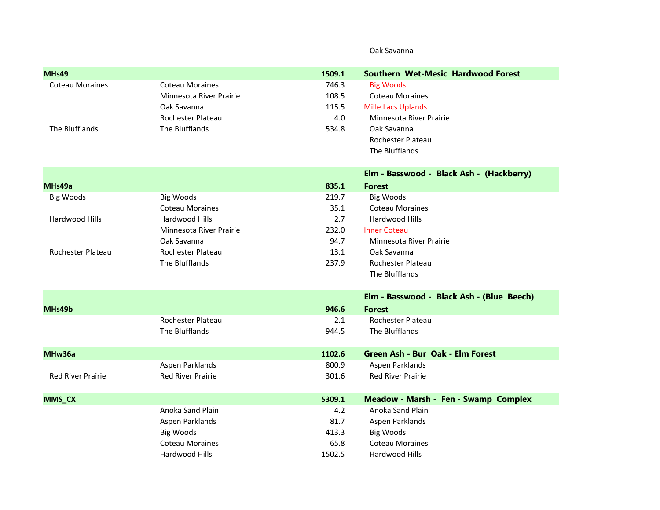## Oak Savanna

| MH <sub>s49</sub>        |                          | 1509.1 | <b>Southern Wet-Mesic Hardwood Forest</b> |
|--------------------------|--------------------------|--------|-------------------------------------------|
| <b>Coteau Moraines</b>   | <b>Coteau Moraines</b>   | 746.3  | <b>Big Woods</b>                          |
|                          | Minnesota River Prairie  | 108.5  | <b>Coteau Moraines</b>                    |
|                          | Oak Savanna              | 115.5  | <b>Mille Lacs Uplands</b>                 |
|                          | Rochester Plateau        | 4.0    | Minnesota River Prairie                   |
| The Blufflands           | The Blufflands           | 534.8  | Oak Savanna                               |
|                          |                          |        | Rochester Plateau                         |
|                          |                          |        | The Blufflands                            |
|                          |                          |        | Elm - Basswood - Black Ash - (Hackberry)  |
| MHs49a                   |                          | 835.1  | <b>Forest</b>                             |
| <b>Big Woods</b>         | <b>Big Woods</b>         | 219.7  | <b>Big Woods</b>                          |
|                          | <b>Coteau Moraines</b>   | 35.1   | <b>Coteau Moraines</b>                    |
| Hardwood Hills           | Hardwood Hills           | 2.7    | Hardwood Hills                            |
|                          | Minnesota River Prairie  | 232.0  | <b>Inner Coteau</b>                       |
|                          | Oak Savanna              | 94.7   | Minnesota River Prairie                   |
| Rochester Plateau        | Rochester Plateau        | 13.1   | Oak Savanna                               |
|                          | The Blufflands           | 237.9  | Rochester Plateau                         |
|                          |                          |        | The Blufflands                            |
|                          |                          |        | Elm - Basswood - Black Ash - (Blue Beech) |
| MHs49b                   |                          | 946.6  | <b>Forest</b>                             |
|                          | Rochester Plateau        | 2.1    | <b>Rochester Plateau</b>                  |
|                          | The Blufflands           | 944.5  | The Blufflands                            |
| MHw36a                   |                          | 1102.6 | Green Ash - Bur Oak - Elm Forest          |
|                          | Aspen Parklands          | 800.9  | Aspen Parklands                           |
| <b>Red River Prairie</b> | <b>Red River Prairie</b> | 301.6  | <b>Red River Prairie</b>                  |
| <b>MMS_CX</b>            |                          | 5309.1 | Meadow - Marsh - Fen - Swamp Complex      |
|                          | Anoka Sand Plain         | 4.2    | Anoka Sand Plain                          |
|                          | Aspen Parklands          | 81.7   | Aspen Parklands                           |
|                          | <b>Big Woods</b>         | 413.3  | <b>Big Woods</b>                          |
|                          | <b>Coteau Moraines</b>   | 65.8   | <b>Coteau Moraines</b>                    |
|                          | Hardwood Hills           | 1502.5 | Hardwood Hills                            |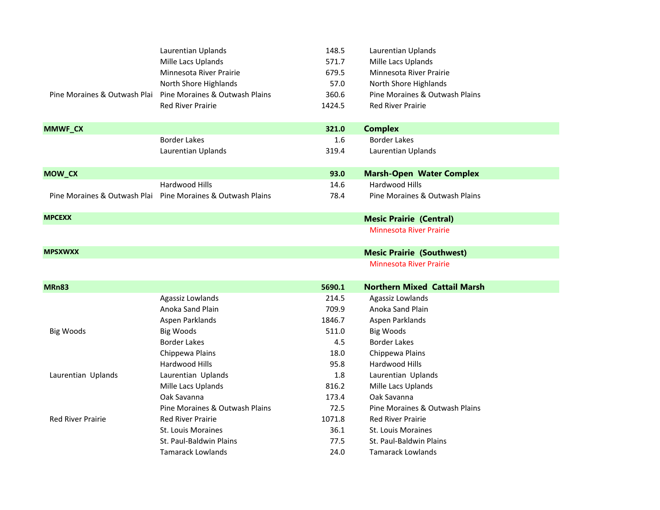|                              | Laurentian Uplands             | 148.5  | Laurentian Uplands                  |  |
|------------------------------|--------------------------------|--------|-------------------------------------|--|
|                              | Mille Lacs Uplands             | 571.7  | Mille Lacs Uplands                  |  |
|                              | Minnesota River Prairie        | 679.5  | Minnesota River Prairie             |  |
|                              | North Shore Highlands          | 57.0   | North Shore Highlands               |  |
| Pine Moraines & Outwash Plai | Pine Moraines & Outwash Plains | 360.6  | Pine Moraines & Outwash Plains      |  |
|                              | <b>Red River Prairie</b>       | 1424.5 | <b>Red River Prairie</b>            |  |
| <b>MMWF_CX</b>               |                                | 321.0  | <b>Complex</b>                      |  |
|                              | <b>Border Lakes</b>            | 1.6    | <b>Border Lakes</b>                 |  |
|                              | Laurentian Uplands             | 319.4  | Laurentian Uplands                  |  |
| MOW_CX                       |                                | 93.0   | <b>Marsh-Open Water Complex</b>     |  |
|                              | Hardwood Hills                 | 14.6   | Hardwood Hills                      |  |
| Pine Moraines & Outwash Plai | Pine Moraines & Outwash Plains | 78.4   | Pine Moraines & Outwash Plains      |  |
| <b>MPCEXX</b>                |                                |        | <b>Mesic Prairie (Central)</b>      |  |
|                              |                                |        | <b>Minnesota River Prairie</b>      |  |
| <b>MPSXWXX</b>               |                                |        | <b>Mesic Prairie (Southwest)</b>    |  |
|                              |                                |        | <b>Minnesota River Prairie</b>      |  |
| MRn83                        |                                | 5690.1 | <b>Northern Mixed Cattail Marsh</b> |  |
|                              | Agassiz Lowlands               | 214.5  | Agassiz Lowlands                    |  |
|                              | Anoka Sand Plain               | 709.9  | Anoka Sand Plain                    |  |
|                              | Aspen Parklands                | 1846.7 | Aspen Parklands                     |  |
| <b>Big Woods</b>             | <b>Big Woods</b>               | 511.0  | <b>Big Woods</b>                    |  |
|                              | <b>Border Lakes</b>            | 4.5    | <b>Border Lakes</b>                 |  |
|                              | Chippewa Plains                | 18.0   | Chippewa Plains                     |  |
|                              | Hardwood Hills                 | 95.8   | Hardwood Hills                      |  |
| Laurentian Uplands           | Laurentian Uplands             | 1.8    | Laurentian Uplands                  |  |
|                              | Mille Lacs Uplands             | 816.2  | Mille Lacs Uplands                  |  |
|                              | Oak Savanna                    | 173.4  | Oak Savanna                         |  |
|                              | Pine Moraines & Outwash Plains | 72.5   | Pine Moraines & Outwash Plains      |  |
| <b>Red River Prairie</b>     | <b>Red River Prairie</b>       | 1071.8 | <b>Red River Prairie</b>            |  |
|                              | St. Louis Moraines             | 36.1   | St. Louis Moraines                  |  |
|                              | St. Paul-Baldwin Plains        | 77.5   | St. Paul-Baldwin Plains             |  |
|                              | Tamarack Lowlands              | 24.0   | Tamarack Lowlands                   |  |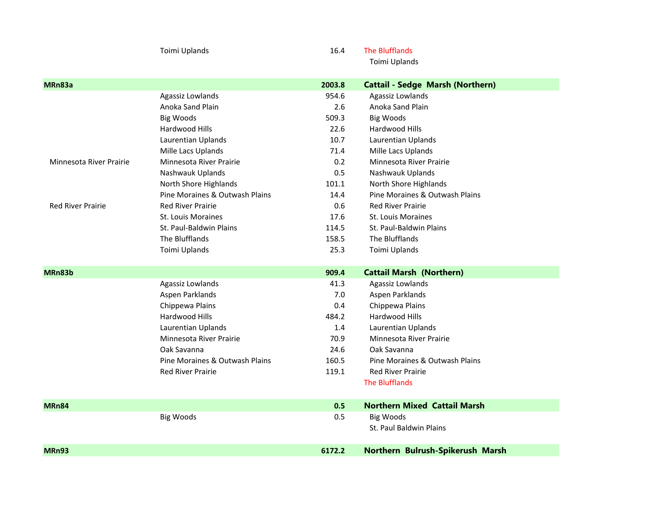|                          | Toimi Uplands                  | 16.4   | <b>The Blufflands</b>                   |
|--------------------------|--------------------------------|--------|-----------------------------------------|
|                          |                                |        | Toimi Uplands                           |
| MRn83a                   |                                | 2003.8 | <b>Cattail - Sedge Marsh (Northern)</b> |
|                          | Agassiz Lowlands               | 954.6  | Agassiz Lowlands                        |
|                          | Anoka Sand Plain               | 2.6    | Anoka Sand Plain                        |
|                          | <b>Big Woods</b>               | 509.3  | <b>Big Woods</b>                        |
|                          | Hardwood Hills                 | 22.6   | Hardwood Hills                          |
|                          | Laurentian Uplands             | 10.7   | Laurentian Uplands                      |
|                          | Mille Lacs Uplands             | 71.4   | Mille Lacs Uplands                      |
| Minnesota River Prairie  | Minnesota River Prairie        | 0.2    | Minnesota River Prairie                 |
|                          | Nashwauk Uplands               | 0.5    | Nashwauk Uplands                        |
|                          | North Shore Highlands          | 101.1  | North Shore Highlands                   |
|                          | Pine Moraines & Outwash Plains | 14.4   | Pine Moraines & Outwash Plains          |
| <b>Red River Prairie</b> | <b>Red River Prairie</b>       | 0.6    | <b>Red River Prairie</b>                |
|                          | St. Louis Moraines             | 17.6   | <b>St. Louis Moraines</b>               |
|                          | St. Paul-Baldwin Plains        | 114.5  | St. Paul-Baldwin Plains                 |
|                          | The Blufflands                 | 158.5  | The Blufflands                          |
|                          | Toimi Uplands                  | 25.3   | Toimi Uplands                           |
| MRn83b                   |                                | 909.4  | <b>Cattail Marsh (Northern)</b>         |
|                          | Agassiz Lowlands               | 41.3   | Agassiz Lowlands                        |
|                          | Aspen Parklands                | 7.0    | Aspen Parklands                         |
|                          | Chippewa Plains                | 0.4    | Chippewa Plains                         |
|                          | Hardwood Hills                 | 484.2  | Hardwood Hills                          |
|                          | Laurentian Uplands             | 1.4    | Laurentian Uplands                      |
|                          | Minnesota River Prairie        | 70.9   | Minnesota River Prairie                 |
|                          | Oak Savanna                    | 24.6   | Oak Savanna                             |
|                          | Pine Moraines & Outwash Plains | 160.5  | Pine Moraines & Outwash Plains          |
|                          | <b>Red River Prairie</b>       | 119.1  | <b>Red River Prairie</b>                |
|                          |                                |        | <b>The Blufflands</b>                   |
| MRn84                    |                                | 0.5    | <b>Northern Mixed Cattail Marsh</b>     |
|                          | <b>Big Woods</b>               | 0.5    | <b>Big Woods</b>                        |
|                          |                                |        | St. Paul Baldwin Plains                 |
| MRn93                    |                                | 6172.2 | Northern Bulrush-Spikerush Marsh        |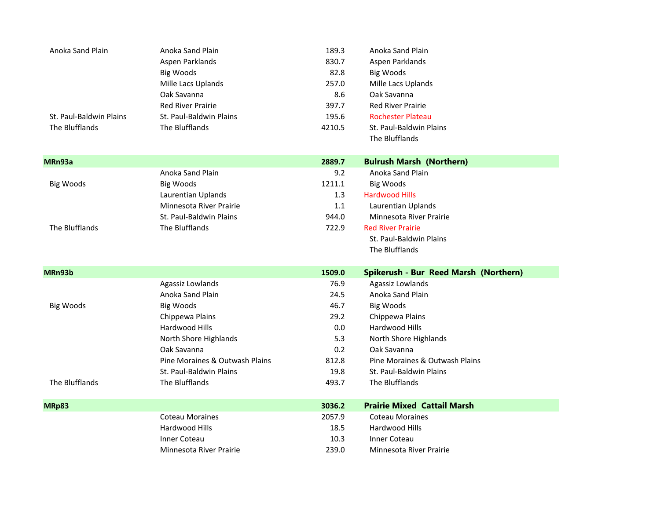| Anoka Sand Plain        | Anoka Sand Plain               | 189.3  | Anoka Sand Plain                      |
|-------------------------|--------------------------------|--------|---------------------------------------|
|                         | Aspen Parklands                | 830.7  | Aspen Parklands                       |
|                         | <b>Big Woods</b>               | 82.8   | <b>Big Woods</b>                      |
|                         | Mille Lacs Uplands             | 257.0  | Mille Lacs Uplands                    |
|                         | Oak Savanna                    | 8.6    | Oak Savanna                           |
|                         | <b>Red River Prairie</b>       | 397.7  | <b>Red River Prairie</b>              |
| St. Paul-Baldwin Plains | St. Paul-Baldwin Plains        | 195.6  | <b>Rochester Plateau</b>              |
| The Blufflands          | The Blufflands                 | 4210.5 | <b>St. Paul-Baldwin Plains</b>        |
|                         |                                |        | The Blufflands                        |
|                         |                                |        |                                       |
| MRn93a                  |                                | 2889.7 | <b>Bulrush Marsh (Northern)</b>       |
|                         | Anoka Sand Plain               | 9.2    | Anoka Sand Plain                      |
| <b>Big Woods</b>        | <b>Big Woods</b>               | 1211.1 | <b>Big Woods</b>                      |
|                         | Laurentian Uplands             | 1.3    | <b>Hardwood Hills</b>                 |
|                         | Minnesota River Prairie        | 1.1    | Laurentian Uplands                    |
|                         | St. Paul-Baldwin Plains        | 944.0  | Minnesota River Prairie               |
| The Blufflands          | The Blufflands                 | 722.9  | <b>Red River Prairie</b>              |
|                         |                                |        | St. Paul-Baldwin Plains               |
|                         |                                |        | The Blufflands                        |
|                         |                                |        |                                       |
| MRn93b                  |                                | 1509.0 | Spikerush - Bur Reed Marsh (Northern) |
|                         | Agassiz Lowlands               | 76.9   | Agassiz Lowlands                      |
|                         | Anoka Sand Plain               | 24.5   | Anoka Sand Plain                      |
| <b>Big Woods</b>        | <b>Big Woods</b>               | 46.7   | <b>Big Woods</b>                      |
|                         | Chippewa Plains                | 29.2   | Chippewa Plains                       |
|                         | Hardwood Hills                 | 0.0    | Hardwood Hills                        |
|                         | North Shore Highlands          | 5.3    | North Shore Highlands                 |
|                         | Oak Savanna                    | 0.2    | Oak Savanna                           |
|                         | Pine Moraines & Outwash Plains | 812.8  | Pine Moraines & Outwash Plains        |
|                         |                                |        |                                       |
|                         | St. Paul-Baldwin Plains        | 19.8   | St. Paul-Baldwin Plains               |
| The Blufflands          | The Blufflands                 | 493.7  | The Blufflands                        |
|                         |                                |        |                                       |
| MRp83                   |                                | 3036.2 | <b>Prairie Mixed Cattail Marsh</b>    |
|                         | <b>Coteau Moraines</b>         | 2057.9 | <b>Coteau Moraines</b>                |
|                         | Hardwood Hills                 | 18.5   | Hardwood Hills                        |
|                         | <b>Inner Coteau</b>            | 10.3   | <b>Inner Coteau</b>                   |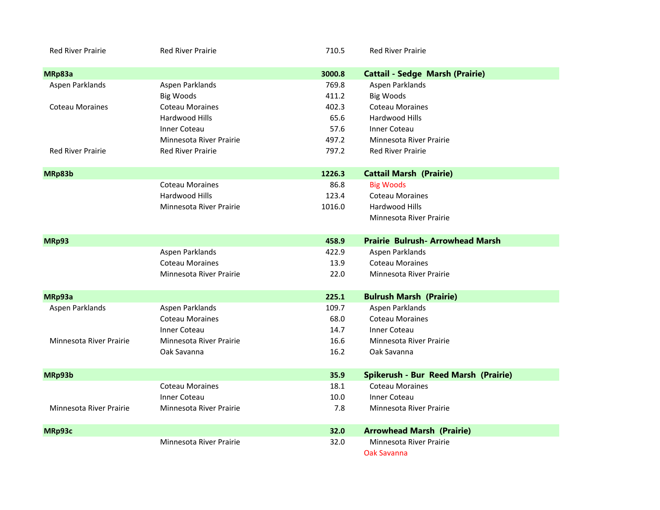| <b>Red River Prairie</b> | <b>Red River Prairie</b> | 710.5  | <b>Red River Prairie</b>               |
|--------------------------|--------------------------|--------|----------------------------------------|
| MRp83a                   |                          | 3000.8 | <b>Cattail - Sedge Marsh (Prairie)</b> |
| Aspen Parklands          | Aspen Parklands          | 769.8  | Aspen Parklands                        |
|                          | <b>Big Woods</b>         | 411.2  | <b>Big Woods</b>                       |
| <b>Coteau Moraines</b>   | <b>Coteau Moraines</b>   | 402.3  | <b>Coteau Moraines</b>                 |
|                          | Hardwood Hills           | 65.6   | Hardwood Hills                         |
|                          | <b>Inner Coteau</b>      | 57.6   | <b>Inner Coteau</b>                    |
|                          | Minnesota River Prairie  | 497.2  | Minnesota River Prairie                |
| <b>Red River Prairie</b> | <b>Red River Prairie</b> | 797.2  | <b>Red River Prairie</b>               |
| MRp83b                   |                          | 1226.3 | <b>Cattail Marsh (Prairie)</b>         |
|                          | <b>Coteau Moraines</b>   | 86.8   | <b>Big Woods</b>                       |
|                          | Hardwood Hills           | 123.4  | <b>Coteau Moraines</b>                 |
|                          | Minnesota River Prairie  | 1016.0 | Hardwood Hills                         |
|                          |                          |        | Minnesota River Prairie                |
| MRp93                    |                          | 458.9  | <b>Prairie Bulrush-Arrowhead Marsh</b> |
|                          | Aspen Parklands          | 422.9  | Aspen Parklands                        |
|                          | <b>Coteau Moraines</b>   | 13.9   | <b>Coteau Moraines</b>                 |
|                          | Minnesota River Prairie  | 22.0   | Minnesota River Prairie                |
| MRp93a                   |                          | 225.1  | <b>Bulrush Marsh (Prairie)</b>         |
| Aspen Parklands          | Aspen Parklands          | 109.7  | Aspen Parklands                        |
|                          | <b>Coteau Moraines</b>   | 68.0   | <b>Coteau Moraines</b>                 |
|                          | <b>Inner Coteau</b>      | 14.7   | <b>Inner Coteau</b>                    |
| Minnesota River Prairie  | Minnesota River Prairie  | 16.6   | Minnesota River Prairie                |
|                          | Oak Savanna              | 16.2   | Oak Savanna                            |
| MRp93b                   |                          | 35.9   | Spikerush - Bur Reed Marsh (Prairie)   |
|                          | <b>Coteau Moraines</b>   | 18.1   | <b>Coteau Moraines</b>                 |
|                          | <b>Inner Coteau</b>      | 10.0   | Inner Coteau                           |
| Minnesota River Prairie  | Minnesota River Prairie  | 7.8    | Minnesota River Prairie                |
| MRp93c                   |                          | 32.0   | <b>Arrowhead Marsh (Prairie)</b>       |
|                          | Minnesota River Prairie  | 32.0   | Minnesota River Prairie                |
|                          |                          |        | Oak Savanna                            |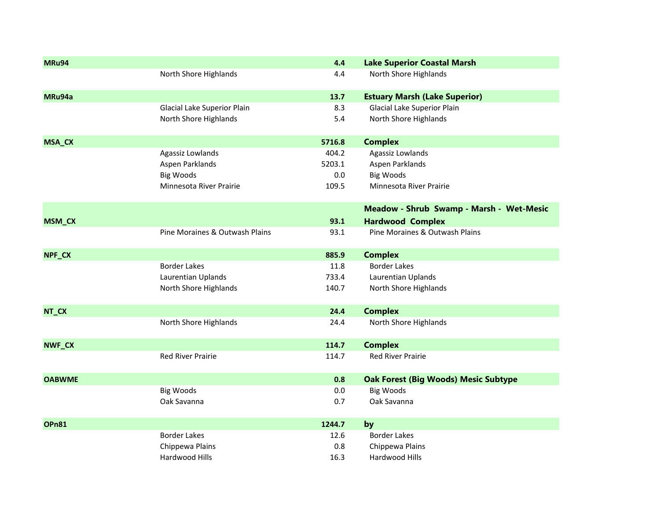| MRu94         |                                | 4.4    | <b>Lake Superior Coastal Marsh</b>          |
|---------------|--------------------------------|--------|---------------------------------------------|
|               | North Shore Highlands          | 4.4    | North Shore Highlands                       |
| MRu94a        |                                | 13.7   | <b>Estuary Marsh (Lake Superior)</b>        |
|               | Glacial Lake Superior Plain    | 8.3    | Glacial Lake Superior Plain                 |
|               | North Shore Highlands          | 5.4    | North Shore Highlands                       |
| <b>MSA_CX</b> |                                | 5716.8 | <b>Complex</b>                              |
|               | Agassiz Lowlands               | 404.2  | Agassiz Lowlands                            |
|               | Aspen Parklands                | 5203.1 | Aspen Parklands                             |
|               | <b>Big Woods</b>               | 0.0    | <b>Big Woods</b>                            |
|               | Minnesota River Prairie        | 109.5  | Minnesota River Prairie                     |
|               |                                |        | Meadow - Shrub Swamp - Marsh - Wet-Mesic    |
| <b>MSM_CX</b> |                                | 93.1   | <b>Hardwood Complex</b>                     |
|               | Pine Moraines & Outwash Plains | 93.1   | Pine Moraines & Outwash Plains              |
| NPF_CX        |                                | 885.9  | <b>Complex</b>                              |
|               | <b>Border Lakes</b>            | 11.8   | <b>Border Lakes</b>                         |
|               | Laurentian Uplands             | 733.4  | Laurentian Uplands                          |
|               | North Shore Highlands          | 140.7  | North Shore Highlands                       |
| NT_CX         |                                | 24.4   | <b>Complex</b>                              |
|               | North Shore Highlands          | 24.4   | North Shore Highlands                       |
| NWF_CX        |                                | 114.7  | <b>Complex</b>                              |
|               | <b>Red River Prairie</b>       | 114.7  | <b>Red River Prairie</b>                    |
| <b>OABWME</b> |                                | 0.8    | <b>Oak Forest (Big Woods) Mesic Subtype</b> |
|               | <b>Big Woods</b>               | 0.0    | <b>Big Woods</b>                            |
|               | Oak Savanna                    | 0.7    | Oak Savanna                                 |
| <b>OPn81</b>  |                                | 1244.7 | by                                          |
|               | <b>Border Lakes</b>            | 12.6   | <b>Border Lakes</b>                         |
|               | Chippewa Plains                | 0.8    | Chippewa Plains                             |
|               | Hardwood Hills                 | 16.3   | Hardwood Hills                              |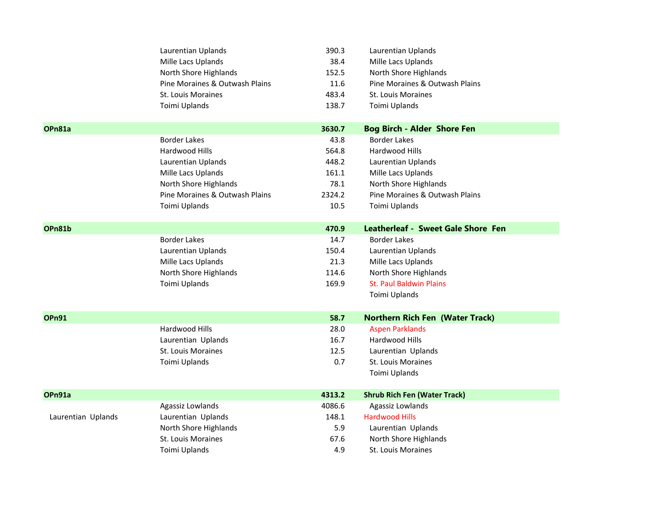|                    | Laurentian Uplands             | 390.3  | Laurentian Uplands                     |
|--------------------|--------------------------------|--------|----------------------------------------|
|                    | Mille Lacs Uplands             | 38.4   | Mille Lacs Uplands                     |
|                    | North Shore Highlands          | 152.5  | North Shore Highlands                  |
|                    | Pine Moraines & Outwash Plains | 11.6   | Pine Moraines & Outwash Plains         |
|                    | St. Louis Moraines             | 483.4  | St. Louis Moraines                     |
|                    | Toimi Uplands                  | 138.7  | Toimi Uplands                          |
|                    |                                |        |                                        |
| OPn81a             |                                | 3630.7 | <b>Bog Birch - Alder Shore Fen</b>     |
|                    | <b>Border Lakes</b>            | 43.8   | <b>Border Lakes</b>                    |
|                    | Hardwood Hills                 | 564.8  | Hardwood Hills                         |
|                    | Laurentian Uplands             | 448.2  | Laurentian Uplands                     |
|                    | Mille Lacs Uplands             | 161.1  | Mille Lacs Uplands                     |
|                    | North Shore Highlands          | 78.1   | North Shore Highlands                  |
|                    | Pine Moraines & Outwash Plains | 2324.2 | Pine Moraines & Outwash Plains         |
|                    | Toimi Uplands                  | 10.5   | Toimi Uplands                          |
|                    |                                |        |                                        |
| OPn81b             |                                | 470.9  | Leatherleaf - Sweet Gale Shore Fen     |
|                    | <b>Border Lakes</b>            | 14.7   | <b>Border Lakes</b>                    |
|                    | Laurentian Uplands             | 150.4  | Laurentian Uplands                     |
|                    | Mille Lacs Uplands             | 21.3   | Mille Lacs Uplands                     |
|                    | North Shore Highlands          | 114.6  | North Shore Highlands                  |
|                    | Toimi Uplands                  | 169.9  | <b>St. Paul Baldwin Plains</b>         |
|                    |                                |        | Toimi Uplands                          |
| <b>OPn91</b>       |                                | 58.7   | <b>Northern Rich Fen (Water Track)</b> |
|                    | Hardwood Hills                 | 28.0   | <b>Aspen Parklands</b>                 |
|                    | Laurentian Uplands             | 16.7   | Hardwood Hills                         |
|                    | St. Louis Moraines             | 12.5   | Laurentian Uplands                     |
|                    | Toimi Uplands                  | 0.7    | St. Louis Moraines                     |
|                    |                                |        | Toimi Uplands                          |
|                    |                                |        |                                        |
| OPn91a             |                                | 4313.2 | <b>Shrub Rich Fen (Water Track)</b>    |
|                    | Agassiz Lowlands               | 4086.6 | Agassiz Lowlands                       |
| Laurentian Uplands | Laurentian Uplands             | 148.1  | <b>Hardwood Hills</b>                  |
|                    | North Shore Highlands          | 5.9    | Laurentian Uplands                     |
|                    | St. Louis Moraines             | 67.6   | North Shore Highlands                  |
|                    | Toimi Uplands                  | 4.9    | <b>St. Louis Moraines</b>              |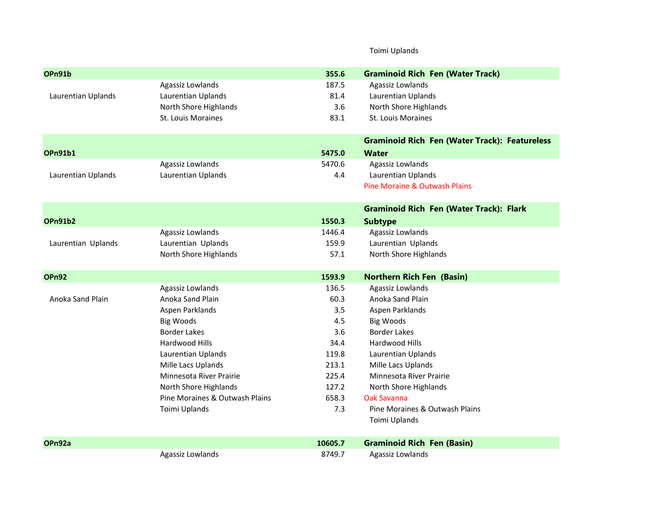## Toimi Uplands

| OPn91b             |                                | 355.6   | <b>Graminoid Rich Fen (Water Track)</b>              |
|--------------------|--------------------------------|---------|------------------------------------------------------|
|                    | Agassiz Lowlands               | 187.5   | Agassiz Lowlands                                     |
| Laurentian Uplands | Laurentian Uplands             | 81.4    | Laurentian Uplands                                   |
|                    | North Shore Highlands          | 3.6     | North Shore Highlands                                |
|                    | St. Louis Moraines             | 83.1    | St. Louis Moraines                                   |
|                    |                                |         | <b>Graminoid Rich Fen (Water Track): Featureless</b> |
| <b>OPn91b1</b>     |                                | 5475.0  | <b>Water</b>                                         |
|                    | Agassiz Lowlands               | 5470.6  | Agassiz Lowlands                                     |
| Laurentian Uplands | Laurentian Uplands             | 4.4     | Laurentian Uplands                                   |
|                    |                                |         | Pine Moraine & Outwash Plains                        |
|                    |                                |         | <b>Graminoid Rich Fen (Water Track): Flark</b>       |
| <b>OPn91b2</b>     |                                | 1550.3  | <b>Subtype</b>                                       |
|                    | Agassiz Lowlands               | 1446.4  | Agassiz Lowlands                                     |
| Laurentian Uplands | Laurentian Uplands             | 159.9   | Laurentian Uplands                                   |
|                    | North Shore Highlands          | 57.1    | North Shore Highlands                                |
| <b>OPn92</b>       |                                | 1593.9  | <b>Northern Rich Fen (Basin)</b>                     |
|                    | Agassiz Lowlands               | 136.5   | Agassiz Lowlands                                     |
| Anoka Sand Plain   | Anoka Sand Plain               | 60.3    | Anoka Sand Plain                                     |
|                    | Aspen Parklands                | 3.5     | Aspen Parklands                                      |
|                    | <b>Big Woods</b>               | 4.5     | <b>Big Woods</b>                                     |
|                    | <b>Border Lakes</b>            | 3.6     | <b>Border Lakes</b>                                  |
|                    | Hardwood Hills                 | 34.4    | Hardwood Hills                                       |
|                    | Laurentian Uplands             | 119.8   | Laurentian Uplands                                   |
|                    | Mille Lacs Uplands             | 213.1   | Mille Lacs Uplands                                   |
|                    | Minnesota River Prairie        | 225.4   | Minnesota River Prairie                              |
|                    | North Shore Highlands          | 127.2   | North Shore Highlands                                |
|                    | Pine Moraines & Outwash Plains | 658.3   | <b>Oak Savanna</b>                                   |
|                    | Toimi Uplands                  | 7.3     | Pine Moraines & Outwash Plains                       |
|                    |                                |         | Toimi Uplands                                        |
| OPn92a             |                                | 10605.7 | <b>Graminoid Rich Fen (Basin)</b>                    |
|                    | Agassiz Lowlands               | 8749.7  | Agassiz Lowlands                                     |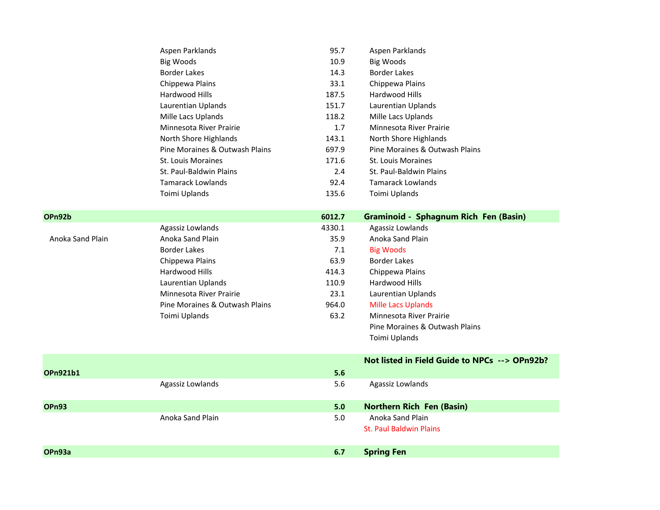|                  | Aspen Parklands                | 95.7    | Aspen Parklands                               |
|------------------|--------------------------------|---------|-----------------------------------------------|
|                  | <b>Big Woods</b>               | 10.9    | <b>Big Woods</b>                              |
|                  | <b>Border Lakes</b>            | 14.3    | <b>Border Lakes</b>                           |
|                  | Chippewa Plains                | 33.1    | Chippewa Plains                               |
|                  | Hardwood Hills                 | 187.5   | Hardwood Hills                                |
|                  | Laurentian Uplands             | 151.7   | Laurentian Uplands                            |
|                  | Mille Lacs Uplands             | 118.2   | Mille Lacs Uplands                            |
|                  | Minnesota River Prairie        | 1.7     | Minnesota River Prairie                       |
|                  | North Shore Highlands          | 143.1   | North Shore Highlands                         |
|                  | Pine Moraines & Outwash Plains | 697.9   | Pine Moraines & Outwash Plains                |
|                  | St. Louis Moraines             | 171.6   | St. Louis Moraines                            |
|                  | St. Paul-Baldwin Plains        | 2.4     | St. Paul-Baldwin Plains                       |
|                  | <b>Tamarack Lowlands</b>       | 92.4    | <b>Tamarack Lowlands</b>                      |
|                  | Toimi Uplands                  | 135.6   | Toimi Uplands                                 |
|                  |                                |         |                                               |
| OPn92b           |                                | 6012.7  | <b>Graminoid - Sphagnum Rich Fen (Basin)</b>  |
|                  | Agassiz Lowlands               | 4330.1  | Agassiz Lowlands                              |
| Anoka Sand Plain | Anoka Sand Plain               | 35.9    | Anoka Sand Plain                              |
|                  | <b>Border Lakes</b>            | 7.1     | <b>Big Woods</b>                              |
|                  | Chippewa Plains                | 63.9    | <b>Border Lakes</b>                           |
|                  | Hardwood Hills                 | 414.3   | Chippewa Plains                               |
|                  | Laurentian Uplands             | 110.9   | Hardwood Hills                                |
|                  | Minnesota River Prairie        | 23.1    | Laurentian Uplands                            |
|                  | Pine Moraines & Outwash Plains | 964.0   | <b>Mille Lacs Uplands</b>                     |
|                  | Toimi Uplands                  | 63.2    | Minnesota River Prairie                       |
|                  |                                |         | Pine Moraines & Outwash Plains                |
|                  |                                |         | Toimi Uplands                                 |
|                  |                                |         | Not listed in Field Guide to NPCs --> OPn92b? |
| <b>OPn921b1</b>  |                                | 5.6     |                                               |
|                  | Agassiz Lowlands               | 5.6     | Agassiz Lowlands                              |
|                  |                                |         |                                               |
| <b>OPn93</b>     |                                | 5.0     | <b>Northern Rich Fen (Basin)</b>              |
|                  | Anoka Sand Plain               | $5.0\,$ | Anoka Sand Plain                              |
|                  |                                |         | <b>St. Paul Baldwin Plains</b>                |
|                  |                                |         |                                               |
| OPn93a           |                                | 6.7     | <b>Spring Fen</b>                             |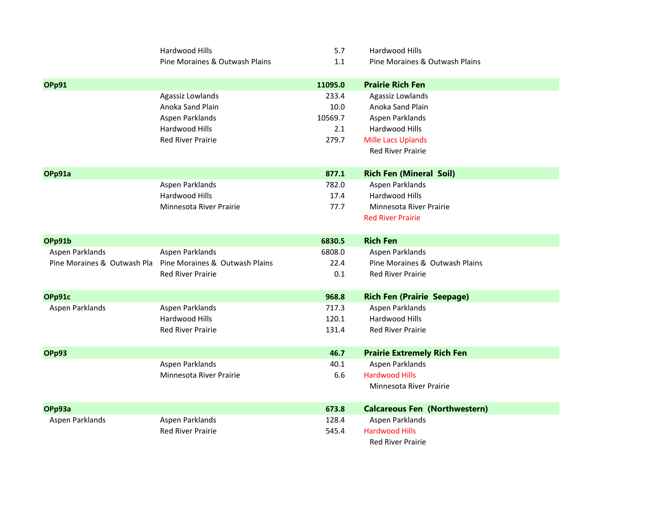|                             | Hardwood Hills                 | 5.7     | Hardwood Hills                       |
|-----------------------------|--------------------------------|---------|--------------------------------------|
|                             | Pine Moraines & Outwash Plains | 1.1     | Pine Moraines & Outwash Plains       |
|                             |                                |         |                                      |
| <b>OPp91</b>                |                                | 11095.0 | <b>Prairie Rich Fen</b>              |
|                             | Agassiz Lowlands               | 233.4   | Agassiz Lowlands                     |
|                             | Anoka Sand Plain               | 10.0    | Anoka Sand Plain                     |
|                             | Aspen Parklands                | 10569.7 | Aspen Parklands                      |
|                             | Hardwood Hills                 | 2.1     | Hardwood Hills                       |
|                             | <b>Red River Prairie</b>       | 279.7   | <b>Mille Lacs Uplands</b>            |
|                             |                                |         | <b>Red River Prairie</b>             |
|                             |                                |         |                                      |
| OPp91a                      |                                | 877.1   | <b>Rich Fen (Mineral Soil)</b>       |
|                             | Aspen Parklands                | 782.0   | Aspen Parklands                      |
|                             | Hardwood Hills                 | 17.4    | Hardwood Hills                       |
|                             | Minnesota River Prairie        | 77.7    | Minnesota River Prairie              |
|                             |                                |         | <b>Red River Prairie</b>             |
|                             |                                |         |                                      |
| OPp91b                      |                                | 6830.5  | <b>Rich Fen</b>                      |
| Aspen Parklands             | Aspen Parklands                | 6808.0  | Aspen Parklands                      |
| Pine Moraines & Outwash Pla | Pine Moraines & Outwash Plains | 22.4    | Pine Moraines & Outwash Plains       |
|                             | <b>Red River Prairie</b>       | 0.1     | <b>Red River Prairie</b>             |
|                             |                                |         |                                      |
| OPp91c                      |                                | 968.8   | <b>Rich Fen (Prairie Seepage)</b>    |
| Aspen Parklands             | Aspen Parklands                | 717.3   | Aspen Parklands                      |
|                             | Hardwood Hills                 | 120.1   | Hardwood Hills                       |
|                             | <b>Red River Prairie</b>       | 131.4   | <b>Red River Prairie</b>             |
|                             |                                |         |                                      |
| <b>OPp93</b>                |                                | 46.7    | <b>Prairie Extremely Rich Fen</b>    |
|                             | Aspen Parklands                | 40.1    | Aspen Parklands                      |
|                             | Minnesota River Prairie        | 6.6     | <b>Hardwood Hills</b>                |
|                             |                                |         | Minnesota River Prairie              |
| OPp93a                      |                                | 673.8   | <b>Calcareous Fen (Northwestern)</b> |
| Aspen Parklands             | Aspen Parklands                | 128.4   | Aspen Parklands                      |
|                             | <b>Red River Prairie</b>       | 545.4   | <b>Hardwood Hills</b>                |
|                             |                                |         | <b>Red River Prairie</b>             |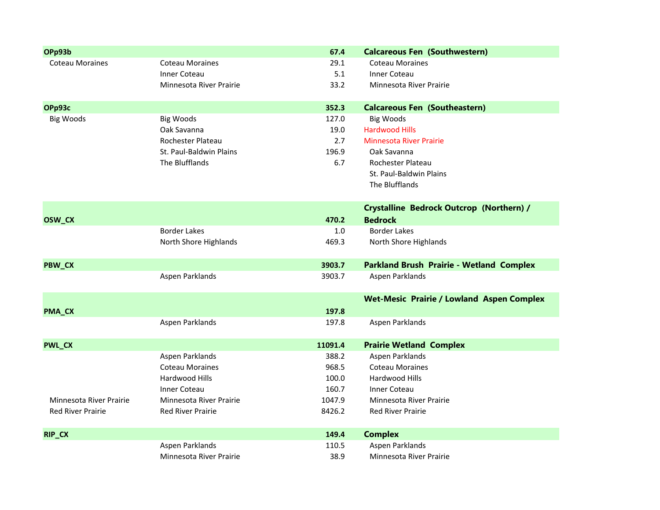| OPp93b                   |                          | 67.4    | <b>Calcareous Fen (Southwestern)</b>             |
|--------------------------|--------------------------|---------|--------------------------------------------------|
| <b>Coteau Moraines</b>   | <b>Coteau Moraines</b>   | 29.1    | <b>Coteau Moraines</b>                           |
|                          | <b>Inner Coteau</b>      | 5.1     | <b>Inner Coteau</b>                              |
|                          | Minnesota River Prairie  | 33.2    | Minnesota River Prairie                          |
| OPp93c                   |                          | 352.3   | <b>Calcareous Fen (Southeastern)</b>             |
| <b>Big Woods</b>         | <b>Big Woods</b>         | 127.0   | <b>Big Woods</b>                                 |
|                          | Oak Savanna              | 19.0    | <b>Hardwood Hills</b>                            |
|                          | Rochester Plateau        | 2.7     | <b>Minnesota River Prairie</b>                   |
|                          | St. Paul-Baldwin Plains  | 196.9   | Oak Savanna                                      |
|                          | The Blufflands           | 6.7     | Rochester Plateau                                |
|                          |                          |         | St. Paul-Baldwin Plains                          |
|                          |                          |         | The Blufflands                                   |
|                          |                          |         | <b>Crystalline Bedrock Outcrop (Northern) /</b>  |
| OSW_CX                   |                          | 470.2   | <b>Bedrock</b>                                   |
|                          | <b>Border Lakes</b>      | 1.0     | <b>Border Lakes</b>                              |
|                          | North Shore Highlands    | 469.3   | North Shore Highlands                            |
| PBW_CX                   |                          | 3903.7  | <b>Parkland Brush Prairie - Wetland Complex</b>  |
|                          | Aspen Parklands          | 3903.7  | Aspen Parklands                                  |
|                          |                          |         | <b>Wet-Mesic Prairie / Lowland Aspen Complex</b> |
| <b>PMA_CX</b>            |                          | 197.8   |                                                  |
|                          | Aspen Parklands          | 197.8   | Aspen Parklands                                  |
| <b>PWL_CX</b>            |                          | 11091.4 | <b>Prairie Wetland Complex</b>                   |
|                          | Aspen Parklands          | 388.2   | Aspen Parklands                                  |
|                          | <b>Coteau Moraines</b>   | 968.5   | <b>Coteau Moraines</b>                           |
|                          | Hardwood Hills           | 100.0   | Hardwood Hills                                   |
|                          | <b>Inner Coteau</b>      | 160.7   | <b>Inner Coteau</b>                              |
| Minnesota River Prairie  | Minnesota River Prairie  | 1047.9  | <b>Minnesota River Prairie</b>                   |
| <b>Red River Prairie</b> | <b>Red River Prairie</b> | 8426.2  | <b>Red River Prairie</b>                         |
| RIP_CX                   |                          | 149.4   | <b>Complex</b>                                   |
|                          | Aspen Parklands          | 110.5   | Aspen Parklands                                  |
|                          | Minnesota River Prairie  | 38.9    | Minnesota River Prairie                          |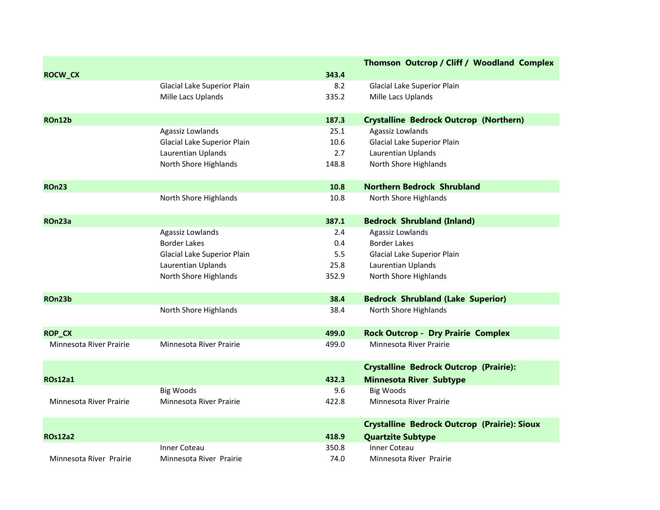|                         |                             |       | Thomson Outcrop / Cliff / Woodland Complex          |
|-------------------------|-----------------------------|-------|-----------------------------------------------------|
| <b>ROCW_CX</b>          |                             | 343.4 |                                                     |
|                         | Glacial Lake Superior Plain | 8.2   | Glacial Lake Superior Plain                         |
|                         | Mille Lacs Uplands          | 335.2 | Mille Lacs Uplands                                  |
| ROn12b                  |                             | 187.3 | <b>Crystalline Bedrock Outcrop (Northern)</b>       |
|                         | Agassiz Lowlands            | 25.1  | Agassiz Lowlands                                    |
|                         | Glacial Lake Superior Plain | 10.6  | Glacial Lake Superior Plain                         |
|                         | Laurentian Uplands          | 2.7   | Laurentian Uplands                                  |
|                         | North Shore Highlands       | 148.8 | North Shore Highlands                               |
| <b>ROn23</b>            |                             | 10.8  | <b>Northern Bedrock Shrubland</b>                   |
|                         | North Shore Highlands       | 10.8  | North Shore Highlands                               |
| ROn23a                  |                             | 387.1 | <b>Bedrock Shrubland (Inland)</b>                   |
|                         | Agassiz Lowlands            | 2.4   | Agassiz Lowlands                                    |
|                         | <b>Border Lakes</b>         | 0.4   | <b>Border Lakes</b>                                 |
|                         | Glacial Lake Superior Plain | 5.5   | Glacial Lake Superior Plain                         |
|                         | Laurentian Uplands          | 25.8  | Laurentian Uplands                                  |
|                         | North Shore Highlands       | 352.9 | North Shore Highlands                               |
| ROn23b                  |                             | 38.4  | <b>Bedrock Shrubland (Lake Superior)</b>            |
|                         | North Shore Highlands       | 38.4  | North Shore Highlands                               |
| <b>ROP_CX</b>           |                             | 499.0 | <b>Rock Outcrop - Dry Prairie Complex</b>           |
| Minnesota River Prairie | Minnesota River Prairie     | 499.0 | Minnesota River Prairie                             |
|                         |                             |       | <b>Crystalline Bedrock Outcrop (Prairie):</b>       |
| <b>ROs12a1</b>          |                             | 432.3 | <b>Minnesota River Subtype</b>                      |
|                         | <b>Big Woods</b>            | 9.6   | <b>Big Woods</b>                                    |
| Minnesota River Prairie | Minnesota River Prairie     | 422.8 | Minnesota River Prairie                             |
|                         |                             |       | <b>Crystalline Bedrock Outcrop (Prairie): Sioux</b> |
| <b>ROs12a2</b>          |                             | 418.9 | <b>Quartzite Subtype</b>                            |
|                         | Inner Coteau                | 350.8 | Inner Coteau                                        |
| Minnesota River Prairie | Minnesota River Prairie     | 74.0  | Minnesota River Prairie                             |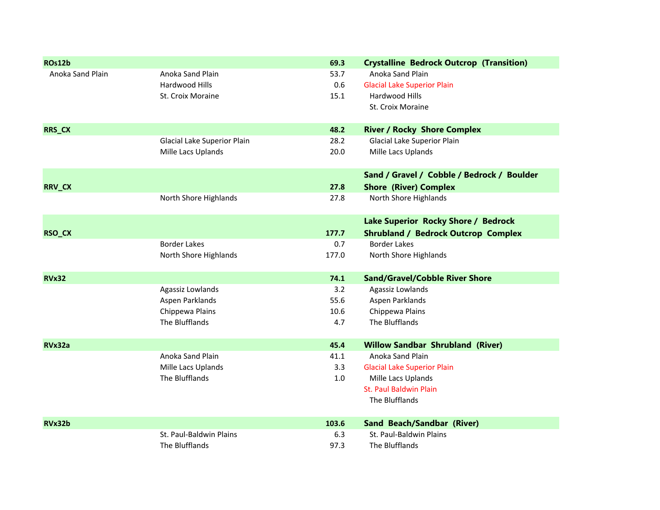| ROs12b           |                             | 69.3  | <b>Crystalline Bedrock Outcrop (Transition)</b> |
|------------------|-----------------------------|-------|-------------------------------------------------|
| Anoka Sand Plain | Anoka Sand Plain            | 53.7  | Anoka Sand Plain                                |
|                  | Hardwood Hills              | 0.6   | <b>Glacial Lake Superior Plain</b>              |
|                  | St. Croix Moraine           | 15.1  | Hardwood Hills                                  |
|                  |                             |       | St. Croix Moraine                               |
| RRS_CX           |                             | 48.2  | <b>River / Rocky Shore Complex</b>              |
|                  | Glacial Lake Superior Plain | 28.2  | Glacial Lake Superior Plain                     |
|                  | Mille Lacs Uplands          | 20.0  | Mille Lacs Uplands                              |
|                  |                             |       | Sand / Gravel / Cobble / Bedrock / Boulder      |
| RRV_CX           |                             | 27.8  | <b>Shore (River) Complex</b>                    |
|                  | North Shore Highlands       | 27.8  | North Shore Highlands                           |
|                  |                             |       | Lake Superior Rocky Shore / Bedrock             |
| RSO_CX           |                             | 177.7 | <b>Shrubland / Bedrock Outcrop Complex</b>      |
|                  | <b>Border Lakes</b>         | 0.7   | <b>Border Lakes</b>                             |
|                  | North Shore Highlands       | 177.0 | North Shore Highlands                           |
| <b>RVx32</b>     |                             | 74.1  | <b>Sand/Gravel/Cobble River Shore</b>           |
|                  | Agassiz Lowlands            | 3.2   | Agassiz Lowlands                                |
|                  | Aspen Parklands             | 55.6  | Aspen Parklands                                 |
|                  | Chippewa Plains             | 10.6  | Chippewa Plains                                 |
|                  | The Blufflands              | 4.7   | The Blufflands                                  |
| RVx32a           |                             | 45.4  | <b>Willow Sandbar Shrubland (River)</b>         |
|                  | Anoka Sand Plain            | 41.1  | Anoka Sand Plain                                |
|                  | Mille Lacs Uplands          | 3.3   | <b>Glacial Lake Superior Plain</b>              |
|                  | The Blufflands              | 1.0   | Mille Lacs Uplands                              |
|                  |                             |       | St. Paul Baldwin Plain                          |
|                  |                             |       | The Blufflands                                  |
| RVx32b           |                             | 103.6 | <b>Sand Beach/Sandbar (River)</b>               |
|                  | St. Paul-Baldwin Plains     | 6.3   | St. Paul-Baldwin Plains                         |
|                  | The Blufflands              | 97.3  | The Blufflands                                  |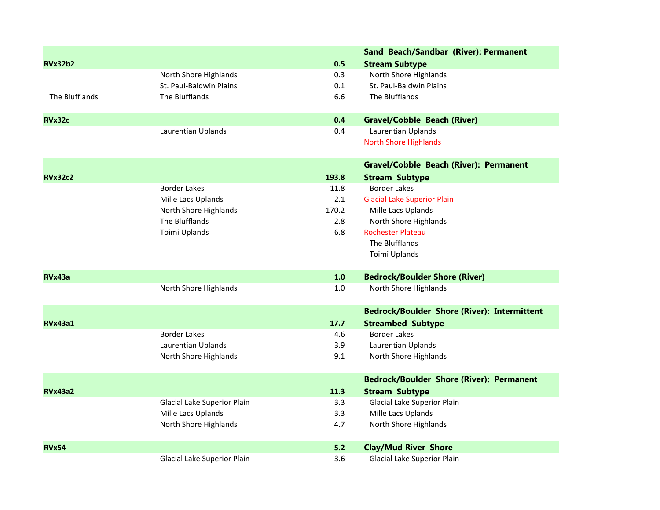|                |                             |       | Sand Beach/Sandbar (River): Permanent              |
|----------------|-----------------------------|-------|----------------------------------------------------|
| <b>RVx32b2</b> |                             | 0.5   | <b>Stream Subtype</b>                              |
|                | North Shore Highlands       | 0.3   | North Shore Highlands                              |
|                | St. Paul-Baldwin Plains     | 0.1   | St. Paul-Baldwin Plains                            |
| The Blufflands | The Blufflands              | 6.6   | The Blufflands                                     |
| RVx32c         |                             | 0.4   | <b>Gravel/Cobble Beach (River)</b>                 |
|                | Laurentian Uplands          | 0.4   | Laurentian Uplands                                 |
|                |                             |       | <b>North Shore Highlands</b>                       |
|                |                             |       | <b>Gravel/Cobble Beach (River): Permanent</b>      |
| <b>RVx32c2</b> |                             | 193.8 | <b>Stream Subtype</b>                              |
|                | <b>Border Lakes</b>         | 11.8  | <b>Border Lakes</b>                                |
|                | Mille Lacs Uplands          | 2.1   | <b>Glacial Lake Superior Plain</b>                 |
|                | North Shore Highlands       | 170.2 | Mille Lacs Uplands                                 |
|                | The Blufflands              | 2.8   | North Shore Highlands                              |
|                | Toimi Uplands               | 6.8   | <b>Rochester Plateau</b>                           |
|                |                             |       | The Blufflands                                     |
|                |                             |       | Toimi Uplands                                      |
| RVx43a         |                             | 1.0   | <b>Bedrock/Boulder Shore (River)</b>               |
|                | North Shore Highlands       | 1.0   | North Shore Highlands                              |
|                |                             |       | <b>Bedrock/Boulder Shore (River): Intermittent</b> |
| <b>RVx43a1</b> |                             | 17.7  | <b>Streambed Subtype</b>                           |
|                | <b>Border Lakes</b>         | 4.6   | <b>Border Lakes</b>                                |
|                | Laurentian Uplands          | 3.9   | Laurentian Uplands                                 |
|                | North Shore Highlands       | 9.1   | North Shore Highlands                              |
|                |                             |       | <b>Bedrock/Boulder Shore (River): Permanent</b>    |
| <b>RVx43a2</b> |                             | 11.3  | <b>Stream Subtype</b>                              |
|                | Glacial Lake Superior Plain | 3.3   | Glacial Lake Superior Plain                        |
|                | Mille Lacs Uplands          | 3.3   | Mille Lacs Uplands                                 |
|                | North Shore Highlands       | 4.7   | North Shore Highlands                              |
| <b>RVx54</b>   |                             | 5.2   | <b>Clay/Mud River Shore</b>                        |
|                | Glacial Lake Superior Plain | 3.6   | Glacial Lake Superior Plain                        |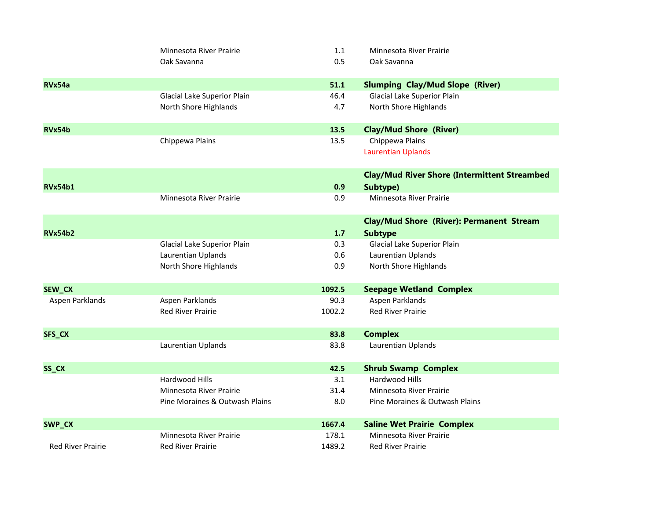| Minnesota River Prairie        | 1.1                                                                                              | Minnesota River Prairie                             |
|--------------------------------|--------------------------------------------------------------------------------------------------|-----------------------------------------------------|
| Oak Savanna                    | 0.5                                                                                              | Oak Savanna                                         |
|                                |                                                                                                  |                                                     |
|                                | 51.1                                                                                             | <b>Slumping Clay/Mud Slope (River)</b>              |
| Glacial Lake Superior Plain    | 46.4                                                                                             | Glacial Lake Superior Plain                         |
| North Shore Highlands          | 4.7                                                                                              | North Shore Highlands                               |
|                                |                                                                                                  |                                                     |
|                                | 13.5                                                                                             | <b>Clay/Mud Shore (River)</b>                       |
| Chippewa Plains                | 13.5                                                                                             | Chippewa Plains                                     |
|                                |                                                                                                  | <b>Laurentian Uplands</b>                           |
|                                |                                                                                                  | <b>Clay/Mud River Shore (Intermittent Streambed</b> |
|                                | 0.9                                                                                              | Subtype)                                            |
| Minnesota River Prairie        | 0.9                                                                                              | Minnesota River Prairie                             |
|                                |                                                                                                  |                                                     |
|                                |                                                                                                  | <b>Clay/Mud Shore (River): Permanent Stream</b>     |
|                                | 1.7                                                                                              | <b>Subtype</b>                                      |
|                                | 0.3                                                                                              | Glacial Lake Superior Plain                         |
|                                |                                                                                                  | Laurentian Uplands                                  |
|                                |                                                                                                  | North Shore Highlands                               |
|                                | 1092.5                                                                                           | <b>Seepage Wetland Complex</b>                      |
| Aspen Parklands                | 90.3                                                                                             | Aspen Parklands                                     |
| <b>Red River Prairie</b>       | 1002.2                                                                                           | <b>Red River Prairie</b>                            |
|                                |                                                                                                  | <b>Complex</b>                                      |
|                                |                                                                                                  | Laurentian Uplands                                  |
|                                |                                                                                                  |                                                     |
|                                | 42.5                                                                                             | <b>Shrub Swamp Complex</b>                          |
| Hardwood Hills                 | 3.1                                                                                              | Hardwood Hills                                      |
| Minnesota River Prairie        | 31.4                                                                                             | Minnesota River Prairie                             |
| Pine Moraines & Outwash Plains | 8.0                                                                                              | Pine Moraines & Outwash Plains                      |
|                                |                                                                                                  | <b>Saline Wet Prairie Complex</b>                   |
| Minnesota River Prairie        | 178.1                                                                                            | Minnesota River Prairie                             |
| <b>Red River Prairie</b>       | 1489.2                                                                                           | <b>Red River Prairie</b>                            |
|                                | Glacial Lake Superior Plain<br>Laurentian Uplands<br>North Shore Highlands<br>Laurentian Uplands | 0.6<br>0.9<br>83.8<br>83.8<br>1667.4                |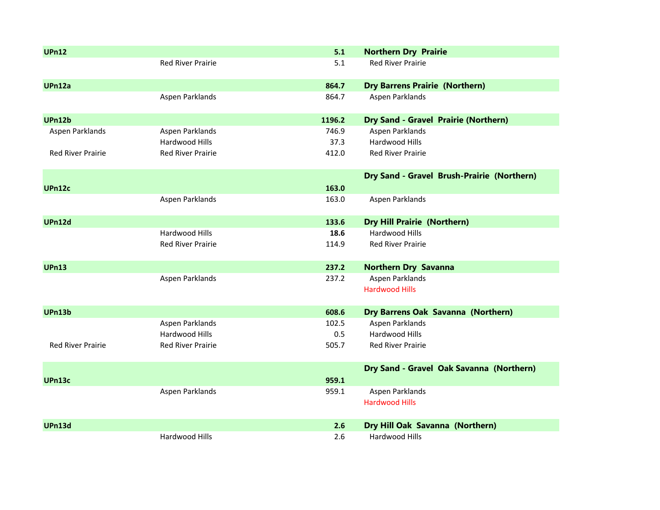| <b>UPn12</b>             |                          | 5.1    | <b>Northern Dry Prairie</b>                 |
|--------------------------|--------------------------|--------|---------------------------------------------|
|                          | <b>Red River Prairie</b> | 5.1    | <b>Red River Prairie</b>                    |
| UPn12a                   |                          | 864.7  | <b>Dry Barrens Prairie (Northern)</b>       |
|                          | Aspen Parklands          | 864.7  | Aspen Parklands                             |
| <b>UPn12b</b>            |                          | 1196.2 | <b>Dry Sand - Gravel Prairie (Northern)</b> |
| Aspen Parklands          | Aspen Parklands          | 746.9  | Aspen Parklands                             |
|                          | Hardwood Hills           | 37.3   | Hardwood Hills                              |
| <b>Red River Prairie</b> | <b>Red River Prairie</b> | 412.0  | <b>Red River Prairie</b>                    |
|                          |                          |        | Dry Sand - Gravel Brush-Prairie (Northern)  |
| <b>UPn12c</b>            |                          | 163.0  |                                             |
|                          | Aspen Parklands          | 163.0  | Aspen Parklands                             |
| <b>UPn12d</b>            |                          | 133.6  | <b>Dry Hill Prairie (Northern)</b>          |
|                          | Hardwood Hills           | 18.6   | Hardwood Hills                              |
|                          | <b>Red River Prairie</b> | 114.9  | <b>Red River Prairie</b>                    |
| <b>UPn13</b>             |                          | 237.2  | <b>Northern Dry Savanna</b>                 |
|                          | Aspen Parklands          | 237.2  | Aspen Parklands                             |
|                          |                          |        | <b>Hardwood Hills</b>                       |
| <b>UPn13b</b>            |                          | 608.6  | Dry Barrens Oak Savanna (Northern)          |
|                          | Aspen Parklands          | 102.5  | Aspen Parklands                             |
|                          | Hardwood Hills           | 0.5    | Hardwood Hills                              |
| <b>Red River Prairie</b> | <b>Red River Prairie</b> | 505.7  | <b>Red River Prairie</b>                    |
|                          |                          |        | Dry Sand - Gravel Oak Savanna (Northern)    |
| UPn13c                   |                          | 959.1  |                                             |
|                          | Aspen Parklands          | 959.1  | Aspen Parklands                             |
|                          |                          |        | <b>Hardwood Hills</b>                       |
| <b>UPn13d</b>            |                          | 2.6    | Dry Hill Oak Savanna (Northern)             |
|                          | Hardwood Hills           | 2.6    | Hardwood Hills                              |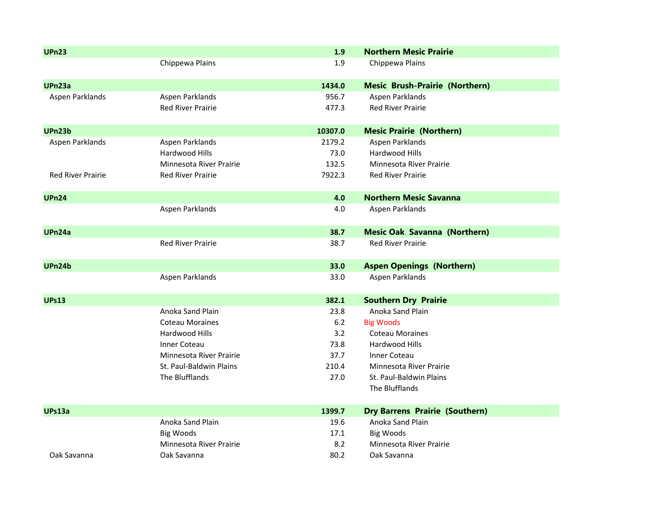| <b>UPn23</b>             |                          | 1.9     | <b>Northern Mesic Prairie</b>         |
|--------------------------|--------------------------|---------|---------------------------------------|
|                          | Chippewa Plains          | 1.9     | Chippewa Plains                       |
|                          |                          |         |                                       |
| UPn23a                   |                          | 1434.0  | <b>Mesic Brush-Prairie (Northern)</b> |
| Aspen Parklands          | Aspen Parklands          | 956.7   | Aspen Parklands                       |
|                          | <b>Red River Prairie</b> | 477.3   | <b>Red River Prairie</b>              |
| UPn23b                   |                          | 10307.0 | <b>Mesic Prairie (Northern)</b>       |
| Aspen Parklands          | Aspen Parklands          | 2179.2  | Aspen Parklands                       |
|                          | Hardwood Hills           | 73.0    | Hardwood Hills                        |
|                          | Minnesota River Prairie  | 132.5   | Minnesota River Prairie               |
| <b>Red River Prairie</b> | <b>Red River Prairie</b> | 7922.3  | <b>Red River Prairie</b>              |
|                          |                          |         |                                       |
| <b>UPn24</b>             |                          | 4.0     | <b>Northern Mesic Savanna</b>         |
|                          | Aspen Parklands          | 4.0     | Aspen Parklands                       |
|                          |                          |         |                                       |
| UPn24a                   |                          | 38.7    | <b>Mesic Oak Savanna (Northern)</b>   |
|                          | <b>Red River Prairie</b> | 38.7    | <b>Red River Prairie</b>              |
| <b>UPn24b</b>            |                          | 33.0    | <b>Aspen Openings (Northern)</b>      |
|                          | Aspen Parklands          | 33.0    | Aspen Parklands                       |
|                          |                          |         |                                       |
| <b>UPs13</b>             |                          | 382.1   | <b>Southern Dry Prairie</b>           |
|                          | Anoka Sand Plain         | 23.8    | Anoka Sand Plain                      |
|                          | <b>Coteau Moraines</b>   | $6.2$   | <b>Big Woods</b>                      |
|                          | Hardwood Hills           | 3.2     | <b>Coteau Moraines</b>                |
|                          | <b>Inner Coteau</b>      | 73.8    | Hardwood Hills                        |
|                          | Minnesota River Prairie  | 37.7    | <b>Inner Coteau</b>                   |
|                          | St. Paul-Baldwin Plains  | 210.4   | Minnesota River Prairie               |
|                          | The Blufflands           | 27.0    | St. Paul-Baldwin Plains               |
|                          |                          |         | The Blufflands                        |
| UPs13a                   |                          | 1399.7  | <b>Dry Barrens Prairie (Southern)</b> |
|                          | Anoka Sand Plain         | 19.6    | Anoka Sand Plain                      |
|                          | <b>Big Woods</b>         | 17.1    | <b>Big Woods</b>                      |
|                          |                          |         |                                       |
|                          | Minnesota River Prairie  | 8.2     | Minnesota River Prairie               |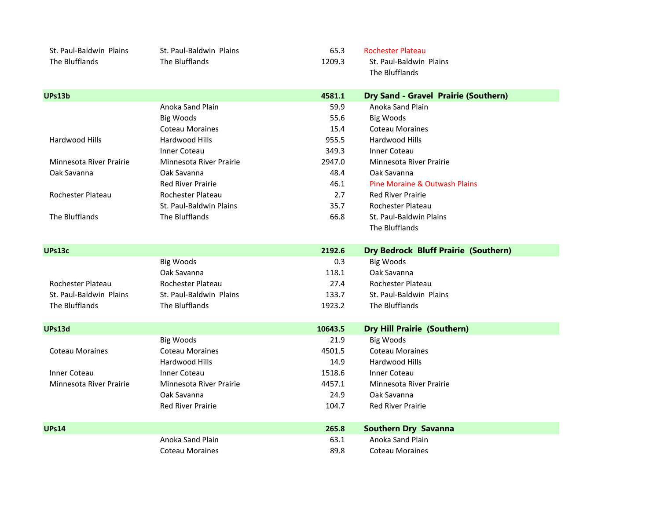| St. Paul-Baldwin Plains | St. Paul-Baldwin Plains  | 65.3    | <b>Rochester Plateau</b>                    |  |
|-------------------------|--------------------------|---------|---------------------------------------------|--|
| The Blufflands          | The Blufflands           | 1209.3  | St. Paul-Baldwin Plains                     |  |
|                         |                          |         | The Blufflands                              |  |
|                         |                          |         |                                             |  |
| <b>UPs13b</b>           |                          | 4581.1  | Dry Sand - Gravel Prairie (Southern)        |  |
|                         | Anoka Sand Plain         | 59.9    | Anoka Sand Plain                            |  |
|                         | <b>Big Woods</b>         | 55.6    | <b>Big Woods</b>                            |  |
|                         | <b>Coteau Moraines</b>   | 15.4    | <b>Coteau Moraines</b>                      |  |
| Hardwood Hills          | Hardwood Hills           | 955.5   | Hardwood Hills                              |  |
|                         | <b>Inner Coteau</b>      | 349.3   | <b>Inner Coteau</b>                         |  |
| Minnesota River Prairie | Minnesota River Prairie  | 2947.0  | Minnesota River Prairie                     |  |
| Oak Savanna             | Oak Savanna              | 48.4    | Oak Savanna                                 |  |
|                         | <b>Red River Prairie</b> | 46.1    | Pine Moraine & Outwash Plains               |  |
| Rochester Plateau       | Rochester Plateau        | 2.7     | <b>Red River Prairie</b>                    |  |
|                         | St. Paul-Baldwin Plains  | 35.7    | Rochester Plateau                           |  |
| The Blufflands          | The Blufflands           | 66.8    | St. Paul-Baldwin Plains                     |  |
|                         |                          |         | The Blufflands                              |  |
|                         |                          |         |                                             |  |
| UPs13c                  |                          | 2192.6  | <b>Dry Bedrock Bluff Prairie (Southern)</b> |  |
|                         | <b>Big Woods</b>         | 0.3     | <b>Big Woods</b>                            |  |
|                         | Oak Savanna              | 118.1   | Oak Savanna                                 |  |
| Rochester Plateau       | Rochester Plateau        | 27.4    | Rochester Plateau                           |  |
| St. Paul-Baldwin Plains | St. Paul-Baldwin Plains  | 133.7   | St. Paul-Baldwin Plains                     |  |
| The Blufflands          | The Blufflands           | 1923.2  | The Blufflands                              |  |
|                         |                          |         |                                             |  |
| <b>UPs13d</b>           |                          | 10643.5 | <b>Dry Hill Prairie (Southern)</b>          |  |
|                         | <b>Big Woods</b>         | 21.9    | <b>Big Woods</b>                            |  |
| <b>Coteau Moraines</b>  | <b>Coteau Moraines</b>   | 4501.5  | <b>Coteau Moraines</b>                      |  |
|                         | Hardwood Hills           | 14.9    | Hardwood Hills                              |  |
| <b>Inner Coteau</b>     | <b>Inner Coteau</b>      | 1518.6  | <b>Inner Coteau</b>                         |  |
| Minnesota River Prairie | Minnesota River Prairie  | 4457.1  | Minnesota River Prairie                     |  |
|                         | Oak Savanna              | 24.9    | Oak Savanna                                 |  |
|                         | <b>Red River Prairie</b> | 104.7   | <b>Red River Prairie</b>                    |  |
|                         |                          |         |                                             |  |
| <b>UPs14</b>            |                          | 265.8   | <b>Southern Dry Savanna</b>                 |  |
|                         |                          |         |                                             |  |
|                         | Anoka Sand Plain         | 63.1    | Anoka Sand Plain                            |  |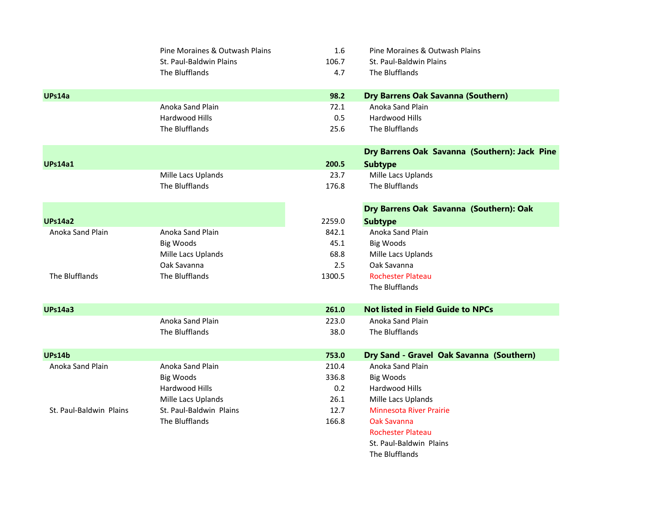|                         | Pine Moraines & Outwash Plains | 1.6    | Pine Moraines & Outwash Plains                |
|-------------------------|--------------------------------|--------|-----------------------------------------------|
|                         | St. Paul-Baldwin Plains        | 106.7  | St. Paul-Baldwin Plains                       |
|                         | The Blufflands                 | 4.7    | The Blufflands                                |
| UPs14a                  |                                | 98.2   | <b>Dry Barrens Oak Savanna (Southern)</b>     |
|                         | Anoka Sand Plain               | 72.1   | Anoka Sand Plain                              |
|                         | Hardwood Hills                 | 0.5    | Hardwood Hills                                |
|                         | The Blufflands                 | 25.6   | The Blufflands                                |
|                         |                                |        | Dry Barrens Oak Savanna (Southern): Jack Pine |
| <b>UPs14a1</b>          |                                | 200.5  | <b>Subtype</b>                                |
|                         | Mille Lacs Uplands             | 23.7   | Mille Lacs Uplands                            |
|                         | The Blufflands                 | 176.8  | The Blufflands                                |
|                         |                                |        | Dry Barrens Oak Savanna (Southern): Oak       |
| <b>UPs14a2</b>          |                                | 2259.0 | <b>Subtype</b>                                |
| Anoka Sand Plain        | Anoka Sand Plain               | 842.1  | Anoka Sand Plain                              |
|                         | <b>Big Woods</b>               | 45.1   | <b>Big Woods</b>                              |
|                         | Mille Lacs Uplands             | 68.8   | Mille Lacs Uplands                            |
|                         | Oak Savanna                    | 2.5    | Oak Savanna                                   |
| The Blufflands          | The Blufflands                 | 1300.5 | <b>Rochester Plateau</b>                      |
|                         |                                |        | The Blufflands                                |
| <b>UPs14a3</b>          |                                | 261.0  | <b>Not listed in Field Guide to NPCs</b>      |
|                         | Anoka Sand Plain               | 223.0  | Anoka Sand Plain                              |
|                         | The Blufflands                 | 38.0   | The Blufflands                                |
| <b>UPs14b</b>           |                                | 753.0  | Dry Sand - Gravel Oak Savanna (Southern)      |
| Anoka Sand Plain        | Anoka Sand Plain               | 210.4  | Anoka Sand Plain                              |
|                         | <b>Big Woods</b>               | 336.8  | <b>Big Woods</b>                              |
|                         | Hardwood Hills                 | 0.2    | Hardwood Hills                                |
|                         | Mille Lacs Uplands             | 26.1   | Mille Lacs Uplands                            |
| St. Paul-Baldwin Plains | St. Paul-Baldwin Plains        | 12.7   | <b>Minnesota River Prairie</b>                |
|                         | The Blufflands                 | 166.8  | Oak Savanna                                   |
|                         |                                |        | <b>Rochester Plateau</b>                      |
|                         |                                |        | St. Paul-Baldwin Plains                       |
|                         |                                |        | The Blufflands                                |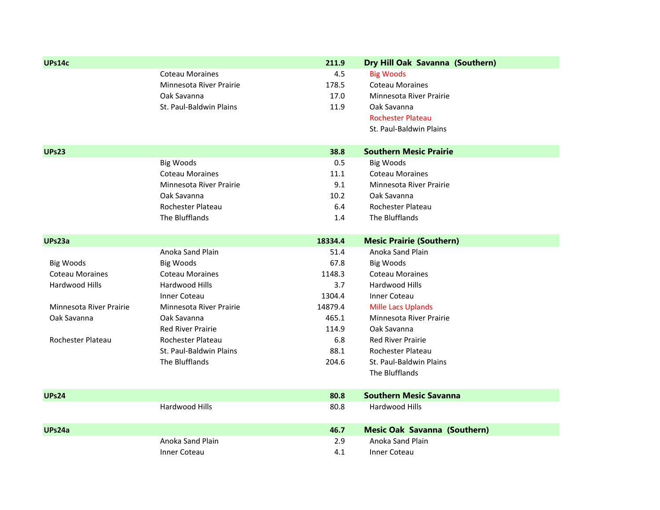| UPs14c                  |                          | 211.9   | Dry Hill Oak Savanna (Southern)     |
|-------------------------|--------------------------|---------|-------------------------------------|
|                         | <b>Coteau Moraines</b>   | 4.5     | <b>Big Woods</b>                    |
|                         | Minnesota River Prairie  | 178.5   | <b>Coteau Moraines</b>              |
|                         | Oak Savanna              | 17.0    | <b>Minnesota River Prairie</b>      |
|                         | St. Paul-Baldwin Plains  | 11.9    | Oak Savanna                         |
|                         |                          |         | <b>Rochester Plateau</b>            |
|                         |                          |         | St. Paul-Baldwin Plains             |
| <b>UPs23</b>            |                          | 38.8    | <b>Southern Mesic Prairie</b>       |
|                         |                          | 0.5     |                                     |
|                         | <b>Big Woods</b>         | 11.1    | <b>Big Woods</b>                    |
|                         | <b>Coteau Moraines</b>   | 9.1     | <b>Coteau Moraines</b>              |
|                         | Minnesota River Prairie  |         | Minnesota River Prairie             |
|                         | Oak Savanna              | 10.2    | Oak Savanna                         |
|                         | Rochester Plateau        | 6.4     | Rochester Plateau                   |
|                         | The Blufflands           | 1.4     | The Blufflands                      |
| UPs23a                  |                          | 18334.4 | <b>Mesic Prairie (Southern)</b>     |
|                         | Anoka Sand Plain         | 51.4    | Anoka Sand Plain                    |
| <b>Big Woods</b>        | <b>Big Woods</b>         | 67.8    | <b>Big Woods</b>                    |
| <b>Coteau Moraines</b>  | <b>Coteau Moraines</b>   | 1148.3  | <b>Coteau Moraines</b>              |
| Hardwood Hills          | Hardwood Hills           | 3.7     | Hardwood Hills                      |
|                         | <b>Inner Coteau</b>      | 1304.4  | <b>Inner Coteau</b>                 |
| Minnesota River Prairie | Minnesota River Prairie  | 14879.4 | <b>Mille Lacs Uplands</b>           |
| Oak Savanna             | Oak Savanna              | 465.1   | Minnesota River Prairie             |
|                         | <b>Red River Prairie</b> | 114.9   | Oak Savanna                         |
| Rochester Plateau       | Rochester Plateau        | 6.8     | <b>Red River Prairie</b>            |
|                         | St. Paul-Baldwin Plains  | 88.1    | Rochester Plateau                   |
|                         | The Blufflands           | 204.6   | St. Paul-Baldwin Plains             |
|                         |                          |         | The Blufflands                      |
| <b>UPs24</b>            |                          | 80.8    | <b>Southern Mesic Savanna</b>       |
|                         | Hardwood Hills           | 80.8    | Hardwood Hills                      |
|                         |                          |         |                                     |
| UPs24a                  |                          | 46.7    | <b>Mesic Oak Savanna (Southern)</b> |
|                         | Anoka Sand Plain         | 2.9     | Anoka Sand Plain                    |
|                         | <b>Inner Coteau</b>      | 4.1     | <b>Inner Coteau</b>                 |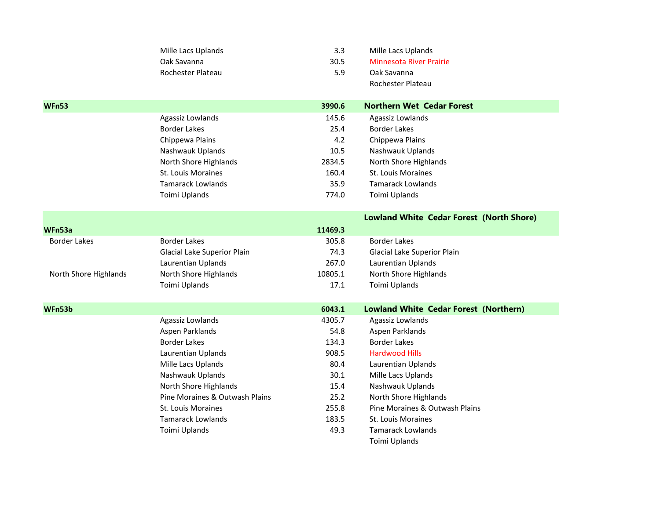|                       | Mille Lacs Uplands             | 3.3     | Mille Lacs Uplands                              |
|-----------------------|--------------------------------|---------|-------------------------------------------------|
|                       | Oak Savanna                    | 30.5    | <b>Minnesota River Prairie</b>                  |
|                       | Rochester Plateau              | 5.9     | Oak Savanna                                     |
|                       |                                |         | Rochester Plateau                               |
|                       |                                |         |                                                 |
| <b>WFn53</b>          |                                | 3990.6  | <b>Northern Wet Cedar Forest</b>                |
|                       | Agassiz Lowlands               | 145.6   | Agassiz Lowlands                                |
|                       | <b>Border Lakes</b>            | 25.4    | <b>Border Lakes</b>                             |
|                       | Chippewa Plains                | 4.2     | Chippewa Plains                                 |
|                       | Nashwauk Uplands               | 10.5    | Nashwauk Uplands                                |
|                       | North Shore Highlands          | 2834.5  | North Shore Highlands                           |
|                       | St. Louis Moraines             | 160.4   | St. Louis Moraines                              |
|                       | <b>Tamarack Lowlands</b>       | 35.9    | <b>Tamarack Lowlands</b>                        |
|                       | Toimi Uplands                  | 774.0   | Toimi Uplands                                   |
|                       |                                |         |                                                 |
|                       |                                |         | <b>Lowland White Cedar Forest (North Shore)</b> |
| WFn53a                |                                | 11469.3 |                                                 |
| <b>Border Lakes</b>   | <b>Border Lakes</b>            | 305.8   | <b>Border Lakes</b>                             |
|                       | Glacial Lake Superior Plain    | 74.3    | Glacial Lake Superior Plain                     |
|                       | Laurentian Uplands             | 267.0   | Laurentian Uplands                              |
| North Shore Highlands | North Shore Highlands          | 10805.1 | North Shore Highlands                           |
|                       | Toimi Uplands                  | 17.1    | Toimi Uplands                                   |
|                       |                                |         |                                                 |
| WFn53b                |                                | 6043.1  | <b>Lowland White Cedar Forest (Northern)</b>    |
|                       | Agassiz Lowlands               | 4305.7  | Agassiz Lowlands                                |
|                       | Aspen Parklands                | 54.8    | Aspen Parklands                                 |
|                       | <b>Border Lakes</b>            | 134.3   | <b>Border Lakes</b>                             |
|                       | Laurentian Uplands             | 908.5   | <b>Hardwood Hills</b>                           |
|                       | Mille Lacs Uplands             | 80.4    | Laurentian Uplands                              |
|                       | Nashwauk Uplands               | 30.1    | Mille Lacs Uplands                              |
|                       | North Shore Highlands          | 15.4    | Nashwauk Uplands                                |
|                       | Pine Moraines & Outwash Plains | 25.2    | North Shore Highlands                           |
|                       | St. Louis Moraines             | 255.8   | Pine Moraines & Outwash Plains                  |
|                       | <b>Tamarack Lowlands</b>       | 183.5   | St. Louis Moraines                              |
|                       | Toimi Uplands                  | 49.3    | <b>Tamarack Lowlands</b>                        |
|                       |                                |         | Toimi Uplands                                   |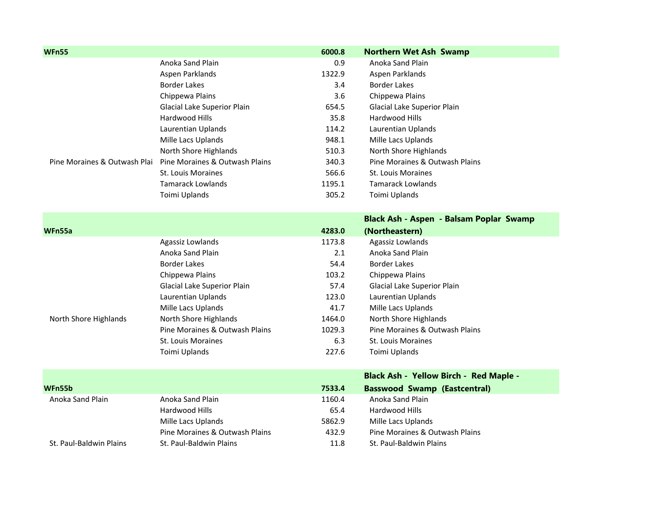| <b>WFn55</b>                 |                                | 6000.8 | <b>Northern Wet Ash Swamp</b>                 |
|------------------------------|--------------------------------|--------|-----------------------------------------------|
|                              | Anoka Sand Plain               | 0.9    | Anoka Sand Plain                              |
|                              | Aspen Parklands                | 1322.9 | Aspen Parklands                               |
|                              | <b>Border Lakes</b>            | 3.4    | <b>Border Lakes</b>                           |
|                              | Chippewa Plains                | 3.6    | Chippewa Plains                               |
|                              | Glacial Lake Superior Plain    | 654.5  | Glacial Lake Superior Plain                   |
|                              | Hardwood Hills                 | 35.8   | Hardwood Hills                                |
|                              | Laurentian Uplands             | 114.2  | Laurentian Uplands                            |
|                              | Mille Lacs Uplands             | 948.1  | Mille Lacs Uplands                            |
|                              | North Shore Highlands          | 510.3  | North Shore Highlands                         |
| Pine Moraines & Outwash Plai | Pine Moraines & Outwash Plains | 340.3  | Pine Moraines & Outwash Plains                |
|                              | St. Louis Moraines             | 566.6  | St. Louis Moraines                            |
|                              | <b>Tamarack Lowlands</b>       | 1195.1 | <b>Tamarack Lowlands</b>                      |
|                              | Toimi Uplands                  | 305.2  | Toimi Uplands                                 |
|                              |                                |        |                                               |
|                              |                                |        | Black Ash - Aspen - Balsam Poplar Swamp       |
| WFn55a                       |                                | 4283.0 | (Northeastern)                                |
|                              | Agassiz Lowlands               | 1173.8 | Agassiz Lowlands                              |
|                              | Anoka Sand Plain               | 2.1    | Anoka Sand Plain                              |
|                              | <b>Border Lakes</b>            | 54.4   | <b>Border Lakes</b>                           |
|                              | Chippewa Plains                | 103.2  | Chippewa Plains                               |
|                              | Glacial Lake Superior Plain    | 57.4   | Glacial Lake Superior Plain                   |
|                              | Laurentian Uplands             | 123.0  | Laurentian Uplands                            |
|                              | Mille Lacs Uplands             | 41.7   | Mille Lacs Uplands                            |
| North Shore Highlands        | North Shore Highlands          | 1464.0 | North Shore Highlands                         |
|                              | Pine Moraines & Outwash Plains | 1029.3 | Pine Moraines & Outwash Plains                |
|                              | <b>St. Louis Moraines</b>      | 6.3    | St. Louis Moraines                            |
|                              | Toimi Uplands                  | 227.6  | Toimi Uplands                                 |
|                              |                                |        | <b>Black Ash - Yellow Birch - Red Maple -</b> |
| WFn55b                       |                                | 7533.4 | <b>Basswood Swamp (Eastcentral)</b>           |
| Anoka Sand Plain             | Anoka Sand Plain               | 1160.4 | Anoka Sand Plain                              |
|                              | Hardwood Hills                 | 65.4   | Hardwood Hills                                |
|                              | Mille Lacs Uplands             | 5862.9 | Mille Lacs Uplands                            |
|                              | Pine Moraines & Outwash Plains | 432.9  | Pine Moraines & Outwash Plains                |
|                              |                                |        |                                               |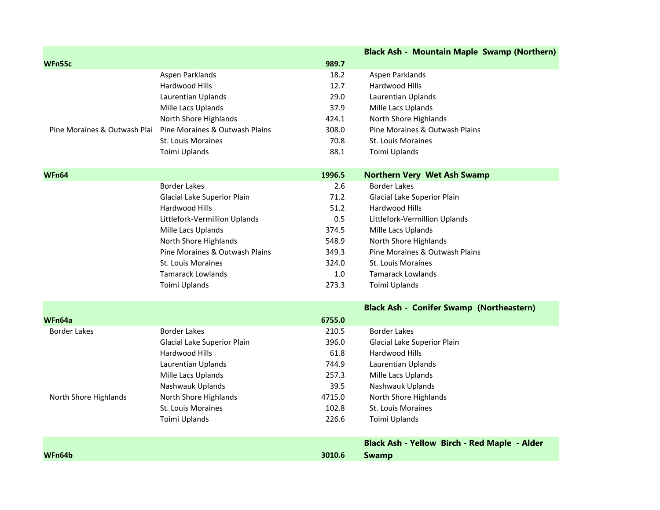|                              |                                |        | <b>Black Ash - Mountain Maple Swamp (Northern)</b> |
|------------------------------|--------------------------------|--------|----------------------------------------------------|
| WFn55c                       |                                | 989.7  |                                                    |
|                              | Aspen Parklands                | 18.2   | Aspen Parklands                                    |
|                              | Hardwood Hills                 | 12.7   | Hardwood Hills                                     |
|                              | Laurentian Uplands             | 29.0   | Laurentian Uplands                                 |
|                              | Mille Lacs Uplands             | 37.9   | Mille Lacs Uplands                                 |
|                              | North Shore Highlands          | 424.1  | North Shore Highlands                              |
| Pine Moraines & Outwash Plai | Pine Moraines & Outwash Plains | 308.0  | Pine Moraines & Outwash Plains                     |
|                              | <b>St. Louis Moraines</b>      | 70.8   | <b>St. Louis Moraines</b>                          |
|                              | Toimi Uplands                  | 88.1   | Toimi Uplands                                      |
|                              |                                |        |                                                    |
| WFn64                        |                                | 1996.5 | <b>Northern Very Wet Ash Swamp</b>                 |
|                              | <b>Border Lakes</b>            | 2.6    | <b>Border Lakes</b>                                |
|                              | Glacial Lake Superior Plain    | 71.2   | Glacial Lake Superior Plain                        |
|                              | Hardwood Hills                 | 51.2   | Hardwood Hills                                     |
|                              | Littlefork-Vermillion Uplands  | 0.5    | Littlefork-Vermillion Uplands                      |
|                              | Mille Lacs Uplands             | 374.5  | Mille Lacs Uplands                                 |
|                              | North Shore Highlands          | 548.9  | North Shore Highlands                              |
|                              | Pine Moraines & Outwash Plains | 349.3  | Pine Moraines & Outwash Plains                     |
|                              | <b>St. Louis Moraines</b>      | 324.0  | St. Louis Moraines                                 |
|                              | <b>Tamarack Lowlands</b>       | 1.0    | <b>Tamarack Lowlands</b>                           |
|                              | Toimi Uplands                  | 273.3  | Toimi Uplands                                      |
|                              |                                |        | <b>Black Ash - Conifer Swamp (Northeastern)</b>    |
| WFn64a                       |                                | 6755.0 |                                                    |
| <b>Border Lakes</b>          | <b>Border Lakes</b>            | 210.5  | <b>Border Lakes</b>                                |
|                              | Glacial Lake Superior Plain    | 396.0  | Glacial Lake Superior Plain                        |
|                              | Hardwood Hills                 | 61.8   | Hardwood Hills                                     |
|                              | Laurentian Uplands             | 744.9  | Laurentian Uplands                                 |
|                              | Mille Lacs Uplands             | 257.3  | Mille Lacs Uplands                                 |
|                              | Nashwauk Uplands               | 39.5   | Nashwauk Uplands                                   |
| North Shore Highlands        | North Shore Highlands          | 4715.0 | North Shore Highlands                              |
|                              | St. Louis Moraines             | 102.8  | <b>St. Louis Moraines</b>                          |
|                              | Toimi Uplands                  | 226.6  | Toimi Uplands                                      |
|                              |                                |        |                                                    |
|                              |                                |        | Black Ash - Yellow Birch - Red Maple - Alder       |
| WFn64b                       |                                | 3010.6 | <b>Swamp</b>                                       |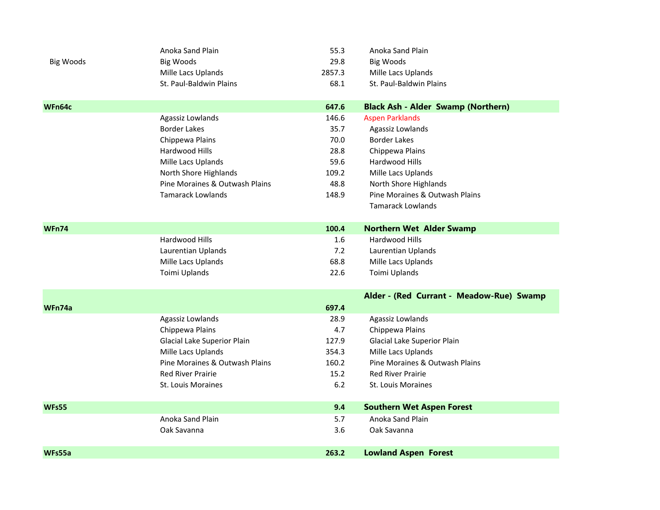|                  | Anoka Sand Plain               | 55.3   | Anoka Sand Plain                          |
|------------------|--------------------------------|--------|-------------------------------------------|
| <b>Big Woods</b> | <b>Big Woods</b>               | 29.8   | <b>Big Woods</b>                          |
|                  | Mille Lacs Uplands             | 2857.3 | Mille Lacs Uplands                        |
|                  | St. Paul-Baldwin Plains        | 68.1   | St. Paul-Baldwin Plains                   |
|                  |                                |        |                                           |
| WFn64c           |                                | 647.6  | <b>Black Ash - Alder Swamp (Northern)</b> |
|                  | Agassiz Lowlands               | 146.6  | <b>Aspen Parklands</b>                    |
|                  | <b>Border Lakes</b>            | 35.7   | Agassiz Lowlands                          |
|                  | Chippewa Plains                | 70.0   | <b>Border Lakes</b>                       |
|                  | Hardwood Hills                 | 28.8   | Chippewa Plains                           |
|                  | Mille Lacs Uplands             | 59.6   | Hardwood Hills                            |
|                  | North Shore Highlands          | 109.2  | Mille Lacs Uplands                        |
|                  | Pine Moraines & Outwash Plains | 48.8   | North Shore Highlands                     |
|                  | <b>Tamarack Lowlands</b>       | 148.9  | Pine Moraines & Outwash Plains            |
|                  |                                |        | <b>Tamarack Lowlands</b>                  |
|                  |                                |        |                                           |
| <b>WFn74</b>     |                                | 100.4  | <b>Northern Wet Alder Swamp</b>           |
|                  | Hardwood Hills                 | 1.6    | Hardwood Hills                            |
|                  | Laurentian Uplands             | 7.2    | Laurentian Uplands                        |
|                  | Mille Lacs Uplands             | 68.8   | Mille Lacs Uplands                        |
|                  | Toimi Uplands                  | 22.6   | Toimi Uplands                             |
|                  |                                |        | Alder - (Red Currant - Meadow-Rue) Swamp  |
| WFn74a           |                                | 697.4  |                                           |
|                  | Agassiz Lowlands               | 28.9   | Agassiz Lowlands                          |
|                  | Chippewa Plains                | 4.7    | Chippewa Plains                           |
|                  | Glacial Lake Superior Plain    | 127.9  | Glacial Lake Superior Plain               |
|                  | Mille Lacs Uplands             | 354.3  | Mille Lacs Uplands                        |
|                  | Pine Moraines & Outwash Plains | 160.2  | Pine Moraines & Outwash Plains            |
|                  | <b>Red River Prairie</b>       | 15.2   | <b>Red River Prairie</b>                  |
|                  | St. Louis Moraines             | 6.2    | <b>St. Louis Moraines</b>                 |
| <b>WFs55</b>     |                                | 9.4    | <b>Southern Wet Aspen Forest</b>          |
|                  | Anoka Sand Plain               | 5.7    | Anoka Sand Plain                          |
|                  | Oak Savanna                    | 3.6    | Oak Savanna                               |
|                  |                                |        |                                           |
| WFs55a           |                                | 263.2  | <b>Lowland Aspen Forest</b>               |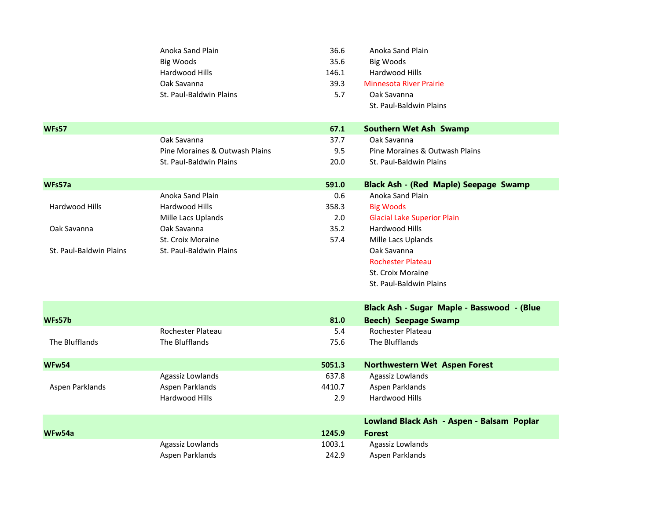|                         | Anoka Sand Plain<br><b>Big Woods</b> | 36.6<br>35.6 | Anoka Sand Plain<br><b>Big Woods</b>         |
|-------------------------|--------------------------------------|--------------|----------------------------------------------|
|                         | Hardwood Hills                       | 146.1        | Hardwood Hills                               |
|                         | Oak Savanna                          | 39.3         | <b>Minnesota River Prairie</b>               |
|                         | St. Paul-Baldwin Plains              | 5.7          | Oak Savanna                                  |
|                         |                                      |              | St. Paul-Baldwin Plains                      |
| <b>WFs57</b>            |                                      | 67.1         | <b>Southern Wet Ash Swamp</b>                |
|                         | Oak Savanna                          | 37.7         | Oak Savanna                                  |
|                         | Pine Moraines & Outwash Plains       | 9.5          | Pine Moraines & Outwash Plains               |
|                         | St. Paul-Baldwin Plains              | 20.0         | St. Paul-Baldwin Plains                      |
| WFs57a                  |                                      | 591.0        | <b>Black Ash - (Red Maple) Seepage Swamp</b> |
|                         | Anoka Sand Plain                     | 0.6          | Anoka Sand Plain                             |
| <b>Hardwood Hills</b>   | Hardwood Hills                       | 358.3        | <b>Big Woods</b>                             |
|                         | Mille Lacs Uplands                   | 2.0          | <b>Glacial Lake Superior Plain</b>           |
| Oak Savanna             | Oak Savanna                          | 35.2         | Hardwood Hills                               |
|                         | St. Croix Moraine                    | 57.4         | Mille Lacs Uplands                           |
| St. Paul-Baldwin Plains | St. Paul-Baldwin Plains              |              | Oak Savanna                                  |
|                         |                                      |              | <b>Rochester Plateau</b>                     |
|                         |                                      |              | St. Croix Moraine                            |
|                         |                                      |              | St. Paul-Baldwin Plains                      |
|                         |                                      |              | Black Ash - Sugar Maple - Basswood - (Blue   |
| WFs57b                  |                                      | 81.0         | <b>Beech) Seepage Swamp</b>                  |
|                         | Rochester Plateau                    | 5.4          | Rochester Plateau                            |
| The Blufflands          | The Blufflands                       | 75.6         | The Blufflands                               |
| WFw54                   |                                      | 5051.3       | <b>Northwestern Wet Aspen Forest</b>         |
|                         | Agassiz Lowlands                     | 637.8        | Agassiz Lowlands                             |
| Aspen Parklands         | Aspen Parklands                      | 4410.7       | Aspen Parklands                              |
|                         | Hardwood Hills                       | 2.9          | Hardwood Hills                               |
|                         |                                      |              | Lowland Black Ash - Aspen - Balsam Poplar    |
| WFw54a                  |                                      | 1245.9       | <b>Forest</b>                                |
|                         | Agassiz Lowlands                     | 1003.1       | Agassiz Lowlands                             |
|                         | Aspen Parklands                      | 242.9        | Aspen Parklands                              |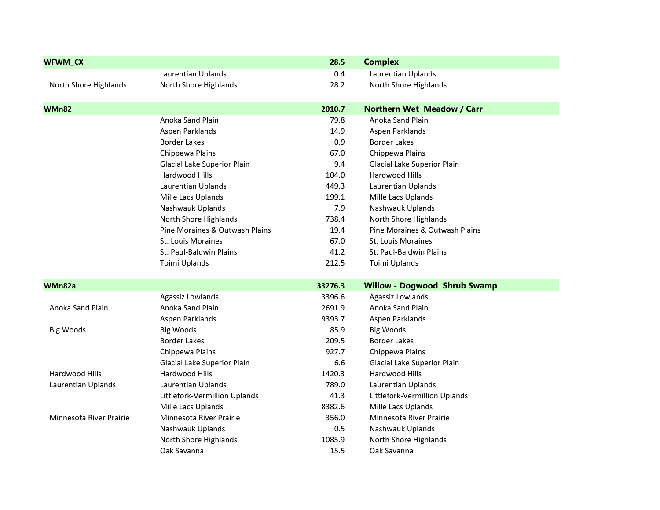| WFWM_CX                 |                                | 28.5    | <b>Complex</b>                      |
|-------------------------|--------------------------------|---------|-------------------------------------|
|                         | Laurentian Uplands             | 0.4     | Laurentian Uplands                  |
| North Shore Highlands   | North Shore Highlands          | 28.2    | North Shore Highlands               |
| <b>WMn82</b>            |                                | 2010.7  | <b>Northern Wet Meadow / Carr</b>   |
|                         | Anoka Sand Plain               | 79.8    | Anoka Sand Plain                    |
|                         | Aspen Parklands                | 14.9    | Aspen Parklands                     |
|                         | <b>Border Lakes</b>            | 0.9     | <b>Border Lakes</b>                 |
|                         | Chippewa Plains                | 67.0    | Chippewa Plains                     |
|                         | Glacial Lake Superior Plain    | 9.4     | Glacial Lake Superior Plain         |
|                         | Hardwood Hills                 | 104.0   | Hardwood Hills                      |
|                         | Laurentian Uplands             | 449.3   | Laurentian Uplands                  |
|                         | Mille Lacs Uplands             | 199.1   | Mille Lacs Uplands                  |
|                         | Nashwauk Uplands               | 7.9     | Nashwauk Uplands                    |
|                         | North Shore Highlands          | 738.4   | North Shore Highlands               |
|                         | Pine Moraines & Outwash Plains | 19.4    | Pine Moraines & Outwash Plains      |
|                         | St. Louis Moraines             | 67.0    | St. Louis Moraines                  |
|                         | St. Paul-Baldwin Plains        | 41.2    | St. Paul-Baldwin Plains             |
|                         | Toimi Uplands                  | 212.5   | Toimi Uplands                       |
| WMn82a                  |                                | 33276.3 | <b>Willow - Dogwood Shrub Swamp</b> |
|                         | Agassiz Lowlands               | 3396.6  | Agassiz Lowlands                    |
| Anoka Sand Plain        | Anoka Sand Plain               | 2691.9  | Anoka Sand Plain                    |
|                         | Aspen Parklands                | 9393.7  | Aspen Parklands                     |
| <b>Big Woods</b>        | <b>Big Woods</b>               | 85.9    | <b>Big Woods</b>                    |
|                         | <b>Border Lakes</b>            | 209.5   | <b>Border Lakes</b>                 |
|                         | Chippewa Plains                | 927.7   | Chippewa Plains                     |
|                         | Glacial Lake Superior Plain    | 6.6     | Glacial Lake Superior Plain         |
| Hardwood Hills          | Hardwood Hills                 | 1420.3  | Hardwood Hills                      |
| Laurentian Uplands      | Laurentian Uplands             | 789.0   | Laurentian Uplands                  |
|                         | Littlefork-Vermillion Uplands  | 41.3    | Littlefork-Vermillion Uplands       |
|                         | Mille Lacs Uplands             | 8382.6  | Mille Lacs Uplands                  |
| Minnesota River Prairie | Minnesota River Prairie        | 356.0   | Minnesota River Prairie             |
|                         | Nashwauk Uplands               | 0.5     | Nashwauk Uplands                    |
|                         | North Shore Highlands          | 1085.9  | North Shore Highlands               |
|                         | Oak Savanna                    | 15.5    | Oak Savanna                         |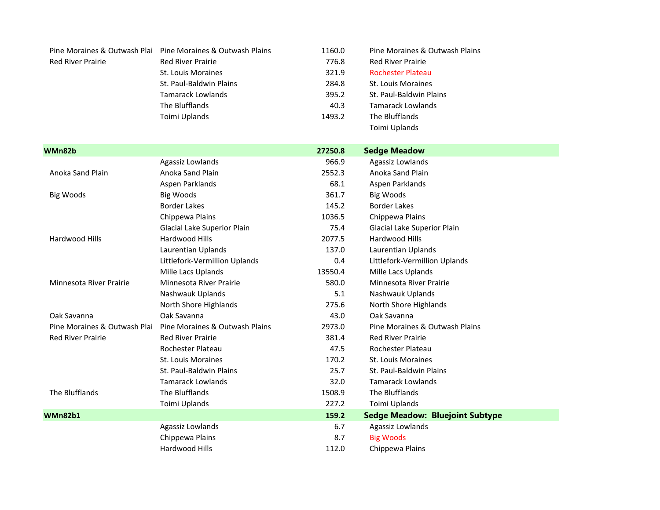|                          | Pine Moraines & Outwash Plai Pine Moraines & Outwash Plains | 1160.0 | Pine Moraines & Outwash Plains |
|--------------------------|-------------------------------------------------------------|--------|--------------------------------|
| <b>Red River Prairie</b> | <b>Red River Prairie</b>                                    | 776.8  | <b>Red River Prairie</b>       |
|                          | St. Louis Moraines                                          | 321.9  | <b>Rochester Plateau</b>       |
|                          | St. Paul-Baldwin Plains                                     | 284.8  | <b>St. Louis Moraines</b>      |
|                          | <b>Tamarack Lowlands</b>                                    | 395.2  | St. Paul-Baldwin Plains        |
|                          | The Blufflands                                              | 40.3   | <b>Tamarack Lowlands</b>       |
|                          | Toimi Uplands                                               | 1493.2 | The Blufflands                 |
|                          |                                                             |        | Toimi Uplands                  |

| WMn82b                       |                                | 27250.8 | <b>Sedge Meadow</b>                    |  |
|------------------------------|--------------------------------|---------|----------------------------------------|--|
|                              | Agassiz Lowlands               | 966.9   | Agassiz Lowlands                       |  |
| Anoka Sand Plain             | Anoka Sand Plain               | 2552.3  | Anoka Sand Plain                       |  |
|                              | Aspen Parklands                | 68.1    | Aspen Parklands                        |  |
| Big Woods                    | Big Woods                      | 361.7   | <b>Big Woods</b>                       |  |
|                              | <b>Border Lakes</b>            | 145.2   | <b>Border Lakes</b>                    |  |
|                              | Chippewa Plains                | 1036.5  | Chippewa Plains                        |  |
|                              | Glacial Lake Superior Plain    | 75.4    | Glacial Lake Superior Plain            |  |
| Hardwood Hills               | <b>Hardwood Hills</b>          | 2077.5  | Hardwood Hills                         |  |
|                              | Laurentian Uplands             | 137.0   | Laurentian Uplands                     |  |
|                              | Littlefork-Vermillion Uplands  | 0.4     | Littlefork-Vermillion Uplands          |  |
|                              | Mille Lacs Uplands             | 13550.4 | Mille Lacs Uplands                     |  |
| Minnesota River Prairie      | Minnesota River Prairie        | 580.0   | Minnesota River Prairie                |  |
|                              | Nashwauk Uplands               | 5.1     | Nashwauk Uplands                       |  |
|                              | North Shore Highlands          | 275.6   | North Shore Highlands                  |  |
| Oak Savanna                  | Oak Savanna                    | 43.0    | Oak Savanna                            |  |
| Pine Moraines & Outwash Plai | Pine Moraines & Outwash Plains | 2973.0  | Pine Moraines & Outwash Plains         |  |
| <b>Red River Prairie</b>     | <b>Red River Prairie</b>       | 381.4   | <b>Red River Prairie</b>               |  |
|                              | Rochester Plateau              | 47.5    | Rochester Plateau                      |  |
|                              | St. Louis Moraines             | 170.2   | <b>St. Louis Moraines</b>              |  |
|                              | St. Paul-Baldwin Plains        | 25.7    | St. Paul-Baldwin Plains                |  |
|                              | <b>Tamarack Lowlands</b>       | 32.0    | <b>Tamarack Lowlands</b>               |  |
| The Blufflands               | The Blufflands                 | 1508.9  | The Blufflands                         |  |
|                              | Toimi Uplands                  | 227.2   | Toimi Uplands                          |  |
| <b>WMn82b1</b>               |                                | 159.2   | <b>Sedge Meadow: Bluejoint Subtype</b> |  |
|                              | Agassiz Lowlands               | 6.7     | Agassiz Lowlands                       |  |
|                              | Chippewa Plains                | 8.7     | <b>Big Woods</b>                       |  |
|                              | Hardwood Hills                 | 112.0   | Chippewa Plains                        |  |
|                              |                                |         |                                        |  |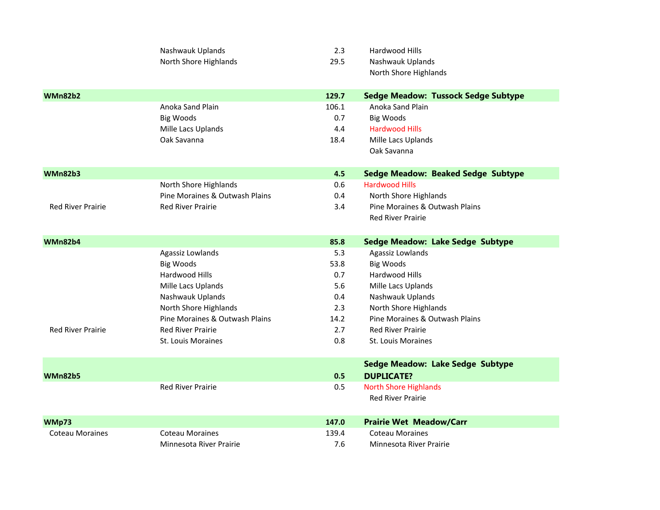|                          | Nashwauk Uplands               | 2.3   | Hardwood Hills                             |
|--------------------------|--------------------------------|-------|--------------------------------------------|
|                          | North Shore Highlands          | 29.5  | Nashwauk Uplands                           |
|                          |                                |       | North Shore Highlands                      |
| <b>WMn82b2</b>           |                                | 129.7 | <b>Sedge Meadow: Tussock Sedge Subtype</b> |
|                          | Anoka Sand Plain               | 106.1 | Anoka Sand Plain                           |
|                          | <b>Big Woods</b>               | 0.7   | <b>Big Woods</b>                           |
|                          | Mille Lacs Uplands             | 4.4   | <b>Hardwood Hills</b>                      |
|                          | Oak Savanna                    | 18.4  | Mille Lacs Uplands                         |
|                          |                                |       | Oak Savanna                                |
| <b>WMn82b3</b>           |                                | 4.5   | <b>Sedge Meadow: Beaked Sedge Subtype</b>  |
|                          | North Shore Highlands          | 0.6   | <b>Hardwood Hills</b>                      |
|                          | Pine Moraines & Outwash Plains | 0.4   | North Shore Highlands                      |
| <b>Red River Prairie</b> | <b>Red River Prairie</b>       | 3.4   | Pine Moraines & Outwash Plains             |
|                          |                                |       | <b>Red River Prairie</b>                   |
| <b>WMn82b4</b>           |                                | 85.8  | <b>Sedge Meadow: Lake Sedge Subtype</b>    |
|                          | Agassiz Lowlands               | 5.3   | Agassiz Lowlands                           |
|                          | <b>Big Woods</b>               | 53.8  | <b>Big Woods</b>                           |
|                          | Hardwood Hills                 | 0.7   | Hardwood Hills                             |
|                          | Mille Lacs Uplands             | 5.6   | Mille Lacs Uplands                         |
|                          | Nashwauk Uplands               | 0.4   | Nashwauk Uplands                           |
|                          | North Shore Highlands          | 2.3   | North Shore Highlands                      |
|                          | Pine Moraines & Outwash Plains | 14.2  | Pine Moraines & Outwash Plains             |
| <b>Red River Prairie</b> | <b>Red River Prairie</b>       | 2.7   | <b>Red River Prairie</b>                   |
|                          | <b>St. Louis Moraines</b>      | 0.8   | <b>St. Louis Moraines</b>                  |
|                          |                                |       | <b>Sedge Meadow: Lake Sedge Subtype</b>    |
| <b>WMn82b5</b>           |                                | 0.5   | <b>DUPLICATE?</b>                          |
|                          | <b>Red River Prairie</b>       | 0.5   | <b>North Shore Highlands</b>               |
|                          |                                |       | <b>Red River Prairie</b>                   |
| WMp73                    |                                | 147.0 | <b>Prairie Wet Meadow/Carr</b>             |
| <b>Coteau Moraines</b>   | <b>Coteau Moraines</b>         | 139.4 | <b>Coteau Moraines</b>                     |
|                          | Minnesota River Prairie        | 7.6   | Minnesota River Prairie                    |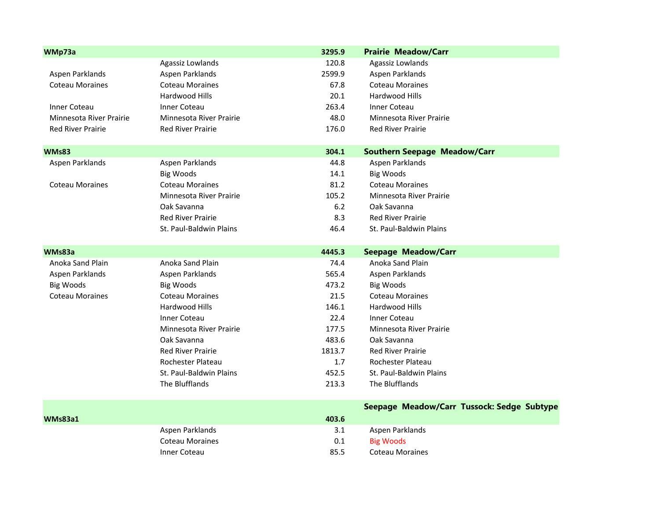| WMp73a                   |                                | 3295.9 | <b>Prairie Meadow/Carr</b>                 |
|--------------------------|--------------------------------|--------|--------------------------------------------|
|                          | Agassiz Lowlands               | 120.8  | Agassiz Lowlands                           |
| Aspen Parklands          | Aspen Parklands                | 2599.9 | Aspen Parklands                            |
| <b>Coteau Moraines</b>   | <b>Coteau Moraines</b>         | 67.8   | <b>Coteau Moraines</b>                     |
|                          | Hardwood Hills                 | 20.1   | Hardwood Hills                             |
| Inner Coteau             | <b>Inner Coteau</b>            | 263.4  | <b>Inner Coteau</b>                        |
| Minnesota River Prairie  | <b>Minnesota River Prairie</b> | 48.0   | Minnesota River Prairie                    |
| <b>Red River Prairie</b> | <b>Red River Prairie</b>       | 176.0  | <b>Red River Prairie</b>                   |
| <b>WMs83</b>             |                                | 304.1  | <b>Southern Seepage Meadow/Carr</b>        |
| Aspen Parklands          | Aspen Parklands                | 44.8   | Aspen Parklands                            |
|                          | <b>Big Woods</b>               | 14.1   | <b>Big Woods</b>                           |
| <b>Coteau Moraines</b>   | <b>Coteau Moraines</b>         | 81.2   | <b>Coteau Moraines</b>                     |
|                          | Minnesota River Prairie        | 105.2  | Minnesota River Prairie                    |
|                          | Oak Savanna                    | 6.2    | Oak Savanna                                |
|                          | <b>Red River Prairie</b>       | 8.3    | <b>Red River Prairie</b>                   |
|                          | St. Paul-Baldwin Plains        | 46.4   | St. Paul-Baldwin Plains                    |
| WMs83a                   |                                | 4445.3 | <b>Seepage Meadow/Carr</b>                 |
| Anoka Sand Plain         | Anoka Sand Plain               | 74.4   | Anoka Sand Plain                           |
| Aspen Parklands          | Aspen Parklands                | 565.4  | Aspen Parklands                            |
| <b>Big Woods</b>         | <b>Big Woods</b>               | 473.2  | <b>Big Woods</b>                           |
| <b>Coteau Moraines</b>   | <b>Coteau Moraines</b>         | 21.5   | <b>Coteau Moraines</b>                     |
|                          | Hardwood Hills                 | 146.1  | Hardwood Hills                             |
|                          | <b>Inner Coteau</b>            | 22.4   | <b>Inner Coteau</b>                        |
|                          | Minnesota River Prairie        | 177.5  | Minnesota River Prairie                    |
|                          | Oak Savanna                    | 483.6  | Oak Savanna                                |
|                          | <b>Red River Prairie</b>       | 1813.7 | <b>Red River Prairie</b>                   |
|                          | Rochester Plateau              | 1.7    | Rochester Plateau                          |
|                          | St. Paul-Baldwin Plains        | 452.5  | St. Paul-Baldwin Plains                    |
|                          | The Blufflands                 | 213.3  | The Blufflands                             |
|                          |                                |        | Seepage Meadow/Carr Tussock: Sedge Subtype |
| WMs83a1                  |                                | 403.6  |                                            |
|                          | Aspen Parklands                | 3.1    | Aspen Parklands                            |
|                          | <b>Coteau Moraines</b>         | 0.1    | <b>Big Woods</b>                           |
|                          | Inner Coteau                   | 85.5   | <b>Coteau Moraines</b>                     |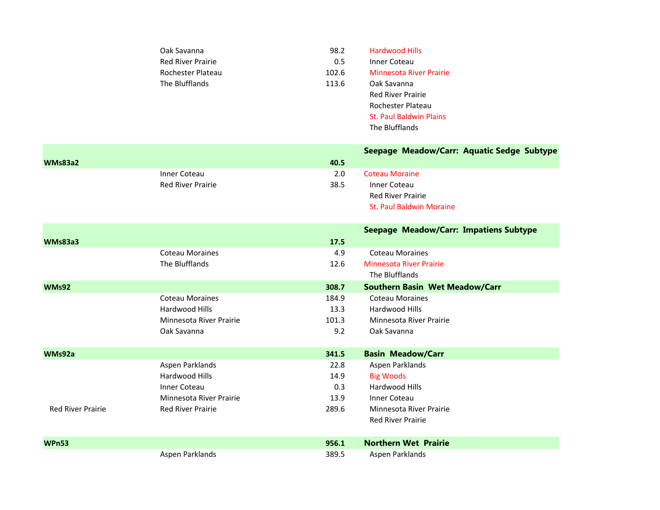| Oak Savanna              | 98.2  | <b>Hardwood Hills</b>          |
|--------------------------|-------|--------------------------------|
| <b>Red River Prairie</b> | 0.5   | Inner Coteau                   |
| Rochester Plateau        | 102.6 | Minnesota River Prairie        |
| The Blufflands           | 113.6 | Oak Savanna                    |
|                          |       | <b>Red River Prairie</b>       |
|                          |       | Rochester Plateau              |
|                          |       | <b>St. Paul Baldwin Plains</b> |
|                          |       | The Blufflands                 |
|                          |       |                                |

|                          |                                          |       | Seepage Meadow/Carr: Aquatic Sedge Subtype      |
|--------------------------|------------------------------------------|-------|-------------------------------------------------|
| <b>WMs83a2</b>           |                                          | 40.5  |                                                 |
|                          | Inner Coteau<br><b>Red River Prairie</b> | 2.0   | <b>Coteau Moraine</b>                           |
|                          |                                          | 38.5  | <b>Inner Coteau</b><br><b>Red River Prairie</b> |
|                          |                                          |       | <b>St. Paul Baldwin Moraine</b>                 |
|                          |                                          |       |                                                 |
|                          |                                          |       | Seepage Meadow/Carr: Impatiens Subtype          |
| <b>WMs83a3</b>           |                                          | 17.5  |                                                 |
|                          | <b>Coteau Moraines</b>                   | 4.9   | <b>Coteau Moraines</b>                          |
|                          | The Blufflands                           | 12.6  | <b>Minnesota River Prairie</b>                  |
|                          |                                          |       | The Blufflands                                  |
| <b>WMs92</b>             |                                          | 308.7 | <b>Southern Basin Wet Meadow/Carr</b>           |
|                          | <b>Coteau Moraines</b>                   | 184.9 | <b>Coteau Moraines</b>                          |
|                          | Hardwood Hills                           | 13.3  | Hardwood Hills                                  |
|                          | Minnesota River Prairie                  | 101.3 | Minnesota River Prairie                         |
|                          | Oak Savanna                              | 9.2   | Oak Savanna                                     |
| WMs92a                   |                                          | 341.5 | <b>Basin Meadow/Carr</b>                        |
|                          | Aspen Parklands                          | 22.8  | Aspen Parklands                                 |
|                          | Hardwood Hills                           | 14.9  | <b>Big Woods</b>                                |
|                          | Inner Coteau                             | 0.3   | Hardwood Hills                                  |
|                          | Minnesota River Prairie                  | 13.9  | Inner Coteau                                    |
| <b>Red River Prairie</b> | <b>Red River Prairie</b>                 | 289.6 | Minnesota River Prairie                         |
|                          |                                          |       | <b>Red River Prairie</b>                        |
| <b>WPn53</b>             |                                          | 956.1 | <b>Northern Wet Prairie</b>                     |
|                          | Aspen Parklands                          | 389.5 | Aspen Parklands                                 |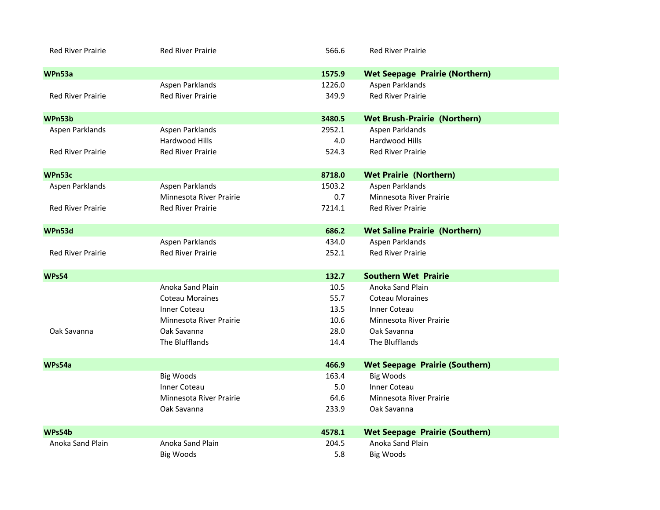| <b>Red River Prairie</b> | <b>Red River Prairie</b> | 566.6  | <b>Red River Prairie</b>              |  |
|--------------------------|--------------------------|--------|---------------------------------------|--|
| WPn53a                   |                          | 1575.9 | <b>Wet Seepage Prairie (Northern)</b> |  |
|                          | Aspen Parklands          | 1226.0 | Aspen Parklands                       |  |
| <b>Red River Prairie</b> | <b>Red River Prairie</b> | 349.9  | <b>Red River Prairie</b>              |  |
| WPn53b                   |                          | 3480.5 | <b>Wet Brush-Prairie (Northern)</b>   |  |
| Aspen Parklands          | Aspen Parklands          | 2952.1 | Aspen Parklands                       |  |
|                          | Hardwood Hills           | 4.0    | Hardwood Hills                        |  |
| <b>Red River Prairie</b> | <b>Red River Prairie</b> | 524.3  | <b>Red River Prairie</b>              |  |
| WPn53c                   |                          | 8718.0 | <b>Wet Prairie (Northern)</b>         |  |
| Aspen Parklands          | Aspen Parklands          | 1503.2 | Aspen Parklands                       |  |
|                          | Minnesota River Prairie  | 0.7    | Minnesota River Prairie               |  |
| <b>Red River Prairie</b> | <b>Red River Prairie</b> | 7214.1 | <b>Red River Prairie</b>              |  |
| WPn53d                   |                          | 686.2  | <b>Wet Saline Prairie (Northern)</b>  |  |
|                          | Aspen Parklands          | 434.0  | Aspen Parklands                       |  |
| <b>Red River Prairie</b> | <b>Red River Prairie</b> | 252.1  | <b>Red River Prairie</b>              |  |
| <b>WPs54</b>             |                          | 132.7  | <b>Southern Wet Prairie</b>           |  |
|                          | Anoka Sand Plain         | 10.5   | Anoka Sand Plain                      |  |
|                          | <b>Coteau Moraines</b>   | 55.7   | <b>Coteau Moraines</b>                |  |
|                          | Inner Coteau             | 13.5   | Inner Coteau                          |  |
|                          | Minnesota River Prairie  | 10.6   | Minnesota River Prairie               |  |
| Oak Savanna              | Oak Savanna              | 28.0   | Oak Savanna                           |  |
|                          | The Blufflands           | 14.4   | The Blufflands                        |  |
| WPs54a                   |                          | 466.9  | <b>Wet Seepage Prairie (Southern)</b> |  |
|                          | <b>Big Woods</b>         | 163.4  | <b>Big Woods</b>                      |  |
|                          | <b>Inner Coteau</b>      | 5.0    | <b>Inner Coteau</b>                   |  |
|                          | Minnesota River Prairie  | 64.6   | Minnesota River Prairie               |  |
|                          | Oak Savanna              | 233.9  | Oak Savanna                           |  |
| WPs54b                   |                          | 4578.1 | <b>Wet Seepage Prairie (Southern)</b> |  |
| Anoka Sand Plain         | Anoka Sand Plain         | 204.5  | Anoka Sand Plain                      |  |
|                          | <b>Big Woods</b>         | 5.8    | <b>Big Woods</b>                      |  |